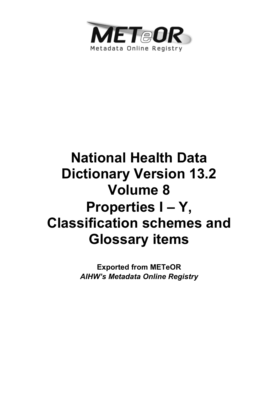

# **National Health Data Dictionary Version 13.2 Volume 8 Properties I – Y, Classification schemes and Glossary items**

**Exported from METeOR**  *AIHW's Metadata Online Registry*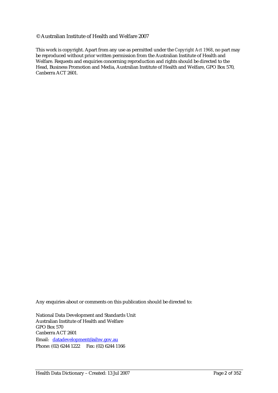#### © Australian Institute of Health and Welfare 2007

This work is copyright. Apart from any use as permitted under the *Copyright Act 1968*, no part may be reproduced without prior written permission from the Australian Institute of Health and Welfare. Requests and enquiries concerning reproduction and rights should be directed to the Head, Business Promotion and Media, Australian Institute of Health and Welfare, GPO Box 570, Canberra ACT 2601.

Any enquiries about or comments on this publication should be directed to:

National Data Development and Standards Unit Australian Institute of Health and Welfare GPO Box 570 Canberra ACT 2601 Email: datadevelopment@aihw.gov.au Phone: (02) 6244 1222 Fax: (02) 6244 1166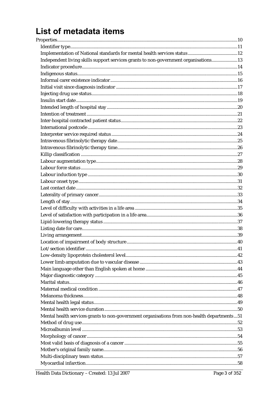# List of metadata items

| Independent living skills support services grants to non-government organisations13         |  |
|---------------------------------------------------------------------------------------------|--|
|                                                                                             |  |
|                                                                                             |  |
|                                                                                             |  |
|                                                                                             |  |
|                                                                                             |  |
|                                                                                             |  |
|                                                                                             |  |
|                                                                                             |  |
|                                                                                             |  |
|                                                                                             |  |
|                                                                                             |  |
|                                                                                             |  |
|                                                                                             |  |
|                                                                                             |  |
|                                                                                             |  |
|                                                                                             |  |
|                                                                                             |  |
|                                                                                             |  |
|                                                                                             |  |
|                                                                                             |  |
|                                                                                             |  |
|                                                                                             |  |
|                                                                                             |  |
|                                                                                             |  |
|                                                                                             |  |
|                                                                                             |  |
|                                                                                             |  |
|                                                                                             |  |
|                                                                                             |  |
|                                                                                             |  |
|                                                                                             |  |
|                                                                                             |  |
|                                                                                             |  |
|                                                                                             |  |
|                                                                                             |  |
|                                                                                             |  |
|                                                                                             |  |
| Mental health services grants to non-government organisations from non-health departments51 |  |
|                                                                                             |  |
|                                                                                             |  |
|                                                                                             |  |
|                                                                                             |  |
|                                                                                             |  |
|                                                                                             |  |
|                                                                                             |  |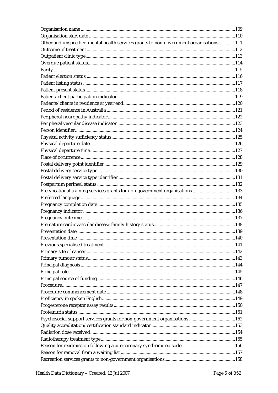| Other and unspecified mental health services grants to non-government organisations111 |  |
|----------------------------------------------------------------------------------------|--|
|                                                                                        |  |
|                                                                                        |  |
|                                                                                        |  |
|                                                                                        |  |
|                                                                                        |  |
|                                                                                        |  |
|                                                                                        |  |
|                                                                                        |  |
|                                                                                        |  |
|                                                                                        |  |
|                                                                                        |  |
|                                                                                        |  |
|                                                                                        |  |
|                                                                                        |  |
|                                                                                        |  |
|                                                                                        |  |
|                                                                                        |  |
|                                                                                        |  |
|                                                                                        |  |
|                                                                                        |  |
|                                                                                        |  |
| Pre-vocational training services grants for non-government organisations 133           |  |
|                                                                                        |  |
|                                                                                        |  |
|                                                                                        |  |
|                                                                                        |  |
|                                                                                        |  |
|                                                                                        |  |
|                                                                                        |  |
|                                                                                        |  |
|                                                                                        |  |
|                                                                                        |  |
|                                                                                        |  |
|                                                                                        |  |
|                                                                                        |  |
|                                                                                        |  |
|                                                                                        |  |
|                                                                                        |  |
|                                                                                        |  |
|                                                                                        |  |
|                                                                                        |  |
|                                                                                        |  |
|                                                                                        |  |
|                                                                                        |  |
|                                                                                        |  |
|                                                                                        |  |
|                                                                                        |  |
|                                                                                        |  |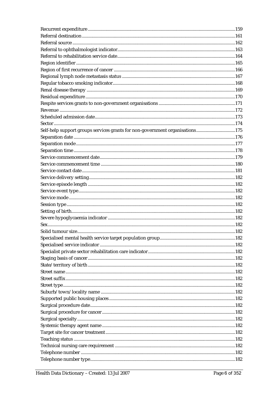| Self-help support groups services grants for non-government organisations175 |  |
|------------------------------------------------------------------------------|--|
|                                                                              |  |
|                                                                              |  |
|                                                                              |  |
|                                                                              |  |
|                                                                              |  |
|                                                                              |  |
|                                                                              |  |
|                                                                              |  |
|                                                                              |  |
|                                                                              |  |
|                                                                              |  |
|                                                                              |  |
|                                                                              |  |
|                                                                              |  |
|                                                                              |  |
|                                                                              |  |
|                                                                              |  |
|                                                                              |  |
|                                                                              |  |
|                                                                              |  |
|                                                                              |  |
|                                                                              |  |
|                                                                              |  |
|                                                                              |  |
|                                                                              |  |
|                                                                              |  |
|                                                                              |  |
|                                                                              |  |
|                                                                              |  |
|                                                                              |  |
|                                                                              |  |
|                                                                              |  |
|                                                                              |  |
|                                                                              |  |
|                                                                              |  |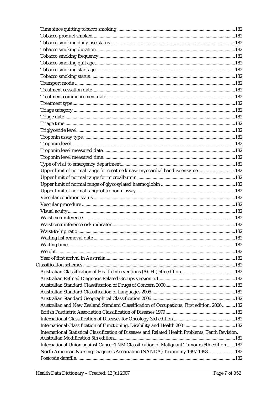| Upper limit of normal range for creatine kinase myocardial band isoenzyme 182                     |  |
|---------------------------------------------------------------------------------------------------|--|
|                                                                                                   |  |
|                                                                                                   |  |
|                                                                                                   |  |
|                                                                                                   |  |
|                                                                                                   |  |
|                                                                                                   |  |
|                                                                                                   |  |
|                                                                                                   |  |
|                                                                                                   |  |
|                                                                                                   |  |
|                                                                                                   |  |
|                                                                                                   |  |
|                                                                                                   |  |
|                                                                                                   |  |
|                                                                                                   |  |
|                                                                                                   |  |
|                                                                                                   |  |
|                                                                                                   |  |
|                                                                                                   |  |
| Australian and New Zealand Standard Classification of Occupations, First edition, 2006 182        |  |
|                                                                                                   |  |
|                                                                                                   |  |
|                                                                                                   |  |
| International Statistical Classification of Diseases and Related Health Problems, Tenth Revision, |  |
|                                                                                                   |  |
| International Union against Cancer TNM Classification of Malignant Tumours 5th edition  182       |  |
| North American Nursing Diagnosis Association (NANDA) Taxonomy 1997-1998182                        |  |
|                                                                                                   |  |
|                                                                                                   |  |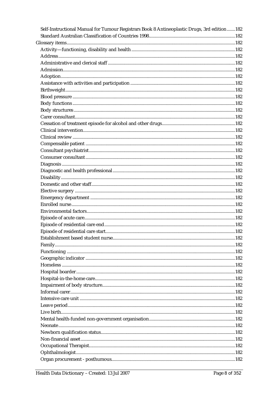| Self-Instructional Manual for Tumour Registrars Book 8 Antineoplastic Drugs, 3rd edition182 |
|---------------------------------------------------------------------------------------------|
|                                                                                             |
|                                                                                             |
|                                                                                             |
|                                                                                             |
|                                                                                             |
|                                                                                             |
|                                                                                             |
|                                                                                             |
|                                                                                             |
|                                                                                             |
|                                                                                             |
|                                                                                             |
|                                                                                             |
|                                                                                             |
|                                                                                             |
|                                                                                             |
|                                                                                             |
|                                                                                             |
|                                                                                             |
|                                                                                             |
|                                                                                             |
|                                                                                             |
|                                                                                             |
|                                                                                             |
|                                                                                             |
|                                                                                             |
|                                                                                             |
|                                                                                             |
|                                                                                             |
|                                                                                             |
|                                                                                             |
|                                                                                             |
|                                                                                             |
|                                                                                             |
|                                                                                             |
|                                                                                             |
|                                                                                             |
|                                                                                             |
|                                                                                             |
|                                                                                             |
|                                                                                             |
|                                                                                             |
|                                                                                             |
|                                                                                             |
|                                                                                             |
|                                                                                             |
|                                                                                             |
|                                                                                             |
|                                                                                             |
|                                                                                             |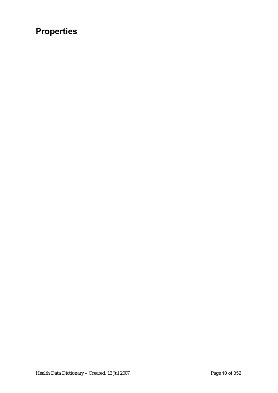# **Properties**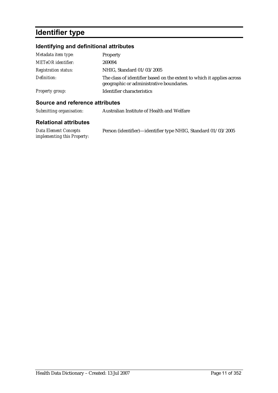# **Identifier type**

### **Identifying and definitional attributes**

| Metadata item type:         | Property                                                                                                           |
|-----------------------------|--------------------------------------------------------------------------------------------------------------------|
| <b>METeOR</b> identifier:   | 269094                                                                                                             |
| <b>Registration status:</b> | NHIG, Standard 01/03/2005                                                                                          |
| Definition:                 | The class of identifier based on the extent to which it applies across<br>geographic or administrative boundaries. |
| Property group:             | Identifier characteristics                                                                                         |

### **Source and reference attributes**

| Submitting organisation:                             | Australian Institute of Health and Welfare                    |
|------------------------------------------------------|---------------------------------------------------------------|
| <b>Relational attributes</b>                         |                                                               |
| Data Element Concepts<br>implementing this Property: | Person (identifier)—identifier type NHIG, Standard 01/03/2005 |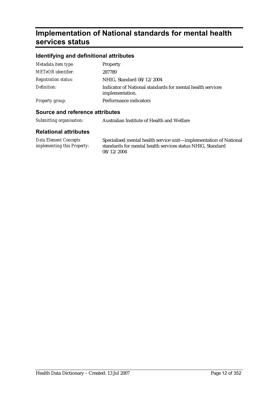# **Implementation of National standards for mental health services status**

#### **Identifying and definitional attributes**

| Metadata item type:         | Property                                                                      |
|-----------------------------|-------------------------------------------------------------------------------|
| <b>METeOR</b> identifier:   | 287789                                                                        |
| <b>Registration status:</b> | NHIG, Standard 08/12/2004                                                     |
| Definition:                 | Indicator of National standards for mental health services<br>implementation. |
| <b>Property group:</b>      | Performance indicators                                                        |

#### **Source and reference attributes**

| Submitting organisation: | Australian Institute of Health and Welfare |
|--------------------------|--------------------------------------------|
|--------------------------|--------------------------------------------|

| Data Element Concepts              | Specialised mental health service unit—implementation of National |
|------------------------------------|-------------------------------------------------------------------|
| <i>implementing this Property:</i> | standards for mental health services status NHIG, Standard        |
|                                    | 08/12/2004                                                        |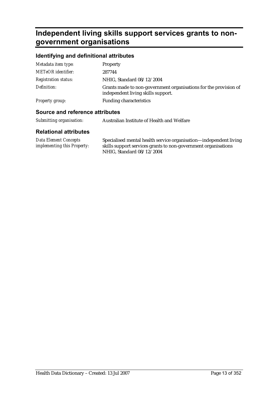# **Independent living skills support services grants to nongovernment organisations**

#### **Identifying and definitional attributes**

| Ostronom stad nafanaran a attullaritan |                                                                                                        |
|----------------------------------------|--------------------------------------------------------------------------------------------------------|
| Property group:                        | <b>Funding characteristics</b>                                                                         |
| Definition:                            | Grants made to non-government organisations for the provision of<br>independent living skills support. |
| <b>Registration status:</b>            | NHIG, Standard 08/12/2004                                                                              |
| <b>METeOR</b> identifier:              | 287744                                                                                                 |
| Metadata item type:                    | <b>Property</b>                                                                                        |

#### **Source and reference attributes**

| Submitting organisation: | Australian Institute of Health and Welfare |
|--------------------------|--------------------------------------------|
|                          |                                            |

| Data Element Concepts              | Specialised mental health service organisation—independent living |
|------------------------------------|-------------------------------------------------------------------|
| <i>implementing this Property:</i> | skills support services grants to non-government organisations    |
|                                    | NHIG, Standard 08/12/2004                                         |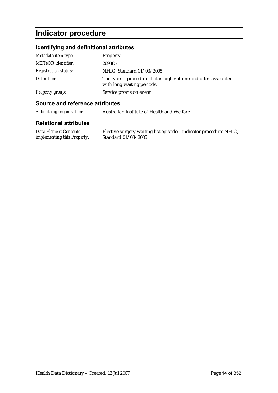# **Indicator procedure**

#### **Identifying and definitional attributes**

| Metadata item type:         | Property                                                                                     |
|-----------------------------|----------------------------------------------------------------------------------------------|
| <b>METeOR</b> identifier:   | 269365                                                                                       |
| <i>Registration status:</i> | NHIG, Standard 01/03/2005                                                                    |
| Definition:                 | The type of procedure that is high volume and often associated<br>with long waiting periods. |
| <b>Property group:</b>      | Service provision event                                                                      |

#### **Source and reference attributes**

*Submitting organisation:* Australian Institute of Health and Welfare

#### **Relational attributes**

*Data Element Concepts implementing this Property:* Elective surgery waiting list episode—indicator procedure NHIG, Standard 01/03/2005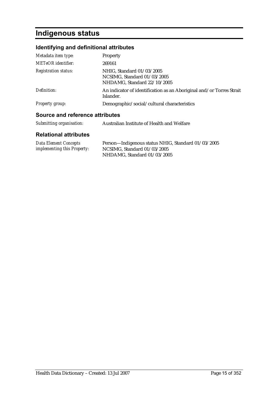# **Indigenous status**

### **Identifying and definitional attributes**

| Metadata item type:             | Property                                                                                |
|---------------------------------|-----------------------------------------------------------------------------------------|
| METeOR identifier:              | 269161                                                                                  |
| <b>Registration status:</b>     | NHIG, Standard 01/03/2005<br>NCSIMG, Standard 01/03/2005<br>NHDAMG, Standard 22/10/2005 |
| Definition:                     | An indicator of identification as an Aboriginal and/or Torres Strait<br>Islander.       |
| <i>Property group:</i>          | Demographic/social/cultural characteristics                                             |
| Source and reference attributes |                                                                                         |
| Submitting organisation:        | Australian Institute of Health and Welfare                                              |

| Data Element Concepts              | Person-Indigenous status NHIG, Standard 01/03/2005 |
|------------------------------------|----------------------------------------------------|
| <i>implementing this Property:</i> | NCSIMG, Standard 01/03/2005                        |
|                                    | NHDAMG, Standard 01/03/2005                        |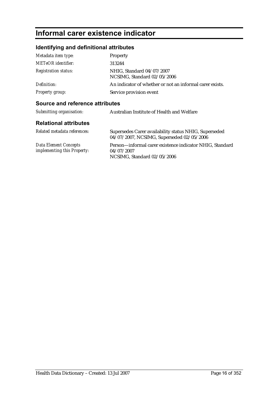# **Informal carer existence indicator**

### **Identifying and definitional attributes**

| Metadata item type:             | <b>Property</b>                                                                                    |
|---------------------------------|----------------------------------------------------------------------------------------------------|
| <b>METeOR</b> identifier:       | 313244                                                                                             |
| <b>Registration status:</b>     | NHIG. Standard 04/07/2007<br>NCSIMG, Standard 02/05/2006                                           |
| Definition:                     | An indicator of whether or not an informal carer exists.                                           |
| <i>Property group:</i>          | Service provision event                                                                            |
| Source and reference attributes |                                                                                                    |
| Submitting organisation:        | Australian Institute of Health and Welfare                                                         |
| <b>Relational attributes</b>    |                                                                                                    |
| Related metadata references:    | Supersedes Carer availability status NHIG, Superseded<br>04/07/2007, NCSIMG, Superseded 02/05/2006 |

*Data Element Concepts implementing this Property:* Person—informal carer existence indicator NHIG, Standard 04/07/2007 NCSIMG, Standard 02/05/2006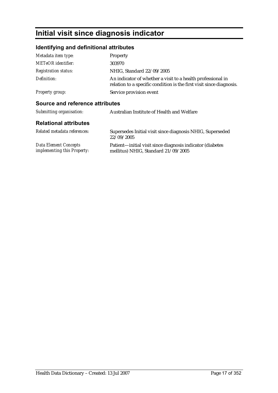# **Initial visit since diagnosis indicator**

### **Identifying and definitional attributes**

| Metadata item type:             | <b>Property</b>                                                                                                                     |
|---------------------------------|-------------------------------------------------------------------------------------------------------------------------------------|
| <b>METeOR</b> identifier:       | 303970                                                                                                                              |
| <b>Registration status:</b>     | NHIG. Standard 22/09/2005                                                                                                           |
| Definition:                     | An indicator of whether a visit to a health professional in<br>relation to a specific condition is the first visit since diagnosis. |
| <b>Property group:</b>          | Service provision event                                                                                                             |
| Source and reference attributes |                                                                                                                                     |
| Submitting organisation:        | Australian Institute of Health and Welfare                                                                                          |
| <b>Relational attributes</b>    |                                                                                                                                     |
| Related metadata references:    | Supersedes Initial visit since diagnosis NHIG, Superseded<br>22/09/2005                                                             |

*Data Element Concepts implementing this Property:* Patient—initial visit since diagnosis indicator (diabetes mellitus) NHIG, Standard 21/09/2005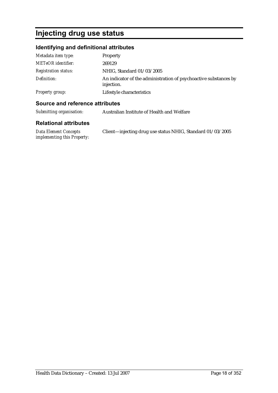# **Injecting drug use status**

### **Identifying and definitional attributes**

| Metadata item type:         | Property                                                                       |
|-----------------------------|--------------------------------------------------------------------------------|
| <b>METeOR</b> identifier:   | 269129                                                                         |
| <b>Registration status:</b> | NHIG, Standard 01/03/2005                                                      |
| Definition:                 | An indicator of the administration of psychoactive substances by<br>injection. |
| Property group:             | Lifestyle characteristics                                                      |

#### **Source and reference attributes**

| Submitting organisation: | Australian Institute of Health and Welfare |
|--------------------------|--------------------------------------------|
|                          |                                            |

| Data Element Concepts              | Client-injecting drug use status NHIG, Standard 01/03/2005 |
|------------------------------------|------------------------------------------------------------|
| <i>implementing this Property:</i> |                                                            |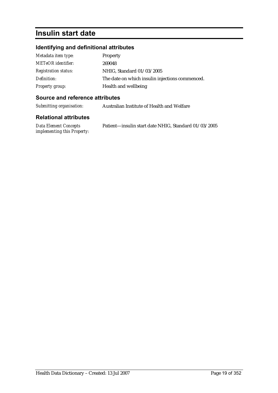### **Insulin start date**

### **Identifying and definitional attributes**

| Metadata item type:         | Property                                        |
|-----------------------------|-------------------------------------------------|
| <b>METeOR</b> identifier:   | 269048                                          |
| <b>Registration status:</b> | NHIG, Standard 01/03/2005                       |
| Definition:                 | The date on which insulin injections commenced. |
| <b>Property group:</b>      | Health and wellbeing                            |

#### **Source and reference attributes**

*Submitting organisation:* Australian Institute of Health and Welfare

| Data Element Concepts              | Patient-insulin start date NHIG, Standard 01/03/2005 |
|------------------------------------|------------------------------------------------------|
| <i>implementing this Property:</i> |                                                      |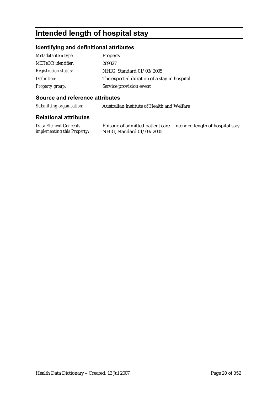# **Intended length of hospital stay**

#### **Identifying and definitional attributes**

| Metadata item type:         | <b>Property</b>                              |
|-----------------------------|----------------------------------------------|
| <b>METeOR</b> identifier:   | 269327                                       |
| <b>Registration status:</b> | NHIG, Standard 01/03/2005                    |
| Definition:                 | The expected duration of a stay in hospital. |
| <b>Property group:</b>      | Service provision event                      |

#### **Source and reference attributes**

*Submitting organisation:* Australian Institute of Health and Welfare

#### **Relational attributes**

*Data Element Concepts implementing this Property:*

Episode of admitted patient care—intended length of hospital stay NHIG, Standard 01/03/2005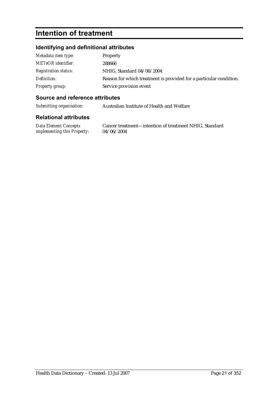### **Intention of treatment**

#### **Identifying and definitional attributes**

| Metadata item type:         | <b>Property</b>                                                    |
|-----------------------------|--------------------------------------------------------------------|
| <b>METeOR</b> identifier:   | 288666                                                             |
| <i>Registration status:</i> | NHIG, Standard 04/06/2004                                          |
| Definition:                 | Reason for which treatment is provided for a particular condition. |
| Property group:             | Service provision event                                            |

#### **Source and reference attributes**

*Submitting organisation:* Australian Institute of Health and Welfare

#### **Relational attributes**

*Data Element Concepts implementing this Property:*

Cancer treatment—intention of treatment NHIG, Standard 04/06/2004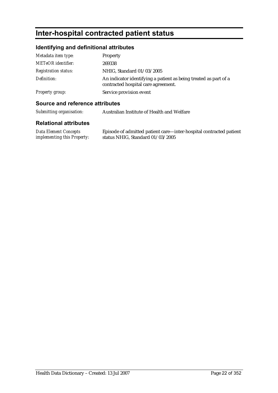# **Inter-hospital contracted patient status**

### **Identifying and definitional attributes**

| Metadata item type:         | Property                                                                                                |
|-----------------------------|---------------------------------------------------------------------------------------------------------|
| <b>METeOR</b> identifier:   | 269338                                                                                                  |
| <b>Registration status:</b> | NHIG, Standard 01/03/2005                                                                               |
| Definition:                 | An indicator identifying a patient as being treated as part of a<br>contracted hospital care agreement. |
| <b>Property group:</b>      | Service provision event                                                                                 |

#### **Source and reference attributes**

*Submitting organisation:* Australian Institute of Health and Welfare

| Data Element Concepts              | Episode of admitted patient care—inter-hospital contracted patient |
|------------------------------------|--------------------------------------------------------------------|
| <i>implementing this Property:</i> | status NHIG, Standard $01/03/2005$                                 |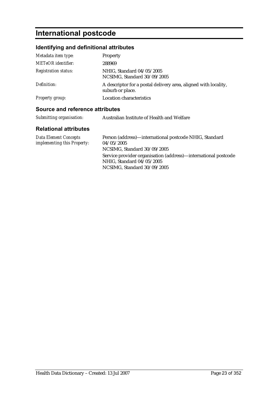# **International postcode**

### **Identifying and definitional attributes**

| Metadata item type:         | <b>Property</b>                                                                     |
|-----------------------------|-------------------------------------------------------------------------------------|
| <b>METeOR</b> identifier:   | 288969                                                                              |
| <b>Registration status:</b> | NHIG, Standard 04/05/2005<br>NCSIMG, Standard 30/09/2005                            |
| Definition:                 | A descriptor for a postal delivery area, aligned with locality,<br>suburb or place. |
| <b>Property group:</b>      | <b>Location characteristics</b>                                                     |

### **Source and reference attributes**

| Submitting organisation: | Australian Institute of Health and Welfare |
|--------------------------|--------------------------------------------|
|                          |                                            |

| Data Element Concepts       | Person (address)—international postcode NHIG, Standard         |
|-----------------------------|----------------------------------------------------------------|
| implementing this Property: | 04/05/2005                                                     |
|                             | NCSIMG, Standard 30/09/2005                                    |
|                             | Service provider organisation (address)—international postcode |
|                             | NHIG, Standard 04/05/2005                                      |
|                             | NCSIMG, Standard 30/09/2005                                    |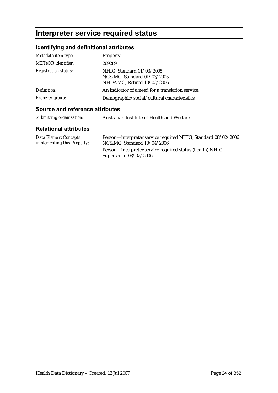# **Interpreter service required status**

### **Identifying and definitional attributes**

| Metadata item type:         | Property                                                                               |
|-----------------------------|----------------------------------------------------------------------------------------|
| <b>METeOR</b> identifier:   | 269289                                                                                 |
| <b>Registration status:</b> | NHIG, Standard 01/03/2005<br>NCSIMG, Standard 01/03/2005<br>NHDAMG, Retired 10/02/2006 |
| Definition:                 | An indicator of a need for a translation service.                                      |
| Property group:             | Demographic/social/cultural characteristics                                            |

### **Source and reference attributes**

| Submitting organisation:<br>Australian Institute of Health and Welfare |  |
|------------------------------------------------------------------------|--|
|------------------------------------------------------------------------|--|

| Data Element Concepts<br><i>implementing this Property:</i> | Person—interpreter service required NHIG, Standard 08/02/2006<br>NCSIMG, Standard 10/04/2006 |
|-------------------------------------------------------------|----------------------------------------------------------------------------------------------|
|                                                             | Person—interpreter service required status (health) NHIG,                                    |
|                                                             | Superseded $08/02/2006$                                                                      |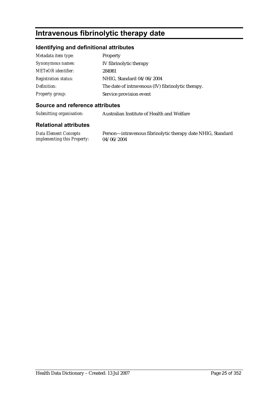# **Intravenous fibrinolytic therapy date**

### **Identifying and definitional attributes**

| Metadata item type:         | <b>Property</b>                                    |
|-----------------------------|----------------------------------------------------|
| Synonymous names:           | IV fibrinolytic therapy                            |
| <b>METeOR</b> identifier:   | 284981                                             |
| <b>Registration status:</b> | NHIG, Standard 04/06/2004                          |
| Definition:                 | The date of intravenous (IV) fibrinolytic therapy. |
| <b>Property group:</b>      | Service provision event                            |

#### **Source and reference attributes**

*Submitting organisation:* Australian Institute of Health and Welfare

| Data Element Concepts              | Person-intravenous fibrinolytic therapy date NHIG, Standard |
|------------------------------------|-------------------------------------------------------------|
| <i>implementing this Property:</i> | 04/06/2004                                                  |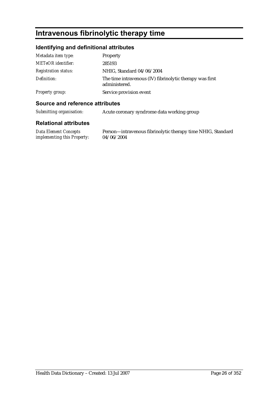# **Intravenous fibrinolytic therapy time**

### **Identifying and definitional attributes**

| Metadata item type:         | Property                                                                  |
|-----------------------------|---------------------------------------------------------------------------|
| METeOR identifier:          | 285193                                                                    |
| <b>Registration status:</b> | NHIG, Standard 04/06/2004                                                 |
| Definition:                 | The time intravenous (IV) fibrinolytic therapy was first<br>administered. |
| <b>Property group:</b>      | Service provision event                                                   |

#### **Source and reference attributes**

| Submitting organisation: | Acute coronary syndrome data working group |
|--------------------------|--------------------------------------------|
|                          |                                            |

#### **Relational attributes**

*Data Element Concepts implementing this Property:* Person—intravenous fibrinolytic therapy time NHIG, Standard 04/06/2004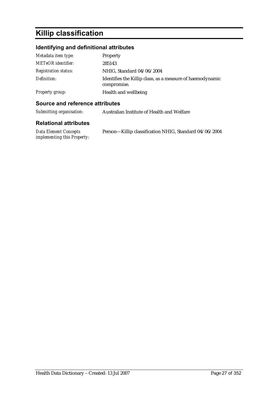# **Killip classification**

### **Identifying and definitional attributes**

| Metadata item type:         | Property                                                                 |
|-----------------------------|--------------------------------------------------------------------------|
| <b>METeOR</b> identifier:   | 285143                                                                   |
| <b>Registration status:</b> | NHIG, Standard 04/06/2004                                                |
| Definition:                 | Identifies the Killip class, as a measure of haemodynamic<br>compromise. |
| <b>Property group:</b>      | Health and wellbeing                                                     |

#### **Source and reference attributes**

| Submitting organisation: | Australian Institute of Health and Welfare |
|--------------------------|--------------------------------------------|
|                          |                                            |

| Data Element Concepts       | Person-Killip classification NHIG, Standard 04/06/2004 |
|-----------------------------|--------------------------------------------------------|
| implementing this Property: |                                                        |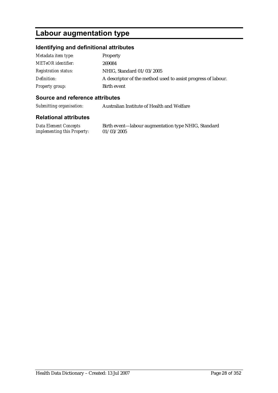# **Labour augmentation type**

#### **Identifying and definitional attributes**

| Metadata item type:         | <b>Property</b>                                               |
|-----------------------------|---------------------------------------------------------------|
| <b>METeOR</b> identifier:   | 269084                                                        |
| <b>Registration status:</b> | NHIG, Standard 01/03/2005                                     |
| Definition:                 | A descriptor of the method used to assist progress of labour. |
| <b>Property group:</b>      | Birth event                                                   |

#### **Source and reference attributes**

*Submitting organisation:* Australian Institute of Health and Welfare

#### **Relational attributes**

*Data Element Concepts implementing this Property:*

Birth event—labour augmentation type NHIG, Standard 01/03/2005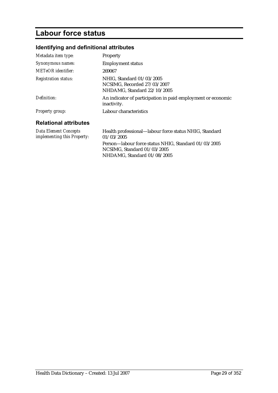# **Labour force status**

### **Identifying and definitional attributes**

| Metadata item type:                                  | <b>Property</b>                                                                         |
|------------------------------------------------------|-----------------------------------------------------------------------------------------|
| Synonymous names:                                    | <b>Employment status</b>                                                                |
| METeOR identifier:                                   | 269067                                                                                  |
| <b>Registration status:</b>                          | NHIG, Standard 01/03/2005<br>NCSIMG, Recorded 27/03/2007<br>NHDAMG, Standard 22/10/2005 |
| Definition:                                          | An indicator of participation in paid employment or economic<br>inactivity.             |
| <b>Property group:</b>                               | Labour characteristics                                                                  |
| <b>Relational attributes</b>                         |                                                                                         |
| Data Element Concepts<br>implementing this Property: | Health professional—labour force status NHIG, Standard<br>01/03/2005                    |
|                                                      | Person-labour force status NHIG, Standard 01/03/2005<br>NCSIMG, Standard 01/03/2005     |

NHDAMG, Standard 01/08/2005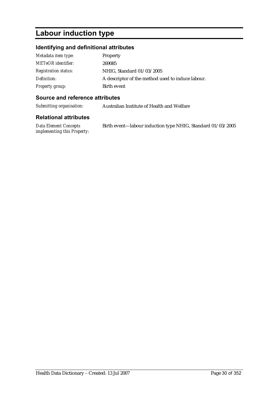# **Labour induction type**

### **Identifying and definitional attributes**

| Metadata item type:         | Property                                          |
|-----------------------------|---------------------------------------------------|
| <b>METeOR</b> identifier:   | 269085                                            |
| <b>Registration status:</b> | NHIG, Standard 01/03/2005                         |
| Definition:                 | A descriptor of the method used to induce labour. |
| Property group:             | Birth event                                       |

#### **Source and reference attributes**

*Submitting organisation:* Australian Institute of Health and Welfare

| Data Element Concepts              | Birth event—labour induction type NHIG, Standard 01/03/2005 |  |
|------------------------------------|-------------------------------------------------------------|--|
| <i>implementing this Property:</i> |                                                             |  |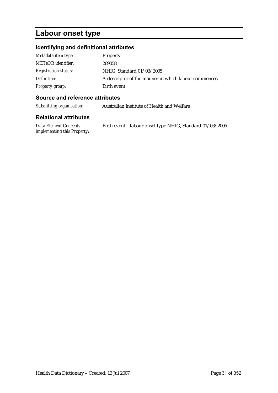# **Labour onset type**

### **Identifying and definitional attributes**

| Metadata item type:         | Property                                              |
|-----------------------------|-------------------------------------------------------|
| <b>METeOR</b> identifier:   | 269058                                                |
| <b>Registration status:</b> | NHIG, Standard 01/03/2005                             |
| Definition:                 | A descriptor of the manner in which labour commences. |
| Property group:             | Birth event                                           |

#### **Source and reference attributes**

*Submitting organisation:* Australian Institute of Health and Welfare

| Data Element Concepts              | Birth event—labour onset type NHIG, Standard 01/03/2005 |
|------------------------------------|---------------------------------------------------------|
| <i>implementing this Property:</i> |                                                         |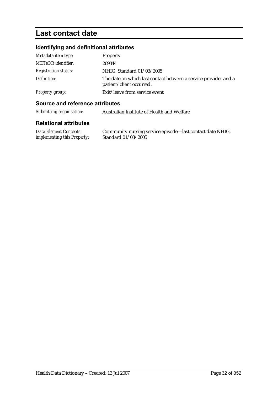# **Last contact date**

### **Identifying and definitional attributes**

| Metadata item type:         | Property                                                                                    |
|-----------------------------|---------------------------------------------------------------------------------------------|
| <b>METeOR</b> identifier:   | 269344                                                                                      |
| <b>Registration status:</b> | NHIG, Standard 01/03/2005                                                                   |
| Definition:                 | The date on which last contact between a service provider and a<br>patient/client occurred. |
| Property group:             | Exit/leave from service event                                                               |

#### **Source and reference attributes**

| Submitting organisation: | Australian Institute of Health and Welfare |
|--------------------------|--------------------------------------------|
|--------------------------|--------------------------------------------|

| Data Element Concepts              | Community nursing service episode-last contact date NHIG, |
|------------------------------------|-----------------------------------------------------------|
| <i>implementing this Property:</i> | Standard 01/03/2005                                       |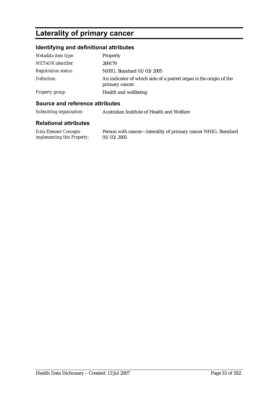# **Laterality of primary cancer**

#### **Identifying and definitional attributes**

| Metadata item type:         | Property                                                                             |
|-----------------------------|--------------------------------------------------------------------------------------|
| <b>METeOR</b> identifier:   | 269179                                                                               |
| <b>Registration status:</b> | NHIG, Standard 01/03/2005                                                            |
| Definition:                 | An indicator of which side of a paired organ is the origin of the<br>primary cancer. |
| Property group:             | Health and wellbeing                                                                 |

#### **Source and reference attributes**

*Submitting organisation:* Australian Institute of Health and Welfare

#### **Relational attributes**

*Data Element Concepts implementing this Property:* Person with cancer—laterality of primary cancer NHIG, Standard 01/03/2005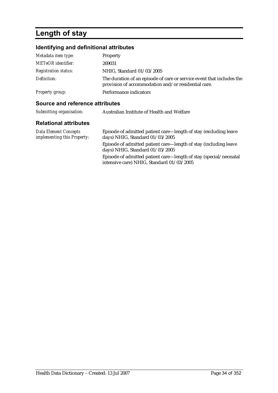# **Length of stay**

### **Identifying and definitional attributes**

| Metadata item type:         | Property                                                                                                                     |
|-----------------------------|------------------------------------------------------------------------------------------------------------------------------|
| <b>METeOR</b> identifier:   | 269031                                                                                                                       |
| <b>Registration status:</b> | NHIG, Standard 01/03/2005                                                                                                    |
| Definition:                 | The duration of an episode of care or service event that includes the<br>provision of accommodation and/or residential care. |
| Property group:             | Performance indicators                                                                                                       |

intensive care) NHIG, Standard 01/03/2005

#### **Source and reference attributes**

| Submitting organisation:                             | Australian Institute of Health and Welfare                                                          |
|------------------------------------------------------|-----------------------------------------------------------------------------------------------------|
| <b>Relational attributes</b>                         |                                                                                                     |
| Data Element Concepts<br>implementing this Property: | Episode of admitted patient care—length of stay (excluding leave<br>days) NHIG, Standard 01/03/2005 |
|                                                      | Episode of admitted patient care—length of stay (including leave<br>days) NHIG, Standard 01/03/2005 |
|                                                      | Episode of admitted patient care—length of stay (special/neonatal                                   |

Health Data Dictionary – Created: 13 Jul 2007 Page 34 of 352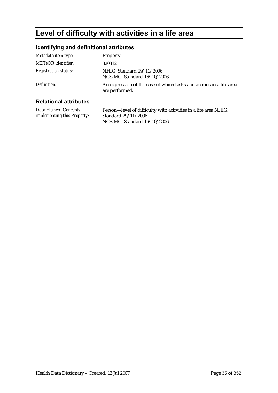# **Level of difficulty with activities in a life area**

### **Identifying and definitional attributes**

| Metadata item type:         | Property                                                                              |
|-----------------------------|---------------------------------------------------------------------------------------|
| <b>METeOR</b> identifier:   | 320312                                                                                |
| <b>Registration status:</b> | NHIG, Standard 29/11/2006<br>NCSIMG, Standard 16/10/2006                              |
| Definition:                 | An expression of the ease of which tasks and actions in a life area<br>are performed. |
|                             |                                                                                       |

#### **Relational attributes**

*Data Element Concepts implementing this Property:* Person—level of difficulty with activities in a life area NHIG, Standard 29/11/2006 NCSIMG, Standard 16/10/2006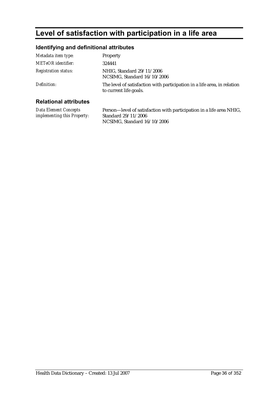# **Level of satisfaction with participation in a life area**

### **Identifying and definitional attributes**

| Metadata item type:          | Property                                                                                           |
|------------------------------|----------------------------------------------------------------------------------------------------|
| <b>METeOR</b> identifier:    | 324441                                                                                             |
| <b>Registration status:</b>  | NHIG. Standard 29/11/2006<br>NCSIMG, Standard 16/10/2006                                           |
| Definition:                  | The level of satisfaction with participation in a life area, in relation<br>to current life goals. |
| <b>Relational attributes</b> |                                                                                                    |

#### **Relational attributes**

*Data Element Concepts implementing this Property:* Person—level of satisfaction with participation in a life area NHIG, Standard 29/11/2006 NCSIMG, Standard 16/10/2006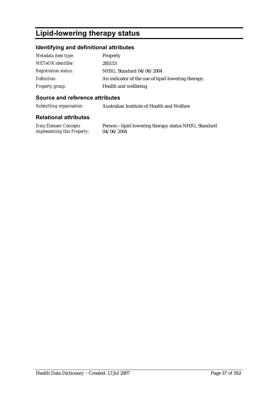# **Lipid-lowering therapy status**

### **Identifying and definitional attributes**

| Metadata item type:         | <b>Property</b>                                    |
|-----------------------------|----------------------------------------------------|
| <b>METeOR</b> identifier:   | 285153                                             |
| <b>Registration status:</b> | NHIG, Standard 04/06/2004                          |
| Definition:                 | An indicator of the use of lipid-lowering therapy. |
| Property group:             | Health and wellbeing                               |

### **Source and reference attributes**

*Submitting organisation:* Australian Institute of Health and Welfare

#### **Relational attributes**

*Data Element Concepts implementing this Property:*

Person—lipid-lowering therapy status NHIG, Standard 04/06/2004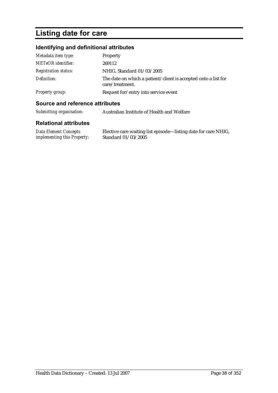# **Listing date for care**

## **Identifying and definitional attributes**

| Metadata item type:         | Property                                                                          |
|-----------------------------|-----------------------------------------------------------------------------------|
| <b>METeOR</b> identifier:   | 269112                                                                            |
| <i>Registration status:</i> | NHIG, Standard 01/03/2005                                                         |
| Definition:                 | The date on which a patient/client is accepted onto a list for<br>care/treatment. |
| <b>Property group:</b>      | Request for/entry into service event                                              |

### **Source and reference attributes**

| Submitting organisation: | Australian Institute of Health and Welfare |
|--------------------------|--------------------------------------------|
|--------------------------|--------------------------------------------|

| Data Element Concepts              | Elective care waiting list episode—listing date for care NHIG, |
|------------------------------------|----------------------------------------------------------------|
| <i>implementing this Property:</i> | Standard 01/03/2005                                            |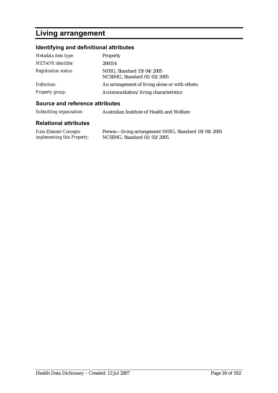# **Living arrangement**

### **Identifying and definitional attributes**

| Metadata item type:         | Property                                                 |
|-----------------------------|----------------------------------------------------------|
| <b>METeOR</b> identifier:   | 269314                                                   |
| <b>Registration status:</b> | NHIG, Standard 19/04/2005<br>NCSIMG, Standard 01/03/2005 |
| Definition:                 | An arrangement of living alone or with others.           |
| <b>Property group:</b>      | Accommodation/living characteristics                     |

#### **Source and reference attributes**

| Submitting organisation:     | Australian Institute of Health and Welfare |
|------------------------------|--------------------------------------------|
| <b>Relational attributes</b> |                                            |

#### *Data Element Concepts implementing this Property:* Person—living arrangement NHIG, Standard 19/04/2005 NCSIMG, Standard 01/03/2005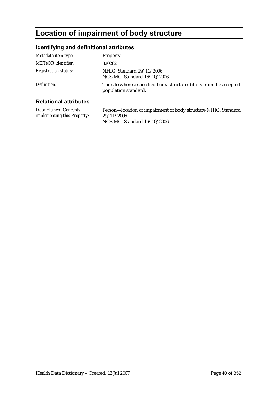# **Location of impairment of body structure**

## **Identifying and definitional attributes**

| Metadata item type:          | Property                                                                                    |
|------------------------------|---------------------------------------------------------------------------------------------|
| <b>METeOR</b> identifier:    | 320262                                                                                      |
| <b>Registration status:</b>  | NHIG, Standard 29/11/2006<br>NCSIMG, Standard 16/10/2006                                    |
| Definition:                  | The site where a specified body structure differs from the accepted<br>population standard. |
| <b>Relational attributes</b> |                                                                                             |

#### **Relational attributes**

*Data Element Concepts implementing this Property:* Person—location of impairment of body structure NHIG, Standard 29/11/2006 NCSIMG, Standard 16/10/2006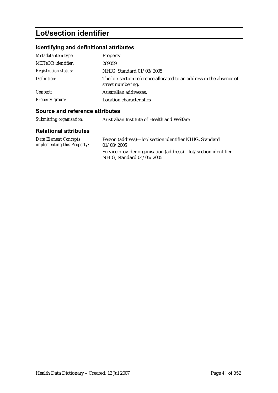# **Lot/section identifier**

## **Identifying and definitional attributes**

| Metadata item type:         | Property                                                                                 |
|-----------------------------|------------------------------------------------------------------------------------------|
| METeOR identifier:          | 269059                                                                                   |
| <b>Registration status:</b> | NHIG, Standard 01/03/2005                                                                |
| Definition:                 | The lot/section reference allocated to an address in the absence of<br>street numbering. |
| Context:                    | Australian addresses.                                                                    |
| <b>Property group:</b>      | Location characteristics                                                                 |

## **Source and reference attributes**

| Submitting organisation:                                    | Australian Institute of Health and Welfare                                                  |
|-------------------------------------------------------------|---------------------------------------------------------------------------------------------|
| <b>Relational attributes</b>                                |                                                                                             |
| <b>Data Element Concepts</b><br>implementing this Property: | Person (address)—lot/section identifier NHIG, Standard<br>01/03/2005                        |
|                                                             | Service provider organisation (address)—lot/section identifier<br>NHIG, Standard 04/05/2005 |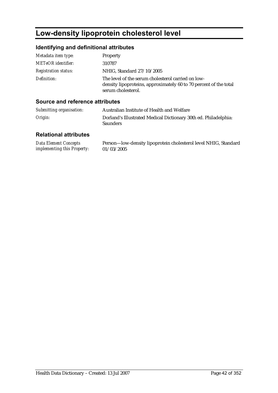# **Low-density lipoprotein cholesterol level**

## **Identifying and definitional attributes**

| Metadata item type:         | Property                                                                                                                                      |
|-----------------------------|-----------------------------------------------------------------------------------------------------------------------------------------------|
| <b>METeOR</b> identifier:   | 310787                                                                                                                                        |
| <b>Registration status:</b> | NHIG, Standard 27/10/2005                                                                                                                     |
| Definition:                 | The level of the serum cholesterol carried on low-<br>density lipoproteins, approximately 60 to 70 percent of the total<br>serum cholesterol. |

### **Source and reference attributes**

| Submitting organisation: | Australian Institute of Health and Welfare                                         |
|--------------------------|------------------------------------------------------------------------------------|
| Origin:                  | Dorland's Illustrated Medical Dictionary 30th ed. Philadelphia:<br><b>Saunders</b> |

| <b>Data Element Concepts</b>       | Person-low-density lipoprotein cholesterol level NHIG, Standard |
|------------------------------------|-----------------------------------------------------------------|
| <i>implementing this Property:</i> | 01/03/2005                                                      |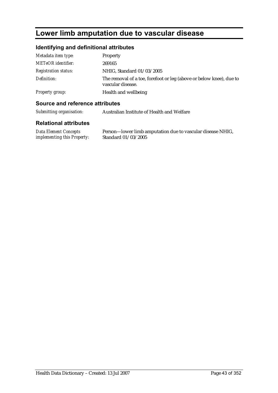# **Lower limb amputation due to vascular disease**

### **Identifying and definitional attributes**

| Metadata item type:         | Property                                                                                 |
|-----------------------------|------------------------------------------------------------------------------------------|
| METeOR identifier:          | 269165                                                                                   |
| <b>Registration status:</b> | NHIG, Standard 01/03/2005                                                                |
| Definition:                 | The removal of a toe, forefoot or leg (above or below knee), due to<br>vascular disease. |
| Property group:             | Health and wellbeing                                                                     |

#### **Source and reference attributes**

*Submitting organisation:* Australian Institute of Health and Welfare

#### **Relational attributes**

*Data Element Concepts implementing this Property:* Person—lower limb amputation due to vascular disease NHIG, Standard 01/03/2005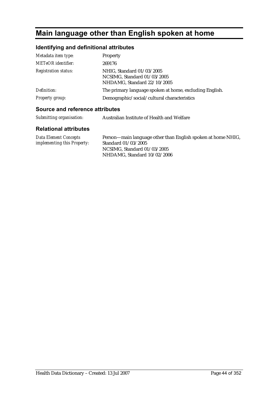# **Main language other than English spoken at home**

## **Identifying and definitional attributes**

| Metadata item type:         | Property                                                                                |
|-----------------------------|-----------------------------------------------------------------------------------------|
| <b>METeOR</b> identifier:   | 269176                                                                                  |
| <b>Registration status:</b> | NHIG, Standard 01/03/2005<br>NCSIMG, Standard 01/03/2005<br>NHDAMG, Standard 22/10/2005 |
| Definition:                 | The primary language spoken at home, excluding English.                                 |
| Property group:             | Demographic/social/cultural characteristics                                             |

### **Source and reference attributes**

| Submitting organisation: | Australian Institute of Health and Welfare |
|--------------------------|--------------------------------------------|
|                          |                                            |

| <b>Data Element Concepts</b>       | Person—main language other than English spoken at home NHIG, |
|------------------------------------|--------------------------------------------------------------|
| <i>implementing this Property:</i> | Standard 01/03/2005                                          |
|                                    | NCSIMG, Standard 01/03/2005                                  |
|                                    | NHDAMG. Standard $10/02/2006$                                |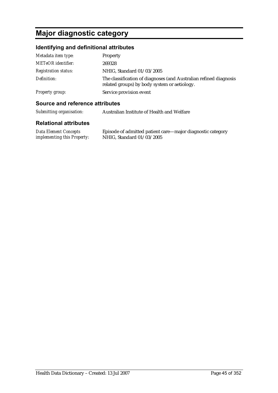# **Major diagnostic category**

## **Identifying and definitional attributes**

| Metadata item type:         | <b>Property</b>                                                                                                   |
|-----------------------------|-------------------------------------------------------------------------------------------------------------------|
| <b>METeOR</b> identifier:   | 269328                                                                                                            |
| <b>Registration status:</b> | NHIG, Standard 01/03/2005                                                                                         |
| Definition:                 | The classification of diagnoses (and Australian refined diagnosis<br>related groups) by body system or aetiology. |
| Property group:             | Service provision event                                                                                           |

### **Source and reference attributes**

| Submitting organisation: | Australian Institute of Health and Welfare |
|--------------------------|--------------------------------------------|
|                          |                                            |

| Data Element Concepts              | Episode of admitted patient care—major diagnostic category |
|------------------------------------|------------------------------------------------------------|
| <i>implementing this Property:</i> | NHIG, Standard 01/03/2005                                  |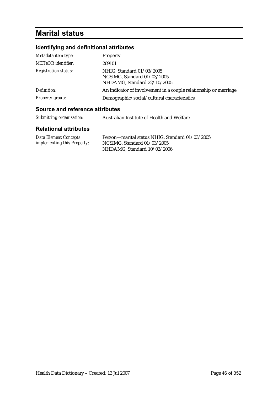# **Marital status**

# **Identifying and definitional attributes**

| Metadata item type:<br><b>METeOR</b> identifier: | Property<br>269101                                                                      |
|--------------------------------------------------|-----------------------------------------------------------------------------------------|
| <b>Registration status:</b>                      | NHIG, Standard 01/03/2005<br>NCSIMG, Standard 01/03/2005<br>NHDAMG, Standard 22/10/2005 |
| Definition:                                      | An indicator of involvement in a couple relationship or marriage.                       |
| Property group:                                  | Demographic/social/cultural characteristics                                             |

## **Source and reference attributes**

| Submitting organisation: | Australian Institute of Health and Welfare |
|--------------------------|--------------------------------------------|
|--------------------------|--------------------------------------------|

| Data Element Concepts              | Person-marital status NHIG, Standard 01/03/2005 |
|------------------------------------|-------------------------------------------------|
| <i>implementing this Property:</i> | NCSIMG, Standard $01/03/2005$                   |
|                                    | NHDAMG, Standard 10/02/2006                     |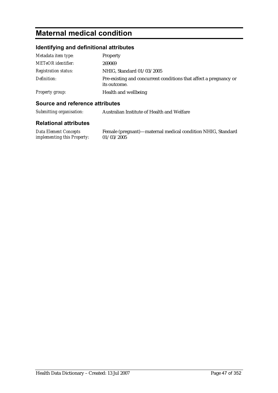# **Maternal medical condition**

### **Identifying and definitional attributes**

| Metadata item type:         | Property                                                                          |
|-----------------------------|-----------------------------------------------------------------------------------|
| <b>METeOR</b> identifier:   | 269069                                                                            |
| <b>Registration status:</b> | NHIG, Standard 01/03/2005                                                         |
| Definition:                 | Pre-existing and concurrent conditions that affect a pregnancy or<br>its outcome. |
| Property group:             | Health and wellbeing                                                              |

### **Source and reference attributes**

*Submitting organisation:* Australian Institute of Health and Welfare

#### **Relational attributes**

*Data Element Concepts implementing this Property:* Female (pregnant)—maternal medical condition NHIG, Standard  $01/03/2005$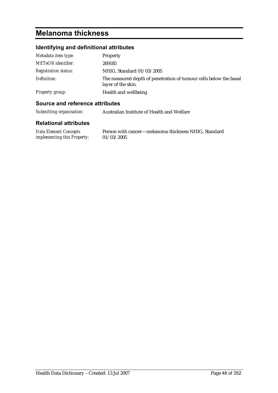# **Melanoma thickness**

## **Identifying and definitional attributes**

| Metadata item type:         | Property                                                                                |
|-----------------------------|-----------------------------------------------------------------------------------------|
| <b>METeOR</b> identifier:   | 269185                                                                                  |
| <i>Registration status:</i> | NHIG, Standard 01/03/2005                                                               |
| Definition:                 | The measured depth of penetration of tumour cells below the basal<br>layer of the skin. |
| Property group:             | Health and wellbeing                                                                    |

#### **Source and reference attributes**

*Submitting organisation:* Australian Institute of Health and Welfare

| <b>Data Element Concepts</b>       | Person with cancer—melanoma thickness NHIG, Standard |
|------------------------------------|------------------------------------------------------|
| <i>implementing this Property:</i> | 01/03/2005                                           |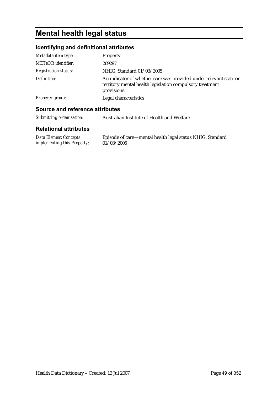# **Mental health legal status**

## **Identifying and definitional attributes**

| Metadata item type:         | Property                                                                                                                                     |
|-----------------------------|----------------------------------------------------------------------------------------------------------------------------------------------|
| <b>METeOR</b> identifier:   | 269297                                                                                                                                       |
| <b>Registration status:</b> | NHIG, Standard 01/03/2005                                                                                                                    |
| Definition:                 | An indicator of whether care was provided under relevant state or<br>territory mental health legislation compulsory treatment<br>provisions. |
| <b>Property group:</b>      | Legal characteristics                                                                                                                        |
|                             |                                                                                                                                              |

## **Source and reference attributes**

| Submitting organisation: | Australian Institute of Health and Welfare |
|--------------------------|--------------------------------------------|
|                          |                                            |

| <b>Data Element Concepts</b>       | Episode of care—mental health legal status NHIG, Standard |
|------------------------------------|-----------------------------------------------------------|
| <i>implementing this Property:</i> | 01/03/2005                                                |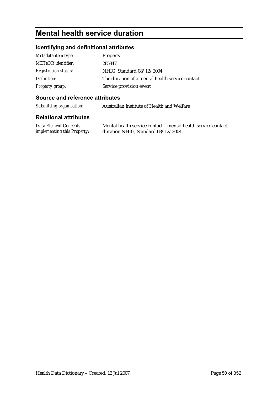# **Mental health service duration**

## **Identifying and definitional attributes**

| Metadata item type:         | Property                                         |
|-----------------------------|--------------------------------------------------|
| <b>METeOR</b> identifier:   | 285847                                           |
| <b>Registration status:</b> | NHIG, Standard 08/12/2004                        |
| Definition:                 | The duration of a mental health service contact. |
| <b>Property group:</b>      | Service provision event                          |

### **Source and reference attributes**

*Submitting organisation:* Australian Institute of Health and Welfare

| <b>Data Element Concepts</b>       | Mental health service contact—mental health service contact |
|------------------------------------|-------------------------------------------------------------|
| <i>implementing this Property:</i> | duration NHIG, Standard 08/12/2004                          |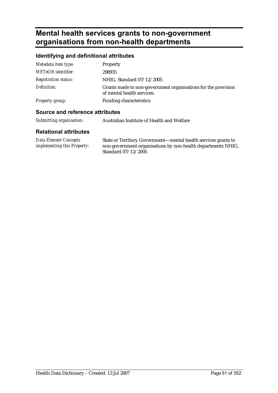# **Mental health services grants to non-government organisations from non-health departments**

### **Identifying and definitional attributes**

| A service and the fact and a set of the state. |                                                                                             |
|------------------------------------------------|---------------------------------------------------------------------------------------------|
| Property group:                                | <b>Funding characteristics</b>                                                              |
| Definition:                                    | Grants made to non-government organisations for the provision<br>of mental health services. |
| <b>Registration status:</b>                    | NHIG, Standard 07/12/2005                                                                   |
| <b>METeOR</b> identifier:                      | 298935                                                                                      |
| Metadata item type:                            | Property                                                                                    |

#### **Source and reference attributes**

| Submitting organisation: | Australian Institute of Health and Welfare |
|--------------------------|--------------------------------------------|
|                          |                                            |

| Data Element Concepts              | State or Territory Government—mental health services grants to |
|------------------------------------|----------------------------------------------------------------|
| <i>implementing this Property:</i> | non-government organisations by non-health departments NHIG,   |
|                                    | Standard 07/12/2005                                            |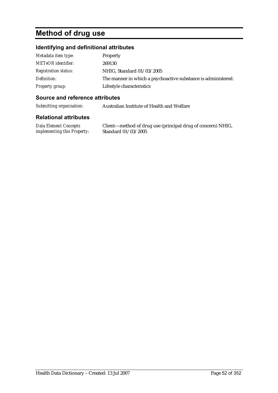# **Method of drug use**

### **Identifying and definitional attributes**

| Metadata item type:         | <b>Property</b>                                               |
|-----------------------------|---------------------------------------------------------------|
| <b>METeOR</b> identifier:   | 269130                                                        |
| <b>Registration status:</b> | NHIG, Standard 01/03/2005                                     |
| Definition:                 | The manner in which a psychoactive substance is administered. |
| Property group:             | Lifestyle characteristics                                     |

### **Source and reference attributes**

*Submitting organisation:* Australian Institute of Health and Welfare

#### **Relational attributes**

*Data Element Concepts implementing this Property:*

Client—method of drug use (principal drug of concern) NHIG, Standard 01/03/2005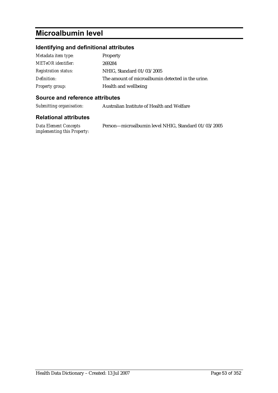# **Microalbumin level**

## **Identifying and definitional attributes**

| Metadata item type:         | Property                                          |
|-----------------------------|---------------------------------------------------|
| <b>METeOR</b> identifier:   | 269284                                            |
| <b>Registration status:</b> | NHIG, Standard 01/03/2005                         |
| Definition:                 | The amount of microalbumin detected in the urine. |
| <b>Property group:</b>      | Health and wellbeing                              |

### **Source and reference attributes**

*Submitting organisation:* Australian Institute of Health and Welfare

| Data Element Concepts              | Person-microalbumin level NHIG, Standard 01/03/2005 |
|------------------------------------|-----------------------------------------------------|
| <i>implementing this Property:</i> |                                                     |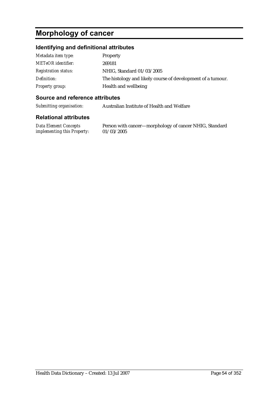# **Morphology of cancer**

### **Identifying and definitional attributes**

| Metadata item type:         | <b>Property</b>                                             |
|-----------------------------|-------------------------------------------------------------|
| <b>METeOR</b> identifier:   | 269181                                                      |
| <i>Registration status:</i> | NHIG, Standard 01/03/2005                                   |
| Definition:                 | The histology and likely course of development of a tumour. |
| <b>Property group:</b>      | Health and wellbeing                                        |

#### **Source and reference attributes**

*Submitting organisation:* Australian Institute of Health and Welfare

#### **Relational attributes**

*Data Element Concepts implementing this Property:*

Person with cancer—morphology of cancer NHIG, Standard 01/03/2005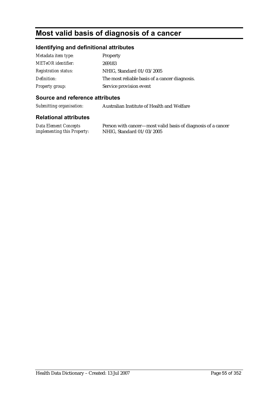# **Most valid basis of diagnosis of a cancer**

### **Identifying and definitional attributes**

| Metadata item type:         | Property                                       |
|-----------------------------|------------------------------------------------|
| <b>METeOR</b> identifier:   | 269183                                         |
| <i>Registration status:</i> | NHIG, Standard 01/03/2005                      |
| Definition:                 | The most reliable basis of a cancer diagnosis. |
| <b>Property group:</b>      | Service provision event                        |

### **Source and reference attributes**

*Submitting organisation:* Australian Institute of Health and Welfare

#### **Relational attributes**

*Data Element Concepts implementing this Property:*

Person with cancer—most valid basis of diagnosis of a cancer NHIG, Standard 01/03/2005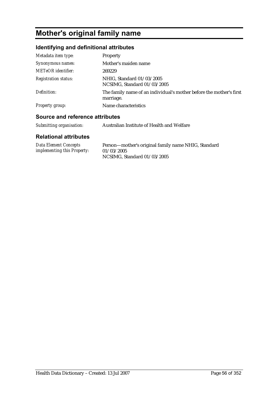# **Mother's original family name**

## **Identifying and definitional attributes**

| Metadata item type:         | <b>Property</b>                                                                  |
|-----------------------------|----------------------------------------------------------------------------------|
| Synonymous names:           | Mother's maiden name                                                             |
| <b>METeOR</b> identifier:   | 269229                                                                           |
| <b>Registration status:</b> | NHIG, Standard 01/03/2005<br>NCSIMG, Standard 01/03/2005                         |
| Definition:                 | The family name of an individual's mother before the mother's first<br>marriage. |
| <b>Property group:</b>      | Name characteristics                                                             |

### **Source and reference attributes**

| Submitting organisation: | Australian Institute of Health and Welfare |
|--------------------------|--------------------------------------------|
|--------------------------|--------------------------------------------|

| <b>Data Element Concepts</b>       | Person-mother's original family name NHIG, Standard |
|------------------------------------|-----------------------------------------------------|
| <i>implementing this Property:</i> | 01/03/2005                                          |
|                                    | NCSIMG, Standard 01/03/2005                         |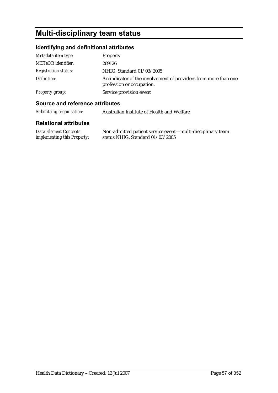# **Multi-disciplinary team status**

## **Identifying and definitional attributes**

| Metadata item type:         | Property                                                                                     |
|-----------------------------|----------------------------------------------------------------------------------------------|
| <b>METeOR</b> identifier:   | 269126                                                                                       |
| <b>Registration status:</b> | NHIG, Standard 01/03/2005                                                                    |
| Definition:                 | An indicator of the involvement of providers from more than one<br>profession or occupation. |
| Property group:             | Service provision event                                                                      |

### **Source and reference attributes**

*Submitting organisation:* Australian Institute of Health and Welfare

| <b>Data Element Concepts</b>       | Non-admitted patient service event-multi-disciplinary team |
|------------------------------------|------------------------------------------------------------|
| <i>implementing this Property:</i> | status NHIG, Standard $01/03/2005$                         |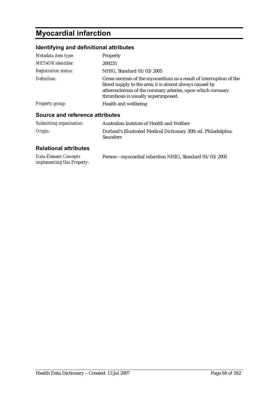# **Myocardial infarction**

## **Identifying and definitional attributes**

| Metadata item type:             | Property                                                                                                                                                                                                                               |
|---------------------------------|----------------------------------------------------------------------------------------------------------------------------------------------------------------------------------------------------------------------------------------|
| <b>METeOR</b> identifier:       | 269235                                                                                                                                                                                                                                 |
| <b>Registration status:</b>     | NHIG, Standard 01/03/2005                                                                                                                                                                                                              |
| Definition:                     | Gross necrosis of the myocardium as a result of interruption of the<br>blood supply to the area; it is almost always caused by<br>atherosclerosis of the coronary arteries, upon which coronary<br>thrombosis is usually superimposed. |
| <b>Property group:</b>          | Health and wellbeing                                                                                                                                                                                                                   |
| Source and reference attributes |                                                                                                                                                                                                                                        |

| Submitting organisation: | Australian Institute of Health and Welfare                                         |
|--------------------------|------------------------------------------------------------------------------------|
| Origin:                  | Dorland's Illustrated Medical Dictionary 30th ed. Philadelphia:<br><b>Saunders</b> |

| <b>Data Element Concepts</b> | Person-myocardial infarction NHIG, Standard 01/03/2005 |
|------------------------------|--------------------------------------------------------|
| implementing this Property:  |                                                        |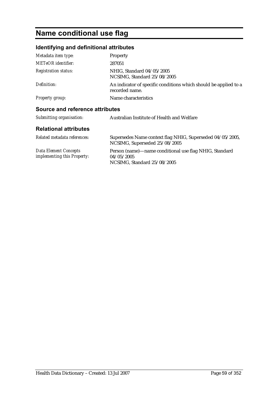# **Name conditional use flag**

## **Identifying and definitional attributes**

| Metadata item type:                                         | Property                                                                                            |
|-------------------------------------------------------------|-----------------------------------------------------------------------------------------------------|
| METeOR identifier:                                          | 287051                                                                                              |
| <i>Registration status:</i>                                 | NHIG, Standard 04/05/2005<br>NCSIMG, Standard 25/08/2005                                            |
| Definition:                                                 | An indicator of specific conditions which should be applied to a<br>recorded name.                  |
| <b>Property group:</b>                                      | Name characteristics                                                                                |
| Source and reference attributes                             |                                                                                                     |
| Submitting organisation:                                    | Australian Institute of Health and Welfare                                                          |
| <b>Relational attributes</b>                                |                                                                                                     |
| Related metadata references:                                | Supersedes Name context flag NHIG, Superseded 04/05/2005,<br>NCSIMG, Superseded 25/08/2005          |
| <b>Data Element Concepts</b><br>implementing this Property: | Person (name)—name conditional use flag NHIG, Standard<br>04/05/2005<br>NCSIMG, Standard 25/08/2005 |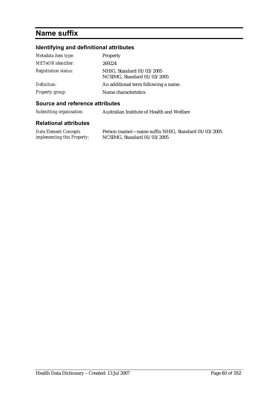# **Name suffix**

## **Identifying and definitional attributes**

| Metadata item type:         | Property                                                 |
|-----------------------------|----------------------------------------------------------|
| <b>METeOR</b> identifier:   | 269224                                                   |
| <b>Registration status:</b> | NHIG, Standard 01/03/2005<br>NCSIMG, Standard 01/03/2005 |
| Definition:                 | An additional term following a name.                     |
| <b>Property group:</b>      | Name characteristics                                     |

#### **Source and reference attributes**

*Submitting organisation:* Australian Institute of Health and Welfare

| Data Element Concepts              | Person (name)—name suffix NHIG, Standard 01/03/2005 |
|------------------------------------|-----------------------------------------------------|
| <i>implementing this Property:</i> | NCSIMG, Standard 01/03/2005                         |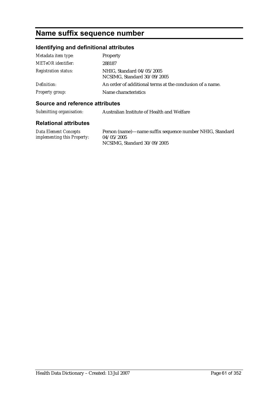# **Name suffix sequence number**

## **Identifying and definitional attributes**

| Metadata item type:         | Property                                                  |
|-----------------------------|-----------------------------------------------------------|
| METeOR identifier:          | 288187                                                    |
| <b>Registration status:</b> | NHIG, Standard 04/05/2005<br>NCSIMG, Standard 30/09/2005  |
| Definition:                 | An order of additional terms at the conclusion of a name. |
| Property group:             | Name characteristics                                      |

### **Source and reference attributes**

| Submitting organisation: | Australian Institute of Health and Welfare |
|--------------------------|--------------------------------------------|
|                          |                                            |

| Data Element Concepts              | Person (name)—name suffix sequence number NHIG, Standard |
|------------------------------------|----------------------------------------------------------|
| <i>implementing this Property:</i> | 04/05/2005                                               |
|                                    | NCSIMG, Standard 30/09/2005                              |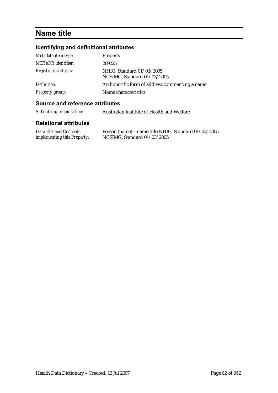# **Name title**

## **Identifying and definitional attributes**

| Metadata item type:         | Property                                                 |
|-----------------------------|----------------------------------------------------------|
| <b>METeOR</b> identifier:   | 269225                                                   |
| <b>Registration status:</b> | NHIG, Standard 01/03/2005<br>NCSIMG, Standard 01/03/2005 |
| Definition:                 | An honorific form of address commencing a name.          |
| Property group:             | Name characteristics                                     |

### **Source and reference attributes**

| Submitting organisation: | Australian Institute of Health and Welfare |
|--------------------------|--------------------------------------------|
|--------------------------|--------------------------------------------|

| Data Element Concepts              | Person (name)—name title NHIG, Standard 01/03/2005 |
|------------------------------------|----------------------------------------------------|
| <i>implementing this Property:</i> | NCSIMG, Standard 01/03/2005                        |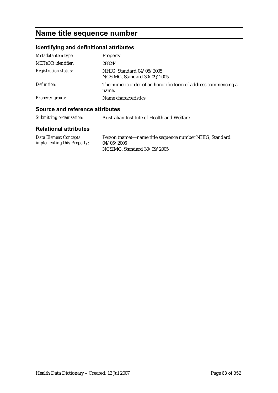# **Name title sequence number**

## **Identifying and definitional attributes**

| Metadata item type:         | Property                                                                |
|-----------------------------|-------------------------------------------------------------------------|
| <b>METeOR</b> identifier:   | 288244                                                                  |
| <b>Registration status:</b> | NHIG, Standard 04/05/2005<br>NCSIMG, Standard 30/09/2005                |
| Definition:                 | The numeric order of an honorific form of address commencing a<br>name. |
| <b>Property group:</b>      | Name characteristics                                                    |

## **Source and reference attributes**

| Submitting organisation: | Australian Institute of Health and Welfare |
|--------------------------|--------------------------------------------|
|                          |                                            |

| <b>Data Element Concepts</b>       | Person (name)—name title sequence number NHIG, Standard |
|------------------------------------|---------------------------------------------------------|
| <i>implementing this Property:</i> | 04/05/2005                                              |
|                                    | NCSIMG, Standard 30/09/2005                             |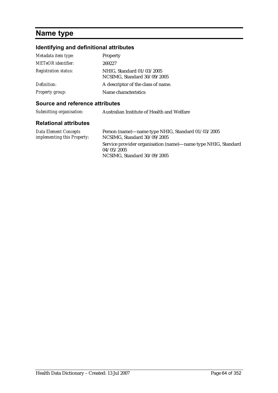# **Name type**

## **Identifying and definitional attributes**

| Metadata item type:<br>METeOR identifier: | <b>Property</b><br>269227                                |
|-------------------------------------------|----------------------------------------------------------|
| <b>Registration status:</b>               | NHIG, Standard 01/03/2005<br>NCSIMG, Standard 30/09/2005 |
| Definition:                               | A descriptor of the class of name.                       |
| <b>Property group:</b>                    | Name characteristics                                     |

#### **Source and reference attributes**

| Submitting organisation: | Australian Institute of Health and Welfare |
|--------------------------|--------------------------------------------|
|                          |                                            |

| Data Element Concepts       | Person (name)—name type NHIG, Standard 01/03/2005             |
|-----------------------------|---------------------------------------------------------------|
| implementing this Property: | NCSIMG, Standard 30/09/2005                                   |
|                             | Service provider organisation (name)—name type NHIG, Standard |
|                             | 04/05/2005                                                    |
|                             | NCSIMG, Standard 30/09/2005                                   |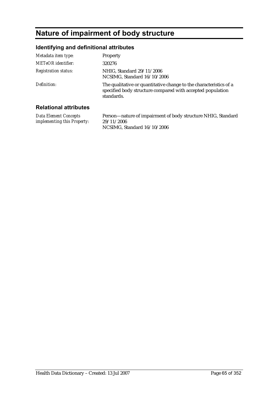# **Nature of impairment of body structure**

## **Identifying and definitional attributes**

| Metadata item type:          | Property                                                                                                                                       |
|------------------------------|------------------------------------------------------------------------------------------------------------------------------------------------|
| METeOR identifier:           | 320276                                                                                                                                         |
| <b>Registration status:</b>  | NHIG, Standard 29/11/2006<br>NCSIMG, Standard 16/10/2006                                                                                       |
| Definition:                  | The qualitative or quantitative change to the characteristics of a<br>specified body structure compared with accepted population<br>standards. |
| <b>Relational attributes</b> |                                                                                                                                                |

#### **Relational attributes**

*Data Element Concepts implementing this Property:* Person—nature of impairment of body structure NHIG, Standard 29/11/2006 NCSIMG, Standard 16/10/2006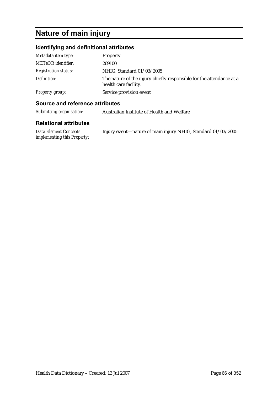# **Nature of main injury**

## **Identifying and definitional attributes**

| Metadata item type:         | <b>Property</b>                                                                               |
|-----------------------------|-----------------------------------------------------------------------------------------------|
| <b>METeOR</b> identifier:   | 269100                                                                                        |
| <b>Registration status:</b> | NHIG, Standard 01/03/2005                                                                     |
| Definition:                 | The nature of the injury chiefly responsible for the attendance at a<br>health care facility. |
| Property group:             | Service provision event                                                                       |

### **Source and reference attributes**

| Submitting organisation: | Australian Institute of Health and Welfare |
|--------------------------|--------------------------------------------|
|--------------------------|--------------------------------------------|

| Data Element Concepts       | Injury event—nature of main injury NHIG, Standard 01/03/2005 |
|-----------------------------|--------------------------------------------------------------|
| implementing this Property: |                                                              |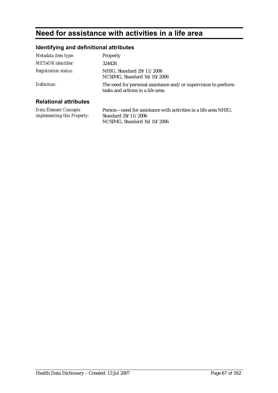# **Need for assistance with activities in a life area**

## **Identifying and definitional attributes**

| Metadata item type:          | Property                                                                                            |
|------------------------------|-----------------------------------------------------------------------------------------------------|
| METeOR identifier:           | 324428                                                                                              |
| <b>Registration status:</b>  | NHIG, Standard 29/11/2006<br>NCSIMG, Standard 16/10/2006                                            |
| Definition:                  | The need for personal assistance and/or supervision to perform<br>tasks and actions in a life area. |
| <b>Relational attributes</b> |                                                                                                     |

#### **Relational attributes**

*Data Element Concepts implementing this Property:* Person—need for assistance with activities in a life area NHIG, Standard 29/11/2006 NCSIMG, Standard 16/10/2006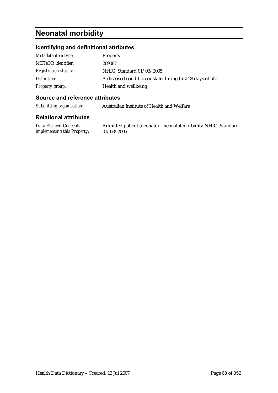# **Neonatal morbidity**

## **Identifying and definitional attributes**

| Metadata item type:         | Property                                                    |
|-----------------------------|-------------------------------------------------------------|
| <b>METeOR</b> identifier:   | 269087                                                      |
| <b>Registration status:</b> | NHIG, Standard 01/03/2005                                   |
| Definition:                 | A diseased condition or state during first 28 days of life. |
| Property group:             | Health and wellbeing                                        |

#### **Source and reference attributes**

*Submitting organisation:* Australian Institute of Health and Welfare

#### **Relational attributes**

*Data Element Concepts implementing this Property:*

Admitted patient (neonate)—neonatal morbidity NHIG, Standard 01/03/2005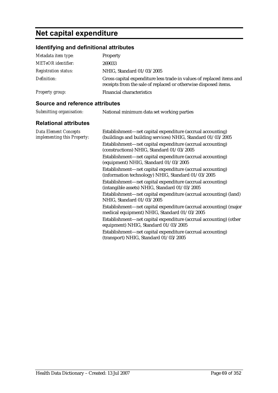# **Net capital expenditure**

| Identifying and definitional attributes |                                                                                                                                         |
|-----------------------------------------|-----------------------------------------------------------------------------------------------------------------------------------------|
| Metadata item type:                     | Property                                                                                                                                |
| <b>METeOR</b> identifier:               | 269033                                                                                                                                  |
| <b>Registration status:</b>             | NHIG, Standard 01/03/2005                                                                                                               |
| Definition:                             | Gross capital expenditure less trade-in values of replaced items and<br>receipts from the sale of replaced or otherwise disposed items. |
| <b>Property group:</b>                  | <b>Financial characteristics</b>                                                                                                        |

### **Source and reference attributes**

| Submitting organisation: | National minimum data set working parties |
|--------------------------|-------------------------------------------|
|                          |                                           |

| <b>Data Element Concepts</b><br>implementing this Property: | Establishment—net capital expenditure (accrual accounting)<br>(buildings and building services) NHIG, Standard 01/03/2005 |
|-------------------------------------------------------------|---------------------------------------------------------------------------------------------------------------------------|
|                                                             | Establishment—net capital expenditure (accrual accounting)<br>(constructions) NHIG, Standard 01/03/2005                   |
|                                                             | Establishment—net capital expenditure (accrual accounting)<br>(equipment) NHIG, Standard 01/03/2005                       |
|                                                             | Establishment—net capital expenditure (accrual accounting)<br>(information technology) NHIG, Standard 01/03/2005          |
|                                                             | Establishment-net capital expenditure (accrual accounting)<br>(intangible assets) NHIG, Standard 01/03/2005               |
|                                                             | Establishment—net capital expenditure (accrual accounting) (land)<br>NHIG, Standard 01/03/2005                            |
|                                                             | Establishment—net capital expenditure (accrual accounting) (major<br>medical equipment) NHIG, Standard 01/03/2005         |
|                                                             | Establishment—net capital expenditure (accrual accounting) (other<br>equipment) NHIG, Standard 01/03/2005                 |
|                                                             | Establishment—net capital expenditure (accrual accounting)<br>(transport) NHIG, Standard 01/03/2005                       |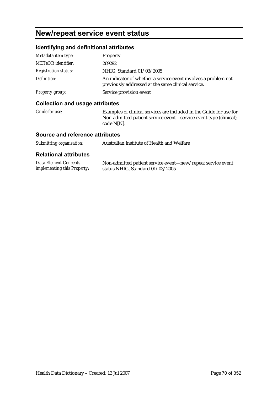# **New/repeat service event status**

### **Identifying and definitional attributes**

| Metadata item type:         | Property                                                                                                             |
|-----------------------------|----------------------------------------------------------------------------------------------------------------------|
| <b>METeOR</b> identifier:   | 269292                                                                                                               |
| <b>Registration status:</b> | NHIG, Standard 01/03/2005                                                                                            |
| Definition:                 | An indicator of whether a service event involves a problem not<br>previously addressed at the same clinical service. |
| Property group:             | Service provision event                                                                                              |

#### **Collection and usage attributes**

*Guide for use:* Examples of clinical services are included in the Guide for use for Non-admitted patient service event—service event type (clinical), code N[N].

#### **Source and reference attributes**

| Submitting organisation:<br>Australian Institute of Health and Welfare |
|------------------------------------------------------------------------|
|------------------------------------------------------------------------|

| <b>Data Element Concepts</b>       | Non-admitted patient service event—new/repeat service event |
|------------------------------------|-------------------------------------------------------------|
| <i>implementing this Property:</i> | status NHIG, Standard $01/03/2005$                          |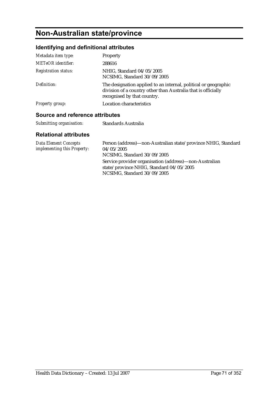# **Non-Australian state/province**

## **Identifying and definitional attributes**

| Metadata item type:                                  | Property                                                                                                                                                        |  |
|------------------------------------------------------|-----------------------------------------------------------------------------------------------------------------------------------------------------------------|--|
| <b>METeOR</b> identifier:                            | 288616                                                                                                                                                          |  |
| <b>Registration status:</b>                          | NHIG, Standard 04/05/2005<br>NCSIMG, Standard 30/09/2005                                                                                                        |  |
| Definition:                                          | The designation applied to an internal, political or geographic<br>division of a country other than Australia that is officially<br>recognised by that country. |  |
| <b>Property group:</b>                               | Location characteristics                                                                                                                                        |  |
| A service and the factor of a state that the service |                                                                                                                                                                 |  |

### **Source and reference attributes**

| Submitting organisation: | Standards Australia |
|--------------------------|---------------------|
|--------------------------|---------------------|

| <b>Data Element Concepts</b><br>implementing this Property: | Person (address)—non-Australian state/province NHIG, Standard<br>04/05/2005<br>NCSIMG, Standard 30/09/2005                        |
|-------------------------------------------------------------|-----------------------------------------------------------------------------------------------------------------------------------|
|                                                             | Service provider organisation (address)—non-Australian<br>state/province NHIG, Standard 04/05/2005<br>NCSIMG, Standard 30/09/2005 |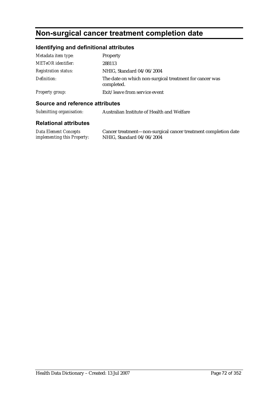# **Non-surgical cancer treatment completion date**

## **Identifying and definitional attributes**

| Metadata item type:         | Property                                                              |
|-----------------------------|-----------------------------------------------------------------------|
| METeOR identifier:          | 288113                                                                |
| <b>Registration status:</b> | NHIG, Standard 04/06/2004                                             |
| Definition:                 | The date on which non-surgical treatment for cancer was<br>completed. |
| <b>Property group:</b>      | Exit/leave from service event                                         |

### **Source and reference attributes**

| Submitting organisation: | Australian Institute of Health and Welfare |
|--------------------------|--------------------------------------------|
|--------------------------|--------------------------------------------|

| Data Element Concepts              | Cancer treatment-non-surgical cancer treatment completion date |
|------------------------------------|----------------------------------------------------------------|
| <i>implementing this Property:</i> | NHIG, Standard 04/06/2004                                      |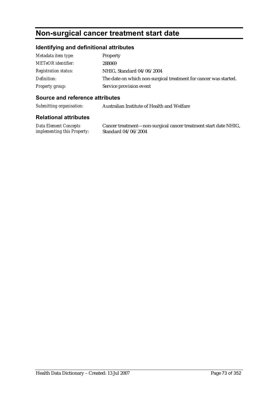## **Non-surgical cancer treatment start date**

#### **Identifying and definitional attributes**

| Metadata item type:         | <b>Property</b>                                                  |
|-----------------------------|------------------------------------------------------------------|
| <b>METeOR</b> identifier:   | 288069                                                           |
| <b>Registration status:</b> | NHIG, Standard 04/06/2004                                        |
| Definition:                 | The date on which non-surgical treatment for cancer was started. |
| Property group:             | Service provision event                                          |

#### **Source and reference attributes**

*Submitting organisation:* Australian Institute of Health and Welfare

#### **Relational attributes**

*Data Element Concepts implementing this Property:*

Cancer treatment—non-surgical cancer treatment start date NHIG, Standard 04/06/2004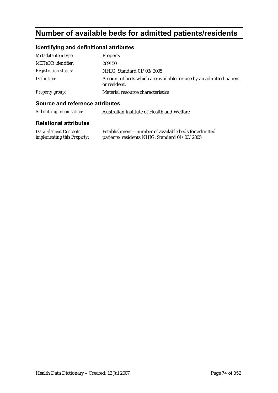## **Number of available beds for admitted patients/residents**

### **Identifying and definitional attributes**

| Metadata item type:         | Property                                                                           |
|-----------------------------|------------------------------------------------------------------------------------|
| <b>METeOR</b> identifier:   | 269150                                                                             |
| <b>Registration status:</b> | NHIG, Standard 01/03/2005                                                          |
| Definition:                 | A count of beds which are available for use by an admitted patient<br>or resident. |
| Property group:             | Material resource characteristics                                                  |

patients/residents NHIG, Standard 01/03/2005

#### **Source and reference attributes**

| Submitting organisation:                             | Australian Institute of Health and Welfare                                                          |
|------------------------------------------------------|-----------------------------------------------------------------------------------------------------|
| <b>Relational attributes</b>                         |                                                                                                     |
| Data Element Concepts<br>implementing this Property: | Establishment—number of available beds for admitted<br>patients/residents NHIG, Standard 01/03/2005 |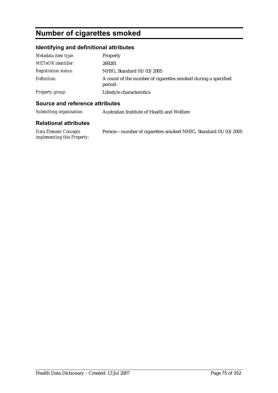## **Number of cigarettes smoked**

### **Identifying and definitional attributes**

| Metadata item type:         | Property                                                                 |
|-----------------------------|--------------------------------------------------------------------------|
| <b>METeOR</b> identifier:   | 269281                                                                   |
| <i>Registration status:</i> | NHIG, Standard 01/03/2005                                                |
| Definition:                 | A count of the number of cigarettes smoked during a specified<br>period. |
| Property group:             | Lifestyle characteristics                                                |

#### **Source and reference attributes**

| Submitting organisation:<br>Australian Institute of Health and Welfare |
|------------------------------------------------------------------------|
|------------------------------------------------------------------------|

| Data Element Concepts       | Person—number of cigarettes smoked NHIG, Standard 01/03/2005 |
|-----------------------------|--------------------------------------------------------------|
| implementing this Property: |                                                              |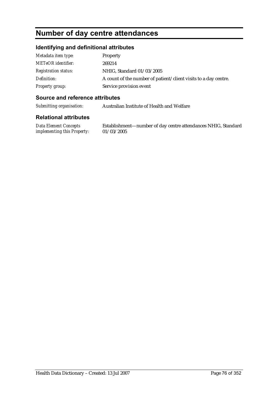## **Number of day centre attendances**

#### **Identifying and definitional attributes**

| Metadata item type:         | Property                                                        |
|-----------------------------|-----------------------------------------------------------------|
| <b>METeOR</b> identifier:   | 269214                                                          |
| <b>Registration status:</b> | NHIG, Standard 01/03/2005                                       |
| Definition:                 | A count of the number of patient/client visits to a day centre. |
| Property group:             | Service provision event                                         |

#### **Source and reference attributes**

*Submitting organisation:* Australian Institute of Health and Welfare

#### **Relational attributes**

*Data Element Concepts implementing this Property:*

Establishment—number of day centre attendances NHIG, Standard 01/03/2005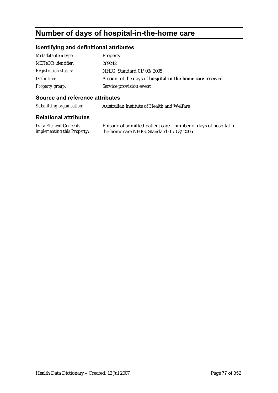## **Number of days of hospital-in-the-home care**

#### **Identifying and definitional attributes**

| Metadata item type:         | <b>Property</b>                                            |
|-----------------------------|------------------------------------------------------------|
| <b>METeOR</b> identifier:   | 269242                                                     |
| <b>Registration status:</b> | NHIG, Standard 01/03/2005                                  |
| Definition:                 | A count of the days of hospital-in-the-home care received. |
| <b>Property group:</b>      | Service provision event                                    |

#### **Source and reference attributes**

*Submitting organisation:* Australian Institute of Health and Welfare

#### **Relational attributes**

*Data Element Concepts implementing this Property:*

Episode of admitted patient care—number of days of hospital-inthe-home care NHIG, Standard 01/03/2005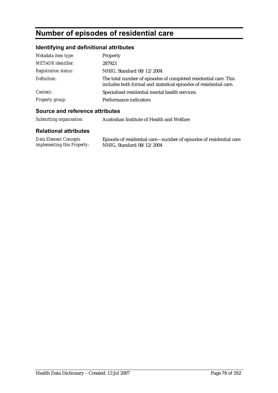## **Number of episodes of residential care**

### **Identifying and definitional attributes**

| Metadata item type:         | Property                                                                                                                               |
|-----------------------------|----------------------------------------------------------------------------------------------------------------------------------------|
| <b>METeOR</b> identifier:   | 287923                                                                                                                                 |
| <b>Registration status:</b> | NHIG, Standard 08/12/2004                                                                                                              |
| Definition:                 | The total number of episodes of completed residential care. This<br>includes both formal and statistical episodes of residential care. |
| Context:                    | Specialised residential mental health services.                                                                                        |
| <b>Property group:</b>      | Performance indicators                                                                                                                 |

#### **Source and reference attributes**

| Submitting organisation:                                    | Australian Institute of Health and Welfare                                                      |
|-------------------------------------------------------------|-------------------------------------------------------------------------------------------------|
| <b>Relational attributes</b>                                |                                                                                                 |
| Data Element Concepts<br><i>implementing this Property:</i> | Episode of residential care—number of episodes of residential care<br>NHIG, Standard 08/12/2004 |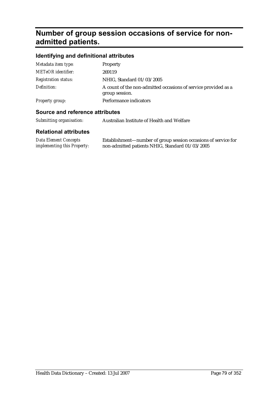## **Number of group session occasions of service for nonadmitted patients.**

### **Identifying and definitional attributes**

| Metadata item type:         | Property                                                                         |
|-----------------------------|----------------------------------------------------------------------------------|
| <b>METeOR</b> identifier:   | 269119                                                                           |
| <b>Registration status:</b> | NHIG, Standard 01/03/2005                                                        |
| Definition:                 | A count of the non-admitted occasions of service provided as a<br>group session. |
| Property group:             | Performance indicators                                                           |
|                             |                                                                                  |

#### **Source and reference attributes**

| Submitting organisation: | Australian Institute of Health and Welfare |
|--------------------------|--------------------------------------------|
|--------------------------|--------------------------------------------|

| Data Element Concepts       | Establishment—number of group session occasions of service for |
|-----------------------------|----------------------------------------------------------------|
| implementing this Property: | non-admitted patients NHIG, Standard 01/03/2005                |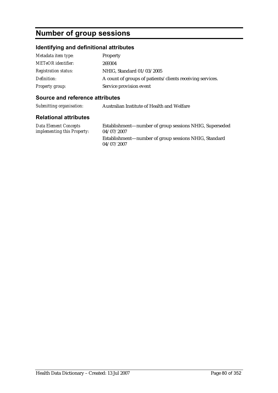## **Number of group sessions**

### **Identifying and definitional attributes**

| Metadata item type:         | Property                                                  |
|-----------------------------|-----------------------------------------------------------|
| <b>METeOR</b> identifier:   | 269304                                                    |
| <b>Registration status:</b> | NHIG, Standard 01/03/2005                                 |
| Definition:                 | A count of groups of patients/clients receiving services. |
| Property group:             | Service provision event                                   |

#### **Source and reference attributes**

| Submitting organisation: |  | Australian Institute of Health and Welfare |  |
|--------------------------|--|--------------------------------------------|--|
|--------------------------|--|--------------------------------------------|--|

| Data Element Concepts<br><i>implementing this Property:</i> | Establishment—number of group sessions NHIG, Superseded<br>04/07/2007 |
|-------------------------------------------------------------|-----------------------------------------------------------------------|
|                                                             | Establishment—number of group sessions NHIG, Standard<br>04/07/2007   |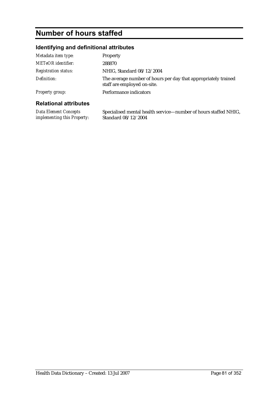# **Number of hours staffed**

### **Identifying and definitional attributes**

| Metadata item type:          | Property                                                                                      |
|------------------------------|-----------------------------------------------------------------------------------------------|
| <b>METeOR</b> identifier:    | 288870                                                                                        |
| <b>Registration status:</b>  | NHIG, Standard 08/12/2004                                                                     |
| Definition:                  | The average number of hours per day that appropriately trained<br>staff are employed on-site. |
| <b>Property group:</b>       | Performance indicators                                                                        |
| <b>Relational attributes</b> |                                                                                               |

| <b>Data Element Concepts</b>       | Specialised mental health service—number of hours staffed NHIG, |
|------------------------------------|-----------------------------------------------------------------|
| <i>implementing this Property:</i> | Standard 08/12/2004                                             |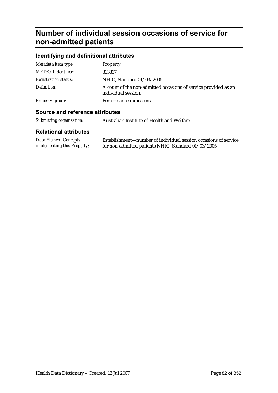## **Number of individual session occasions of service for non-admitted patients**

### **Identifying and definitional attributes**

| Ostarno stad politica de stiplicitos |                                                                                        |
|--------------------------------------|----------------------------------------------------------------------------------------|
| Property group:                      | Performance indicators                                                                 |
| Definition:                          | A count of the non-admitted occasions of service provided as an<br>individual session. |
| <b>Registration status:</b>          | NHIG, Standard 01/03/2005                                                              |
| <b>METeOR</b> identifier:            | 313837                                                                                 |
| Metadata item type:                  | Property                                                                               |

#### **Source and reference attributes**

| Submitting organisation: | Australian Institute of Health and Welfare |
|--------------------------|--------------------------------------------|
|--------------------------|--------------------------------------------|

| <b>Data Element Concepts</b>       | Establishment—number of individual session occasions of service |
|------------------------------------|-----------------------------------------------------------------|
| <i>implementing this Property:</i> | for non-admitted patients NHIG, Standard 01/03/2005             |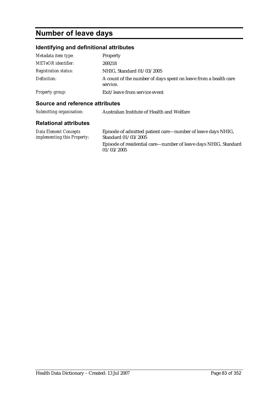# **Number of leave days**

### **Identifying and definitional attributes**

| Metadata item type:         | Property                                                                    |
|-----------------------------|-----------------------------------------------------------------------------|
| <b>METeOR</b> identifier:   | 269218                                                                      |
| <b>Registration status:</b> | NHIG, Standard 01/03/2005                                                   |
| Definition:                 | A count of the number of days spent on leave from a health care<br>service. |
| Property group:             | Exit/leave from service event                                               |

#### **Source and reference attributes**

| Submitting organisation:                                    | Australian Institute of Health and Welfare                                         |
|-------------------------------------------------------------|------------------------------------------------------------------------------------|
| <b>Relational attributes</b>                                |                                                                                    |
| <b>Data Element Concepts</b><br>implementing this Property: | Episode of admitted patient care—number of leave days NHIG,<br>Standard 01/03/2005 |
|                                                             | Episode of residential care—number of leave days NHIG, Standard                    |

 $01/03/2005$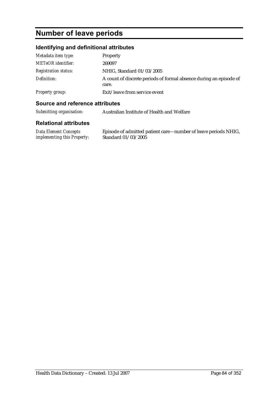## **Number of leave periods**

### **Identifying and definitional attributes**

| Metadata item type:         | Property                                                                    |
|-----------------------------|-----------------------------------------------------------------------------|
| <b>METeOR</b> identifier:   | 269097                                                                      |
| <b>Registration status:</b> | NHIG, Standard 01/03/2005                                                   |
| Definition:                 | A count of discrete periods of formal absence during an episode of<br>care. |
| Property group:             | Exit/leave from service event                                               |

#### **Source and reference attributes**

| Submitting organisation: | Australian Institute of Health and Welfare |
|--------------------------|--------------------------------------------|
|                          |                                            |

| <b>Data Element Concepts</b>       | Episode of admitted patient care—number of leave periods NHIG, |
|------------------------------------|----------------------------------------------------------------|
| <i>implementing this Property:</i> | Standard 01/03/2005                                            |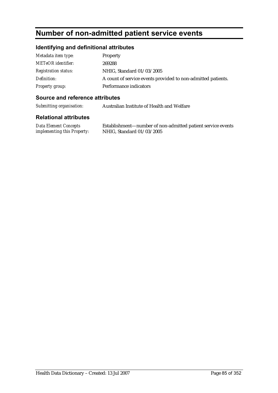## **Number of non-admitted patient service events**

### **Identifying and definitional attributes**

| Metadata item type:         | <b>Property</b>                                              |
|-----------------------------|--------------------------------------------------------------|
| <b>METeOR</b> identifier:   | 269288                                                       |
| <i>Registration status:</i> | NHIG, Standard 01/03/2005                                    |
| Definition:                 | A count of service events provided to non-admitted patients. |
| Property group:             | Performance indicators                                       |

#### **Source and reference attributes**

*Submitting organisation:* Australian Institute of Health and Welfare

#### **Relational attributes**

| <b>Data Element Concepts</b> | Establishment- |
|------------------------------|----------------|
| implementing this Property:  | NHIG, Standar  |

 $-$ number of non-admitted patient service events  $rd\, 01/03/2005$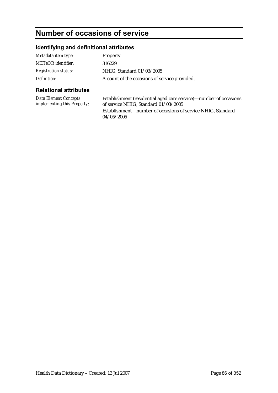## **Number of occasions of service**

### **Identifying and definitional attributes**

| Metadata item type:         | <b>Property</b>                               |
|-----------------------------|-----------------------------------------------|
| METeOR identifier:          | 316229                                        |
| <b>Registration status:</b> | NHIG, Standard 01/03/2005                     |
| Definition:                 | A count of the occasions of service provided. |

### **Relational attributes**

*Data Element Concepts implementing this Property:* Establishment (residential aged care service)—number of occasions of service NHIG, Standard 01/03/2005 Establishment—number of occasions of service NHIG, Standard 04/05/2005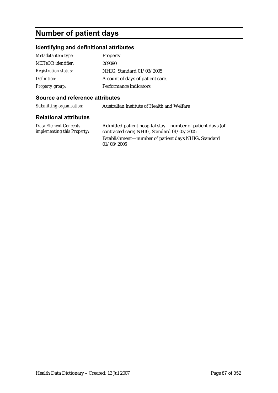## **Number of patient days**

#### **Identifying and definitional attributes**

| Metadata item type:         | Property                         |
|-----------------------------|----------------------------------|
| <b>METeOR</b> identifier:   | 269090                           |
| <b>Registration status:</b> | NHIG, Standard 01/03/2005        |
| Definition:                 | A count of days of patient care. |
| <b>Property group:</b>      | Performance indicators           |

#### **Source and reference attributes**

*Submitting organisation:* Australian Institute of Health and Welfare

#### **Relational attributes**

*Data Element Concepts implementing this Property:* Admitted patient hospital stay—number of patient days (of contracted care) NHIG, Standard 01/03/2005 Establishment—number of patient days NHIG, Standard 01/03/2005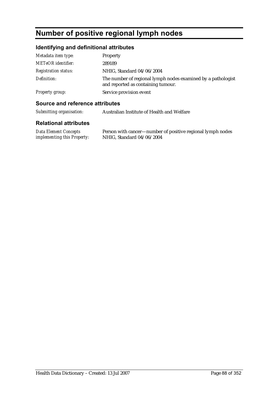## **Number of positive regional lymph nodes**

### **Identifying and definitional attributes**

| Metadata item type:         | Property                                                                                           |
|-----------------------------|----------------------------------------------------------------------------------------------------|
| <b>METeOR</b> identifier:   | 289189                                                                                             |
| <b>Registration status:</b> | NHIG, Standard 04/06/2004                                                                          |
| Definition:                 | The number of regional lymph nodes examined by a pathologist<br>and reported as containing tumour. |
| <b>Property group:</b>      | Service provision event                                                                            |

#### **Source and reference attributes**

| Submitting organisation: | Australian Institute of Health and Welfare |
|--------------------------|--------------------------------------------|
|--------------------------|--------------------------------------------|

| Data Element Concepts              | Person with cancer—number of positive regional lymph nodes |
|------------------------------------|------------------------------------------------------------|
| <i>implementing this Property:</i> | NHIG, Standard 04/06/2004                                  |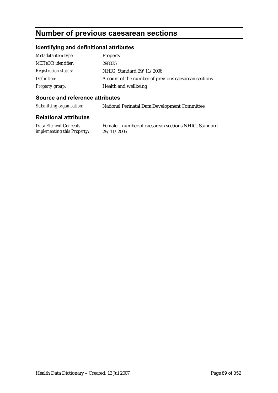### **Number of previous caesarean sections**

#### **Identifying and definitional attributes**

| Metadata item type:         | Property                                              |
|-----------------------------|-------------------------------------------------------|
| <b>METeOR</b> identifier:   | 298035                                                |
| <b>Registration status:</b> | NHIG, Standard 29/11/2006                             |
| Definition:                 | A count of the number of previous caesarean sections. |
| Property group:             | Health and wellbeing                                  |

#### **Source and reference attributes**

*Submitting organisation:* National Perinatal Data Development Committee

#### **Relational attributes**

*Data Element Concepts implementing this Property:*

Female—number of caesarean sections NHIG, Standard 29/11/2006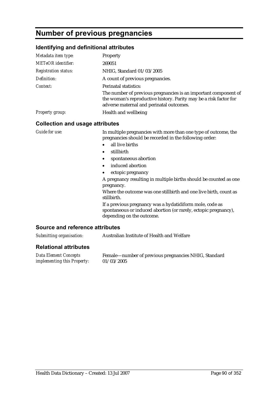## **Number of previous pregnancies**

#### **Identifying and definitional attributes**

| Metadata item type:                    | Property                                                                                                                                                                                        |
|----------------------------------------|-------------------------------------------------------------------------------------------------------------------------------------------------------------------------------------------------|
| <b>METeOR</b> identifier:              | 269051                                                                                                                                                                                          |
| <b>Registration status:</b>            | NHIG, Standard 01/03/2005                                                                                                                                                                       |
| Definition:                            | A count of previous pregnancies.                                                                                                                                                                |
| Context:                               | Perinatal statistics:                                                                                                                                                                           |
|                                        | The number of previous pregnancies is an important component of<br>the woman's reproductive history. Parity may be a risk factor for<br>adverse maternal and perinatal outcomes.                |
| <b>Property group:</b>                 | Health and wellbeing                                                                                                                                                                            |
| <b>Collection and usage attributes</b> |                                                                                                                                                                                                 |
| Guide for use:                         | In multiple pregnancies with more than one type of outcome, the<br>pregnancies should be recorded in the following order:<br>all live births<br>$\bullet$<br>stillbirth<br>spontaneous abortion |

- induced abortion
- ectopic pregnancy

A pregnancy resulting in multiple births should be counted as one pregnancy.

Where the outcome was one stillbirth and one live birth, count as stillbirth.

If a previous pregnancy was a hydatidiform mole, code as spontaneous or induced abortion (or rarely, ectopic pregnancy), depending on the outcome.

#### **Source and reference attributes**

| Submitting organisation:                                    | Australian Institute of Health and Welfare                         |
|-------------------------------------------------------------|--------------------------------------------------------------------|
| <b>Relational attributes</b>                                |                                                                    |
| Data Element Concepts<br><i>implementing this Property:</i> | Female—number of previous pregnancies NHIG, Standard<br>01/03/2005 |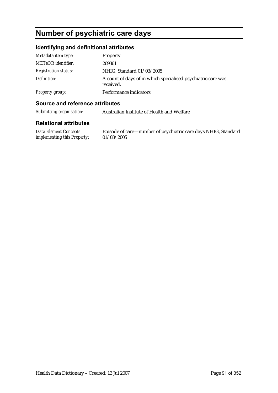## **Number of psychiatric care days**

### **Identifying and definitional attributes**

| Metadata item type:         | Property                                                                  |
|-----------------------------|---------------------------------------------------------------------------|
| <b>METeOR</b> identifier:   | 269361                                                                    |
| <b>Registration status:</b> | NHIG, Standard 01/03/2005                                                 |
| Definition:                 | A count of days of in which specialised psychiatric care was<br>received. |
| <b>Property group:</b>      | Performance indicators                                                    |

#### **Source and reference attributes**

| Submitting organisation:<br>Australian Institute of Health and Welfare |  |
|------------------------------------------------------------------------|--|
|------------------------------------------------------------------------|--|

#### **Relational attributes**

*Data Element Concepts implementing this Property:*  $01/03/2005$ 

Episode of care—number of psychiatric care days NHIG, Standard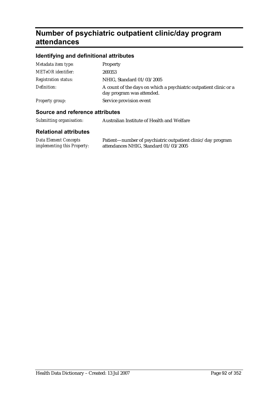## **Number of psychiatric outpatient clinic/day program attendances**

### **Identifying and definitional attributes**

| A count of the days on which a psychiatric outpatient clinic or a |
|-------------------------------------------------------------------|
|                                                                   |
|                                                                   |
|                                                                   |
|                                                                   |

#### **Source and reference attributes**

| Submitting organisation: | Australian Institute of Health and Welfare |
|--------------------------|--------------------------------------------|
|--------------------------|--------------------------------------------|

| Data Element Concepts              | Patient—number of psychiatric outpatient clinic/day program |
|------------------------------------|-------------------------------------------------------------|
| <i>implementing this Property:</i> | attendances NHIG, Standard 01/03/2005                       |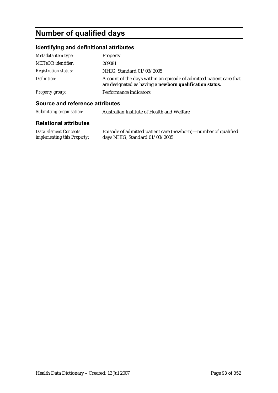## **Number of qualified days**

#### **Identifying and definitional attributes**

| Metadata item type:         | <b>Property</b>                                                                                                                 |
|-----------------------------|---------------------------------------------------------------------------------------------------------------------------------|
| <b>METeOR</b> identifier:   | 269081                                                                                                                          |
| <b>Registration status:</b> | NHIG, Standard 01/03/2005                                                                                                       |
| Definition:                 | A count of the days within an episode of admitted patient care that<br>are designated as having a newborn qualification status. |
| Property group:             | Performance indicators                                                                                                          |

#### **Source and reference attributes**

*Submitting organisation:* Australian Institute of Health and Welfare

#### **Relational attributes**

*Data Element Concepts implementing this Property:* Episode of admitted patient care (newborn)—number of qualified days NHIG, Standard 01/03/2005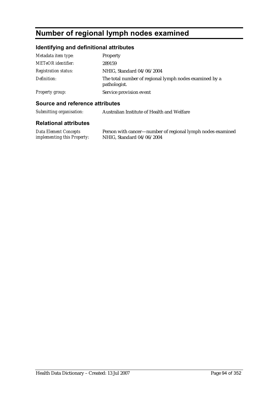## **Number of regional lymph nodes examined**

### **Identifying and definitional attributes**

| Metadata item type:         | Property                                                               |
|-----------------------------|------------------------------------------------------------------------|
| METeOR identifier:          | 289159                                                                 |
| <b>Registration status:</b> | NHIG, Standard 04/06/2004                                              |
| Definition:                 | The total number of regional lymph nodes examined by a<br>pathologist. |
| <b>Property group:</b>      | Service provision event                                                |

#### **Source and reference attributes**

| Submitting organisation: | Australian Institute of Health and Welfare |
|--------------------------|--------------------------------------------|
|--------------------------|--------------------------------------------|

| Data Element Concepts              | Person with cancer—number of regional lymph nodes examined |
|------------------------------------|------------------------------------------------------------|
| <i>implementing this Property:</i> | NHIG, Standard 04/06/2004                                  |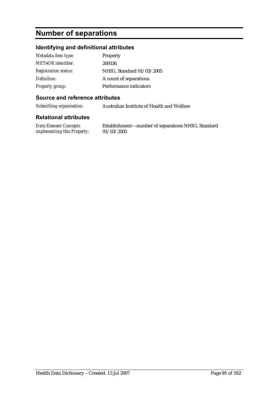## **Number of separations**

#### **Identifying and definitional attributes**

| Metadata item type:         | Property                  |
|-----------------------------|---------------------------|
| METeOR identifier:          | 269336                    |
| <b>Registration status:</b> | NHIG, Standard 01/03/2005 |
| Definition:                 | A count of separations.   |
| <b>Property group:</b>      | Performance indicators    |

#### **Source and reference attributes**

*Submitting organisation:* Australian Institute of Health and Welfare

#### **Relational attributes**

*Data Element Concepts implementing this Property:*

Establishment—number of separations NHIG, Standard 01/03/2005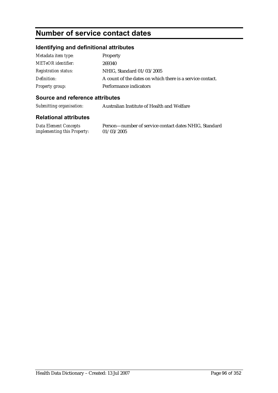# **Number of service contact dates**

#### **Identifying and definitional attributes**

| Metadata item type:         | Property                                                  |
|-----------------------------|-----------------------------------------------------------|
| <b>METeOR</b> identifier:   | 269340                                                    |
| <i>Registration status:</i> | NHIG, Standard 01/03/2005                                 |
| Definition:                 | A count of the dates on which there is a service contact. |
| Property group:             | Performance indicators                                    |

#### **Source and reference attributes**

*Submitting organisation:* Australian Institute of Health and Welfare

#### **Relational attributes**

*Data Element Concepts implementing this Property:* Person—number of service contact dates NHIG, Standard 01/03/2005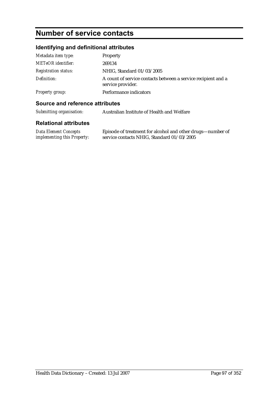## **Number of service contacts**

### **Identifying and definitional attributes**

| Metadata item type:         | Property                                                                           |
|-----------------------------|------------------------------------------------------------------------------------|
| <b>METeOR</b> identifier:   | 269134                                                                             |
| <b>Registration status:</b> | NHIG, Standard 01/03/2005                                                          |
| Definition:                 | A count of service contacts between a service recipient and a<br>service provider. |
| <b>Property group:</b>      | Performance indicators                                                             |

#### **Source and reference attributes**

| Submitting organisation: | Australian Institute of Health and Welfare |
|--------------------------|--------------------------------------------|
|--------------------------|--------------------------------------------|

| <b>Data Element Concepts</b>       | Episode of treatment for alcohol and other drugs—number of |
|------------------------------------|------------------------------------------------------------|
| <i>implementing this Property:</i> | service contacts NHIG, Standard 01/03/2005                 |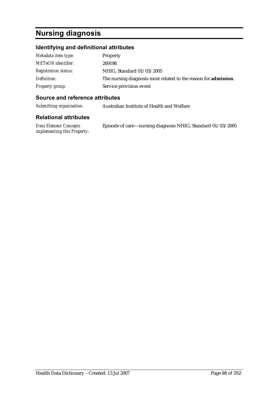## **Nursing diagnosis**

### **Identifying and definitional attributes**

| Metadata item type:         | <b>Property</b>                                                         |
|-----------------------------|-------------------------------------------------------------------------|
| <b>METeOR</b> identifier:   | 269198                                                                  |
| <b>Registration status:</b> | NHIG, Standard 01/03/2005                                               |
| Definition:                 | The nursing diagnosis most related to the reason for <b>admission</b> . |
| Property group:             | Service provision event                                                 |

#### **Source and reference attributes**

*Submitting organisation:* Australian Institute of Health and Welfare

| Data Element Concepts              | Episode of care—nursing diagnosis NHIG, Standard 01/03/2005 |
|------------------------------------|-------------------------------------------------------------|
| <i>implementing this Property:</i> |                                                             |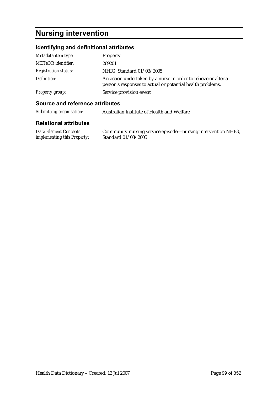## **Nursing intervention**

### **Identifying and definitional attributes**

| Metadata item type:         | Property                                                                                                                     |
|-----------------------------|------------------------------------------------------------------------------------------------------------------------------|
| <b>METeOR</b> identifier:   | 269201                                                                                                                       |
| <b>Registration status:</b> | NHIG, Standard 01/03/2005                                                                                                    |
| Definition:                 | An action undertaken by a nurse in order to relieve or alter a<br>person's responses to actual or potential health problems. |
| Property group:             | Service provision event                                                                                                      |

#### **Source and reference attributes**

*Submitting organisation:* Australian Institute of Health and Welfare

| Data Element Concepts              | Community nursing service episode—nursing intervention NHIG, |
|------------------------------------|--------------------------------------------------------------|
| <i>implementing this Property:</i> | Standard 01/03/2005                                          |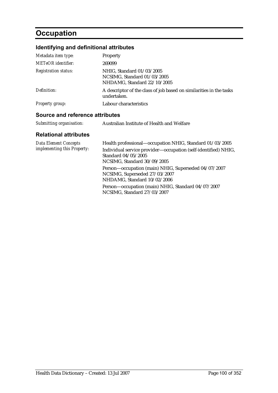# **Occupation**

## **Identifying and definitional attributes**

| Metadata item type:             | <b>Property</b>                                                                         |  |
|---------------------------------|-----------------------------------------------------------------------------------------|--|
| <b>METeOR</b> identifier:       | 269099                                                                                  |  |
| <b>Registration status:</b>     | NHIG, Standard 01/03/2005<br>NCSIMG, Standard 01/03/2005<br>NHDAMG, Standard 22/10/2005 |  |
| Definition:                     | A descriptor of the class of job based on similarities in the tasks<br>undertaken.      |  |
| Property group:                 | Labour characteristics                                                                  |  |
| Source and reference attributes |                                                                                         |  |
| Submitting organisation:        | Australian Institute of Health and Welfare                                              |  |

| <b>Data Element Concepts</b> | Health professional—occupation NHIG, Standard 01/03/2005                              |
|------------------------------|---------------------------------------------------------------------------------------|
| implementing this Property:  | Individual service provider-occupation (self-identified) NHIG,                        |
|                              | Standard 04/05/2005                                                                   |
|                              | NCSIMG, Standard 30/09/2005                                                           |
|                              | Person-occupation (main) NHIG, Superseded 04/07/2007<br>NCSIMG, Superseded 27/03/2007 |
|                              | NHDAMG, Standard 10/02/2006                                                           |
|                              | Person-occupation (main) NHIG, Standard 04/07/2007<br>NCSIMG, Standard 27/03/2007     |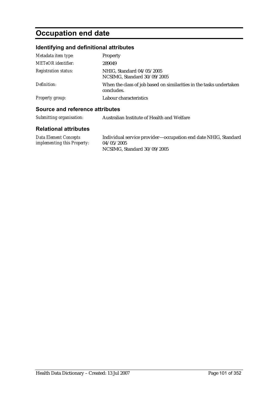# **Occupation end date**

### **Identifying and definitional attributes**

| Metadata item type:         | Property                                                                          |
|-----------------------------|-----------------------------------------------------------------------------------|
| <b>METeOR</b> identifier:   | 289049                                                                            |
| <b>Registration status:</b> | NHIG, Standard 04/05/2005<br>NCSIMG, Standard 30/09/2005                          |
| Definition:                 | When the class of job based on similarities in the tasks undertaken<br>concludes. |
| <b>Property group:</b>      | Labour characteristics                                                            |

#### **Source and reference attributes**

|  | Submitting organisation: | Australian Institute of Health and Welfare |
|--|--------------------------|--------------------------------------------|
|--|--------------------------|--------------------------------------------|

| Data Element Concepts              | Individual service provider—occupation end date NHIG, Standard |
|------------------------------------|----------------------------------------------------------------|
| <i>implementing this Property:</i> | 04/05/2005                                                     |
|                                    | NCSIMG, Standard 30/09/2005                                    |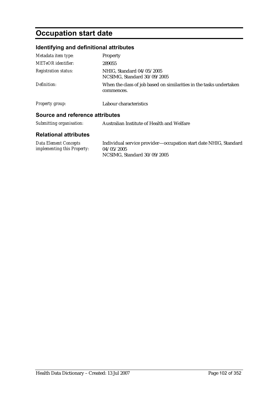# **Occupation start date**

### **Identifying and definitional attributes**

| Metadata item type:             | Property                                                                          |  |
|---------------------------------|-----------------------------------------------------------------------------------|--|
| METeOR identifier:              | 289055                                                                            |  |
| <b>Registration status:</b>     | NHIG. Standard 04/05/2005<br>NCSIMG, Standard 30/09/2005                          |  |
| Definition:                     | When the class of job based on similarities in the tasks undertaken<br>commences. |  |
| <b>Property group:</b>          | Labour characteristics                                                            |  |
| Source and reference attributes |                                                                                   |  |
| Submitting organisation:        | Australian Institute of Health and Welfare                                        |  |

| Data Element Concepts              | Individual service provider—occupation start date NHIG, Standard |
|------------------------------------|------------------------------------------------------------------|
| <i>implementing this Property:</i> | 04/05/2005                                                       |
|                                    | NCSIMG, Standard 30/09/2005                                      |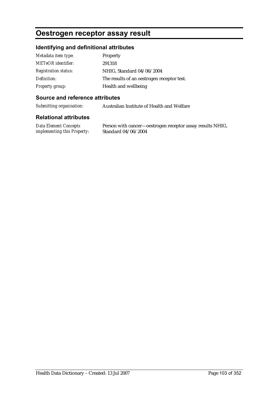### **Oestrogen receptor assay result**

#### **Identifying and definitional attributes**

| Metadata item type:         | <b>Property</b>                            |
|-----------------------------|--------------------------------------------|
| <b>METeOR</b> identifier:   | 291318                                     |
| <b>Registration status:</b> | NHIG, Standard 04/06/2004                  |
| Definition:                 | The results of an oestrogen receptor test. |
| <b>Property group:</b>      | Health and wellbeing                       |

#### **Source and reference attributes**

*Submitting organisation:* Australian Institute of Health and Welfare

#### **Relational attributes**

*Data Element Concepts implementing this Property:*

Person with cancer—oestrogen receptor assay results NHIG, Standard 04/06/2004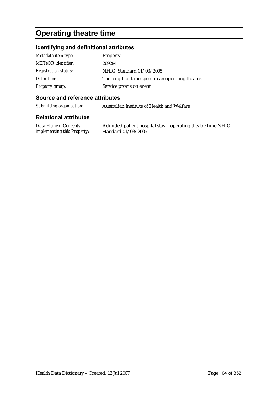## **Operating theatre time**

#### **Identifying and definitional attributes**

| Metadata item type:         | Property                                          |
|-----------------------------|---------------------------------------------------|
| <b>METeOR</b> identifier:   | 269294                                            |
| <b>Registration status:</b> | NHIG, Standard 01/03/2005                         |
| Definition:                 | The length of time spent in an operating theatre. |
| Property group:             | Service provision event                           |

#### **Source and reference attributes**

*Submitting organisation:* Australian Institute of Health and Welfare

#### **Relational attributes**

*Data Element Concepts implementing this Property:*

Admitted patient hospital stay—operating theatre time NHIG, Standard 01/03/2005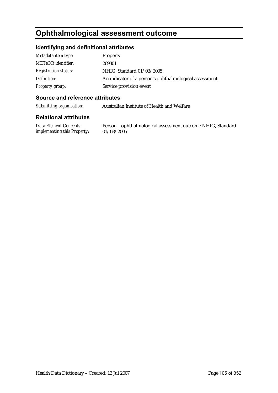## **Ophthalmological assessment outcome**

#### **Identifying and definitional attributes**

| Metadata item type:         | Property                                                |
|-----------------------------|---------------------------------------------------------|
| <b>METeOR</b> identifier:   | 269301                                                  |
| <b>Registration status:</b> | NHIG, Standard 01/03/2005                               |
| Definition:                 | An indicator of a person's ophthalmological assessment. |
| Property group:             | Service provision event                                 |

#### **Source and reference attributes**

*Submitting organisation:* Australian Institute of Health and Welfare

#### **Relational attributes**

*Data Element Concepts implementing this Property:*

Person—ophthalmological assessment outcome NHIG, Standard 01/03/2005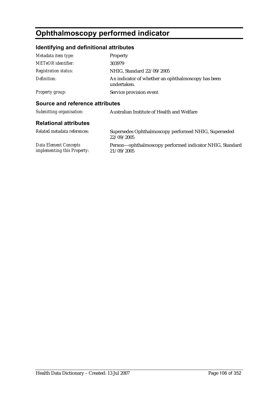# **Ophthalmoscopy performed indicator**

### **Identifying and definitional attributes**

| Metadata item type:             | <b>Property</b>                                                    |
|---------------------------------|--------------------------------------------------------------------|
| <b>METeOR</b> identifier:       | 303979                                                             |
| <b>Registration status:</b>     | NHIG, Standard 22/09/2005                                          |
| Definition:                     | An indicator of whether an ophthalmoscopy has been<br>undertaken.  |
| <b>Property group:</b>          | Service provision event                                            |
| Source and reference attributes |                                                                    |
| Submitting organisation:        | Australian Institute of Health and Welfare                         |
| <b>Relational attributes</b>    |                                                                    |
| Related metadata references:    | Supersedes Ophthalmoscopy performed NHIG, Superseded<br>22/09/2005 |

*Data Element Concepts implementing this Property:* Person—ophthalmoscopy performed indicator NHIG, Standard 21/09/2005

Health Data Dictionary – Created: 13 Jul 2007 Page 106 of 352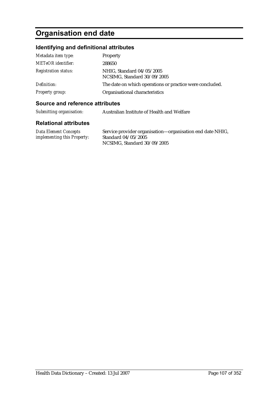# **Organisation end date**

### **Identifying and definitional attributes**

| Metadata item type:         | Property                                                 |
|-----------------------------|----------------------------------------------------------|
| METeOR identifier:          | 288650                                                   |
| <b>Registration status:</b> | NHIG, Standard 04/05/2005<br>NCSIMG, Standard 30/09/2005 |
| Definition:                 | The date on which operations or practice were concluded. |
| <b>Property group:</b>      | Organisational characteristics                           |

#### **Source and reference attributes**

| Submitting organisation:<br>Australian Institute of Health and Welfare |
|------------------------------------------------------------------------|
|------------------------------------------------------------------------|

| Data Element Concepts              | Service provider organisation—organisation end date NHIG, |
|------------------------------------|-----------------------------------------------------------|
| <i>implementing this Property:</i> | Standard $04/05/2005$                                     |
|                                    | NCSIMG, Standard 30/09/2005                               |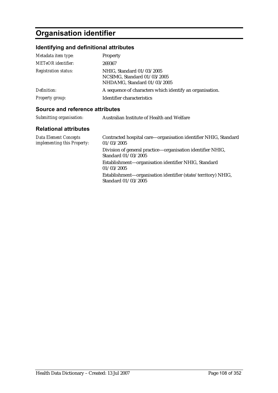# **Organisation identifier**

### **Identifying and definitional attributes**

| Metadata item type:         | Property                                                                                |
|-----------------------------|-----------------------------------------------------------------------------------------|
| <b>METeOR</b> identifier:   | 269367                                                                                  |
| <b>Registration status:</b> | NHIG, Standard 01/03/2005<br>NCSIMG, Standard 01/03/2005<br>NHDAMG, Standard 01/03/2005 |
| Definition:                 | A sequence of characters which identify an organisation.                                |
| Property group:             | Identifier characteristics                                                              |

#### **Source and reference attributes**

| Submitting organisation: | Australian Institute of Health and Welfare |
|--------------------------|--------------------------------------------|
|--------------------------|--------------------------------------------|

| <b>Data Element Concepts</b><br>implementing this Property: | Contracted hospital care—organisation identifier NHIG, Standard<br>01/03/2005        |
|-------------------------------------------------------------|--------------------------------------------------------------------------------------|
|                                                             | Division of general practice—organisation identifier NHIG,<br>Standard 01/03/2005    |
|                                                             | Establishment-organisation identifier NHIG, Standard<br>01/03/2005                   |
|                                                             | Establishment-organisation identifier (state/territory) NHIG,<br>Standard 01/03/2005 |
|                                                             |                                                                                      |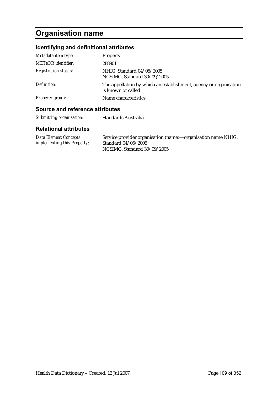# **Organisation name**

### **Identifying and definitional attributes**

| Metadata item type:         | Property                                                                                 |
|-----------------------------|------------------------------------------------------------------------------------------|
| <b>METeOR</b> identifier:   | 288901                                                                                   |
| <b>Registration status:</b> | NHIG, Standard 04/05/2005<br>NCSIMG, Standard 30/09/2005                                 |
| Definition:                 | The appellation by which an establishment, agency or organisation<br>is known or called. |
| Property group:             | Name characteristics                                                                     |
|                             |                                                                                          |

#### **Source and reference attributes**

| Submitting organisation: | Standards Australia |
|--------------------------|---------------------|
|--------------------------|---------------------|

| Data Element Concepts              | Service provider organisation (name)—organisation name NHIG, |
|------------------------------------|--------------------------------------------------------------|
| <i>implementing this Property:</i> | Standard 04/05/2005                                          |
|                                    | NCSIMG, Standard 30/09/2005                                  |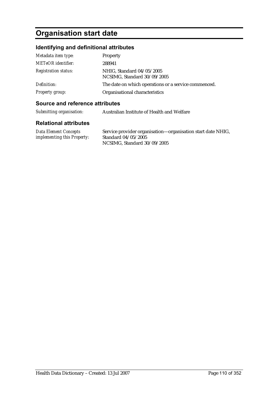# **Organisation start date**

### **Identifying and definitional attributes**

| Metadata item type:         | Property                                                 |
|-----------------------------|----------------------------------------------------------|
| METeOR identifier:          | 288941                                                   |
| <i>Registration status:</i> | NHIG, Standard 04/05/2005<br>NCSIMG, Standard 30/09/2005 |
| Definition:                 | The date on which operations or a service commenced.     |
| Property group:             | Organisational characteristics                           |

#### **Source and reference attributes**

| Submitting organisation: | Australian Institute of Health and Welfare |
|--------------------------|--------------------------------------------|
|--------------------------|--------------------------------------------|

| <b>Data Element Concepts</b>       | Service provider organisation—organisation start date NHIG, |
|------------------------------------|-------------------------------------------------------------|
| <i>implementing this Property:</i> | Standard 04/05/2005                                         |
|                                    | NCSIMG, Standard 30/09/2005                                 |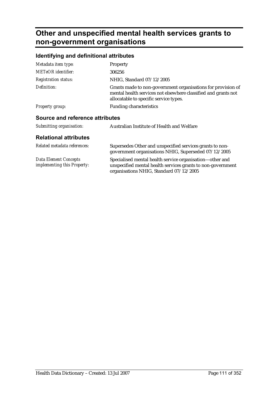## **Other and unspecified mental health services grants to non-government organisations**

#### **Identifying and definitional attributes**

| Metadata item type:                                         | Property                                                                                                                                                                 |
|-------------------------------------------------------------|--------------------------------------------------------------------------------------------------------------------------------------------------------------------------|
| METeOR identifier:                                          | 306256                                                                                                                                                                   |
| <b>Registration status:</b>                                 | NHIG, Standard 07/12/2005                                                                                                                                                |
| Definition:                                                 | Grants made to non-government organisations for provision of<br>mental health services not elsewhere classified and grants not<br>allocatable to specific service types. |
| <b>Property group:</b>                                      | <b>Funding characteristics</b>                                                                                                                                           |
| <b>Source and reference attributes</b>                      |                                                                                                                                                                          |
| Submitting organisation:                                    | Australian Institute of Health and Welfare                                                                                                                               |
| <b>Relational attributes</b>                                |                                                                                                                                                                          |
| Related metadata references:                                | Supersedes Other and unspecified services grants to non-<br>government organisations NHIG, Superseded 07/12/2005                                                         |
| <b>Data Element Concepts</b><br>implementing this Property: | Specialised mental health service organisation-other and<br>unspecified mental health services grants to non-government<br>organisations NHIG, Standard 07/12/2005       |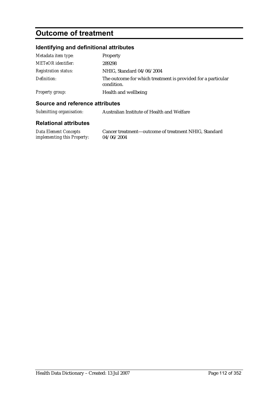## **Outcome of treatment**

### **Identifying and definitional attributes**

| Metadata item type:         | Property                                                                   |
|-----------------------------|----------------------------------------------------------------------------|
| <b>METeOR</b> identifier:   | 289298                                                                     |
| <i>Registration status:</i> | NHIG, Standard 04/06/2004                                                  |
| Definition:                 | The outcome for which treatment is provided for a particular<br>condition. |
| <b>Property group:</b>      | Health and wellbeing                                                       |

#### **Source and reference attributes**

| Submitting organisation: | Australian Institute of Health and Welfare |
|--------------------------|--------------------------------------------|
|                          |                                            |

| Data Element Concepts              | Cancer treatment-outcome of treatment NHIG, Standard |
|------------------------------------|------------------------------------------------------|
| <i>implementing this Property:</i> | 04/06/2004                                           |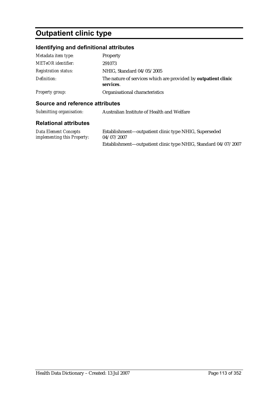# **Outpatient clinic type**

### **Identifying and definitional attributes**

| Metadata item type:         | Property                                                                    |
|-----------------------------|-----------------------------------------------------------------------------|
| <b>METeOR</b> identifier:   | 291073                                                                      |
| <b>Registration status:</b> | NHIG, Standard 04/05/2005                                                   |
| Definition:                 | The nature of services which are provided by outpatient clinic<br>services. |
| Property group:             | Organisational characteristics                                              |

#### **Source and reference attributes**

| Submitting organisation:                             | Australian Institute of Health and Welfare                          |
|------------------------------------------------------|---------------------------------------------------------------------|
| <b>Relational attributes</b>                         |                                                                     |
| Data Element Concepts<br>implementing this Property: | Establishment—outpatient clinic type NHIG, Superseded<br>04/07/2007 |
|                                                      | Establishment-outpatient clinic type NHIG, Standard 04/07/2007      |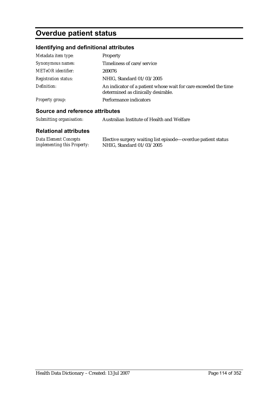## **Overdue patient status**

### **Identifying and definitional attributes**

| Metadata item type:         | Property                                                                                               |
|-----------------------------|--------------------------------------------------------------------------------------------------------|
| Synonymous names:           | Timeliness of care/service                                                                             |
| <b>METeOR</b> identifier:   | 269076                                                                                                 |
| <b>Registration status:</b> | NHIG, Standard 01/03/2005                                                                              |
| Definition:                 | An indicator of a patient whose wait for care exceeded the time<br>determined as clinically desirable. |
| <b>Property group:</b>      | Performance indicators                                                                                 |
|                             |                                                                                                        |

#### **Source and reference attributes**

| Submitting organisation:                                    | Australian Institute of Health and Welfare                                                |
|-------------------------------------------------------------|-------------------------------------------------------------------------------------------|
| <b>Relational attributes</b>                                |                                                                                           |
| Data Element Concepts<br><i>implementing this Property:</i> | Elective surgery waiting list episode—overdue patient status<br>NHIG, Standard 01/03/2005 |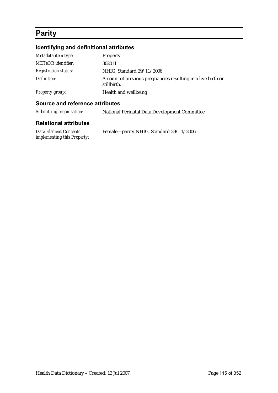## **Parity**

### **Identifying and definitional attributes**

| Metadata item type:         | Property                                                                    |
|-----------------------------|-----------------------------------------------------------------------------|
| METeOR identifier:          | 302011                                                                      |
| <b>Registration status:</b> | NHIG, Standard 29/11/2006                                                   |
| Definition:                 | A count of previous pregnancies resulting in a live birth or<br>stillbirth. |
| <b>Property group:</b>      | Health and wellbeing                                                        |

#### **Source and reference attributes**

| Submitting organisation:     | <b>National Perinatal Data Development Committee</b> |
|------------------------------|------------------------------------------------------|
| <b>Relational attributes</b> |                                                      |

| <b>Data Element Concepts</b> | Female-parity NHIG, Standard 29/11/2006 |
|------------------------------|-----------------------------------------|
| implementing this Property:  |                                         |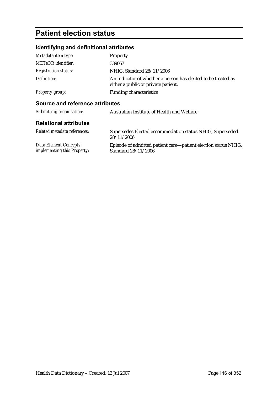## **Patient election status**

### **Identifying and definitional attributes**

| Metadata item type:             | <b>Property</b>                                                                                      |
|---------------------------------|------------------------------------------------------------------------------------------------------|
| <b>METeOR</b> identifier:       | 339067                                                                                               |
| <b>Registration status:</b>     | NHIG, Standard 28/11/2006                                                                            |
| Definition:                     | An indicator of whether a person has elected to be treated as<br>either a public or private patient. |
| <b>Property group:</b>          | <b>Funding characteristics</b>                                                                       |
| Source and reference attributes |                                                                                                      |
| Submitting organisation:        | Australian Institute of Health and Welfare                                                           |
| <b>Relational attributes</b>    |                                                                                                      |
| Related metadata references:    | Supersedes Elected accommodation status NHIG, Superseded                                             |

|                                    | 28/11/2006                                                     |
|------------------------------------|----------------------------------------------------------------|
| Data Element Concepts              | Episode of admitted patient care—patient election status NHIG, |
| <i>implementing this Property:</i> | Standard 28/11/2006                                            |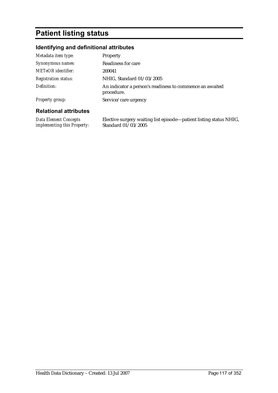## **Patient listing status**

### **Identifying and definitional attributes**

| Metadata item type:         | <b>Property</b>                                                        |
|-----------------------------|------------------------------------------------------------------------|
| Synonymous names:           | <b>Readiness for care</b>                                              |
| <b>METeOR</b> identifier:   | 269041                                                                 |
| <b>Registration status:</b> | NHIG, Standard 01/03/2005                                              |
| Definition:                 | An indicator a person's readiness to commence an awaited<br>procedure. |
| <b>Property group:</b>      | Service/care urgency                                                   |

#### **Relational attributes**

*Data Element Concepts implementing this Property:* Elective surgery waiting list episode—patient listing status NHIG, Standard 01/03/2005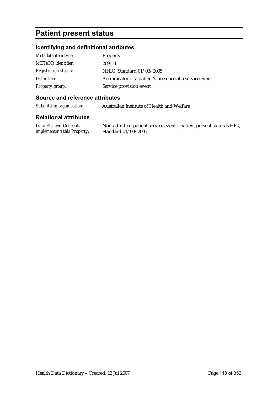### **Patient present status**

#### **Identifying and definitional attributes**

| Metadata item type:         | Property                                                 |
|-----------------------------|----------------------------------------------------------|
| <b>METeOR</b> identifier:   | 269111                                                   |
| <b>Registration status:</b> | NHIG, Standard 01/03/2005                                |
| Definition:                 | An indicator of a patient's presence at a service event. |
| Property group:             | Service provision event                                  |

#### **Source and reference attributes**

*Submitting organisation:* Australian Institute of Health and Welfare

#### **Relational attributes**

*Data Element Concepts implementing this Property:*

Non-admitted patient service event—patient present status NHIG, Standard 01/03/2005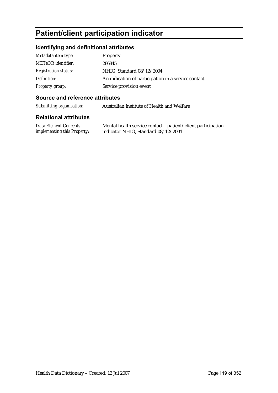## **Patient/client participation indicator**

### **Identifying and definitional attributes**

| Metadata item type:         | Property                                             |
|-----------------------------|------------------------------------------------------|
| <b>METeOR</b> identifier:   | 286845                                               |
| <b>Registration status:</b> | NHIG, Standard 08/12/2004                            |
| Definition:                 | An indication of participation in a service contact. |
| Property group:             | Service provision event                              |

#### **Source and reference attributes**

*Submitting organisation:* Australian Institute of Health and Welfare

| Data Element Concepts              | Mental health service contact—patient/client participation |
|------------------------------------|------------------------------------------------------------|
| <i>implementing this Property:</i> | indicator NHIG, Standard 08/12/2004                        |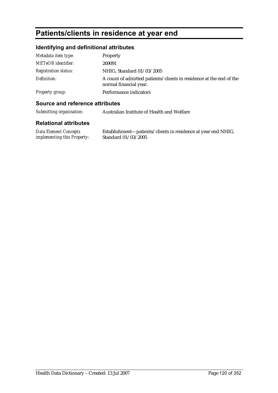## **Patients/clients in residence at year end**

#### **Identifying and definitional attributes**

| Metadata item type:         | Property                                                                                      |
|-----------------------------|-----------------------------------------------------------------------------------------------|
| <b>METeOR</b> identifier:   | 269091                                                                                        |
| <b>Registration status:</b> | NHIG, Standard 01/03/2005                                                                     |
| Definition:                 | A count of admitted patients/clients in residence at the end of the<br>normal financial year. |
| Property group:             | Performance indicators                                                                        |

#### **Source and reference attributes**

*Submitting organisation:* Australian Institute of Health and Welfare

#### **Relational attributes**

*Data Element Concepts implementing this Property:* Establishment—patients/clients in residence at year end NHIG, Standard 01/03/2005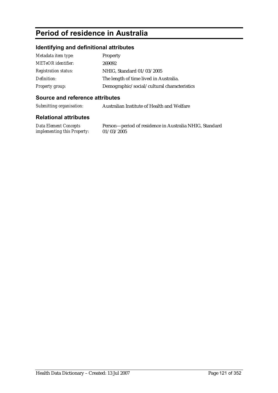## **Period of residence in Australia**

#### **Identifying and definitional attributes**

| Metadata item type:         | Property                                    |
|-----------------------------|---------------------------------------------|
| <b>METeOR</b> identifier:   | 269092                                      |
| <b>Registration status:</b> | NHIG, Standard 01/03/2005                   |
| Definition:                 | The length of time lived in Australia.      |
| <b>Property group:</b>      | Demographic/social/cultural characteristics |

#### **Source and reference attributes**

*Submitting organisation:* Australian Institute of Health and Welfare

#### **Relational attributes**

*Data Element Concepts implementing this Property:*

Person—period of residence in Australia NHIG, Standard 01/03/2005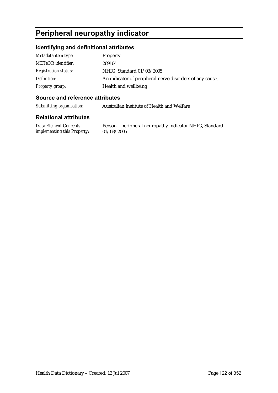## **Peripheral neuropathy indicator**

#### **Identifying and definitional attributes**

| Metadata item type:         | Property                                                 |
|-----------------------------|----------------------------------------------------------|
| <b>METeOR</b> identifier:   | 269164                                                   |
| <b>Registration status:</b> | NHIG, Standard 01/03/2005                                |
| Definition:                 | An indicator of peripheral nerve disorders of any cause. |
| Property group:             | Health and wellbeing                                     |

#### **Source and reference attributes**

*Submitting organisation:* Australian Institute of Health and Welfare

#### **Relational attributes**

*Data Element Concepts implementing this Property:*

Person—peripheral neuropathy indicator NHIG, Standard 01/03/2005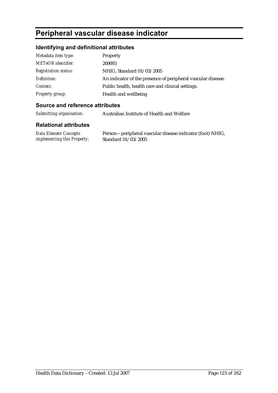## **Peripheral vascular disease indicator**

### **Identifying and definitional attributes**

| Metadata item type:         | Property                                                     |
|-----------------------------|--------------------------------------------------------------|
| METeOR identifier:          | 269093                                                       |
| <b>Registration status:</b> | NHIG, Standard 01/03/2005                                    |
| Definition:                 | An indicator of the presence of peripheral vascular disease. |
| Context:                    | Public health, health care and clinical settings.            |
| <b>Property group:</b>      | Health and wellbeing                                         |

#### **Source and reference attributes**

*Submitting organisation:* Australian Institute of Health and Welfare

| <b>Data Element Concepts</b>       | Person—peripheral vascular disease indicator (foot) NHIG, |
|------------------------------------|-----------------------------------------------------------|
| <i>implementing this Property:</i> | Standard 01/03/2005                                       |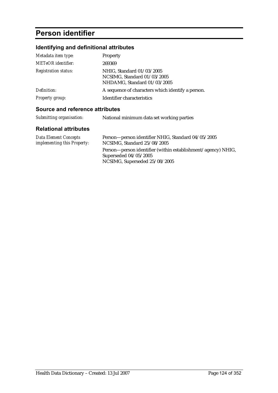## **Person identifier**

### **Identifying and definitional attributes**

| Metadata item type:         | Property                                                                                |
|-----------------------------|-----------------------------------------------------------------------------------------|
| <b>METeOR</b> identifier:   | 269369                                                                                  |
| <b>Registration status:</b> | NHIG, Standard 01/03/2005<br>NCSIMG, Standard 01/03/2005<br>NHDAMG, Standard 01/03/2005 |
| Definition:                 | A sequence of characters which identify a person.                                       |
| <b>Property group:</b>      | Identifier characteristics                                                              |

### **Source and reference attributes**

| Submitting organisation: | National minimum data set working parties |
|--------------------------|-------------------------------------------|
|                          |                                           |

| Data Element Concepts       | Person—person identifier NHIG, Standard 04/05/2005           |
|-----------------------------|--------------------------------------------------------------|
| implementing this Property: | NCSIMG, Standard 25/08/2005                                  |
|                             | Person—person identifier (within establishment/agency) NHIG, |
|                             | Superseded $04/05/2005$                                      |
|                             | NCSIMG, Superseded 25/08/2005                                |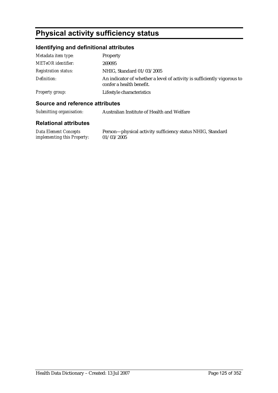## **Physical activity sufficiency status**

#### **Identifying and definitional attributes**

| Metadata item type:         | <b>Property</b>                                                                                     |
|-----------------------------|-----------------------------------------------------------------------------------------------------|
| <b>METeOR</b> identifier:   | 269095                                                                                              |
| <b>Registration status:</b> | NHIG, Standard 01/03/2005                                                                           |
| Definition:                 | An indicator of whether a level of activity is sufficiently vigorous to<br>confer a health benefit. |
| Property group:             | Lifestyle characteristics                                                                           |

#### **Source and reference attributes**

*Submitting organisation:* Australian Institute of Health and Welfare

#### **Relational attributes**

*Data Element Concepts implementing this Property:* Person—physical activity sufficiency status NHIG, Standard 01/03/2005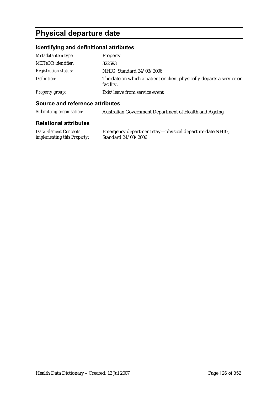# **Physical departure date**

### **Identifying and definitional attributes**

| Metadata item type:         | <b>Property</b>                                                                    |
|-----------------------------|------------------------------------------------------------------------------------|
| <b>METeOR</b> identifier:   | 322593                                                                             |
| <b>Registration status:</b> | NHIG, Standard 24/03/2006                                                          |
| Definition:                 | The date on which a patient or client physically departs a service or<br>facility. |
| Property group:             | Exit/leave from service event                                                      |

#### **Source and reference attributes**

| Submitting organisation: | Australian Government Department of Health and Ageing |
|--------------------------|-------------------------------------------------------|
|                          |                                                       |

| Data Element Concepts              | Emergency department stay-physical departure date NHIG, |
|------------------------------------|---------------------------------------------------------|
| <i>implementing this Property:</i> | Standard 24/03/2006                                     |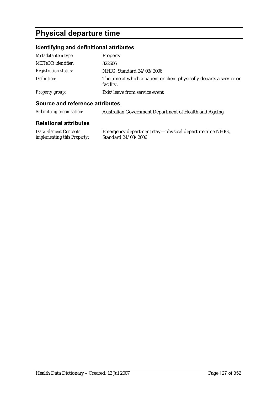# **Physical departure time**

### **Identifying and definitional attributes**

| Metadata item type:         | Property                                                                           |
|-----------------------------|------------------------------------------------------------------------------------|
| <b>METeOR</b> identifier:   | 322606                                                                             |
| <i>Registration status:</i> | NHIG, Standard 24/03/2006                                                          |
| Definition:                 | The time at which a patient or client physically departs a service or<br>facility. |
| <b>Property group:</b>      | Exit/leave from service event                                                      |

#### **Source and reference attributes**

| Submitting organisation: | Australian Government Department of Health and Ageing |
|--------------------------|-------------------------------------------------------|
|                          |                                                       |

| Data Element Concepts       | Emergency department stay—physical departure time NHIG, |
|-----------------------------|---------------------------------------------------------|
| implementing this Property: | Standard 24/03/2006                                     |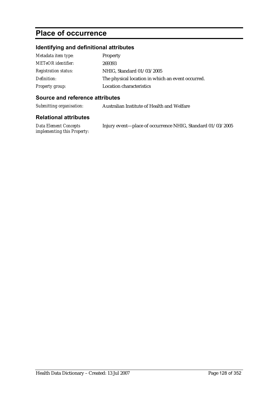## **Place of occurrence**

### **Identifying and definitional attributes**

| Metadata item type:         | Property                                          |
|-----------------------------|---------------------------------------------------|
| <b>METeOR</b> identifier:   | 269393                                            |
| <b>Registration status:</b> | NHIG, Standard 01/03/2005                         |
| Definition:                 | The physical location in which an event occurred. |
| <b>Property group:</b>      | Location characteristics                          |

#### **Source and reference attributes**

*Submitting organisation:* Australian Institute of Health and Welfare

| Data Element Concepts       | Injury event-place of occurrence NHIG, Standard 01/03/2005 |
|-----------------------------|------------------------------------------------------------|
| implementing this Property: |                                                            |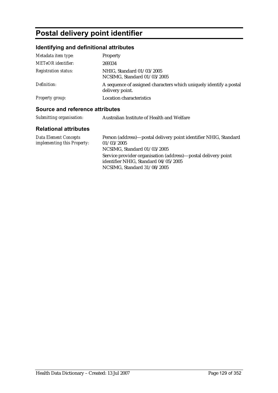# **Postal delivery point identifier**

### **Identifying and definitional attributes**

| Metadata item type:         | Property                                                                              |
|-----------------------------|---------------------------------------------------------------------------------------|
| <b>METeOR</b> identifier:   | 269334                                                                                |
| <b>Registration status:</b> | NHIG, Standard 01/03/2005<br>NCSIMG, Standard 01/03/2005                              |
| Definition:                 | A sequence of assigned characters which uniquely identify a postal<br>delivery point. |
| <b>Property group:</b>      | <b>Location characteristics</b>                                                       |

#### **Source and reference attributes**

| Submitting organisation: | Australian Institute of Health and Welfare |
|--------------------------|--------------------------------------------|
|--------------------------|--------------------------------------------|

| Data Element Concepts              | Person (address)—postal delivery point identifier NHIG, Standard                                                                     |
|------------------------------------|--------------------------------------------------------------------------------------------------------------------------------------|
| <i>implementing this Property:</i> | 01/03/2005                                                                                                                           |
|                                    | NCSIMG, Standard 01/03/2005                                                                                                          |
|                                    | Service provider organisation (address)—postal delivery point<br>identifier NHIG, Standard 04/05/2005<br>NCSIMG, Standard 31/08/2005 |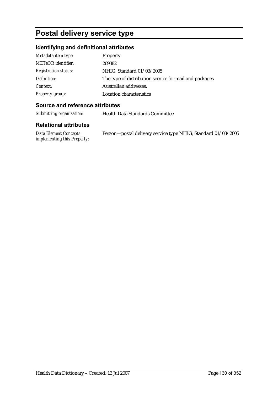## **Postal delivery service type**

### **Identifying and definitional attributes**

| Metadata item type:         | Property                                               |
|-----------------------------|--------------------------------------------------------|
| <b>METeOR</b> identifier:   | 269382                                                 |
| <b>Registration status:</b> | NHIG, Standard 01/03/2005                              |
| Definition:                 | The type of distribution service for mail and packages |
| Context:                    | Australian addresses.                                  |
| <b>Property group:</b>      | <b>Location characteristics</b>                        |

#### **Source and reference attributes**

*Submitting organisation:* Health Data Standards Committee

| Data Element Concepts              | Person-postal delivery service type NHIG, Standard 01/03/2005 |
|------------------------------------|---------------------------------------------------------------|
| <i>implementing this Property:</i> |                                                               |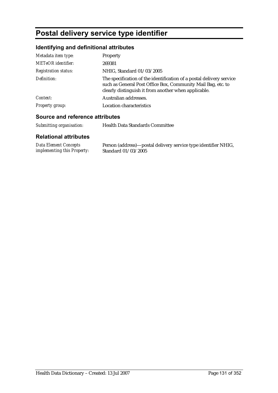## **Postal delivery service type identifier**

### **Identifying and definitional attributes**

| Metadata item type:         | Property                                                                                                                                                                                     |
|-----------------------------|----------------------------------------------------------------------------------------------------------------------------------------------------------------------------------------------|
| <b>METeOR</b> identifier:   | 269381                                                                                                                                                                                       |
| <b>Registration status:</b> | NHIG, Standard 01/03/2005                                                                                                                                                                    |
| Definition:                 | The specification of the identification of a postal delivery service<br>such as General Post Office Box, Community Mail Bag, etc. to<br>clearly distinguish it from another when applicable. |
| Context:                    | Australian addresses.                                                                                                                                                                        |
| <b>Property group:</b>      | <b>Location characteristics</b>                                                                                                                                                              |

#### **Source and reference attributes**

*Submitting organisation:* Health Data Standards Committee

| Data Element Concepts              | Person (address)—postal delivery service type identifier NHIG, |
|------------------------------------|----------------------------------------------------------------|
| <i>implementing this Property:</i> | Standard 01/03/2005                                            |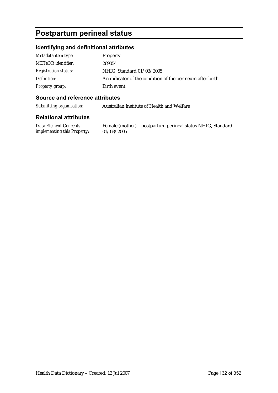## **Postpartum perineal status**

#### **Identifying and definitional attributes**

| Metadata item type:         | Property                                                   |
|-----------------------------|------------------------------------------------------------|
| <b>METeOR</b> identifier:   | 269054                                                     |
| <b>Registration status:</b> | NHIG, Standard 01/03/2005                                  |
| Definition:                 | An indicator of the condition of the perineum after birth. |
| Property group:             | Birth event                                                |

#### **Source and reference attributes**

*Submitting organisation:* Australian Institute of Health and Welfare

#### **Relational attributes**

*Data Element Concepts implementing this Property:*

Female (mother)—postpartum perineal status NHIG, Standard 01/03/2005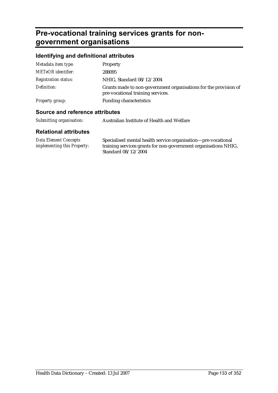## **Pre-vocational training services grants for nongovernment organisations**

#### **Identifying and definitional attributes**

| Metadata item type:         | Property                                                                                              |
|-----------------------------|-------------------------------------------------------------------------------------------------------|
| <b>METeOR</b> identifier:   | 288095                                                                                                |
| <b>Registration status:</b> | NHIG, Standard 08/12/2004                                                                             |
| Definition:                 | Grants made to non-government organisations for the provision of<br>pre-vocational training services. |
| <b>Property group:</b>      | <b>Funding characteristics</b>                                                                        |
|                             |                                                                                                       |

#### **Source and reference attributes**

| Submitting organisation: | Australian Institute of Health and Welfare |
|--------------------------|--------------------------------------------|
|                          |                                            |

| Data Element Concepts              | Specialised mental health service organisation—pre-vocational   |
|------------------------------------|-----------------------------------------------------------------|
| <i>implementing this Property:</i> | training services grants for non-government organisations NHIG, |
|                                    | Standard 08/12/2004                                             |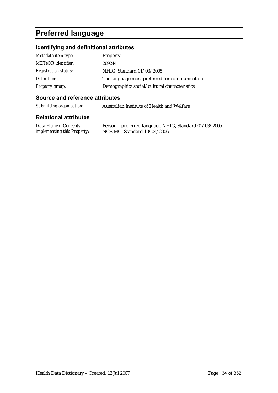## **Preferred language**

### **Identifying and definitional attributes**

| Metadata item type:         | Property                                       |
|-----------------------------|------------------------------------------------|
| <b>METeOR</b> identifier:   | 269244                                         |
| <b>Registration status:</b> | NHIG, Standard 01/03/2005                      |
| Definition:                 | The language most preferred for communication. |
| Property group:             | Demographic/social/cultural characteristics    |

#### **Source and reference attributes**

*Submitting organisation:* Australian Institute of Health and Welfare

#### **Relational attributes**

*Data Element Concepts implementing this Property:* Person—preferred language NHIG, Standard 01/03/2005 NCSIMG, Standard 10/04/2006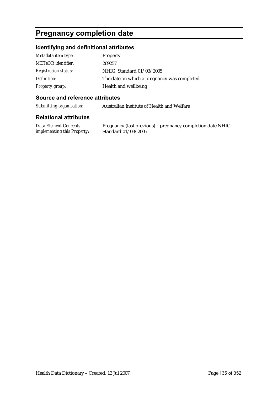## **Pregnancy completion date**

#### **Identifying and definitional attributes**

| Metadata item type:         | <b>Property</b>                              |
|-----------------------------|----------------------------------------------|
| <b>METeOR</b> identifier:   | 269257                                       |
| <b>Registration status:</b> | NHIG, Standard 01/03/2005                    |
| Definition:                 | The date on which a pregnancy was completed. |
| <b>Property group:</b>      | Health and wellbeing                         |

#### **Source and reference attributes**

*Submitting organisation:* Australian Institute of Health and Welfare

#### **Relational attributes**

*Data Element Concepts implementing this Property:*

Pregnancy (last previous)—pregnancy completion date NHIG, Standard 01/03/2005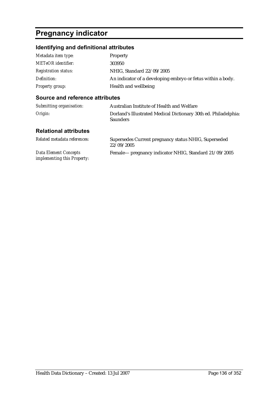# **Pregnancy indicator**

### **Identifying and definitional attributes**

| Metadata item type:         | <b>Property</b>                                             |
|-----------------------------|-------------------------------------------------------------|
| <b>METeOR</b> identifier:   | 303950                                                      |
| <b>Registration status:</b> | NHIG, Standard 22/09/2005                                   |
| Definition:                 | An indicator of a developing embryo or fetus within a body. |
| <b>Property group:</b>      | Health and wellbeing                                        |

#### **Source and reference attributes**

*implementing this Property:*

| Submitting organisation:     | Australian Institute of Health and Welfare                                         |
|------------------------------|------------------------------------------------------------------------------------|
| Origin:                      | Dorland's Illustrated Medical Dictionary 30th ed. Philadelphia:<br><b>Saunders</b> |
| <b>Relational attributes</b> |                                                                                    |
| Related metadata references: | Supersedes Current pregnancy status NHIG, Superseded<br>22/09/2005                 |
| <b>Data Element Concepts</b> | Female— pregnancy indicator NHIG, Standard 21/09/2005                              |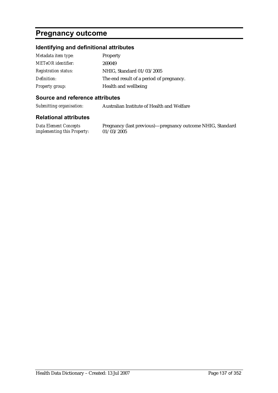### **Pregnancy outcome**

#### **Identifying and definitional attributes**

| Metadata item type:         | <b>Property</b>                          |
|-----------------------------|------------------------------------------|
| <b>METeOR</b> identifier:   | 269049                                   |
| <b>Registration status:</b> | NHIG, Standard 01/03/2005                |
| Definition:                 | The end result of a period of pregnancy. |
| <b>Property group:</b>      | Health and wellbeing                     |

#### **Source and reference attributes**

*Submitting organisation:* Australian Institute of Health and Welfare

#### **Relational attributes**

*Data Element Concepts implementing this Property:*

Pregnancy (last previous)—pregnancy outcome NHIG, Standard 01/03/2005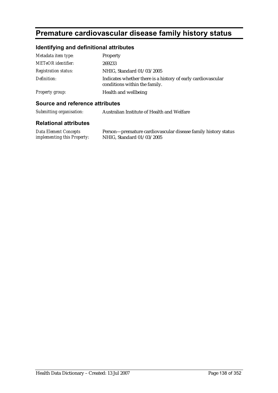# **Premature cardiovascular disease family history status**

### **Identifying and definitional attributes**

| Metadata item type:         | Property                                                                                      |
|-----------------------------|-----------------------------------------------------------------------------------------------|
| <b>METeOR</b> identifier:   | 269233                                                                                        |
| <b>Registration status:</b> | NHIG, Standard 01/03/2005                                                                     |
| Definition:                 | Indicates whether there is a history of early cardiovascular<br>conditions within the family. |
| <b>Property group:</b>      | Health and wellbeing                                                                          |

#### **Source and reference attributes**

| Submitting organisation: | Australian Institute of Health and Welfare |
|--------------------------|--------------------------------------------|
|--------------------------|--------------------------------------------|

| Data Element Concepts              | Person-premature cardiovascular disease family history status |
|------------------------------------|---------------------------------------------------------------|
| <i>implementing this Property:</i> | NHIG, Standard 01/03/2005                                     |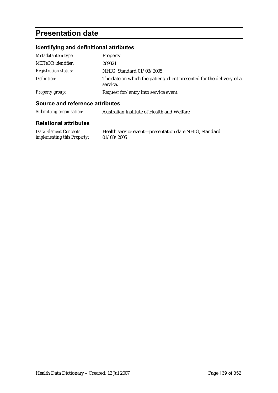## **Presentation date**

### **Identifying and definitional attributes**

| Metadata item type:         | Property                                                                         |
|-----------------------------|----------------------------------------------------------------------------------|
| <b>METeOR</b> identifier:   | 269321                                                                           |
| <i>Registration status:</i> | NHIG, Standard 01/03/2005                                                        |
| Definition:                 | The date on which the patient/client presented for the delivery of a<br>service. |
| Property group:             | Request for/entry into service event                                             |

#### **Source and reference attributes**

| Submitting organisation: | Australian Institute of Health and Welfare |
|--------------------------|--------------------------------------------|
|--------------------------|--------------------------------------------|

| <b>Data Element Concepts</b>       | Health service event-presentation date NHIG, Standard |
|------------------------------------|-------------------------------------------------------|
| <i>implementing this Property:</i> | 01/03/2005                                            |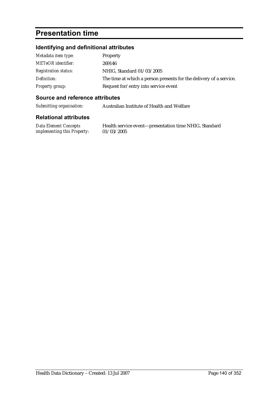## **Presentation time**

### **Identifying and definitional attributes**

| Metadata item type:         | <b>Property</b>                                                    |
|-----------------------------|--------------------------------------------------------------------|
| <b>METeOR</b> identifier:   | 269146                                                             |
| <b>Registration status:</b> | NHIG, Standard 01/03/2005                                          |
| Definition:                 | The time at which a person presents for the delivery of a service. |
| Property group:             | Request for/entry into service event                               |

#### **Source and reference attributes**

*Submitting organisation:* Australian Institute of Health and Welfare

#### **Relational attributes**

*Data Element Concepts implementing this Property:* Health service event—presentation time NHIG, Standard 01/03/2005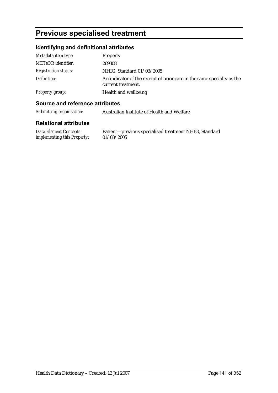## **Previous specialised treatment**

#### **Identifying and definitional attributes**

| Metadata item type:         | Property                                                                                     |
|-----------------------------|----------------------------------------------------------------------------------------------|
| <b>METeOR</b> identifier:   | 269308                                                                                       |
| <b>Registration status:</b> | NHIG, Standard 01/03/2005                                                                    |
| Definition:                 | An indicator of the receipt of prior care in the same specialty as the<br>current treatment. |
| Property group:             | Health and wellbeing                                                                         |

#### **Source and reference attributes**

*Submitting organisation:* Australian Institute of Health and Welfare

#### **Relational attributes**

*Data Element Concepts implementing this Property:* Patient—previous specialised treatment NHIG, Standard 01/03/2005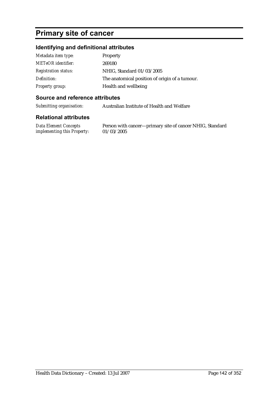## **Primary site of cancer**

#### **Identifying and definitional attributes**

| Metadata item type:         | Property                                       |
|-----------------------------|------------------------------------------------|
| <b>METeOR</b> identifier:   | 269180                                         |
| <b>Registration status:</b> | NHIG, Standard 01/03/2005                      |
| Definition:                 | The anatomical position of origin of a tumour. |
| <b>Property group:</b>      | Health and wellbeing                           |

#### **Source and reference attributes**

*Submitting organisation:* Australian Institute of Health and Welfare

#### **Relational attributes**

*Data Element Concepts implementing this Property:*

Person with cancer—primary site of cancer NHIG, Standard 01/03/2005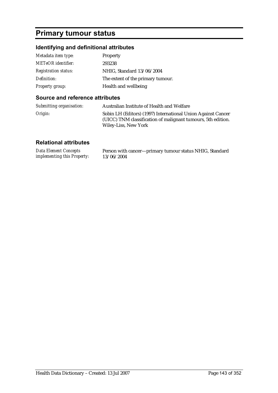## **Primary tumour status**

### **Identifying and definitional attributes**

| Metadata item type:         | Property                          |
|-----------------------------|-----------------------------------|
| <b>METeOR</b> identifier:   | 293238                            |
| <b>Registration status:</b> | NHIG, Standard 13/06/2004         |
| Definition:                 | The extent of the primary tumour. |
| <b>Property group:</b>      | Health and wellbeing              |

#### **Source and reference attributes**

| Submitting organisation: | Australian Institute of Health and Welfare                                                                                                           |
|--------------------------|------------------------------------------------------------------------------------------------------------------------------------------------------|
| Origin:                  | Sobin LH (Editors) (1997) International Union Against Cancer<br>(UICC) TNM classification of malignant tumours, 5th edition.<br>Wiley-Liss, New York |

| <b>Data Element Concepts</b>       | Person with cancer-primary tumour status NHIG, Standard |
|------------------------------------|---------------------------------------------------------|
| <i>implementing this Property:</i> | 13/06/2004                                              |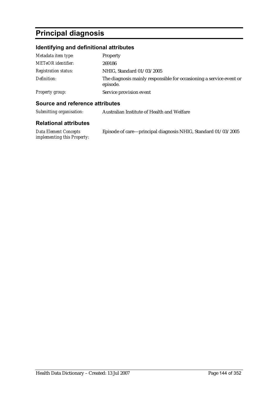## **Principal diagnosis**

### **Identifying and definitional attributes**

| Metadata item type:         | <b>Property</b>                                                                 |
|-----------------------------|---------------------------------------------------------------------------------|
| <b>METeOR</b> identifier:   | 269186                                                                          |
| <i>Registration status:</i> | NHIG, Standard 01/03/2005                                                       |
| Definition:                 | The diagnosis mainly responsible for occasioning a service event or<br>episode. |
| <b>Property group:</b>      | Service provision event                                                         |

#### **Source and reference attributes**

| Submitting organisation:<br>Australian Institute of Health and Welfare |
|------------------------------------------------------------------------|
|------------------------------------------------------------------------|

| Data Element Concepts       | Episode of care—principal diagnosis NHIG, Standard 01/03/2005 |
|-----------------------------|---------------------------------------------------------------|
| implementing this Property: |                                                               |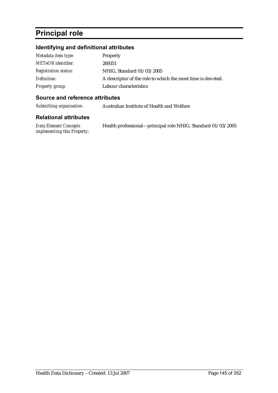# **Principal role**

## **Identifying and definitional attributes**

| Metadata item type:         | Property                                                    |
|-----------------------------|-------------------------------------------------------------|
| <b>METeOR</b> identifier:   | 269351                                                      |
| <i>Registration status:</i> | NHIG, Standard 01/03/2005                                   |
| Definition:                 | A descriptor of the role to which the most time is devoted. |
| <b>Property group:</b>      | Labour characteristics                                      |

## **Source and reference attributes**

*Submitting organisation:* Australian Institute of Health and Welfare

| Data Element Concepts       | Health professional—principal role NHIG, Standard 01/03/2005 |
|-----------------------------|--------------------------------------------------------------|
| implementing this Property: |                                                              |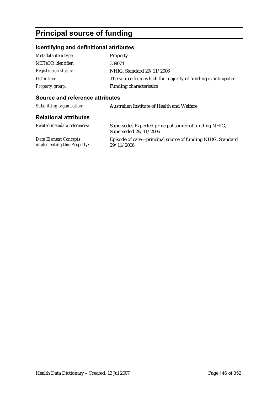# **Principal source of funding**

## **Identifying and definitional attributes**

| Metadata item type:         | <b>Property</b>                                               |
|-----------------------------|---------------------------------------------------------------|
| <b>METeOR</b> identifier:   | 339074                                                        |
| <b>Registration status:</b> | NHIG, Standard 29/11/2006                                     |
| Definition:                 | The source from which the majority of funding is anticipated. |
| Property group:             | <b>Funding characteristics</b>                                |

## **Source and reference attributes**

| Submitting organisation:                                    | Australian Institute of Health and Welfare                                     |
|-------------------------------------------------------------|--------------------------------------------------------------------------------|
| <b>Relational attributes</b>                                |                                                                                |
| Related metadata references:                                | Supersedes Expected principal source of funding NHIG,<br>Superseded 29/11/2006 |
| <b>Data Element Concepts</b><br>implementing this Property: | Episode of care—principal source of funding NHIG, Standard<br>29/11/2006       |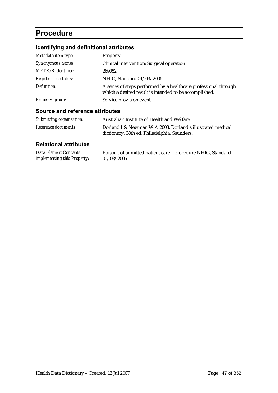## **Procedure**

## **Identifying and definitional attributes**

| Metadata item type:         | <b>Property</b>                                                                                                            |
|-----------------------------|----------------------------------------------------------------------------------------------------------------------------|
| Synonymous names:           | Clinical intervention; Surgical operation                                                                                  |
| <b>METeOR</b> identifier:   | 269052                                                                                                                     |
| <b>Registration status:</b> | NHIG, Standard 01/03/2005                                                                                                  |
| Definition:                 | A series of steps performed by a healthcare professional through<br>which a desired result is intended to be accomplished. |
| <b>Property group:</b>      | Service provision event                                                                                                    |

## **Source and reference attributes**

| Submitting organisation: | Australian Institute of Health and Welfare                                                                 |
|--------------------------|------------------------------------------------------------------------------------------------------------|
| Reference documents:     | Dorland I & Newman W.A 2003. Dorland's illustrated medical<br>dictionary, 30th ed. Philadelphia: Saunders. |

| Data Element Concepts              | Episode of admitted patient care—procedure NHIG, Standard |
|------------------------------------|-----------------------------------------------------------|
| <i>implementing this Property:</i> | 01/03/2005                                                |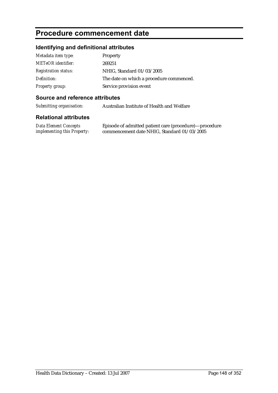## **Procedure commencement date**

## **Identifying and definitional attributes**

| Metadata item type:         | Property                                 |
|-----------------------------|------------------------------------------|
| <b>METeOR</b> identifier:   | 269251                                   |
| <b>Registration status:</b> | NHIG, Standard 01/03/2005                |
| Definition:                 | The date on which a procedure commenced. |
| Property group:             | Service provision event                  |

## **Source and reference attributes**

*Submitting organisation:* Australian Institute of Health and Welfare

| Data Element Concepts              | Episode of admitted patient care (procedure)—procedure |
|------------------------------------|--------------------------------------------------------|
| <i>implementing this Property:</i> | commencement date NHIG, Standard 01/03/2005            |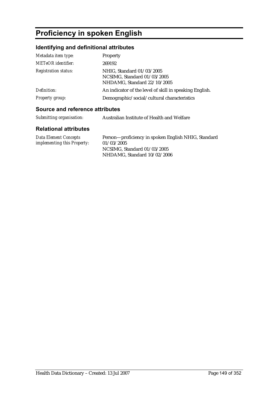# **Proficiency in spoken English**

## **Identifying and definitional attributes**

| Metadata item type:            | Property                                                                                               |
|--------------------------------|--------------------------------------------------------------------------------------------------------|
| <b>METeOR</b> identifier:      | 269192                                                                                                 |
| <b>Registration status:</b>    | NHIG, Standard 01/03/2005<br>NCSIMG, Standard 01/03/2005<br>NHDAMG, Standard 22/10/2005                |
| Definition:<br>Property group: | An indicator of the level of skill in speaking English.<br>Demographic/social/cultural characteristics |
|                                |                                                                                                        |

## **Source and reference attributes**

| Submitting organisation: | Australian Institute of Health and Welfare |
|--------------------------|--------------------------------------------|
|                          |                                            |

| Data Element Concepts              | Person-proficiency in spoken English NHIG, Standard |
|------------------------------------|-----------------------------------------------------|
| <i>implementing this Property:</i> | 01/03/2005                                          |
|                                    | NCSIMG. Standard $01/03/2005$                       |
|                                    | NHDAMG. Standard 10/02/2006                         |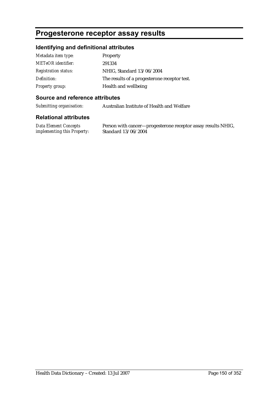## **Progesterone receptor assay results**

## **Identifying and definitional attributes**

| Metadata item type:         | Property                                     |
|-----------------------------|----------------------------------------------|
| <b>METeOR</b> identifier:   | 291334                                       |
| <b>Registration status:</b> | NHIG, Standard 13/06/2004                    |
| Definition:                 | The results of a progesterone receptor test. |
| <b>Property group:</b>      | Health and wellbeing                         |

#### **Source and reference attributes**

*Submitting organisation:* Australian Institute of Health and Welfare

#### **Relational attributes**

*Data Element Concepts implementing this Property:* Person with cancer—progesterone receptor assay results NHIG, Standard 13/06/2004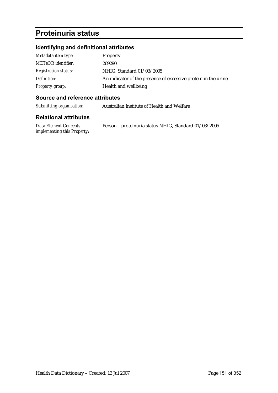# **Proteinuria status**

## **Identifying and definitional attributes**

| Metadata item type:         | <b>Property</b>                                                 |
|-----------------------------|-----------------------------------------------------------------|
| <b>METeOR</b> identifier:   | 269290                                                          |
| <b>Registration status:</b> | NHIG, Standard 01/03/2005                                       |
| Definition:                 | An indicator of the presence of excessive protein in the urine. |
| <b>Property group:</b>      | Health and wellbeing                                            |

## **Source and reference attributes**

*Submitting organisation:* Australian Institute of Health and Welfare

| Data Element Concepts              | Person-proteinuria status NHIG, Standard 01/03/2005 |
|------------------------------------|-----------------------------------------------------|
| <i>implementing this Property:</i> |                                                     |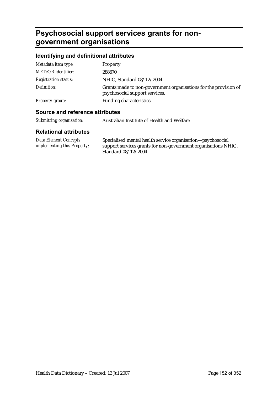# **Psychosocial support services grants for nongovernment organisations**

## **Identifying and definitional attributes**

| Metadata item type:         | Property                                                                                           |
|-----------------------------|----------------------------------------------------------------------------------------------------|
| <b>METeOR</b> identifier:   | 288670                                                                                             |
| <i>Registration status:</i> | NHIG, Standard 08/12/2004                                                                          |
| Definition:                 | Grants made to non-government organisations for the provision of<br>psychosocial support services. |
| Property group:             | <b>Funding characteristics</b>                                                                     |
|                             |                                                                                                    |

## **Source and reference attributes**

| Submitting organisation: | Australian Institute of Health and Welfare |
|--------------------------|--------------------------------------------|
|                          |                                            |

| Data Element Concepts              | Specialised mental health service organisation—psychosocial    |
|------------------------------------|----------------------------------------------------------------|
| <i>implementing this Property:</i> | support services grants for non-government organisations NHIG, |
|                                    | Standard 08/12/2004                                            |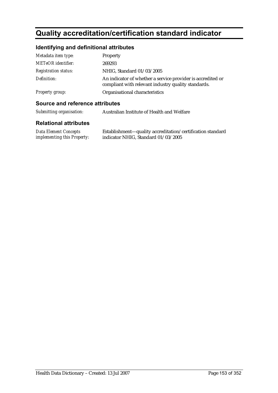# **Quality accreditation/certification standard indicator**

## **Identifying and definitional attributes**

| Metadata item type:         | Property                                                                                                           |
|-----------------------------|--------------------------------------------------------------------------------------------------------------------|
| <b>METeOR</b> identifier:   | 269293                                                                                                             |
| <b>Registration status:</b> | NHIG, Standard 01/03/2005                                                                                          |
| Definition:                 | An indicator of whether a service provider is accredited or<br>compliant with relevant industry quality standards. |
| <b>Property group:</b>      | Organisational characteristics                                                                                     |

#### **Source and reference attributes**

| Submitting organisation:     | Australian Institute of Health and Welfare          |
|------------------------------|-----------------------------------------------------|
| <b>Relational attributes</b> |                                                     |
| Data Flement Concents        | Establishment—quality accreditation/certification s |

*Data Element Concepts implementing this Property:* Establishment—quality accreditation/certification standard indicator NHIG, Standard 01/03/2005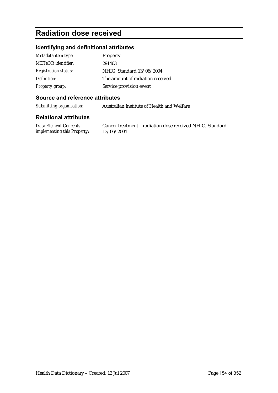## **Radiation dose received**

## **Identifying and definitional attributes**

| Metadata item type:         | Property                          |
|-----------------------------|-----------------------------------|
| <b>METeOR</b> identifier:   | 291463                            |
| <b>Registration status:</b> | NHIG, Standard 13/06/2004         |
| Definition:                 | The amount of radiation received. |
| <b>Property group:</b>      | Service provision event           |

## **Source and reference attributes**

*Submitting organisation:* Australian Institute of Health and Welfare

#### **Relational attributes**

*Data Element Concepts implementing this Property:* Cancer treatment—radiation dose received NHIG, Standard 13/06/2004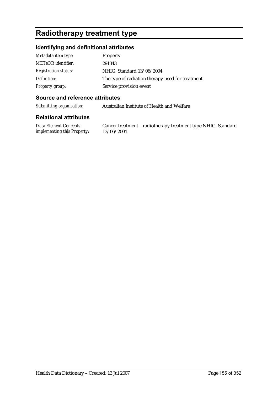# **Radiotherapy treatment type**

## **Identifying and definitional attributes**

| Metadata item type:         | Property                                          |
|-----------------------------|---------------------------------------------------|
| <b>METeOR</b> identifier:   | 291343                                            |
| <b>Registration status:</b> | NHIG, Standard 13/06/2004                         |
| Definition:                 | The type of radiation therapy used for treatment. |
| <b>Property group:</b>      | Service provision event                           |

## **Source and reference attributes**

*Submitting organisation:* Australian Institute of Health and Welfare

#### **Relational attributes**

*Data Element Concepts implementing this Property:* Cancer treatment—radiotherapy treatment type NHIG, Standard 13/06/2004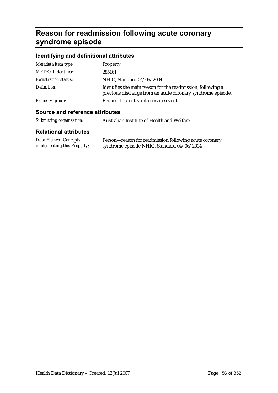# **Reason for readmission following acute coronary syndrome episode**

## **Identifying and definitional attributes**

| Metadata item type:         | Property                                                                                                                   |
|-----------------------------|----------------------------------------------------------------------------------------------------------------------------|
| <b>METeOR</b> identifier:   | 285161                                                                                                                     |
| <b>Registration status:</b> | NHIG, Standard 04/06/2004                                                                                                  |
| Definition:                 | Identifies the main reason for the readmission, following a<br>previous discharge from an acute coronary syndrome episode. |
| Property group:             | Request for/entry into service event                                                                                       |

## **Source and reference attributes**

| Submitting organisation:<br>Australian Institute of Health and Welfare |  |
|------------------------------------------------------------------------|--|
|------------------------------------------------------------------------|--|

| <b>Data Element Concepts</b> | Person-reason for readmission following acute coronary |
|------------------------------|--------------------------------------------------------|
| implementing this Property:  | syndrome episode NHIG, Standard 04/06/2004             |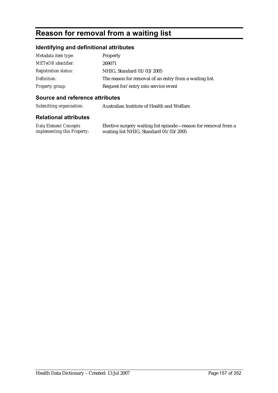# **Reason for removal from a waiting list**

## **Identifying and definitional attributes**

| Metadata item type:         | Property                                                |
|-----------------------------|---------------------------------------------------------|
| METeOR identifier:          | 269071                                                  |
| <b>Registration status:</b> | NHIG, Standard 01/03/2005                               |
| Definition:                 | The reason for removal of an entry from a waiting list. |
| Property group:             | Request for/entry into service event                    |

## **Source and reference attributes**

*Submitting organisation:* Australian Institute of Health and Welfare

| Data Element Concepts              | Elective surgery waiting list episode—reason for removal from a |
|------------------------------------|-----------------------------------------------------------------|
| <i>implementing this Property:</i> | waiting list NHIG, Standard 01/03/2005                          |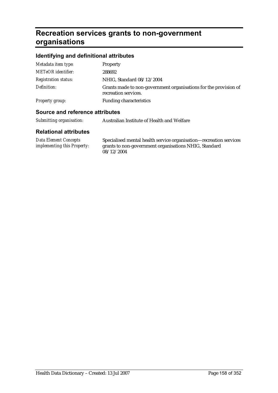# **Recreation services grants to non-government organisations**

## **Identifying and definitional attributes**

| Metadata item type:         | Property                                                                                 |
|-----------------------------|------------------------------------------------------------------------------------------|
| <b>METeOR</b> identifier:   | 288692                                                                                   |
| <b>Registration status:</b> | NHIG, Standard 08/12/2004                                                                |
| Definition:                 | Grants made to non-government organisations for the provision of<br>recreation services. |
| Property group:             | <b>Funding characteristics</b>                                                           |
|                             |                                                                                          |

## **Source and reference attributes**

| Submitting organisation: | Australian Institute of Health and Welfare |
|--------------------------|--------------------------------------------|
|                          |                                            |

| Data Element Concepts              | Specialised mental health service organisation—recreation services |
|------------------------------------|--------------------------------------------------------------------|
| <i>implementing this Property:</i> | grants to non-government organisations NHIG, Standard              |
|                                    | 08/12/2004                                                         |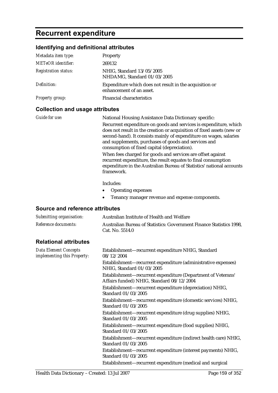# **Recurrent expenditure**

## **Identifying and definitional attributes**

| Metadata item type:         | <b>Property</b>                                                                     |
|-----------------------------|-------------------------------------------------------------------------------------|
| <b>METeOR</b> identifier:   | 269132                                                                              |
| <b>Registration status:</b> | NHIG, Standard 13/05/2005<br>NHDAMG, Standard 01/03/2005                            |
| Definition:                 | Expenditure which does not result in the acquisition or<br>enhancement of an asset. |
| <b>Property group:</b>      | <b>Financial characteristics</b>                                                    |

### **Collection and usage attributes**

| <i>Guide for use:</i> | National Housing Assistance Data Dictionary specific:                                                                                                                                                                                                                                                                     |
|-----------------------|---------------------------------------------------------------------------------------------------------------------------------------------------------------------------------------------------------------------------------------------------------------------------------------------------------------------------|
|                       | Recurrent expenditure on goods and services is expenditure, which<br>does not result in the creation or acquisition of fixed assets (new or<br>second-hand). It consists mainly of expenditure on wages, salaries<br>and supplements, purchases of goods and services and<br>consumption of fixed capital (depreciation). |
|                       | When fees charged for goods and services are offset against<br>recurrent expenditure, the result equates to final consumption<br>expenditure in the Australian Bureau of Statistics' national accounts<br>framework.                                                                                                      |
|                       | Includes:                                                                                                                                                                                                                                                                                                                 |

- Operating expenses
- Tenancy manager revenue and expense components.

#### **Source and reference attributes**

| Submitting organisation:     | Australian Institute of Health and Welfare                                              |
|------------------------------|-----------------------------------------------------------------------------------------|
| Reference documents:         | Australian Bureau of Statistics: Government Finance Statistics 1998,<br>Cat. No. 5514.0 |
| <b>Relational attributes</b> |                                                                                         |

| <b>Data Element Concepts</b><br>implementing this Property: | Establishment—recurrent expenditure NHIG, Standard<br>08/12/2004                                          |
|-------------------------------------------------------------|-----------------------------------------------------------------------------------------------------------|
|                                                             | Establishment—recurrent expenditure (administrative expenses)<br>NHIG, Standard 01/03/2005                |
|                                                             | Establishment-recurrent expenditure (Department of Veterans'<br>Affairs funded) NHIG, Standard 08/12/2004 |
|                                                             | Establishment—recurrent expenditure (depreciation) NHIG,<br>Standard 01/03/2005                           |
|                                                             | Establishment—recurrent expenditure (domestic services) NHIG,<br>Standard 01/03/2005                      |
|                                                             | Establishment-recurrent expenditure (drug supplies) NHIG,<br>Standard 01/03/2005                          |
|                                                             | Establishment—recurrent expenditure (food supplies) NHIG,<br>Standard 01/03/2005                          |
|                                                             | Establishment—recurrent expenditure (indirect health care) NHIG,<br>Standard 01/03/2005                   |
|                                                             | Establishment—recurrent expenditure (interest payments) NHIG,<br>Standard 01/03/2005                      |
|                                                             | Establishment—recurrent expenditure (medical and surgical                                                 |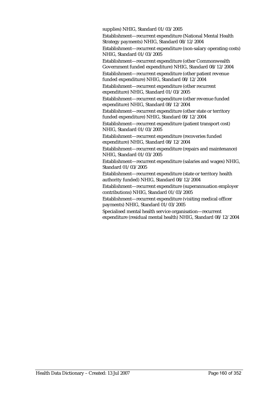supplies) NHIG, Standard 01/03/2005

Establishment—recurrent expenditure (National Mental Health Strategy payments) NHIG, Standard 08/12/2004

Establishment—recurrent expenditure (non-salary operating costs) NHIG, Standard 01/03/2005

Establishment—recurrent expenditure (other Commonwealth Government funded expenditure) NHIG, Standard 08/12/2004 Establishment—recurrent expenditure (other patient revenue

funded expenditure) NHIG, Standard 08/12/2004

Establishment—recurrent expenditure (other recurrent expenditure) NHIG, Standard 01/03/2005

Establishment—recurrent expenditure (other revenue funded expenditure) NHIG, Standard 08/12/2004

Establishment—recurrent expenditure (other state or territory funded expenditure) NHIG, Standard 08/12/2004

Establishment—recurrent expenditure (patient transport cost) NHIG, Standard 01/03/2005

Establishment—recurrent expenditure (recoveries funded expenditure) NHIG, Standard 08/12/2004

Establishment—recurrent expenditure (repairs and maintenance) NHIG, Standard 01/03/2005

Establishment—recurrent expenditure (salaries and wages) NHIG, Standard 01/03/2005

Establishment—recurrent expenditure (state or territory health authority funded) NHIG, Standard 08/12/2004

Establishment—recurrent expenditure (superannuation employer contributions) NHIG, Standard 01/03/2005

Establishment—recurrent expenditure (visiting medical officer payments) NHIG, Standard 01/03/2005

Specialised mental health service organisation—recurrent expenditure (residual mental health) NHIG, Standard 08/12/2004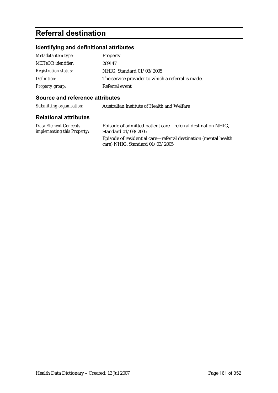# **Referral destination**

## **Identifying and definitional attributes**

| Metadata item type:         | Property                                          |
|-----------------------------|---------------------------------------------------|
| <b>METeOR</b> identifier:   | 269147                                            |
| <b>Registration status:</b> | NHIG, Standard 01/03/2005                         |
| Definition:                 | The service provider to which a referral is made. |
| <b>Property group:</b>      | Referral event                                    |

## **Source and reference attributes**

| Submitting organisation: | Australian Institute of Health and Welfare |
|--------------------------|--------------------------------------------|
|                          |                                            |

| <b>Data Element Concepts</b> | Episode of admitted patient care—referral destination NHIG,                                          |
|------------------------------|------------------------------------------------------------------------------------------------------|
| implementing this Property:  | Standard 01/03/2005                                                                                  |
|                              | Episode of residential care—referral destination (mental health<br>care) NHIG, Standard $01/03/2005$ |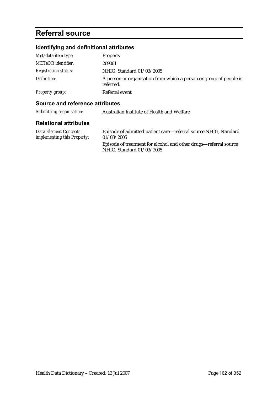## **Referral source**

## **Identifying and definitional attributes**

| Metadata item type:         | <b>Property</b>                                                                 |
|-----------------------------|---------------------------------------------------------------------------------|
| <b>METeOR</b> identifier:   | 269061                                                                          |
| <b>Registration status:</b> | NHIG, Standard 01/03/2005                                                       |
| Definition:                 | A person or organisation from which a person or group of people is<br>referred. |
| Property group:             | Referral event                                                                  |

#### **Source and reference attributes**

| Submitting organisation: | Australian Institute of Health and Welfare |
|--------------------------|--------------------------------------------|
|--------------------------|--------------------------------------------|

#### **Relational attributes**

| Data Element Concepts              | Episode of admitted patient care—referral source NHIG, Standard |
|------------------------------------|-----------------------------------------------------------------|
| <i>implementing this Property:</i> | 01/03/2005                                                      |

Episode of treatment for alcohol and other drugs—referral source NHIG, Standard 01/03/2005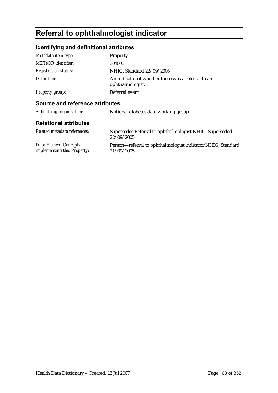# **Referral to ophthalmologist indicator**

## **Identifying and definitional attributes**

| Metadata item type:             | Property                                                               |
|---------------------------------|------------------------------------------------------------------------|
| <b>METeOR</b> identifier:       | 304006                                                                 |
| <b>Registration status:</b>     | NHIG, Standard 22/09/2005                                              |
| Definition:                     | An indicator of whether there was a referral to an<br>ophthalmologist. |
| <b>Property group:</b>          | Referral event                                                         |
| Source and reference attributes |                                                                        |
| Submitting organisation:        | National diabetes data working group                                   |
|                                 |                                                                        |

| Related metadata references:       | Supersedes Referral to ophthalmologist NHIG, Superseded<br>22/09/2005 |
|------------------------------------|-----------------------------------------------------------------------|
| Data Element Concepts              | Person—referral to ophthalmologist indicator NHIG, Standard           |
| <i>implementing this Property:</i> | 21/09/2005                                                            |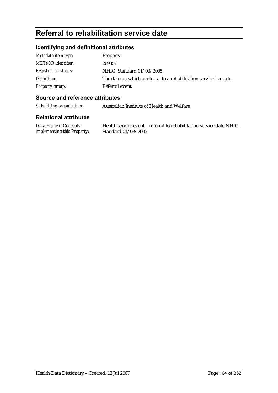# **Referral to rehabilitation service date**

## **Identifying and definitional attributes**

| Metadata item type:         | <b>Property</b>                                                   |
|-----------------------------|-------------------------------------------------------------------|
| <b>METeOR</b> identifier:   | 269357                                                            |
| <b>Registration status:</b> | NHIG, Standard 01/03/2005                                         |
| Definition:                 | The date on which a referral to a rehabilitation service is made. |
| Property group:             | Referral event                                                    |

## **Source and reference attributes**

*Submitting organisation:* Australian Institute of Health and Welfare

#### **Relational attributes**

*Data Element Concepts implementing this Property:*

Health service event—referral to rehabilitation service date NHIG, Standard 01/03/2005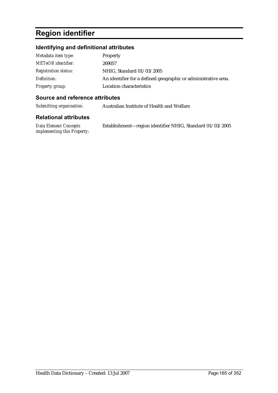# **Region identifier**

## **Identifying and definitional attributes**

| Metadata item type:         | Property                                                       |
|-----------------------------|----------------------------------------------------------------|
| <b>METeOR</b> identifier:   | 269057                                                         |
| <i>Registration status:</i> | NHIG, Standard 01/03/2005                                      |
| Definition:                 | An identifier for a defined geographic or administrative area. |
| <b>Property group:</b>      | Location characteristics                                       |

## **Source and reference attributes**

*Submitting organisation:* Australian Institute of Health and Welfare

| Data Element Concepts       | Establishment-region identifier NHIG, Standard 01/03/2005 |
|-----------------------------|-----------------------------------------------------------|
| implementing this Property: |                                                           |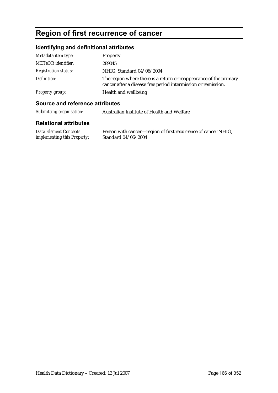# **Region of first recurrence of cancer**

## **Identifying and definitional attributes**

| Metadata item type:         | Property                                                                                                                           |
|-----------------------------|------------------------------------------------------------------------------------------------------------------------------------|
| <b>METeOR</b> identifier:   | 289045                                                                                                                             |
| <i>Registration status:</i> | NHIG, Standard 04/06/2004                                                                                                          |
| Definition:                 | The region where there is a return or reappearance of the primary<br>cancer after a disease free period intermission or remission. |
| Property group:             | Health and wellbeing                                                                                                               |

## **Source and reference attributes**

| Submitting organisation: | Australian Institute of Health and Welfare |
|--------------------------|--------------------------------------------|
|--------------------------|--------------------------------------------|

| <b>Data Element Concepts</b>       | Person with cancer—region of first recurrence of cancer NHIG, |
|------------------------------------|---------------------------------------------------------------|
| <i>implementing this Property:</i> | Standard 04/06/2004                                           |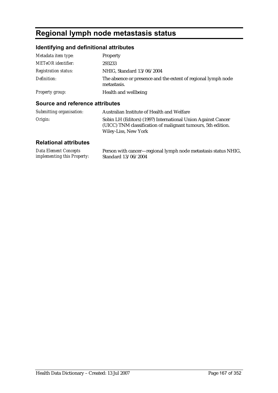# **Regional lymph node metastasis status**

## **Identifying and definitional attributes**

| Metadata item type:         | Property                                                                     |
|-----------------------------|------------------------------------------------------------------------------|
| <b>METeOR</b> identifier:   | 293233                                                                       |
| <b>Registration status:</b> | NHIG, Standard 13/06/2004                                                    |
| Definition:                 | The absence or presence and the extent of regional lymph node<br>metastasis. |
| Property group:             | Health and wellbeing                                                         |

### **Source and reference attributes**

| Submitting organisation: | Australian Institute of Health and Welfare                                                                                                                  |
|--------------------------|-------------------------------------------------------------------------------------------------------------------------------------------------------------|
| Origin:                  | Sobin LH (Editors) (1997) International Union Against Cancer<br>(UICC) TNM classification of malignant tumours, 5th edition.<br><b>Wiley-Liss, New York</b> |

| Data Element Concepts              | Person with cancer—regional lymph node metastasis status NHIG, |
|------------------------------------|----------------------------------------------------------------|
| <i>implementing this Property:</i> | Standard 13/06/2004                                            |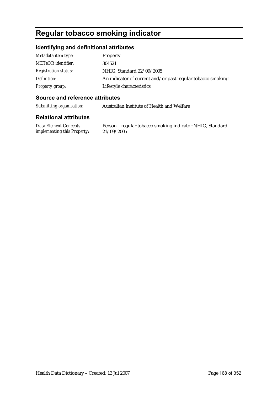# **Regular tobacco smoking indicator**

## **Identifying and definitional attributes**

| Metadata item type:         | Property                                                     |
|-----------------------------|--------------------------------------------------------------|
| <b>METeOR</b> identifier:   | 304521                                                       |
| <b>Registration status:</b> | NHIG, Standard 22/09/2005                                    |
| Definition:                 | An indicator of current and/or past regular tobacco smoking. |
| <b>Property group:</b>      | Lifestyle characteristics                                    |

## **Source and reference attributes**

*Submitting organisation:* Australian Institute of Health and Welfare

## **Relational attributes**

*Data Element Concepts implementing this Property:*

Person—regular tobacco smoking indicator NHIG, Standard 21/09/2005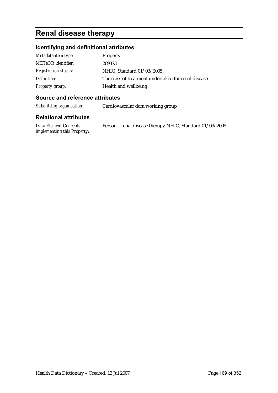# **Renal disease therapy**

## **Identifying and definitional attributes**

| Metadata item type:         | Property                                             |
|-----------------------------|------------------------------------------------------|
| <b>METeOR</b> identifier:   | 269373                                               |
| <b>Registration status:</b> | NHIG, Standard 01/03/2005                            |
| Definition:                 | The class of treatment undertaken for renal disease. |
| Property group:             | Health and wellbeing                                 |

#### **Source and reference attributes**

*Submitting organisation:* Cardiovascular data working group

| Data Element Concepts              | Person—renal disease therapy NHIG, Standard 01/03/2005 |
|------------------------------------|--------------------------------------------------------|
| <i>implementing this Property:</i> |                                                        |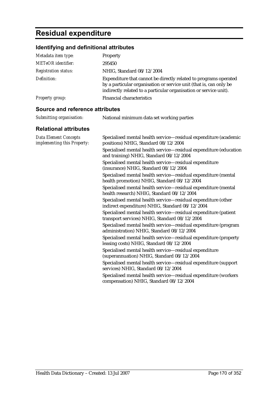# **Residual expenditure**

## **Identifying and definitional attributes**

| Metadata item type:         | Property                                                                                                                                                                                                    |
|-----------------------------|-------------------------------------------------------------------------------------------------------------------------------------------------------------------------------------------------------------|
| <b>METeOR</b> identifier:   | 295450                                                                                                                                                                                                      |
| <b>Registration status:</b> | NHIG, Standard 08/12/2004                                                                                                                                                                                   |
| Definition:                 | Expenditure that cannot be directly related to programs operated<br>by a particular organisation or service unit (that is, can only be<br>indirectly related to a particular organisation or service unit). |
| <b>Property group:</b>      | <b>Financial characteristics</b>                                                                                                                                                                            |

#### **Source and reference attributes**

| Submitting organisation: | National minimum data set working parties |  |
|--------------------------|-------------------------------------------|--|
|                          |                                           |  |

| <b>Data Element Concepts</b><br>implementing this Property: | Specialised mental health service—residual expenditure (academic<br>positions) NHIG, Standard 08/12/2004         |
|-------------------------------------------------------------|------------------------------------------------------------------------------------------------------------------|
|                                                             | Specialised mental health service-residual expenditure (education<br>and training) NHIG, Standard 08/12/2004     |
|                                                             | Specialised mental health service-residual expenditure<br>(insurance) NHIG, Standard 08/12/2004                  |
|                                                             | Specialised mental health service—residual expenditure (mental<br>health promotion) NHIG, Standard 08/12/2004    |
|                                                             | Specialised mental health service—residual expenditure (mental<br>health research) NHIG, Standard 08/12/2004     |
|                                                             | Specialised mental health service-residual expenditure (other<br>indirect expenditure) NHIG, Standard 08/12/2004 |
|                                                             | Specialised mental health service—residual expenditure (patient<br>transport services) NHIG, Standard 08/12/2004 |
|                                                             | Specialised mental health service—residual expenditure (program<br>administration) NHIG, Standard 08/12/2004     |
|                                                             | Specialised mental health service-residual expenditure (property<br>leasing costs) NHIG, Standard 08/12/2004     |
|                                                             | Specialised mental health service-residual expenditure<br>(superannuation) NHIG, Standard 08/12/2004             |
|                                                             | Specialised mental health service—residual expenditure (support<br>services) NHIG, Standard 08/12/2004           |
|                                                             | Specialised mental health service-residual expenditure (workers<br>compensation) NHIG, Standard 08/12/2004       |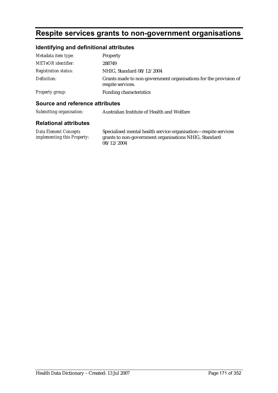## **Respite services grants to non-government organisations**

## **Identifying and definitional attributes**

| Metadata item type:         | Property                                                                              |
|-----------------------------|---------------------------------------------------------------------------------------|
| <b>METeOR</b> identifier:   | 288749                                                                                |
| <b>Registration status:</b> | NHIG, Standard 08/12/2004                                                             |
| Definition:                 | Grants made to non-government organisations for the provision of<br>respite services. |
| Property group:             | <b>Funding characteristics</b>                                                        |

#### **Source and reference attributes**

*Submitting organisation:* Australian Institute of Health and Welfare

#### **Relational attributes**

*Data Element Concepts implementing this Property:*

Specialised mental health service organisation—respite services grants to non-government organisations NHIG, Standard 08/12/2004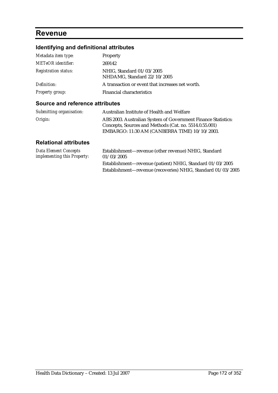## **Revenue**

## **Identifying and definitional attributes**

| Metadata item type:         | Property                                                 |
|-----------------------------|----------------------------------------------------------|
| <b>METeOR</b> identifier:   | 269142                                                   |
| <b>Registration status:</b> | NHIG, Standard 01/03/2005<br>NHDAMG, Standard 22/10/2005 |
| Definition:                 | A transaction or event that increases net worth.         |
| Property group:             | <b>Financial characteristics</b>                         |

#### **Source and reference attributes**

| Submitting organisation: | Australian Institute of Health and Welfare                                                                                                                               |
|--------------------------|--------------------------------------------------------------------------------------------------------------------------------------------------------------------------|
| Origin:                  | ABS 2003. Australian System of Government Finance Statistics:<br>Concepts, Sources and Methods (Cat. no. 5514.0.55.001)<br>EMBARGO: 11:30 AM (CANBERRA TIME) 10/10/2003. |

| Data Element Concepts<br><i>implementing this Property:</i> | Establishment—revenue (other revenue) NHIG, Standard<br>01/03/2005 |
|-------------------------------------------------------------|--------------------------------------------------------------------|
|                                                             | Establishment—revenue (patient) NHIG, Standard 01/03/2005          |
|                                                             | Establishment—revenue (recoveries) NHIG, Standard 01/03/2005       |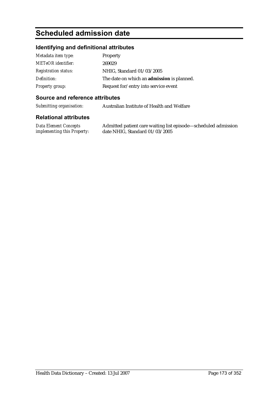# **Scheduled admission date**

## **Identifying and definitional attributes**

| Metadata item type:         | <b>Property</b>                                   |
|-----------------------------|---------------------------------------------------|
| <b>METeOR</b> identifier:   | 269029                                            |
| <b>Registration status:</b> | NHIG, Standard 01/03/2005                         |
| Definition:                 | The date on which an <b>admission</b> is planned. |
| Property group:             | Request for/entry into service event              |

## **Source and reference attributes**

*Submitting organisation:* Australian Institute of Health and Welfare

#### **Relational attributes**

*Data Element Concepts implementing this Property:* Admitted patient care waiting list episode—scheduled admission date NHIG, Standard 01/03/2005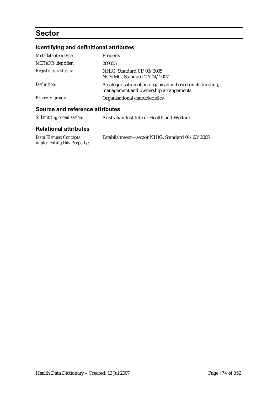# **Sector**

## **Identifying and definitional attributes**

| Metadata item type:             | Property                                                                                            |
|---------------------------------|-----------------------------------------------------------------------------------------------------|
| <b>METeOR</b> identifier:       | 269055                                                                                              |
| <b>Registration status:</b>     | NHIG, Standard 01/03/2005<br>NCSIMG, Standard 27/04/2007                                            |
| Definition:                     | A categorisation of an organisation based on its funding,<br>management and ownership arrangements. |
| <b>Property group:</b>          | Organisational characteristics                                                                      |
| Source and reference attributes |                                                                                                     |

| Submitting organisation: | Australian Institute of Health and Welfare |
|--------------------------|--------------------------------------------|
|                          |                                            |

| <b>Data Element Concepts</b> | Establishment-sector NHIG, Standard 01/03/2005 |
|------------------------------|------------------------------------------------|
| implementing this Property:  |                                                |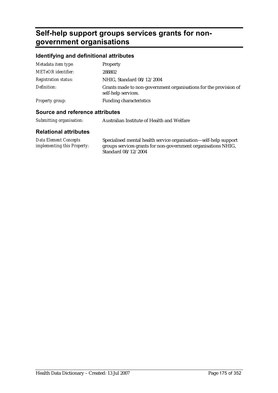# **Self-help support groups services grants for nongovernment organisations**

## **Identifying and definitional attributes**

| Metadata item type:         | Property                                                                                |
|-----------------------------|-----------------------------------------------------------------------------------------|
| <b>METeOR</b> identifier:   | 288802                                                                                  |
| <b>Registration status:</b> | NHIG, Standard 08/12/2004                                                               |
| Definition:                 | Grants made to non-government organisations for the provision of<br>self-help services. |
| Property group:             | <b>Funding characteristics</b>                                                          |
|                             |                                                                                         |

## **Source and reference attributes**

| Submitting organisation: | Australian Institute of Health and Welfare |
|--------------------------|--------------------------------------------|
|--------------------------|--------------------------------------------|

| Data Element Concepts              | Specialised mental health service organisation—self-help support |
|------------------------------------|------------------------------------------------------------------|
| <i>implementing this Property:</i> | groups services grants for non-government organisations NHIG,    |
|                                    | Standard 08/12/2004                                              |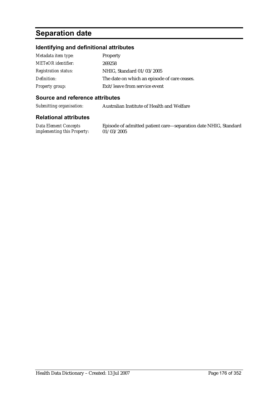# **Separation date**

## **Identifying and definitional attributes**

| Metadata item type:         | Property                                     |
|-----------------------------|----------------------------------------------|
| <b>METeOR</b> identifier:   | 269258                                       |
| <b>Registration status:</b> | NHIG, Standard 01/03/2005                    |
| Definition:                 | The date on which an episode of care ceases. |
| <b>Property group:</b>      | Exit/leave from service event                |

## **Source and reference attributes**

*Submitting organisation:* Australian Institute of Health and Welfare

#### **Relational attributes**

*Data Element Concepts implementing this Property:*

Episode of admitted patient care—separation date NHIG, Standard 01/03/2005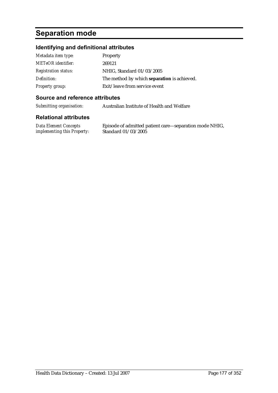# **Separation mode**

## **Identifying and definitional attributes**

| Metadata item type:         | Property                                           |
|-----------------------------|----------------------------------------------------|
| <b>METeOR</b> identifier:   | 269121                                             |
| <b>Registration status:</b> | NHIG, Standard 01/03/2005                          |
| Definition:                 | The method by which <b>separation</b> is achieved. |
| <b>Property group:</b>      | Exit/leave from service event                      |

## **Source and reference attributes**

*Submitting organisation:* Australian Institute of Health and Welfare

#### **Relational attributes**

*Data Element Concepts implementing this Property:*

Episode of admitted patient care—separation mode NHIG, Standard 01/03/2005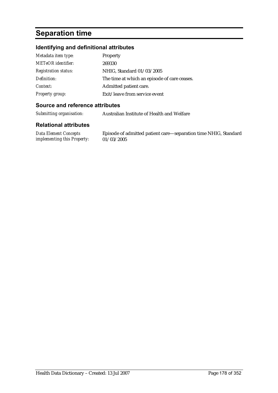# **Separation time**

## **Identifying and definitional attributes**

| Metadata item type:         | Property                                     |
|-----------------------------|----------------------------------------------|
| <b>METeOR</b> identifier:   | 269330                                       |
| <b>Registration status:</b> | NHIG, Standard 01/03/2005                    |
| Definition:                 | The time at which an episode of care ceases. |
| Context:                    | Admitted patient care.                       |
| <b>Property group:</b>      | Exit/leave from service event                |

## **Source and reference attributes**

*Submitting organisation:* Australian Institute of Health and Welfare

| Data Element Concepts              | Episode of admitted patient care-separation time NHIG, Standard |
|------------------------------------|-----------------------------------------------------------------|
| <i>implementing this Property:</i> | 01/03/2005                                                      |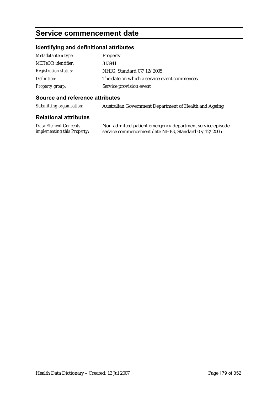# **Service commencement date**

## **Identifying and definitional attributes**

| Metadata item type:         | Property                                     |
|-----------------------------|----------------------------------------------|
| <b>METeOR</b> identifier:   | 313941                                       |
| <b>Registration status:</b> | NHIG, Standard 07/12/2005                    |
| Definition:                 | The date on which a service event commences. |
| <b>Property group:</b>      | Service provision event                      |

## **Source and reference attributes**

*Submitting organisation:* Australian Government Department of Health and Ageing

#### **Relational attributes**

| <b>Data Element Concepts</b>       | Non-admitted patie |
|------------------------------------|--------------------|
| <i>implementing this Property:</i> | service commencem  |

ent emergency department service episode nent date NHIG, Standard 07/12/2005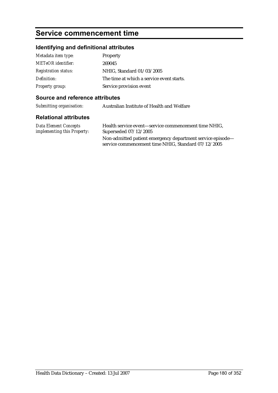# **Service commencement time**

## **Identifying and definitional attributes**

| Metadata item type:         | Property                                  |
|-----------------------------|-------------------------------------------|
| <b>METeOR</b> identifier:   | 269045                                    |
| <b>Registration status:</b> | NHIG, Standard 01/03/2005                 |
| Definition:                 | The time at which a service event starts. |
| <b>Property group:</b>      | Service provision event                   |

## **Source and reference attributes**

| Submitting organisation:<br>Australian Institute of Health and Welfare |  |
|------------------------------------------------------------------------|--|
|------------------------------------------------------------------------|--|

| Data Element Concepts              | Health service event—service commencement time NHIG.                                                              |
|------------------------------------|-------------------------------------------------------------------------------------------------------------------|
| <i>implementing this Property:</i> | Superseded $07/12/2005$                                                                                           |
|                                    | Non-admitted patient emergency department service episode—<br>service commencement time NHIG, Standard 07/12/2005 |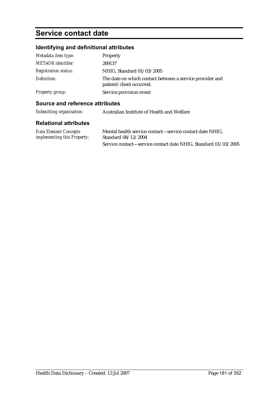# **Service contact date**

# **Identifying and definitional attributes**

| Metadata item type:         | Property                                                                             |  |
|-----------------------------|--------------------------------------------------------------------------------------|--|
| <b>METeOR</b> identifier:   | 269137                                                                               |  |
| <b>Registration status:</b> | NHIG, Standard 01/03/2005                                                            |  |
| Definition:                 | The date on which contact between a service provider and<br>patient/client occurred. |  |
| <b>Property group:</b>      | Service provision event                                                              |  |

### **Source and reference attributes**

| Submitting organisation:                                    | Australian Institute of Health and Welfare                                      |  |
|-------------------------------------------------------------|---------------------------------------------------------------------------------|--|
| <b>Relational attributes</b>                                |                                                                                 |  |
| <b>Data Element Concepts</b><br>implementing this Property: | Mental health service contact—service contact date NHIG.<br>Standard 08/12/2004 |  |
|                                                             | Service contact—service contact date NHIG, Standard 01/03/2005                  |  |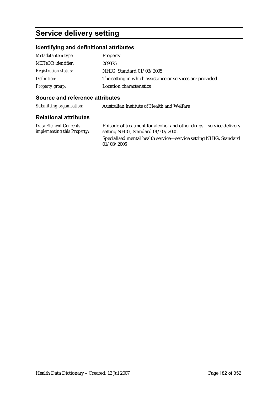# **Service delivery setting**

### **Identifying and definitional attributes**

| Metadata item type:         | Property                                                  |  |
|-----------------------------|-----------------------------------------------------------|--|
| <b>METeOR</b> identifier:   | 269375                                                    |  |
| <b>Registration status:</b> | NHIG, Standard 01/03/2005                                 |  |
| Definition:                 | The setting in which assistance or services are provided. |  |
| Property group:             | Location characteristics                                  |  |

### **Source and reference attributes**

*Submitting organisation:* Australian Institute of Health and Welfare

#### **Relational attributes**

*Data Element Concepts implementing this Property:*

Episode of treatment for alcohol and other drugs—service delivery setting NHIG, Standard 01/03/2005 Specialised mental health service—service setting NHIG, Standard 01/03/2005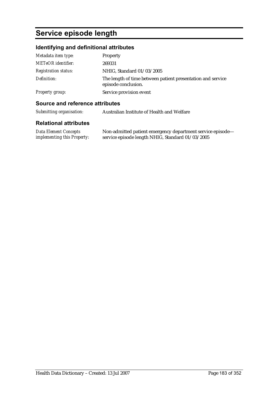# **Service episode length**

# **Identifying and definitional attributes**

| Metadata item type:         | Property                                                                           |  |
|-----------------------------|------------------------------------------------------------------------------------|--|
| <b>METeOR</b> identifier:   | 269331                                                                             |  |
| <b>Registration status:</b> | NHIG, Standard 01/03/2005                                                          |  |
| Definition:                 | The length of time between patient presentation and service<br>episode conclusion. |  |
| <b>Property group:</b>      | Service provision event                                                            |  |

### **Source and reference attributes**

| Submitting organisation: | Australian Institute of Health and Welfare |
|--------------------------|--------------------------------------------|
|--------------------------|--------------------------------------------|

| Data Element Concepts              | Non-admitted patient emergency department service episode- |
|------------------------------------|------------------------------------------------------------|
| <i>implementing this Property:</i> | service episode length NHIG, Standard 01/03/2005           |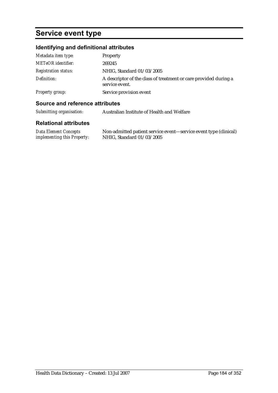# **Service event type**

# **Identifying and definitional attributes**

| Metadata item type:         | Property                                                                           |
|-----------------------------|------------------------------------------------------------------------------------|
| <b>METeOR</b> identifier:   | 269245                                                                             |
| <b>Registration status:</b> | NHIG, Standard 01/03/2005                                                          |
| Definition:                 | A descriptor of the class of treatment or care provided during a<br>service event. |
| Property group:             | Service provision event                                                            |

### **Source and reference attributes**

| Submitting organisation: | Australian Institute of Health and Welfare |
|--------------------------|--------------------------------------------|
|--------------------------|--------------------------------------------|

| Data Element Concepts              | Non-admitted patient service event—service event type (clinical) |
|------------------------------------|------------------------------------------------------------------|
| <i>implementing this Property:</i> | NHIG, Standard 01/03/2005                                        |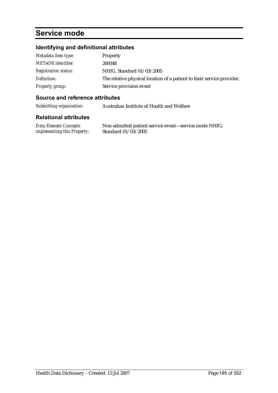# **Service mode**

# **Identifying and definitional attributes**

| Metadata item type:         | Property                                                               |  |
|-----------------------------|------------------------------------------------------------------------|--|
| <b>METeOR</b> identifier:   | 269348                                                                 |  |
| <b>Registration status:</b> | NHIG, Standard 01/03/2005                                              |  |
| Definition:                 | The relative physical location of a patient to their service provider. |  |
| Property group:             | Service provision event                                                |  |

### **Source and reference attributes**

*Submitting organisation:* Australian Institute of Health and Welfare

#### **Relational attributes**

*Data Element Concepts implementing this Property:* Non-admitted patient service event—service mode NHIG, Standard 01/03/2005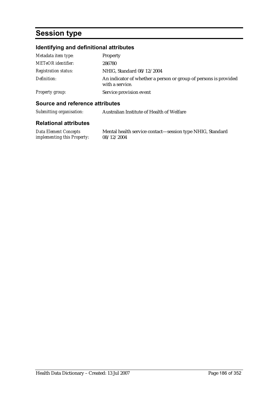# **Session type**

# **Identifying and definitional attributes**

| Metadata item type:         | Property                                                                            |
|-----------------------------|-------------------------------------------------------------------------------------|
| <b>METeOR</b> identifier:   | 286780                                                                              |
| <b>Registration status:</b> | NHIG, Standard 08/12/2004                                                           |
| Definition:                 | An indicator of whether a person or group of persons is provided<br>with a service. |
| Property group:             | Service provision event                                                             |

### **Source and reference attributes**

| Submitting organisation: | Australian Institute of Health of Welfare |
|--------------------------|-------------------------------------------|
|                          |                                           |

#### **Relational attributes**

*Data Element Concepts implementing this Property:*

Mental health service contact—session type NHIG, Standard 08/12/2004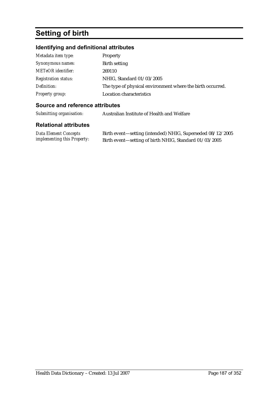# **Setting of birth**

# **Identifying and definitional attributes**

| Metadata item type:         | Property                                                   |
|-----------------------------|------------------------------------------------------------|
| Synonymous names:           | Birth setting                                              |
| <b>METeOR</b> identifier:   | 269110                                                     |
| <b>Registration status:</b> | NHIG, Standard 01/03/2005                                  |
| Definition:                 | The type of physical environment where the birth occurred. |
| <b>Property group:</b>      | <b>Location characteristics</b>                            |

## **Source and reference attributes**

*Submitting organisation:* Australian Institute of Health and Welfare

| Data Element Concepts       | Birth event—setting (intended) NHIG, Superseded 08/12/2005 |
|-----------------------------|------------------------------------------------------------|
| implementing this Property: | Birth event—setting of birth NHIG, Standard 01/03/2005     |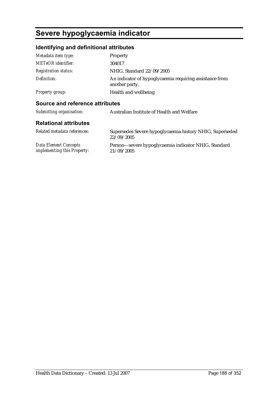# **Severe hypoglycaemia indicator**

# **Identifying and definitional attributes**

| Metadata item type:             | <b>Property</b>                                                           |
|---------------------------------|---------------------------------------------------------------------------|
| <b>METeOR</b> identifier:       | 304017                                                                    |
| <b>Registration status:</b>     | NHIG. Standard 22/09/2005                                                 |
| Definition:                     | An indicator of hypoglycaemia requiring assistance from<br>another party. |
| Property group:                 | Health and wellbeing                                                      |
| Source and reference attributes |                                                                           |
| Submitting organisation:        | Australian Institute of Health and Welfare                                |
| <b>Relational attributes</b>    |                                                                           |
| Related metadata references:    | Supersedes Severe hypoglycaemia history NHIG, Superseded                  |
|                                 |                                                                           |

|                                                             | 22/09/2005 | <u>JI OJ</u>                                         |  |  |
|-------------------------------------------------------------|------------|------------------------------------------------------|--|--|
| Data Element Concepts<br><i>implementing this Property:</i> | 21/09/2005 | Person—severe hypoglycaemia indicator NHIG, Standard |  |  |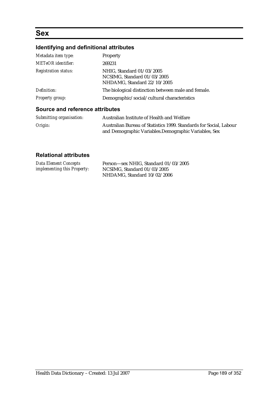# **Sex**

# **Identifying and definitional attributes**

| Metadata item type:                    | Property                                                                                |
|----------------------------------------|-----------------------------------------------------------------------------------------|
| <b>METeOR</b> identifier:              | 269231                                                                                  |
| <b>Registration status:</b>            | NHIG, Standard 01/03/2005<br>NCSIMG, Standard 01/03/2005<br>NHDAMG, Standard 22/10/2005 |
| Definition:                            | The biological distinction between male and female.                                     |
| Property group:                        | Demographic/social/cultural characteristics                                             |
| <b>Source and reference attributes</b> |                                                                                         |

| Submitting organisation: | Australian Institute of Health and Welfare                                                                                  |
|--------------------------|-----------------------------------------------------------------------------------------------------------------------------|
| Origin:                  | Australian Bureau of Statistics 1999. Standards for Social, Labour<br>and Demographic Variables. Demographic Variables, Sex |

| <b>Data Element Concepts</b>       | Person-sex NHIG, Standard 01/03/2005 |
|------------------------------------|--------------------------------------|
| <i>implementing this Property:</i> | NCSIMG, Standard 01/03/2005          |
|                                    | NHDAMG, Standard 10/02/2006          |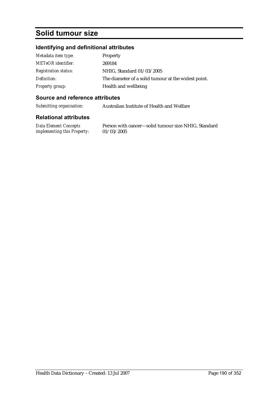# **Solid tumour size**

# **Identifying and definitional attributes**

| Metadata item type:         | Property                                            |
|-----------------------------|-----------------------------------------------------|
| <b>METeOR</b> identifier:   | 269184                                              |
| <b>Registration status:</b> | NHIG, Standard 01/03/2005                           |
| Definition:                 | The diameter of a solid tumour at the widest point. |
| <b>Property group:</b>      | Health and wellbeing                                |

### **Source and reference attributes**

*Submitting organisation:* Australian Institute of Health and Welfare

#### **Relational attributes**

*Data Element Concepts implementing this Property:* Person with cancer—solid tumour size NHIG, Standard 01/03/2005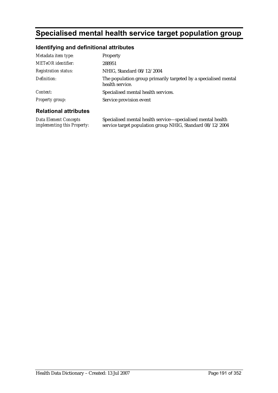# **Specialised mental health service target population group**

## **Identifying and definitional attributes**

| Metadata item type:         | Property                                                                           |
|-----------------------------|------------------------------------------------------------------------------------|
| <b>METeOR</b> identifier:   | 288951                                                                             |
| <b>Registration status:</b> | NHIG, Standard 08/12/2004                                                          |
| Definition:                 | The population group primarily targeted by a specialised mental<br>health service. |
| Context:                    | Specialised mental health services.                                                |
| <b>Property group:</b>      | Service provision event                                                            |

### **Relational attributes**

*Data Element Concepts implementing this Property:* Specialised mental health service—specialised mental health service target population group NHIG, Standard 08/12/2004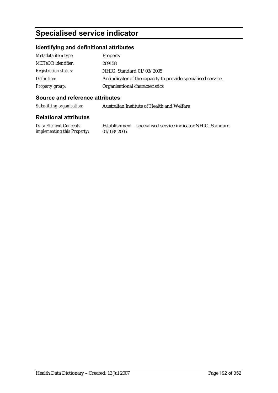# **Specialised service indicator**

## **Identifying and definitional attributes**

| Metadata item type:         | Property                                                     |
|-----------------------------|--------------------------------------------------------------|
| <b>METeOR</b> identifier:   | 269158                                                       |
| <b>Registration status:</b> | NHIG, Standard 01/03/2005                                    |
| Definition:                 | An indicator of the capacity to provide specialised service. |
| <b>Property group:</b>      | Organisational characteristics                               |

#### **Source and reference attributes**

*Submitting organisation:* Australian Institute of Health and Welfare

#### **Relational attributes**

*Data Element Concepts implementing this Property:*

Establishment—specialised service indicator NHIG, Standard 01/03/2005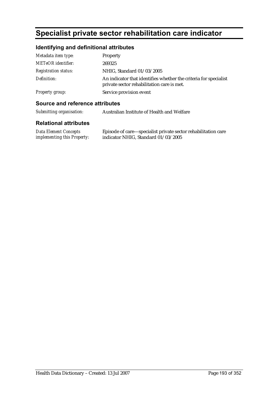# **Specialist private sector rehabilitation care indicator**

# **Identifying and definitional attributes**

| Metadata item type:         | Property                                                                                                       |
|-----------------------------|----------------------------------------------------------------------------------------------------------------|
| <b>METeOR</b> identifier:   | 269325                                                                                                         |
| <b>Registration status:</b> | NHIG, Standard 01/03/2005                                                                                      |
| Definition:                 | An indicator that identifies whether the criteria for specialist<br>private sector rehabilitation care is met. |
| <b>Property group:</b>      | Service provision event                                                                                        |

### **Source and reference attributes**

| Submitting organisation: | Australian Institute of Health and Welfare |
|--------------------------|--------------------------------------------|
| Balatanal attributes     |                                            |

| <b>Data Element Concepts</b>       | Episode of care—specialist private sector rehabilitation care |
|------------------------------------|---------------------------------------------------------------|
| <i>implementing this Property:</i> | indicator NHIG, Standard 01/03/2005                           |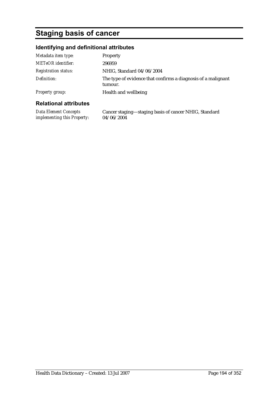# **Staging basis of cancer**

# **Identifying and definitional attributes**

| Health and wellbeing                                                     |
|--------------------------------------------------------------------------|
| The type of evidence that confirms a diagnosis of a malignant<br>tumour. |
| NHIG, Standard 04/06/2004                                                |
| 296959                                                                   |
| Property                                                                 |
|                                                                          |

| Data Element Concepts              | Cancer staging-staging basis of cancer NHIG, Standard |
|------------------------------------|-------------------------------------------------------|
| <i>implementing this Property:</i> | 04/06/2004                                            |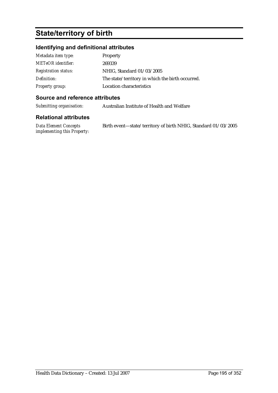# **State/territory of birth**

# **Identifying and definitional attributes**

| Metadata item type:         | Property                                         |
|-----------------------------|--------------------------------------------------|
| <b>METeOR</b> identifier:   | 269339                                           |
| <b>Registration status:</b> | NHIG, Standard 01/03/2005                        |
| Definition:                 | The state/territory in which the birth occurred. |
| <b>Property group:</b>      | Location characteristics                         |

#### **Source and reference attributes**

*Submitting organisation:* Australian Institute of Health and Welfare

| Data Element Concepts              | Birth event-state/territory of birth NHIG, Standard 01/03/2005 |
|------------------------------------|----------------------------------------------------------------|
| <i>implementing this Property:</i> |                                                                |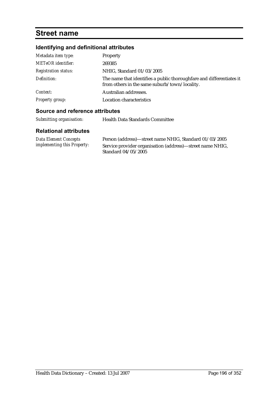# **Street name**

# **Identifying and definitional attributes**

| Metadata item type:         | Property                                                                                                              |
|-----------------------------|-----------------------------------------------------------------------------------------------------------------------|
| <b>METeOR</b> identifier:   | 269385                                                                                                                |
| <b>Registration status:</b> | NHIG, Standard 01/03/2005                                                                                             |
| Definition:                 | The name that identifies a public thoroughfare and differentiates it<br>from others in the same suburb/town/locality. |
| Context:                    | Australian addresses.                                                                                                 |
| <b>Property group:</b>      | Location characteristics                                                                                              |

# **Source and reference attributes**

| Submitting organisation:                                    | <b>Health Data Standards Committee</b>                                                                                                     |
|-------------------------------------------------------------|--------------------------------------------------------------------------------------------------------------------------------------------|
| <b>Relational attributes</b>                                |                                                                                                                                            |
| Data Element Concepts<br><i>implementing this Property:</i> | Person (address)—street name NHIG, Standard 01/03/2005<br>Service provider organisation (address)—street name NHIG,<br>Standard 04/05/2005 |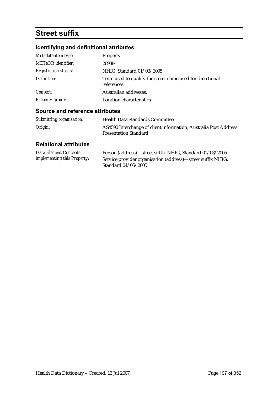# **Street suffix**

# **Identifying and definitional attributes**

| Metadata item type:<br><b>METeOR</b> identifier: | Property<br>269384                                                       |
|--------------------------------------------------|--------------------------------------------------------------------------|
| <b>Registration status:</b>                      | NHIG, Standard 01/03/2005                                                |
| Definition:                                      | Term used to qualify the street name used for directional<br>references. |
| Context:                                         | Australian addresses.                                                    |
| <b>Property group:</b>                           | Location characteristics                                                 |

#### **Source and reference attributes**

| Submitting organisation: | <b>Health Data Standards Committee</b>                           |
|--------------------------|------------------------------------------------------------------|
| Origin:                  | AS4590 Interchange of client information, Australia Post Address |
|                          | <b>Presentation Standard.</b>                                    |

| <b>Data Element Concepts</b>       | Person (address)—street suffix NHIG, Standard 01/03/2005    |
|------------------------------------|-------------------------------------------------------------|
| <i>implementing this Property:</i> | Service provider organisation (address)—street suffix NHIG, |
|                                    | Standard 04/05/2005                                         |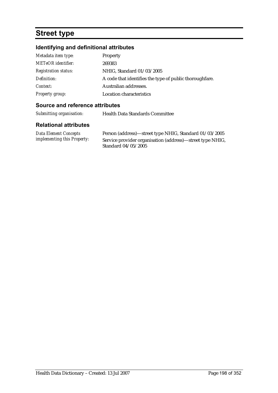# **Street type**

# **Identifying and definitional attributes**

| Metadata item type:         | Property                                                 |
|-----------------------------|----------------------------------------------------------|
| <b>METeOR</b> identifier:   | 269383                                                   |
| <b>Registration status:</b> | NHIG, Standard 01/03/2005                                |
| Definition:                 | A code that identifies the type of public thorough fare. |
| Context:                    | Australian addresses.                                    |
| <b>Property group:</b>      | Location characteristics                                 |

## **Source and reference attributes**

*Submitting organisation:* Health Data Standards Committee

| Data Element Concepts              | Person (address)—street type NHIG, Standard 01/03/2005    |
|------------------------------------|-----------------------------------------------------------|
| <i>implementing this Property:</i> | Service provider organisation (address)—street type NHIG, |
|                                    | Standard 04/05/2005                                       |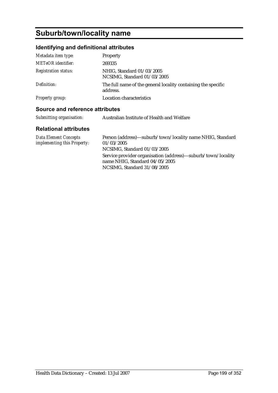# **Suburb/town/locality name**

# **Identifying and definitional attributes**

| Metadata item type:         | Property                                                                  |
|-----------------------------|---------------------------------------------------------------------------|
| <b>METeOR</b> identifier:   | 269335                                                                    |
| <b>Registration status:</b> | NHIG, Standard 01/03/2005<br>NCSIMG, Standard 01/03/2005                  |
| Definition:                 | The full name of the general locality containing the specific<br>address. |
| <b>Property group:</b>      | <b>Location characteristics</b>                                           |

### **Source and reference attributes**

| Submitting organisation: | Australian Institute of Health and Welfare |
|--------------------------|--------------------------------------------|
|--------------------------|--------------------------------------------|

| Data Element Concepts       | Person (address)—suburb/town/locality name NHIG, Standard                                                                       |
|-----------------------------|---------------------------------------------------------------------------------------------------------------------------------|
| implementing this Property: | 01/03/2005                                                                                                                      |
|                             | NCSIMG, Standard 01/03/2005                                                                                                     |
|                             | Service provider organisation (address)—suburb/town/locality<br>name NHIG. Standard $04/05/2005$<br>NCSIMG, Standard 31/08/2005 |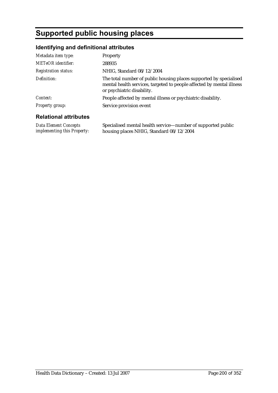# **Supported public housing places**

# **Identifying and definitional attributes**

| Metadata item type:          | Property                                                                                                                                                                  |
|------------------------------|---------------------------------------------------------------------------------------------------------------------------------------------------------------------------|
| <b>METeOR</b> identifier:    | 288935                                                                                                                                                                    |
| <b>Registration status:</b>  | NHIG, Standard 08/12/2004                                                                                                                                                 |
| Definition:                  | The total number of public housing places supported by specialised<br>mental health services, targeted to people affected by mental illness<br>or psychiatric disability. |
| Context:                     | People affected by mental illness or psychiatric disability.                                                                                                              |
| Property group:              | Service provision event                                                                                                                                                   |
| <b>Dolational attributos</b> |                                                                                                                                                                           |

# **Relational attributes**

*Data Element Concepts implementing this Property:*

Specialised mental health service—number of supported public housing places NHIG, Standard 08/12/2004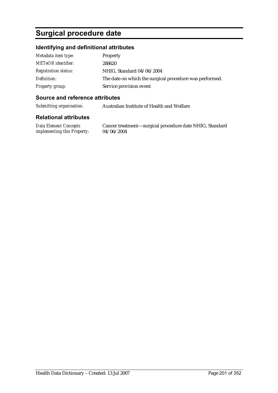# **Surgical procedure date**

## **Identifying and definitional attributes**

| Metadata item type:         | Property                                                |
|-----------------------------|---------------------------------------------------------|
| <b>METeOR</b> identifier:   | 288620                                                  |
| <b>Registration status:</b> | NHIG, Standard 04/06/2004                               |
| Definition:                 | The date on which the surgical procedure was performed. |
| Property group:             | Service provision event                                 |

### **Source and reference attributes**

*Submitting organisation:* Australian Institute of Health and Welfare

#### **Relational attributes**

*Data Element Concepts implementing this Property:*

Cancer treatment—surgical procedure date NHIG, Standard 04/06/2004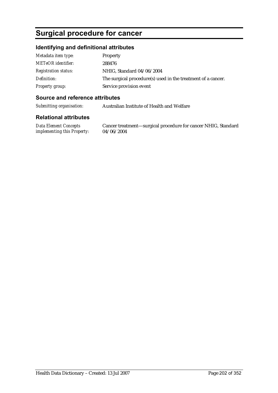# **Surgical procedure for cancer**

### **Identifying and definitional attributes**

| Metadata item type:         | Property                                                     |
|-----------------------------|--------------------------------------------------------------|
| <b>METeOR</b> identifier:   | 288476                                                       |
| <b>Registration status:</b> | NHIG, Standard 04/06/2004                                    |
| Definition:                 | The surgical procedure(s) used in the treatment of a cancer. |
| Property group:             | Service provision event                                      |

### **Source and reference attributes**

*Submitting organisation:* Australian Institute of Health and Welfare

#### **Relational attributes**

*Data Element Concepts implementing this Property:*

Cancer treatment—surgical procedure for cancer NHIG, Standard 04/06/2004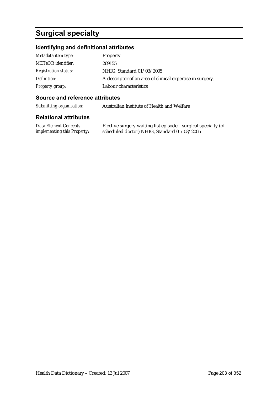# **Surgical specialty**

# **Identifying and definitional attributes**

| Metadata item type:         | Property                                                  |
|-----------------------------|-----------------------------------------------------------|
| <b>METeOR</b> identifier:   | 269155                                                    |
| <b>Registration status:</b> | NHIG, Standard 01/03/2005                                 |
| Definition:                 | A descriptor of an area of clinical expertise in surgery. |
| <b>Property group:</b>      | Labour characteristics                                    |

#### **Source and reference attributes**

*Submitting organisation:* Australian Institute of Health and Welfare

| <b>Data Element Concepts</b>       | Elective surgery waiting list episode—surgical specialty (of |
|------------------------------------|--------------------------------------------------------------|
| <i>implementing this Property:</i> | scheduled doctor) NHIG, Standard 01/03/2005                  |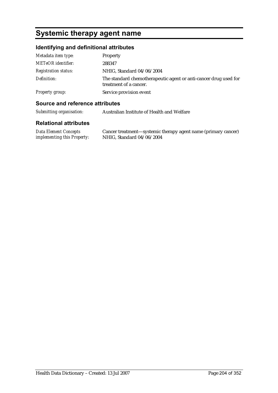# **Systemic therapy agent name**

# **Identifying and definitional attributes**

| Metadata item type:         | Property                                                                                   |
|-----------------------------|--------------------------------------------------------------------------------------------|
| <b>METeOR</b> identifier:   | 288347                                                                                     |
| <b>Registration status:</b> | NHIG, Standard 04/06/2004                                                                  |
| Definition:                 | The standard chemotherapeutic agent or anti-cancer drug used for<br>treatment of a cancer. |
| Property group:             | Service provision event                                                                    |

### **Source and reference attributes**

| Submitting organisation: | Australian Institute of Health and Welfare |
|--------------------------|--------------------------------------------|
|                          |                                            |

| Data Element Concepts              | Cancer treatment—systemic therapy agent name (primary cancer) |
|------------------------------------|---------------------------------------------------------------|
| <i>implementing this Property:</i> | NHIG, Standard 04/06/2004                                     |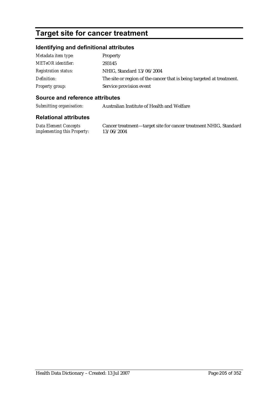# **Target site for cancer treatment**

### **Identifying and definitional attributes**

| Metadata item type:         | Property                                                              |
|-----------------------------|-----------------------------------------------------------------------|
| <b>METeOR</b> identifier:   | 293145                                                                |
| <b>Registration status:</b> | NHIG, Standard 13/06/2004                                             |
| Definition:                 | The site or region of the cancer that is being targeted at treatment. |
| Property group:             | Service provision event                                               |

#### **Source and reference attributes**

*Submitting organisation:* Australian Institute of Health and Welfare

#### **Relational attributes**

*Data Element Concepts implementing this Property:* Cancer treatment—target site for cancer treatment NHIG, Standard 13/06/2004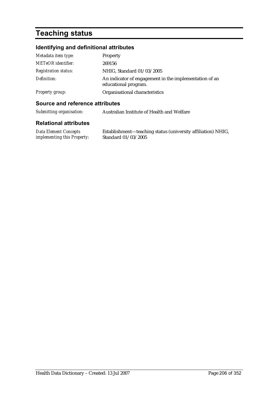# **Teaching status**

# **Identifying and definitional attributes**

| Metadata item type:         | Property                                                                       |
|-----------------------------|--------------------------------------------------------------------------------|
| METeOR identifier:          | 269156                                                                         |
| <b>Registration status:</b> | NHIG, Standard 01/03/2005                                                      |
| Definition:                 | An indicator of engagement in the implementation of an<br>educational program. |
| <b>Property group:</b>      | Organisational characteristics                                                 |

### **Source and reference attributes**

| Submitting organisation: | Australian Institute of Health and Welfare |
|--------------------------|--------------------------------------------|
|                          |                                            |

| Data Element Concepts              | Establishment—teaching status (university affiliation) NHIG, |
|------------------------------------|--------------------------------------------------------------|
| <i>implementing this Property:</i> | Standard 01/03/2005                                          |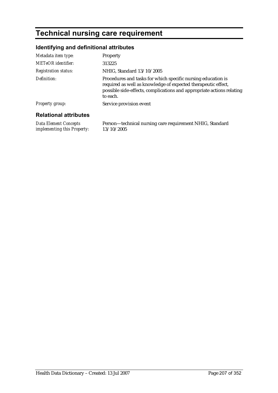# **Technical nursing care requirement**

# **Identifying and definitional attributes**

| Metadata item type:           | Property                                                                                                                                                                                                           |
|-------------------------------|--------------------------------------------------------------------------------------------------------------------------------------------------------------------------------------------------------------------|
| <b>METeOR</b> identifier:     | 313225                                                                                                                                                                                                             |
| <b>Registration status:</b>   | NHIG, Standard 13/10/2005                                                                                                                                                                                          |
| Definition:                   | Procedures and tasks for which specific nursing education is<br>required as well as knowledge of expected therapeutic effect,<br>possible side-effects, complications and appropriate actions relating<br>to each. |
| <b>Property group:</b>        | Service provision event                                                                                                                                                                                            |
| <b>Relational attributes</b>  |                                                                                                                                                                                                                    |
| $D_{i+1}$ $D_{i+1}$ $D_{i+1}$ | $\mathbf{n}$ and $\mathbf{n}$ is a set of $\mathbf{n}$ in $\mathbf{n}$ and $\mathbf{n}$ in $\mathbf{n}$                                                                                                            |

*Data Element Concepts implementing this Property:* Person—technical nursing care requirement NHIG, Standard 13/10/2005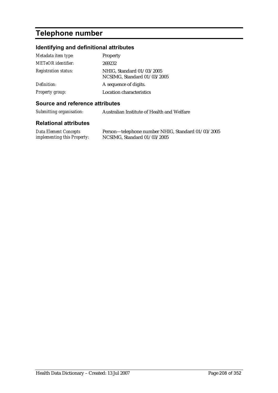# **Telephone number**

# **Identifying and definitional attributes**

| Metadata item type:         | Property                                                 |
|-----------------------------|----------------------------------------------------------|
| METeOR identifier:          | 269232                                                   |
| <b>Registration status:</b> | NHIG, Standard 01/03/2005<br>NCSIMG, Standard 01/03/2005 |
| Definition:                 | A sequence of digits.                                    |
| <b>Property group:</b>      | Location characteristics                                 |

#### **Source and reference attributes**

*Submitting organisation:* Australian Institute of Health and Welfare

| <b>Data Element Concepts</b>       | Person—telephone number NHIG, Standard 01/03/2005 |
|------------------------------------|---------------------------------------------------|
| <i>implementing this Property:</i> | NCSIMG, Standard $01/03/2005$                     |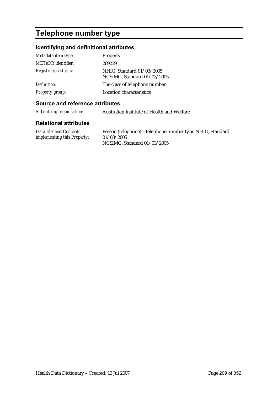# **Telephone number type**

# **Identifying and definitional attributes**

| Metadata item type:         | Property                                                 |
|-----------------------------|----------------------------------------------------------|
| <b>METeOR</b> identifier:   | 269239                                                   |
| <b>Registration status:</b> | NHIG, Standard 01/03/2005<br>NCSIMG, Standard 01/03/2005 |
| Definition:                 | The class of telephone number.                           |
| <b>Property group:</b>      | Location characteristics                                 |

#### **Source and reference attributes**

*Submitting organisation:* Australian Institute of Health and Welfare

| <b>Data Element Concepts</b>       | Person (telephone)—telephone number type NHIG, Standard |
|------------------------------------|---------------------------------------------------------|
| <i>implementing this Property:</i> | 01/03/2005                                              |
|                                    | NCSIMG, Standard 01/03/2005                             |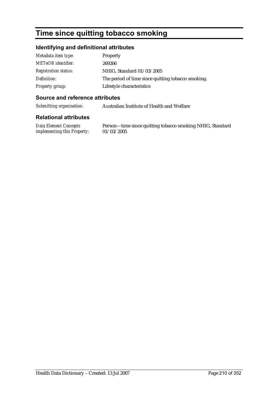# **Time since quitting tobacco smoking**

### **Identifying and definitional attributes**

| Metadata item type:         | Property                                           |
|-----------------------------|----------------------------------------------------|
| <b>METeOR</b> identifier:   | 269266                                             |
| <b>Registration status:</b> | NHIG, Standard 01/03/2005                          |
| Definition:                 | The period of time since quitting tobacco smoking. |
| <b>Property group:</b>      | Lifestyle characteristics                          |

### **Source and reference attributes**

*Submitting organisation:* Australian Institute of Health and Welfare

#### **Relational attributes**

*Data Element Concepts implementing this Property:*

Person—time since quitting tobacco smoking NHIG, Standard 01/03/2005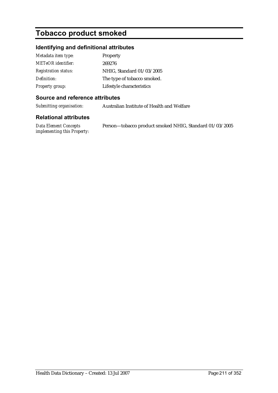# **Tobacco product smoked**

### **Identifying and definitional attributes**

| Metadata item type:         | <b>Property</b>             |
|-----------------------------|-----------------------------|
| <b>METeOR</b> identifier:   | 269276                      |
| <b>Registration status:</b> | NHIG, Standard 01/03/2005   |
| Definition:                 | The type of tobacco smoked. |
| <b>Property group:</b>      | Lifestyle characteristics   |

### **Source and reference attributes**

*Submitting organisation:* Australian Institute of Health and Welfare

#### **Relational attributes**

*Data Element Concepts implementing this Property:* Person—tobacco product smoked NHIG, Standard 01/03/2005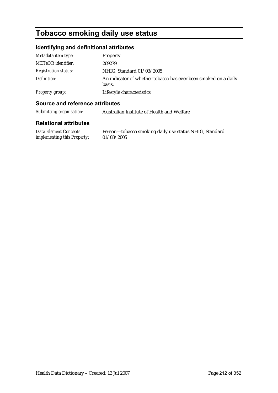# **Tobacco smoking daily use status**

# **Identifying and definitional attributes**

| Metadata item type:         | Property                                                                  |
|-----------------------------|---------------------------------------------------------------------------|
| <b>METeOR</b> identifier:   | 269279                                                                    |
| <b>Registration status:</b> | NHIG, Standard 01/03/2005                                                 |
| Definition:                 | An indicator of whether tobacco has ever been smoked on a daily<br>basis. |
| Property group:             | Lifestyle characteristics                                                 |

### **Source and reference attributes**

| Submitting organisation: | Australian Institute of Health and Welfare |
|--------------------------|--------------------------------------------|
|                          |                                            |

#### **Relational attributes**

*Data Element Concepts implementing this Property:* Person—tobacco smoking daily use status NHIG, Standard 01/03/2005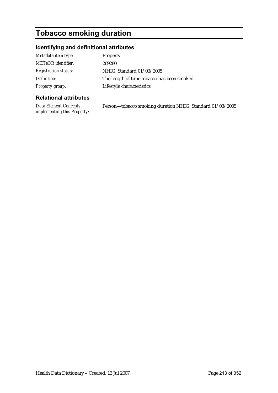# **Tobacco smoking duration**

# **Identifying and definitional attributes**

| Metadata item type:         | Property                                    |
|-----------------------------|---------------------------------------------|
| <b>METeOR</b> identifier:   | 269280                                      |
| <b>Registration status:</b> | NHIG, Standard 01/03/2005                   |
| Definition:                 | The length of time tobacco has been smoked. |
| Property group:             | Lifestyle characteristics                   |

### **Relational attributes**

*Data Element Concepts implementing this Property:* Person—tobacco smoking duration NHIG, Standard 01/03/2005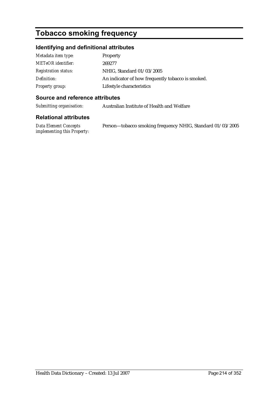# **Tobacco smoking frequency**

# **Identifying and definitional attributes**

| Metadata item type:         | Property                                          |
|-----------------------------|---------------------------------------------------|
| <b>METeOR</b> identifier:   | 269277                                            |
| <b>Registration status:</b> | NHIG, Standard 01/03/2005                         |
| Definition:                 | An indicator of how frequently tobacco is smoked. |
| <b>Property group:</b>      | Lifestyle characteristics                         |

### **Source and reference attributes**

*Submitting organisation:* Australian Institute of Health and Welfare

#### **Relational attributes**

*Data Element Concepts implementing this Property:* Person—tobacco smoking frequency NHIG, Standard 01/03/2005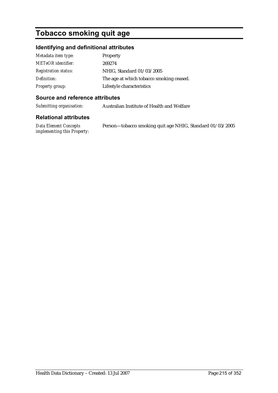# **Tobacco smoking quit age**

# **Identifying and definitional attributes**

| Metadata item type:         | Property                                 |
|-----------------------------|------------------------------------------|
| <b>METeOR</b> identifier:   | 269274                                   |
| <b>Registration status:</b> | NHIG, Standard 01/03/2005                |
| Definition:                 | The age at which tobacco smoking ceased. |
| <b>Property group:</b>      | Lifestyle characteristics                |

### **Source and reference attributes**

*Submitting organisation:* Australian Institute of Health and Welfare

#### **Relational attributes**

*Data Element Concepts implementing this Property:* Person—tobacco smoking quit age NHIG, Standard 01/03/2005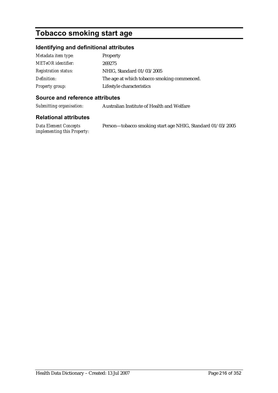# **Tobacco smoking start age**

## **Identifying and definitional attributes**

| Metadata item type:         | Property                                    |
|-----------------------------|---------------------------------------------|
| <b>METeOR</b> identifier:   | 269275                                      |
| <b>Registration status:</b> | NHIG, Standard 01/03/2005                   |
| Definition:                 | The age at which tobacco smoking commenced. |
| <b>Property group:</b>      | Lifestyle characteristics                   |

### **Source and reference attributes**

*Submitting organisation:* Australian Institute of Health and Welfare

#### **Relational attributes**

*Data Element Concepts implementing this Property:* Person—tobacco smoking start age NHIG, Standard 01/03/2005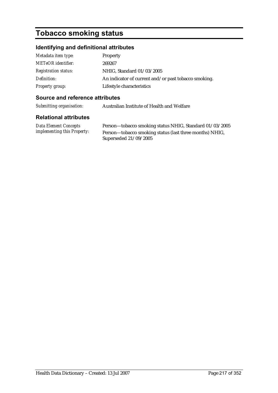# **Tobacco smoking status**

### **Identifying and definitional attributes**

| Metadata item type:         | Property                                             |
|-----------------------------|------------------------------------------------------|
| <b>METeOR</b> identifier:   | 269267                                               |
| <b>Registration status:</b> | NHIG, Standard 01/03/2005                            |
| Definition:                 | An indicator of current and/or past tobacco smoking. |
| Property group:             | Lifestyle characteristics                            |

#### **Source and reference attributes**

*Submitting organisation:* Australian Institute of Health and Welfare

#### **Relational attributes**

*Data Element Concepts implementing this Property:*

Person—tobacco smoking status NHIG, Standard 01/03/2005 Person—tobacco smoking status (last three months) NHIG, Superseded 21/09/2005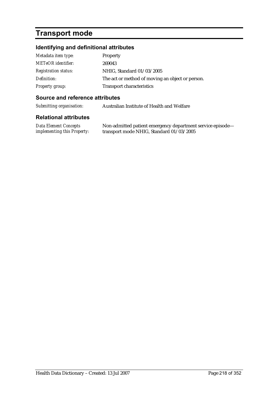# **Transport mode**

## **Identifying and definitional attributes**

| Metadata item type:         | Property                                         |
|-----------------------------|--------------------------------------------------|
| <b>METeOR</b> identifier:   | 269043                                           |
| <b>Registration status:</b> | NHIG, Standard 01/03/2005                        |
| Definition:                 | The act or method of moving an object or person. |
| Property group:             | <b>Transport characteristics</b>                 |

### **Source and reference attributes**

*Submitting organisation:* Australian Institute of Health and Welfare

| <b>Data Element Concepts</b>       | Non-admitted patient emergency department service episode- |
|------------------------------------|------------------------------------------------------------|
| <i>implementing this Property:</i> | transport mode NHIG, Standard 01/03/2005                   |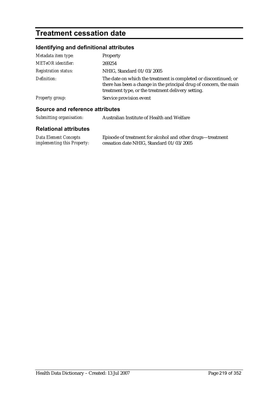# **Treatment cessation date**

## **Identifying and definitional attributes**

| Metadata item type:             | Property                                                                                                                                                                                     |
|---------------------------------|----------------------------------------------------------------------------------------------------------------------------------------------------------------------------------------------|
| <b>METeOR</b> identifier:       | 269254                                                                                                                                                                                       |
| <b>Registration status:</b>     | NHIG, Standard 01/03/2005                                                                                                                                                                    |
| Definition:                     | The date on which the treatment is completed or discontinued; or<br>there has been a change in the principal drug of concern, the main<br>treatment type, or the treatment delivery setting. |
| <b>Property group:</b>          | Service provision event                                                                                                                                                                      |
| Source and reference attributes |                                                                                                                                                                                              |
| Submitting organisation:        | Australian Institute of Health and Welfare                                                                                                                                                   |

| <b>Data Element Concepts</b>       | Episode of treatment for alcohol and other drugs—treatment |
|------------------------------------|------------------------------------------------------------|
| <i>implementing this Property:</i> | cessation date NHIG, Standard 01/03/2005                   |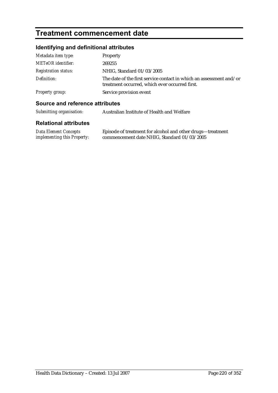# **Treatment commencement date**

## **Identifying and definitional attributes**

| Metadata item type:         | Property                                                                                                              |
|-----------------------------|-----------------------------------------------------------------------------------------------------------------------|
| <b>METeOR</b> identifier:   | 269255                                                                                                                |
| <b>Registration status:</b> | NHIG, Standard 01/03/2005                                                                                             |
| Definition:                 | The date of the first service contact in which an assessment and/or<br>treatment occurred, which ever occurred first. |
| Property group:             | Service provision event                                                                                               |

### **Source and reference attributes**

| Submitting organisation: | Australian Institute of Health and Welfare |
|--------------------------|--------------------------------------------|
|                          |                                            |

| <b>Data Element Concepts</b>       | Episode of treatment for alcohol and other drugs—treatment |
|------------------------------------|------------------------------------------------------------|
| <i>implementing this Property:</i> | commencement date NHIG, Standard 01/03/2005                |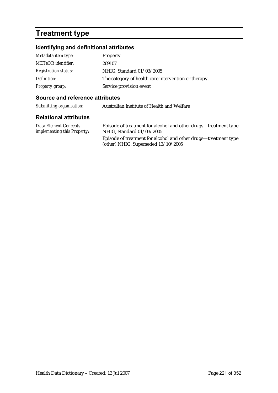# **Treatment type**

## **Identifying and definitional attributes**

| Metadata item type:         | Property                                             |
|-----------------------------|------------------------------------------------------|
| <b>METeOR</b> identifier:   | 269107                                               |
| <b>Registration status:</b> | NHIG, Standard 01/03/2005                            |
| Definition:                 | The category of health care intervention or therapy. |
| Property group:             | Service provision event                              |

### **Source and reference attributes**

| Submitting organisation: | Australian Institute of Health and Welfare |
|--------------------------|--------------------------------------------|
|--------------------------|--------------------------------------------|

| Data Element Concepts              | Episode of treatment for alcohol and other drugs—treatment type                                          |
|------------------------------------|----------------------------------------------------------------------------------------------------------|
| <i>implementing this Property:</i> | NHIG, Standard 01/03/2005                                                                                |
|                                    | Episode of treatment for alcohol and other drugs—treatment type<br>(other) NHIG, Superseded $13/10/2005$ |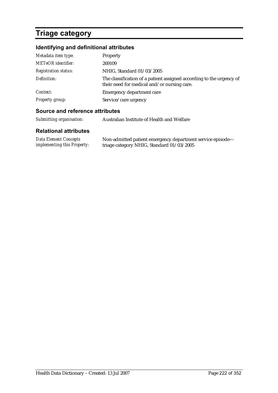# **Triage category**

## **Identifying and definitional attributes**

| Metadata item type:         | Property                                                                                                            |
|-----------------------------|---------------------------------------------------------------------------------------------------------------------|
| <b>METeOR</b> identifier:   | 269109                                                                                                              |
| <b>Registration status:</b> | NHIG, Standard 01/03/2005                                                                                           |
| Definition:                 | The classification of a patient assigned according to the urgency of<br>their need for medical and/or nursing care. |
| Context:                    | <b>Emergency department care</b>                                                                                    |
| <b>Property group:</b>      | Service/care urgency                                                                                                |

### **Source and reference attributes**

| Submitting organisation:                                    | Australian Institute of Health and Welfare                                                              |  |
|-------------------------------------------------------------|---------------------------------------------------------------------------------------------------------|--|
| <b>Relational attributes</b>                                |                                                                                                         |  |
| Data Element Concepts<br><i>implementing this Property:</i> | Non-admitted patient emergency department service episode-<br>triage category NHIG, Standard 01/03/2005 |  |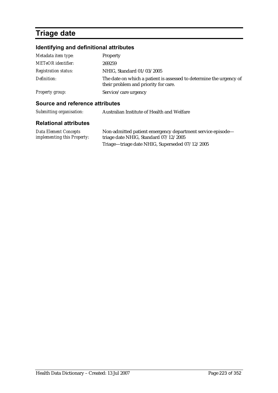# **Triage date**

## **Identifying and definitional attributes**

| Metadata item type:         | Property                                                                                                    |
|-----------------------------|-------------------------------------------------------------------------------------------------------------|
| <b>METeOR</b> identifier:   | 269259                                                                                                      |
| <i>Registration status:</i> | NHIG, Standard 01/03/2005                                                                                   |
| Definition:                 | The date on which a patient is assessed to determine the urgency of<br>their problem and priority for care. |
| Property group:             | Service/care urgency                                                                                        |

### **Source and reference attributes**

| Submitting organisation:                             | Australian Institute of Health and Welfare                                                          |  |
|------------------------------------------------------|-----------------------------------------------------------------------------------------------------|--|
| <b>Relational attributes</b>                         |                                                                                                     |  |
| Data Element Concepts<br>implementing this Property: | Non-admitted patient emergency department service episode-<br>triage date NHIG, Standard 07/12/2005 |  |

Triage—triage date NHIG, Superseded 07/12/2005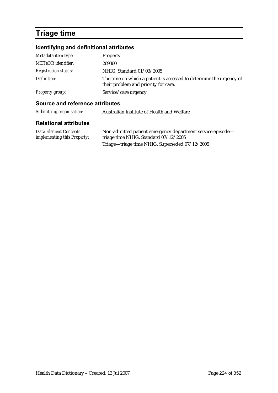# **Triage time**

## **Identifying and definitional attributes**

| Metadata item type:         | Property                                                                                                    |
|-----------------------------|-------------------------------------------------------------------------------------------------------------|
| <b>METeOR</b> identifier:   | 269360                                                                                                      |
| <i>Registration status:</i> | NHIG, Standard 01/03/2005                                                                                   |
| Definition:                 | The time on which a patient is assessed to determine the urgency of<br>their problem and priority for care. |
| Property group:             | Service/care urgency                                                                                        |

### **Source and reference attributes**

| Submitting organisation:                                    | Australian Institute of Health and Welfare                                                          |
|-------------------------------------------------------------|-----------------------------------------------------------------------------------------------------|
| <b>Relational attributes</b>                                |                                                                                                     |
| <b>Data Element Concepts</b><br>implementing this Property: | Non-admitted patient emergency department service episode-<br>triage time NHIG, Standard 07/12/2005 |
|                                                             | Triage-triage time NHIG, Superseded 07/12/2005                                                      |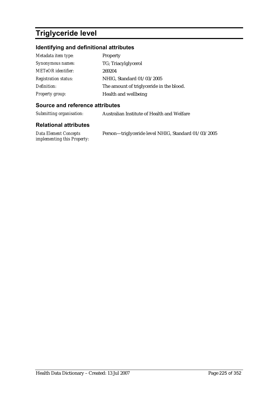# **Triglyceride level**

## **Identifying and definitional attributes**

| Metadata item type:         | <b>Property</b>                          |
|-----------------------------|------------------------------------------|
| Synonymous names:           | TG; Triacylglycerol                      |
| <b>METeOR</b> identifier:   | 269204                                   |
| <b>Registration status:</b> | NHIG, Standard 01/03/2005                |
| Definition:                 | The amount of triglyceride in the blood. |
| <b>Property group:</b>      | Health and wellbeing                     |

### **Source and reference attributes**

*Submitting organisation:* Australian Institute of Health and Welfare

| <b>Data Element Concepts</b>       | Person-triglyceride level NHIG, Standard 01/03/2005 |
|------------------------------------|-----------------------------------------------------|
| <i>implementing this Property:</i> |                                                     |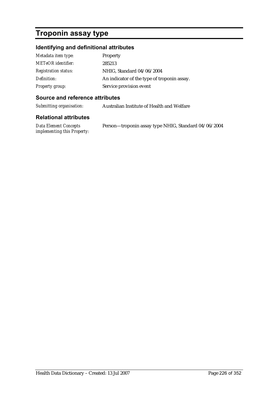# **Troponin assay type**

## **Identifying and definitional attributes**

| Metadata item type:         | Property                                    |
|-----------------------------|---------------------------------------------|
| <b>METeOR</b> identifier:   | 285213                                      |
| <b>Registration status:</b> | NHIG, Standard 04/06/2004                   |
| Definition:                 | An indicator of the type of troponin assay. |
| <b>Property group:</b>      | Service provision event                     |

#### **Source and reference attributes**

*Submitting organisation:* Australian Institute of Health and Welfare

| Data Element Concepts              | Person-troponin assay type NHIG, Standard 04/06/2004 |
|------------------------------------|------------------------------------------------------|
| <i>implementing this Property:</i> |                                                      |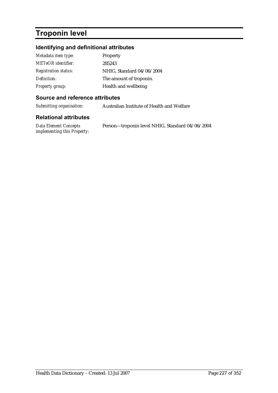# **Troponin level**

## **Identifying and definitional attributes**

| Metadata item type:         | Property                  |
|-----------------------------|---------------------------|
| <b>METeOR</b> identifier:   | 285243                    |
| <b>Registration status:</b> | NHIG, Standard 04/06/2004 |
| Definition:                 | The amount of troponin.   |
| <b>Property group:</b>      | Health and wellbeing      |

### **Source and reference attributes**

*Submitting organisation:* Australian Institute of Health and Welfare

| Data Element Concepts              | Person-troponin level NHIG, Standard 04/06/2004 |
|------------------------------------|-------------------------------------------------|
| <i>implementing this Property:</i> |                                                 |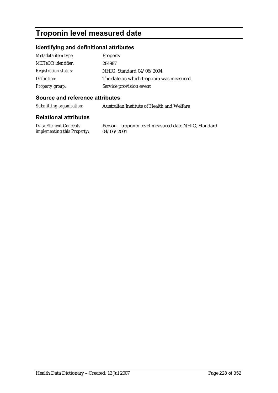# **Troponin level measured date**

### **Identifying and definitional attributes**

| Metadata item type:         | Property                                 |
|-----------------------------|------------------------------------------|
| <b>METeOR</b> identifier:   | 284987                                   |
| <b>Registration status:</b> | NHIG, Standard 04/06/2004                |
| Definition:                 | The date on which troponin was measured. |
| Property group:             | Service provision event                  |

#### **Source and reference attributes**

*Submitting organisation:* Australian Institute of Health and Welfare

#### **Relational attributes**

*Data Element Concepts implementing this Property:*

Person—troponin level measured date NHIG, Standard 04/06/2004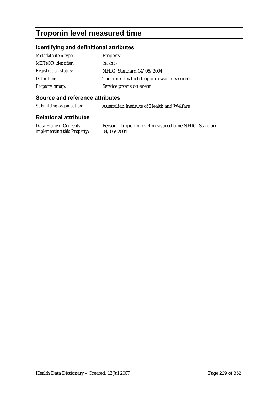# **Troponin level measured time**

### **Identifying and definitional attributes**

| Metadata item type:         | <b>Property</b>                          |
|-----------------------------|------------------------------------------|
| <b>METeOR</b> identifier:   | 285205                                   |
| <b>Registration status:</b> | NHIG, Standard 04/06/2004                |
| Definition:                 | The time at which troponin was measured. |
| <b>Property group:</b>      | Service provision event                  |

#### **Source and reference attributes**

*Submitting organisation:* Australian Institute of Health and Welfare

#### **Relational attributes**

*Data Element Concepts implementing this Property:*

Person—troponin level measured time NHIG, Standard 04/06/2004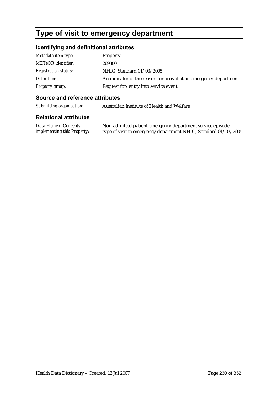# **Type of visit to emergency department**

## **Identifying and definitional attributes**

| Metadata item type:         | Property                                                           |
|-----------------------------|--------------------------------------------------------------------|
| <b>METeOR</b> identifier:   | 269300                                                             |
| <b>Registration status:</b> | NHIG, Standard 01/03/2005                                          |
| Definition:                 | An indicator of the reason for arrival at an emergency department. |
| Property group:             | Request for/entry into service event                               |

#### **Source and reference attributes**

*Submitting organisation:* Australian Institute of Health and Welfare

| Data Element Concepts       | Non-admitted patient emergency department service episode—      |
|-----------------------------|-----------------------------------------------------------------|
| implementing this Property: | type of visit to emergency department NHIG, Standard 01/03/2005 |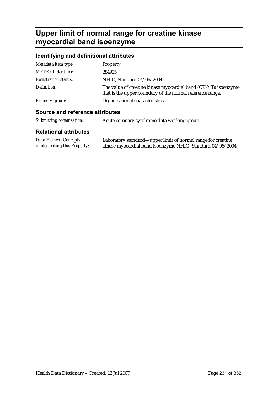# **Upper limit of normal range for creatine kinase myocardial band isoenzyme**

## **Identifying and definitional attributes**

| Metadata item type:         | Property                                                                                                                    |
|-----------------------------|-----------------------------------------------------------------------------------------------------------------------------|
| <b>METeOR</b> identifier:   | 284925                                                                                                                      |
| <b>Registration status:</b> | NHIG, Standard 04/06/2004                                                                                                   |
| Definition:                 | The value of creatine kinase myocardial band (CK-MB) isoenzyme<br>that is the upper boundary of the normal reference range. |
| Property group:             | Organisational characteristics                                                                                              |
|                             |                                                                                                                             |

### **Source and reference attributes**

| Submitting organisation: | Acute coronary syndrome data working group |  |
|--------------------------|--------------------------------------------|--|
|                          |                                            |  |

| Data Element Concepts              | Laboratory standard—upper limit of normal range for creatine |
|------------------------------------|--------------------------------------------------------------|
| <i>implementing this Property:</i> | kinase myocardial band isoenzyme NHIG, Standard 04/06/2004   |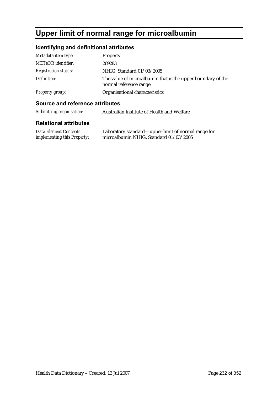# **Upper limit of normal range for microalbumin**

## **Identifying and definitional attributes**

| Metadata item type:         | Property                                                                               |
|-----------------------------|----------------------------------------------------------------------------------------|
| <b>METeOR</b> identifier:   | 269283                                                                                 |
| <b>Registration status:</b> | NHIG, Standard 01/03/2005                                                              |
| Definition:                 | The value of microalbumin that is the upper boundary of the<br>normal reference range. |
| <b>Property group:</b>      | Organisational characteristics                                                         |

### **Source and reference attributes**

| Submitting organisation:     | Australian Institute of Health and Welfare |
|------------------------------|--------------------------------------------|
| <b>Relational attributes</b> |                                            |

| Data Element Concepts              | Laboratory standard—upper limit of normal range for |
|------------------------------------|-----------------------------------------------------|
| <i>implementing this Property:</i> | microalbumin NHIG, Standard 01/03/2005              |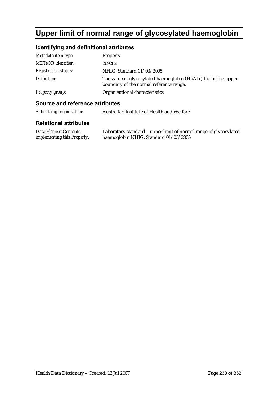# **Upper limit of normal range of glycosylated haemoglobin**

## **Identifying and definitional attributes**

| Metadata item type:         | Property                                                                                                   |
|-----------------------------|------------------------------------------------------------------------------------------------------------|
| <b>METeOR</b> identifier:   | 269282                                                                                                     |
| <b>Registration status:</b> | NHIG, Standard 01/03/2005                                                                                  |
| Definition:                 | The value of glycosylated haemoglobin (HbA1c) that is the upper<br>boundary of the normal reference range. |
| Property group:             | Organisational characteristics                                                                             |

#### **Source and reference attributes**

| Submitting organisation: | Australian Institute of Health and Welfare |
|--------------------------|--------------------------------------------|
|--------------------------|--------------------------------------------|

| <b>Data Element Concepts</b>       | Laboratory standard—upper limit of normal range of glycosylated |
|------------------------------------|-----------------------------------------------------------------|
| <i>implementing this Property:</i> | haemoglobin NHIG, Standard 01/03/2005                           |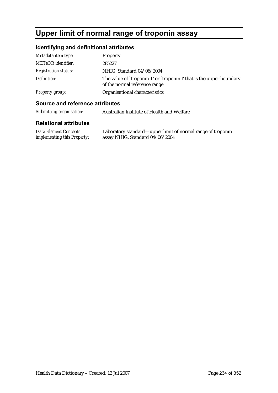# **Upper limit of normal range of troponin assay**

## **Identifying and definitional attributes**

| Metadata item type:         | Property                                                                                               |
|-----------------------------|--------------------------------------------------------------------------------------------------------|
| <b>METeOR</b> identifier:   | 285227                                                                                                 |
| <b>Registration status:</b> | NHIG, Standard 04/06/2004                                                                              |
| Definition:                 | The value of `troponin T' or `troponin I' that is the upper boundary<br>of the normal reference range. |
| <b>Property group:</b>      | Organisational characteristics                                                                         |

### **Source and reference attributes**

| Submitting organisation: | Australian Institute of Health and Welfare |
|--------------------------|--------------------------------------------|
|--------------------------|--------------------------------------------|

| Data Element Concepts              | Laboratory standard—upper limit of normal range of troponin |
|------------------------------------|-------------------------------------------------------------|
| <i>implementing this Property:</i> | assay NHIG, Standard 04/06/2004                             |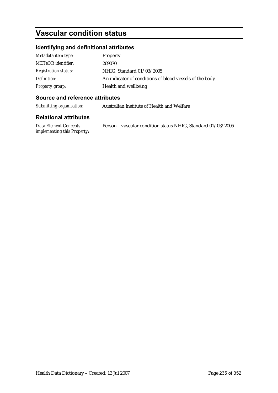# **Vascular condition status**

## **Identifying and definitional attributes**

| Metadata item type:         | Property                                                 |
|-----------------------------|----------------------------------------------------------|
| <b>METeOR</b> identifier:   | 269070                                                   |
| <b>Registration status:</b> | NHIG, Standard 01/03/2005                                |
| Definition:                 | An indicator of conditions of blood vessels of the body. |
| Property group:             | Health and wellbeing                                     |

#### **Source and reference attributes**

*Submitting organisation:* Australian Institute of Health and Welfare

| Data Element Concepts              | Person-vascular condition status NHIG, Standard 01/03/2005 |  |
|------------------------------------|------------------------------------------------------------|--|
| <i>implementing this Property:</i> |                                                            |  |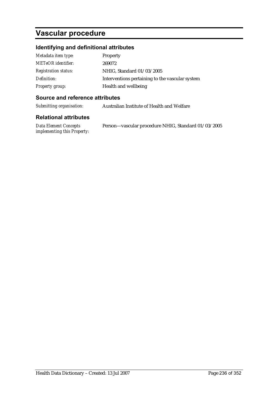# **Vascular procedure**

## **Identifying and definitional attributes**

| Metadata item type:         | Property                                        |
|-----------------------------|-------------------------------------------------|
| <b>METeOR</b> identifier:   | 269072                                          |
| <b>Registration status:</b> | NHIG, Standard 01/03/2005                       |
| Definition:                 | Interventions pertaining to the vascular system |
| <b>Property group:</b>      | Health and wellbeing                            |

### **Source and reference attributes**

*Submitting organisation:* Australian Institute of Health and Welfare

| Data Element Concepts              | Person-vascular procedure NHIG, Standard 01/03/2005 |
|------------------------------------|-----------------------------------------------------|
| <i>implementing this Property:</i> |                                                     |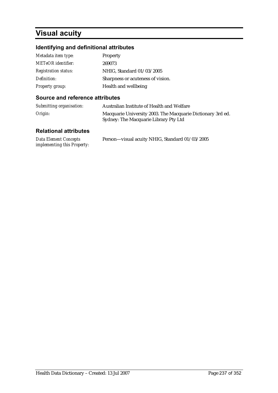# **Visual acuity**

## **Identifying and definitional attributes**

| Metadata item type:         | Property                          |
|-----------------------------|-----------------------------------|
| <b>METeOR</b> identifier:   | 269073                            |
| <b>Registration status:</b> | NHIG, Standard 01/03/2005         |
| Definition:                 | Sharpness or acuteness of vision. |
| <b>Property group:</b>      | Health and wellbeing              |

### **Source and reference attributes**

| Submitting organisation: | Australian Institute of Health and Welfare                                                           |
|--------------------------|------------------------------------------------------------------------------------------------------|
| Origin:                  | Macquarie University 2003. The Macquarie Dictionary 3rd ed.<br>Sydney: The Macquarie Library Pty Ltd |

| <b>Data Element Concepts</b>       | Person-visual acuity NHIG, Standard 01/03/2005 |
|------------------------------------|------------------------------------------------|
| <i>implementing this Property:</i> |                                                |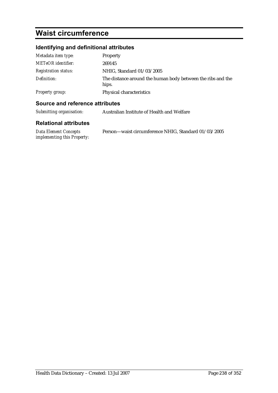# **Waist circumference**

## **Identifying and definitional attributes**

| Metadata item type:         | Property                                                             |
|-----------------------------|----------------------------------------------------------------------|
| <b>METeOR</b> identifier:   | 269145                                                               |
| <i>Registration status:</i> | NHIG, Standard 01/03/2005                                            |
| Definition:                 | The distance around the human body between the ribs and the<br>hips. |
| <b>Property group:</b>      | Physical characteristics                                             |

#### **Source and reference attributes**

| Submitting organisation:                                                                                                                                                                                                                                                                                                           | Australian Institute of Health and Welfare |  |  |  |  |
|------------------------------------------------------------------------------------------------------------------------------------------------------------------------------------------------------------------------------------------------------------------------------------------------------------------------------------|--------------------------------------------|--|--|--|--|
| <b>Relational attributes</b>                                                                                                                                                                                                                                                                                                       |                                            |  |  |  |  |
| $\mathbf{R}$ $\mathbf{H}$ $\mathbf{R}$ $\mathbf{H}$ $\mathbf{R}$ $\mathbf{H}$ $\mathbf{H}$ $\mathbf{H}$ $\mathbf{H}$ $\mathbf{H}$ $\mathbf{H}$ $\mathbf{H}$ $\mathbf{H}$ $\mathbf{H}$ $\mathbf{H}$ $\mathbf{H}$ $\mathbf{H}$ $\mathbf{H}$ $\mathbf{H}$ $\mathbf{H}$ $\mathbf{H}$ $\mathbf{H}$ $\mathbf{H}$ $\mathbf{H}$ $\mathbf{$ |                                            |  |  |  |  |

*Data Element Concepts implementing this Property:* Person—waist circumference NHIG, Standard 01/03/2005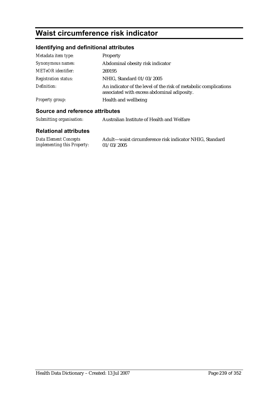# **Waist circumference risk indicator**

## **Identifying and definitional attributes**

| Metadata item type:         | <b>Property</b>                                                                                                 |
|-----------------------------|-----------------------------------------------------------------------------------------------------------------|
| Synonymous names:           | Abdominal obesity risk indicator                                                                                |
| <b>METeOR</b> identifier:   | 269195                                                                                                          |
| <b>Registration status:</b> | NHIG, Standard 01/03/2005                                                                                       |
| Definition:                 | An indicator of the level of the risk of metabolic complications<br>associated with excess abdominal adiposity. |
| <b>Property group:</b>      | Health and wellbeing                                                                                            |

### **Source and reference attributes**

*implementing this Property:* 01/03/2005

| Submitting organisation:     | Australian Institute of Health and Welfare              |
|------------------------------|---------------------------------------------------------|
| <b>Relational attributes</b> |                                                         |
| Data Element Concepts        | Adult-waist circumference risk indicator NHIG, Standard |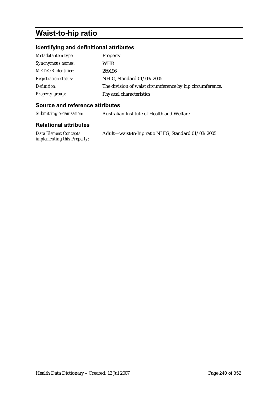# **Waist-to-hip ratio**

## **Identifying and definitional attributes**

| Metadata item type:         | Property                                                  |
|-----------------------------|-----------------------------------------------------------|
| Synonymous names:           | WHR                                                       |
| <b>METeOR</b> identifier:   | 269196                                                    |
| <b>Registration status:</b> | NHIG, Standard 01/03/2005                                 |
| Definition:                 | The division of waist circumference by hip circumference. |
| <b>Property group:</b>      | Physical characteristics                                  |

### **Source and reference attributes**

*Submitting organisation:* Australian Institute of Health and Welfare

| Data Element Concepts              | Adult—waist-to-hip ratio NHIG, Standard 01/03/2005 |
|------------------------------------|----------------------------------------------------|
| <i>implementing this Property:</i> |                                                    |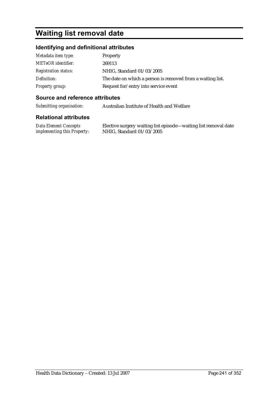# **Waiting list removal date**

### **Identifying and definitional attributes**

| Metadata item type:         | Property                                                   |
|-----------------------------|------------------------------------------------------------|
| <b>METeOR</b> identifier:   | 269113                                                     |
| <b>Registration status:</b> | NHIG, Standard 01/03/2005                                  |
| Definition:                 | The date on which a person is removed from a waiting list. |
| <b>Property group:</b>      | Request for/entry into service event                       |

#### **Source and reference attributes**

*Submitting organisation:* Australian Institute of Health and Welfare

#### **Relational attributes**

*Data Element Concepts implementing this Property:*

Elective surgery waiting list episode—waiting list removal date NHIG, Standard 01/03/2005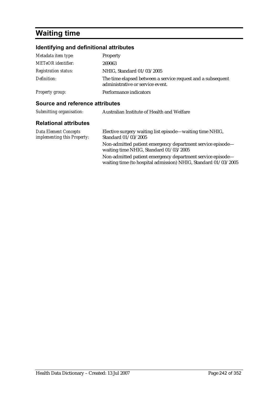# **Waiting time**

## **Identifying and definitional attributes**

| Metadata item type:         | Property                                                                                        |
|-----------------------------|-------------------------------------------------------------------------------------------------|
| <b>METeOR</b> identifier:   | 269063                                                                                          |
| <b>Registration status:</b> | NHIG, Standard 01/03/2005                                                                       |
| Definition:                 | The time elapsed between a service request and a subsequent<br>administrative or service event. |
| Property group:             | Performance indicators                                                                          |

### **Source and reference attributes**

| Submitting organisation:                                    | Australian Institute of Health and Welfare                                                                                   |
|-------------------------------------------------------------|------------------------------------------------------------------------------------------------------------------------------|
| <b>Relational attributes</b>                                |                                                                                                                              |
| <b>Data Element Concepts</b><br>implementing this Property: | Elective surgery waiting list episode—waiting time NHIG,<br>Standard 01/03/2005                                              |
|                                                             | Non-admitted patient emergency department service episode-<br>waiting time NHIG, Standard 01/03/2005                         |
|                                                             | Non-admitted patient emergency department service episode-<br>waiting time (to hospital admission) NHIG, Standard 01/03/2005 |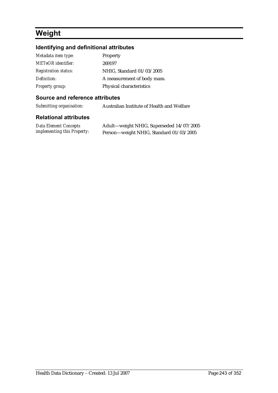# **Weight**

## **Identifying and definitional attributes**

| Metadata item type:         | Property                    |
|-----------------------------|-----------------------------|
| <b>METeOR</b> identifier:   | 269197                      |
| <b>Registration status:</b> | NHIG, Standard 01/03/2005   |
| Definition:                 | A measurement of body mass. |
| Property group:             | Physical characteristics    |

### **Source and reference attributes**

*Submitting organisation:* Australian Institute of Health and Welfare

| Data Element Concepts              | Adult-weight NHIG, Superseded 14/07/2005 |
|------------------------------------|------------------------------------------|
| <i>implementing this Property:</i> | Person—weight NHIG, Standard 01/03/2005  |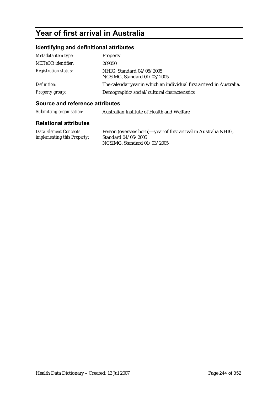# **Year of first arrival in Australia**

## **Identifying and definitional attributes**

| Metadata item type:         | Property                                                             |
|-----------------------------|----------------------------------------------------------------------|
| <b>METeOR</b> identifier:   | 269050                                                               |
| <b>Registration status:</b> | NHIG, Standard 04/05/2005<br>NCSIMG, Standard 01/03/2005             |
| Definition:                 | The calendar year in which an individual first arrived in Australia. |
| Property group:             | Demographic/social/cultural characteristics                          |

### **Source and reference attributes**

| Submitting organisation: | Australian Institute of Health and Welfare |
|--------------------------|--------------------------------------------|
|                          |                                            |

| Data Element Concepts              | Person (overseas born)—year of first arrival in Australia NHIG, |
|------------------------------------|-----------------------------------------------------------------|
| <i>implementing this Property:</i> | Standard 04/05/2005                                             |
|                                    | NCSIMG, Standard 01/03/2005                                     |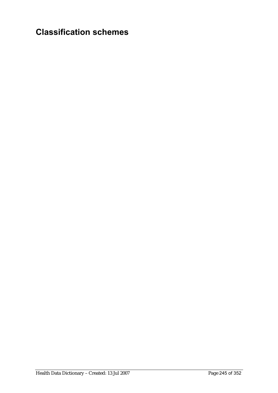# **Classification schemes**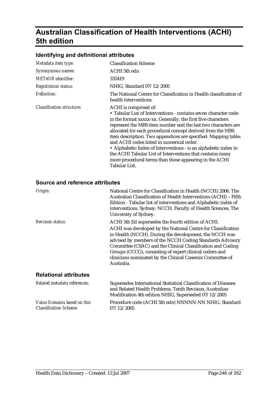# **Australian Classification of Health Interventions (ACHI) 5th edition**

### **Identifying and definitional attributes**

| Metadata item type:              | <b>Classification Scheme</b>                                                                                                                                                                                                                                                                                                                                                                                                                                                                                                                                                                                      |
|----------------------------------|-------------------------------------------------------------------------------------------------------------------------------------------------------------------------------------------------------------------------------------------------------------------------------------------------------------------------------------------------------------------------------------------------------------------------------------------------------------------------------------------------------------------------------------------------------------------------------------------------------------------|
| Synonymous names:                | ACHI 5th edn                                                                                                                                                                                                                                                                                                                                                                                                                                                                                                                                                                                                      |
| <b>METeOR</b> identifier:        | 335419                                                                                                                                                                                                                                                                                                                                                                                                                                                                                                                                                                                                            |
| <b>Registration status:</b>      | NHIG, Standard 07/12/2005                                                                                                                                                                                                                                                                                                                                                                                                                                                                                                                                                                                         |
| Definition:                      | The National Centre for Classification in Health classification of<br>health interventions.                                                                                                                                                                                                                                                                                                                                                                                                                                                                                                                       |
| <b>Classification structure:</b> | ACHI is comprised of:<br>• Tabular List of Interventions - contains seven character code<br>in the format xxxxx-xx. Generally, the first five characters<br>represent the MBS item number and the last two characters are<br>allocated for each procedural concept derived from the MBS<br>item description. Two appendices are specified: Mapping table;<br>and ACHI codes listed in numerical order.<br>• Alphabetic Index of Interventions - is an alphabetic index to<br>the ACHI Tabular List of Interventions that contains many<br>more procedural terms than those appearing in the ACHI<br>Tabular List. |

#### **Source and reference attributes**

| Origin:                      | National Centre for Classification in Health (NCCH) 2006. The<br>Australian Classification of Health Interventions (ACHI) - Fifth<br>Edition - Tabular list of interventions and Alphabetic index of<br>interventions. Sydney: NCCH, Faculty of Health Sciences, The<br>University of Sydney.                                                                                                                                                 |
|------------------------------|-----------------------------------------------------------------------------------------------------------------------------------------------------------------------------------------------------------------------------------------------------------------------------------------------------------------------------------------------------------------------------------------------------------------------------------------------|
| <b>Revision status:</b>      | ACHI 5th Ed supersedes the fourth edition of ACHI.<br>ACHI was developed by the National Centre for Classification<br>in Health (NCCH). During the development, the NCCH was<br>advised by members of the NCCH Coding Standards Advisory<br>Committee (CSAC) and the Clinical Classification and Coding<br>Groups (CCCG), consisting of expert clinical coders and<br>clinicians nominated by the Clinical Casemix Committee of<br>Australia. |
| <b>Relational attributes</b> |                                                                                                                                                                                                                                                                                                                                                                                                                                               |
| Related metadata references: | Supersedes International Statistical Classification of Diseases<br>and Related Health Problems, Tenth Revision, Australian<br>Modification 4th edition NHIG, Superseded 07/12/2005                                                                                                                                                                                                                                                            |

*Value Domains based on this Classification Scheme:* Procedure code (ACHI 5th edn) NNNNN-NN NHIG, Standard 07/12/2005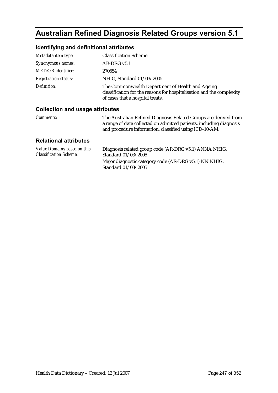# **Australian Refined Diagnosis Related Groups version 5.1**

### **Identifying and definitional attributes**

| Metadata item type:         | <b>Classification Scheme</b>                                                                                                                                  |
|-----------------------------|---------------------------------------------------------------------------------------------------------------------------------------------------------------|
| Synonymous names:           | $AR-DRG v5.1$                                                                                                                                                 |
| <b>METeOR</b> identifier:   | 270554                                                                                                                                                        |
| <b>Registration status:</b> | NHIG, Standard 01/03/2005                                                                                                                                     |
| Definition:                 | The Commonwealth Department of Health and Ageing<br>classification for the reasons for hospitalisation and the complexity<br>of cases that a hospital treats. |

#### **Collection and usage attributes**

*Comments:* The Australian Refined Diagnosis Related Groups are derived from a range of data collected on admitted patients, including diagnosis and procedure information, classified using ICD-10-AM.

| Value Domains based on this   | Diagnosis related group code (AR-DRG v5.1) ANNA NHIG,                        |
|-------------------------------|------------------------------------------------------------------------------|
| <b>Classification Scheme:</b> | Standard 01/03/2005                                                          |
|                               | Major diagnostic category code (AR-DRG v5.1) NN NHIG,<br>Standard 01/03/2005 |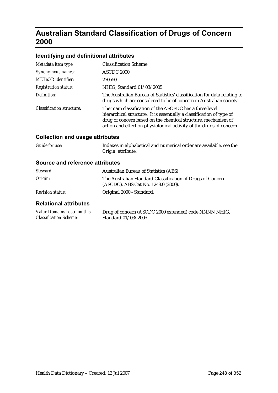# **Australian Standard Classification of Drugs of Concern 2000**

## **Identifying and definitional attributes**

| Metadata item type:              | <b>Classification Scheme</b>                                                                                                                                                                                                                                              |
|----------------------------------|---------------------------------------------------------------------------------------------------------------------------------------------------------------------------------------------------------------------------------------------------------------------------|
| Synonymous names:                | ASCDC 2000                                                                                                                                                                                                                                                                |
| <b>METeOR</b> identifier:        | 270550                                                                                                                                                                                                                                                                    |
| <b>Registration status:</b>      | NHIG, Standard 01/03/2005                                                                                                                                                                                                                                                 |
| Definition:                      | The Australian Bureau of Statistics' classification for data relating to<br>drugs which are considered to be of concern in Australian society.                                                                                                                            |
| <b>Classification structure:</b> | The main classification of the ASCEDC has a three level<br>hierarchical structure. It is essentially a classification of type of<br>drug of concern based on the chemical structure, mechanism of<br>action and effect on physiological activity of the drugs of concern. |

## **Collection and usage attributes**

| Guide for use: | Indexes in alphabetical and numerical order are available, see the |
|----------------|--------------------------------------------------------------------|
|                | <i>Origin:</i> attribute.                                          |

### **Source and reference attributes**

| <b>Dolotional attributos</b> |                                                                                                   |
|------------------------------|---------------------------------------------------------------------------------------------------|
| <b>Revision status:</b>      | Original 2000 - Standard.                                                                         |
| Origin:                      | The Australian Standard Classification of Drugs of Concern<br>(ASCDC). ABS Cat No. 1248.0 (2000). |
| Steward:                     | <b>Australian Bureau of Statistics (ABS)</b>                                                      |

| Value Domains based on this   | Drug of concern (ASCDC 2000 extended) code NNNN NHIG, |
|-------------------------------|-------------------------------------------------------|
| <b>Classification Scheme:</b> | Standard 01/03/2005                                   |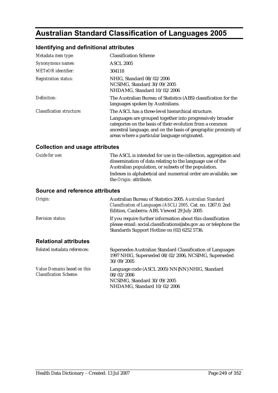# **Australian Standard Classification of Languages 2005**

## **Identifying and definitional attributes**

| Metadata item type:              | <b>Classification Scheme</b>                                                                                                                                                                                                              |
|----------------------------------|-------------------------------------------------------------------------------------------------------------------------------------------------------------------------------------------------------------------------------------------|
| Synonymous names:                | <b>ASCL 2005</b>                                                                                                                                                                                                                          |
| <b>METeOR</b> identifier:        | 304118                                                                                                                                                                                                                                    |
| <b>Registration status:</b>      | NHIG. Standard 08/02/2006<br>NCSIMG, Standard 30/09/2005<br>NHDAMG, Standard 10/02/2006                                                                                                                                                   |
| Definition:                      | The Australian Bureau of Statistics (ABS) classification for the<br>languages spoken by Australians.                                                                                                                                      |
| <b>Classification structure:</b> | The ASCL has a three-level hierarchical structure.                                                                                                                                                                                        |
|                                  | Languages are grouped together into progressively broader<br>categories on the basis of their evolution from a common<br>ancestral language, and on the basis of geographic proximity of<br>areas where a particular language originated. |

### **Collection and usage attributes**

| <i>Guide for use:</i> | The ASCL is intended for use in the collection, aggregation and                                                   |
|-----------------------|-------------------------------------------------------------------------------------------------------------------|
|                       | dissemination of data relating to the language use of the<br>Australian population, or subsets of the population. |
|                       | Indexes in alphabetical and numerical order are available, see                                                    |
|                       | the <i>Origin:</i> attribute.                                                                                     |

#### **Source and reference attributes**

| Origin:                      | Australian Bureau of Statistics 2005. Australian Standard<br>Classification of Languages (ASCL) 2005. Cat. no. 1267.0. 2nd<br>Edition, Canberra: ABS. Viewed 29 July 2005        |
|------------------------------|----------------------------------------------------------------------------------------------------------------------------------------------------------------------------------|
| <b>Revision status:</b>      | If you require further information about this classification<br>please email: social.classifications@abs.gov.au or telephone the<br>Standards Support Hotline on (02) 6252 5736. |
| <b>Relational attributes</b> |                                                                                                                                                                                  |
| Related metadata references: | Supersedes Australian Standard Classification of Languages<br>1997 NHIG, Superseded 08/02/2006, NCSIMG, Superseded<br>30/09/2005                                                 |

| Value Domains based on this   | Language code (ASCL 2005) NN{NN} NHIG, Standard            |
|-------------------------------|------------------------------------------------------------|
| <b>Classification Scheme:</b> | 08/02/2006                                                 |
|                               | NCSIMG. Standard 30/09/2005<br>NHDAMG. Standard 10/02/2006 |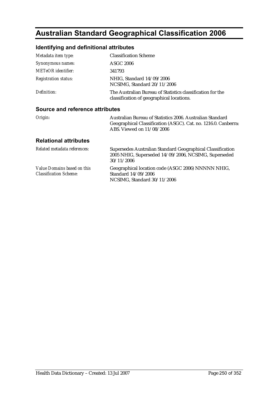# **Australian Standard Geographical Classification 2006**

## **Identifying and definitional attributes**

| Metadata item type:             | <b>Classification Scheme</b>                                                                            |  |
|---------------------------------|---------------------------------------------------------------------------------------------------------|--|
| Synonymous names:               | <b>ASGC 2006</b>                                                                                        |  |
| <b>METeOR</b> identifier:       | 341793                                                                                                  |  |
| <b>Registration status:</b>     | NHIG, Standard 14/09/2006<br>NCSIMG, Standard 20/11/2006                                                |  |
| Definition:                     | The Australian Bureau of Statistics classification for the<br>classification of geographical locations. |  |
| Source and reference attributes |                                                                                                         |  |

#### **Source and reference attributes**

| Origin: | Australian Bureau of Statistics 2006. Australian Standard      |
|---------|----------------------------------------------------------------|
|         | Geographical Classification (ASGC). Cat. no. 1216.0. Canberra: |
|         | ABS. Viewed on $11/08/2006$                                    |

| Related metadata references:                                 | Supersedes Australian Standard Geographical Classification<br>2005 NHIG, Superseded 14/09/2006, NCSIMG, Superseded<br>30/11/2006 |
|--------------------------------------------------------------|----------------------------------------------------------------------------------------------------------------------------------|
| Value Domains based on this<br><b>Classification Scheme:</b> | Geographical location code (ASGC 2006) NNNNN NHIG,<br>Standard 14/09/2006<br>NCSIMG, Standard 30/11/2006                         |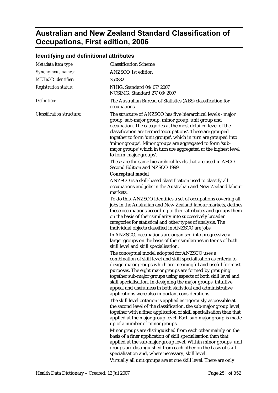# **Australian and New Zealand Standard Classification of Occupations, First edition, 2006**

### **Identifying and definitional attributes**

| Metadata item type:              | <b>Classification Scheme</b>                                                                                                                                                                                                                                                                                                                                                                                                                                                                                                                   |
|----------------------------------|------------------------------------------------------------------------------------------------------------------------------------------------------------------------------------------------------------------------------------------------------------------------------------------------------------------------------------------------------------------------------------------------------------------------------------------------------------------------------------------------------------------------------------------------|
| Synonymous names:                | <b>ANZSCO</b> 1st edition                                                                                                                                                                                                                                                                                                                                                                                                                                                                                                                      |
| <b>METeOR</b> identifier:        | 350882                                                                                                                                                                                                                                                                                                                                                                                                                                                                                                                                         |
| <b>Registration status:</b>      | NHIG, Standard 04/07/2007<br>NCSIMG, Standard 27/03/2007                                                                                                                                                                                                                                                                                                                                                                                                                                                                                       |
| Definition:                      | The Australian Bureau of Statistics (ABS) classification for<br>occupations.                                                                                                                                                                                                                                                                                                                                                                                                                                                                   |
| <b>Classification structure:</b> | The structure of ANZSCO has five hierarchical levels - major<br>group, sub-major group, minor group, unit group and<br>occupation. The categories at the most detailed level of the<br>classification are termed 'occupations'. These are grouped<br>together to form 'unit groups', which in turn are grouped into<br>'minor groups'. Minor groups are aggregated to form 'sub-<br>major groups' which in turn are aggregated at the highest level<br>to form 'major groups'.<br>These are the same hierarchical levels that are used in ASCO |
|                                  | Second Edition and NZSCO 1999.                                                                                                                                                                                                                                                                                                                                                                                                                                                                                                                 |
|                                  | <b>Conceptual model</b><br>ANZSCO is a skill-based classification used to classify all<br>occupations and jobs in the Australian and New Zealand labour<br>markets.                                                                                                                                                                                                                                                                                                                                                                            |
|                                  | To do this, ANZSCO identifies a set of occupations covering all<br>jobs in the Australian and New Zealand labour markets, defines<br>these occupations according to their attributes and groups them<br>on the basis of their similarity into successively broader<br>categories for statistical and other types of analysis. The<br>individual objects classified in ANZSCO are jobs.                                                                                                                                                         |
|                                  | In ANZSCO, occupations are organised into progressively<br>larger groups on the basis of their similarities in terms of both<br>skill level and skill specialisation.                                                                                                                                                                                                                                                                                                                                                                          |
|                                  | The conceptual model adopted for ANZSCO uses a<br>combination of skill level and skill specialisation as criteria to<br>design major groups which are meaningful and useful for most<br>purposes. The eight major groups are formed by grouping<br>together sub-major groups using aspects of both skill level and<br>skill specialisation. In designing the major groups, intuitive<br>appeal and usefulness in both statistical and administrative<br>applications were also important considerations.                                       |
|                                  | The skill level criterion is applied as rigorously as possible at<br>the second level of the classification, the sub-major group level,<br>together with a finer application of skill specialisation than that<br>applied at the major group level. Each sub-major group is made<br>up of a number of minor groups.                                                                                                                                                                                                                            |
|                                  | Minor groups are distinguished from each other mainly on the<br>basis of a finer application of skill specialisation than that<br>applied at the sub-major group level. Within minor groups, unit<br>groups are distinguished from each other on the basis of skill<br>specialisation and, where necessary, skill level.                                                                                                                                                                                                                       |

Virtually all unit groups are at one skill level. There are only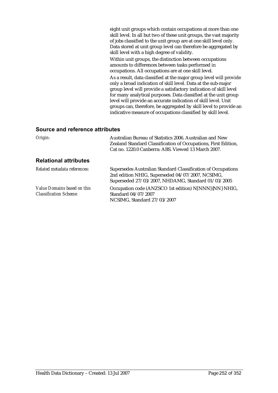eight unit groups which contain occupations at more than one skill level. In all but two of these unit groups, the vast majority of jobs classified to the unit group are at one skill level only. Data stored at unit group level can therefore be aggregated by skill level with a high degree of validity.

Within unit groups, the distinction between occupations amounts to differences between tasks performed in occupations. All occupations are at one skill level.

As a result, data classified at the major group level will provide only a broad indication of skill level. Data at the sub-major group level will provide a satisfactory indication of skill level for many analytical purposes. Data classified at the unit group level will provide an accurate indication of skill level. Unit groups can, therefore, be aggregated by skill level to provide an indicative measure of occupations classified by skill level.

#### **Source and reference attributes**

| Origin:                                                      | Australian Bureau of Statistics 2006. Australian and New<br>Zealand Standard Classification of Occupations, First Edition,<br>Cat no. 1220.0 Canberra: ABS. Viewed 13 March 2007. |
|--------------------------------------------------------------|-----------------------------------------------------------------------------------------------------------------------------------------------------------------------------------|
| <b>Relational attributes</b>                                 |                                                                                                                                                                                   |
| Related metadata references:                                 | Supersedes Australian Standard Classification of Occupations<br>2nd edition NHIG, Superseded 04/07/2007, NCSIMG,<br>Superseded 27/03/2007, NHDAMG, Standard 01/03/2005            |
| Value Domains based on this<br><b>Classification Scheme:</b> | Occupation code (ANZSCO 1st edition) N[NNN]{NN} NHIG,<br>Standard 04/07/2007<br>NCSIMG, Standard 27/03/2007                                                                       |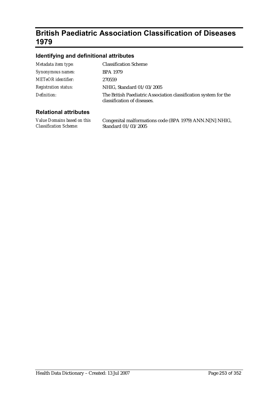# **British Paediatric Association Classification of Diseases 1979**

### **Identifying and definitional attributes**

| Metadata item type:         | <b>Classification Scheme</b>                                                                    |
|-----------------------------|-------------------------------------------------------------------------------------------------|
| Synonymous names:           | <b>BPA 1979</b>                                                                                 |
| <b>METeOR</b> identifier:   | 270559                                                                                          |
| <b>Registration status:</b> | NHIG, Standard 01/03/2005                                                                       |
| Definition:                 | The British Paediatric Association classification system for the<br>classification of diseases. |

### **Relational attributes**

*Value Domains based on this Classification Scheme:* Congenital malformations code (BPA 1979) ANN.N[N] NHIG, Standard 01/03/2005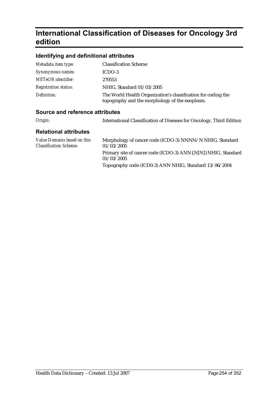# **International Classification of Diseases for Oncology 3rd edition**

### **Identifying and definitional attributes**

| Metadata item type:         | <b>Classification Scheme</b>                                                                                    |
|-----------------------------|-----------------------------------------------------------------------------------------------------------------|
| Synonymous names:           | ICDO-3                                                                                                          |
| <b>METeOR</b> identifier:   | 270553                                                                                                          |
| <b>Registration status:</b> | NHIG, Standard 01/03/2005                                                                                       |
| Definition:                 | The World Health Organization's classification for coding the<br>topography and the morphology of the neoplasm. |

### **Source and reference attributes**

*Origin:* International Classification of Diseases for Oncology, Third Edition

| Value Domains based on this<br><b>Classification Scheme:</b> | Morphology of cancer code (ICDO-3) NNNN/N NHIG, Standard<br>01/03/2005       |
|--------------------------------------------------------------|------------------------------------------------------------------------------|
|                                                              | Primary site of cancer code (ICDO-3) ANN{.N[N]} NHIG, Standard<br>01/03/2005 |
|                                                              | Topography code (ICD0-3) ANN NHIG, Standard 13/06/2004                       |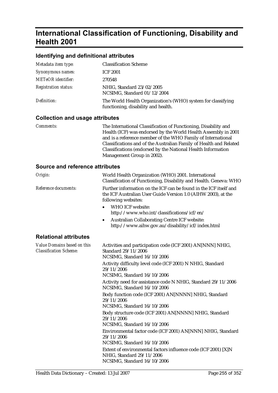# **International Classification of Functioning, Disability and Health 2001**

#### **Identifying and definitional attributes**

| Metadata item type:         | <b>Classification Scheme</b>                                                                        |
|-----------------------------|-----------------------------------------------------------------------------------------------------|
| Synonymous names:           | <b>ICF 2001</b>                                                                                     |
| <b>METeOR</b> identifier:   | 270548                                                                                              |
| <b>Registration status:</b> | NHIG, Standard 23/02/2005<br>NCSIMG, Standard 01/12/2004                                            |
| Definition:                 | The World Health Organization's (WHO) system for classifying<br>functioning, disability and health. |

#### **Collection and usage attributes**

*Comments:* The International Classification of Functioning, Disability and Health (ICF) was endorsed by the World Health Assembly in 2001 and is a reference member of the WHO Family of International Classifications and of the Australian Family of Health and Related Classifications (endorsed by the National Health Information Management Group in 2002).

#### **Source and reference attributes**

| Origin:                                                      | World Health Organization (WHO) 2001. International<br>Classification of Functioning, Disability and Health. Geneva: WHO                                                                                                                                                                                                                                                                                                                                                                                                                                                                                                                                                                                                                                                           |
|--------------------------------------------------------------|------------------------------------------------------------------------------------------------------------------------------------------------------------------------------------------------------------------------------------------------------------------------------------------------------------------------------------------------------------------------------------------------------------------------------------------------------------------------------------------------------------------------------------------------------------------------------------------------------------------------------------------------------------------------------------------------------------------------------------------------------------------------------------|
| Reference documents:                                         | Further information on the ICF can be found in the ICF itself and<br>the ICF Australian User Guide Version 1.0 (AIHW 2003), at the<br>following websites:<br>WHO ICF website:<br>$\bullet$<br>http://www.who.int/classifications/icf/en/<br><b>Australian Collaborating Centre ICF website:</b><br>٠<br>http://www.aihw.gov.au/disability/icf/index.html                                                                                                                                                                                                                                                                                                                                                                                                                           |
| <b>Relational attributes</b>                                 |                                                                                                                                                                                                                                                                                                                                                                                                                                                                                                                                                                                                                                                                                                                                                                                    |
| Value Domains based on this<br><b>Classification Scheme:</b> | Activities and participation code (ICF 2001) AN[NNN] NHIG,<br>Standard 29/11/2006<br>NCSIMG, Standard 16/10/2006<br>Activity difficulty level code (ICF 2001) N NHIG, Standard<br>29/11/2006<br>NCSIMG, Standard 16/10/2006<br>Activity need for assistance code N NHIG, Standard 29/11/2006<br>NCSIMG, Standard 16/10/2006<br>Body function code (ICF 2001) AN[NNNN] NHIG, Standard<br>29/11/2006<br>NCSIMG, Standard 16/10/2006<br>Body structure code (ICF 2001) AN[NNNN] NHIG, Standard<br>29/11/2006<br>NCSIMG, Standard 16/10/2006<br>Environmental factor code (ICF 2001) AN[NNN] NHIG, Standard<br>29/11/2006<br>NCSIMG, Standard 16/10/2006<br>Extent of environmental factors influence code (ICF 2001) [X]N<br>NHIG, Standard 29/11/2006<br>NCSIMG, Standard 16/10/2006 |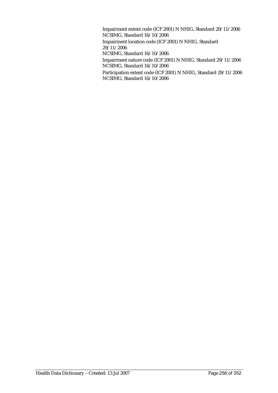Impairment extent code (ICF 2001) N NHIG, Standard 29/11/2006 NCSIMG, Standard 16/10/2006 Impairment location code (ICF 2001) N NHIG, Standard 29/11/2006 NCSIMG, Standard 16/10/2006 Impairment nature code (ICF 2001) N NHIG, Standard 29/11/2006 NCSIMG, Standard 16/10/2006

Participation extent code (ICF 2001) N NHIG, Standard 29/11/2006 NCSIMG, Standard 16/10/2006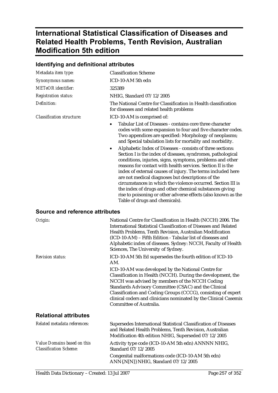# **International Statistical Classification of Diseases and Related Health Problems, Tenth Revision, Australian Modification 5th edition**

|                                  | identifying and definitional attributes                                                                                                                                                                                                                                                                                                                                                                                                                                                                                                                                                                                                                                                                                                                                                                                                                                |  |
|----------------------------------|------------------------------------------------------------------------------------------------------------------------------------------------------------------------------------------------------------------------------------------------------------------------------------------------------------------------------------------------------------------------------------------------------------------------------------------------------------------------------------------------------------------------------------------------------------------------------------------------------------------------------------------------------------------------------------------------------------------------------------------------------------------------------------------------------------------------------------------------------------------------|--|
| Metadata item type:              | <b>Classification Scheme</b>                                                                                                                                                                                                                                                                                                                                                                                                                                                                                                                                                                                                                                                                                                                                                                                                                                           |  |
| Synonymous names:                | ICD-10-AM 5th edn                                                                                                                                                                                                                                                                                                                                                                                                                                                                                                                                                                                                                                                                                                                                                                                                                                                      |  |
| <b>METeOR</b> identifier:        | 325389                                                                                                                                                                                                                                                                                                                                                                                                                                                                                                                                                                                                                                                                                                                                                                                                                                                                 |  |
| <b>Registration status:</b>      | NHIG, Standard 07/12/2005                                                                                                                                                                                                                                                                                                                                                                                                                                                                                                                                                                                                                                                                                                                                                                                                                                              |  |
| Definition:                      | The National Centre for Classification in Health classification<br>for diseases and related health problems                                                                                                                                                                                                                                                                                                                                                                                                                                                                                                                                                                                                                                                                                                                                                            |  |
| <b>Classification structure:</b> | ICD-10-AM is comprised of:                                                                                                                                                                                                                                                                                                                                                                                                                                                                                                                                                                                                                                                                                                                                                                                                                                             |  |
|                                  | Tabular List of Diseases - contains core three character<br>codes with some expansion to four and five character codes.<br>Two appendices are specified: Morphology of neoplasms;<br>and Special tabulation lists for mortality and morbidity.<br>Alphabetic Index of Diseases - consists of three sections:<br>$\bullet$<br>Section I is the index of diseases, syndromes, pathological<br>conditions, injuries, signs, symptoms, problems and other<br>reasons for contact with health services. Section II is the<br>index of external causes of injury. The terms included here<br>are not medical diagnoses but descriptions of the<br>circumstances in which the violence occurred. Section III is<br>the index of drugs and other chemical substances giving<br>rise to poisoning or other adverse effects (also known as the<br>Table of drugs and chemicals). |  |

## **Identifying and definitional attributes**

### **Source and reference attributes**

| Origin:                                                      | National Centre for Classification in Health (NCCH) 2006. The<br>International Statistical Classification of Diseases and Related<br>Health Problems, Tenth Revision, Australian Modification<br>(ICD-10-AM) – Fifth Edition - Tabular list of diseases and<br>Alphabetic index of diseases. Sydney: NCCH, Faculty of Health<br>Sciences, The University of Sydney.                                 |
|--------------------------------------------------------------|-----------------------------------------------------------------------------------------------------------------------------------------------------------------------------------------------------------------------------------------------------------------------------------------------------------------------------------------------------------------------------------------------------|
| <b>Revision status:</b>                                      | ICD-10-AM 5th Ed supersedes the fourth edition of ICD-10-<br>AM.                                                                                                                                                                                                                                                                                                                                    |
|                                                              | ICD-10-AM was developed by the National Centre for<br>Classification in Health (NCCH). During the development, the<br>NCCH was advised by members of the NCCH Coding<br>Standards Advisory Committee (CSAC) and the Clinical<br>Classification and Coding Groups (CCCG), consisting of expert<br>clinical coders and clinicians nominated by the Clinical Casemix<br><b>Committee of Australia.</b> |
| <b>Relational attributes</b>                                 |                                                                                                                                                                                                                                                                                                                                                                                                     |
| Related metadata references:                                 | Supersedes International Statistical Classification of Diseases<br>and Related Health Problems, Tenth Revision, Australian<br>Modification 4th edition NHIG, Superseded 07/12/2005                                                                                                                                                                                                                  |
| Value Domains based on this<br><b>Classification Scheme:</b> | Activity type code (ICD-10-AM 5th edn) ANNNN NHIG,<br>Standard 07/12/2005                                                                                                                                                                                                                                                                                                                           |
|                                                              | Congenital malformations code (ICD-10-AM 5th edn)<br>ANN{.N[N]} NHIG, Standard 07/12/2005                                                                                                                                                                                                                                                                                                           |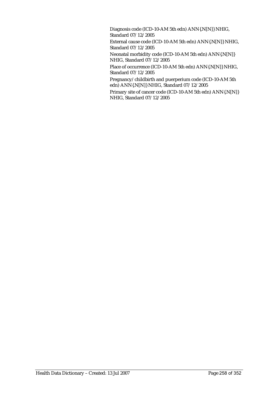Diagnosis code (ICD-10-AM 5th edn) ANN{.N[N]} NHIG, Standard 07/12/2005

External cause code (ICD-10-AM 5th edn) ANN{.N[N]} NHIG, Standard 07/12/2005

Neonatal morbidity code (ICD-10-AM 5th edn) ANN{.N[N]} NHIG, Standard 07/12/2005

Place of occurrence (ICD-10-AM 5th edn) ANN{.N[N]} NHIG, Standard 07/12/2005

Pregnancy/childbirth and puerperium code (ICD-10-AM 5th edn) ANN{.N[N]} NHIG, Standard 07/12/2005

Primary site of cancer code (ICD-10-AM 5th edn) ANN{.N[N]} NHIG, Standard 07/12/2005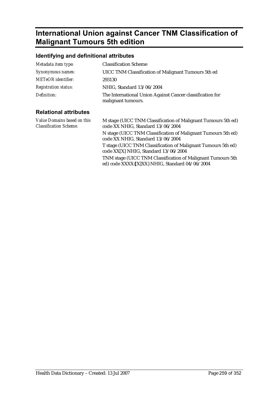# **International Union against Cancer TNM Classification of Malignant Tumours 5th edition**

## **Identifying and definitional attributes**

| Metadata item type:         | <b>Classification Scheme</b>                                                    |
|-----------------------------|---------------------------------------------------------------------------------|
| Synonymous names:           | UICC TNM Classification of Malignant Tumours 5th ed                             |
| METeOR identifier:          | 293130                                                                          |
| <b>Registration status:</b> | NHIG, Standard 13/06/2004                                                       |
| Definition:                 | The International Union Against Cancer classification for<br>malignant tumours. |

| Value Domains based on this<br><b>Classification Scheme:</b> | M stage (UICC TNM Classification of Malignant Tumours 5th ed)<br>code XX NHIG, Standard 13/06/2004            |
|--------------------------------------------------------------|---------------------------------------------------------------------------------------------------------------|
|                                                              | N stage (UICC TNM Classification of Malignant Tumours 5th ed)<br>code XX NHIG, Standard 13/06/2004            |
|                                                              | T stage (UICC TNM Classification of Malignant Tumours 5th ed)<br>code XX[X] NHIG, Standard 13/06/2004         |
|                                                              | TNM stage (UICC TNM Classification of Malignant Tumours 5th<br>ed) code XXXX{[X]XX} NHIG, Standard 04/06/2004 |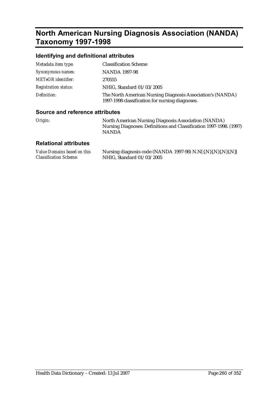# **North American Nursing Diagnosis Association (NANDA) Taxonomy 1997-1998**

## **Identifying and definitional attributes**

| Metadata item type:         | <b>Classification Scheme</b>                                                                                  |
|-----------------------------|---------------------------------------------------------------------------------------------------------------|
| Synonymous names:           | NANDA 1997-98                                                                                                 |
| <b>METeOR</b> identifier:   | 270555                                                                                                        |
| <b>Registration status:</b> | NHIG, Standard 01/03/2005                                                                                     |
| Definition:                 | The North American Nursing Diagnosis Association's (NANDA)<br>1997-1998 classification for nursing diagnoses. |

### **Source and reference attributes**

| Origin: | North American Nursing Diagnosis Association (NANDA)                |
|---------|---------------------------------------------------------------------|
|         | Nursing Diagnoses: Definitions and Classification 1997-1998. (1997) |
|         | <b>NANDA</b>                                                        |

| Value Domains based on this   | Nursing diagnosis code (NANDA 1997-98) N.N[{.N}{.N}{.N}{.N}} |
|-------------------------------|--------------------------------------------------------------|
| <b>Classification Scheme:</b> | NHIG, Standard 01/03/2005                                    |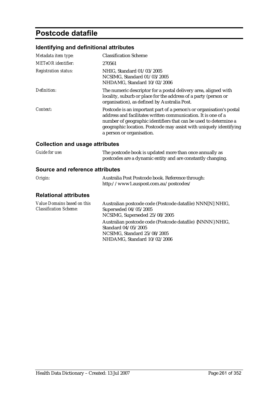# **Postcode datafile**

## **Identifying and definitional attributes**

| Metadata item type:         | <b>Classification Scheme</b>                                                                                                                                                                                                                                                                                 |
|-----------------------------|--------------------------------------------------------------------------------------------------------------------------------------------------------------------------------------------------------------------------------------------------------------------------------------------------------------|
| <b>METeOR</b> identifier:   | 270561                                                                                                                                                                                                                                                                                                       |
| <b>Registration status:</b> | NHIG, Standard 01/03/2005<br>NCSIMG, Standard 01/03/2005<br>NHDAMG, Standard 10/02/2006                                                                                                                                                                                                                      |
| Definition:                 | The numeric descriptor for a postal delivery area, aligned with<br>locality, suburb or place for the address of a party (person or<br>organisation), as defined by Australia Post.                                                                                                                           |
| Context:                    | Postcode is an important part of a person's or organisation's postal<br>address and facilitates written communication. It is one of a<br>number of geographic identifiers that can be used to determine a<br>geographic location. Postcode may assist with uniquely identifying<br>a person or organisation. |

## **Collection and usage attributes**

| <b>Guide for use:</b> | The postcode book is updated more than once annually as     |
|-----------------------|-------------------------------------------------------------|
|                       | postcodes are a dynamic entity and are constantly changing. |

#### **Source and reference attributes**

| Origin: | Australia Post Postcode book. Reference through: |
|---------|--------------------------------------------------|
|         | http://www1.auspost.com.au/postcodes/            |

| Australian postcode code (Postcode datafile) NNN[N] NHIG, |
|-----------------------------------------------------------|
| Superseded 04/05/2005                                     |
| NCSIMG, Superseded 25/08/2005                             |
| Australian postcode code (Postcode datafile) {NNNN} NHIG, |
| Standard 04/05/2005                                       |
| NCSIMG, Standard 25/08/2005                               |
| NHDAMG, Standard 10/02/2006                               |
|                                                           |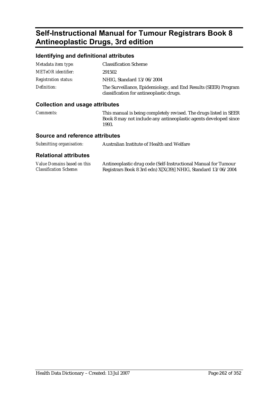# **Self-Instructional Manual for Tumour Registrars Book 8 Antineoplastic Drugs, 3rd edition**

## **Identifying and definitional attributes**

| Metadata item type:         | <b>Classification Scheme</b>                                                                               |
|-----------------------------|------------------------------------------------------------------------------------------------------------|
| METeOR identifier:          | 291502                                                                                                     |
| <b>Registration status:</b> | NHIG, Standard 13/06/2004                                                                                  |
| Definition:                 | The Surveillance, Epidemiology, and End Results (SEER) Program<br>classification for antineoplastic drugs. |

### **Collection and usage attributes**

| <i>Comments:</i> | This manual is being completely revised. The drugs listed in SEER |
|------------------|-------------------------------------------------------------------|
|                  | Book 8 may not include any antineoplastic agents developed since  |
|                  | 1993.                                                             |

### **Source and reference attributes**

| Submitting organisation: | Australian Institute of Health and Welfare |
|--------------------------|--------------------------------------------|
|--------------------------|--------------------------------------------|

| Value Domains based on this   | Antineoplastic drug code (Self-Instructional Manual for Tumour |
|-------------------------------|----------------------------------------------------------------|
| <b>Classification Scheme:</b> | Registrars Book 8 3rd edn) X[X(39)] NHIG, Standard 13/06/2004  |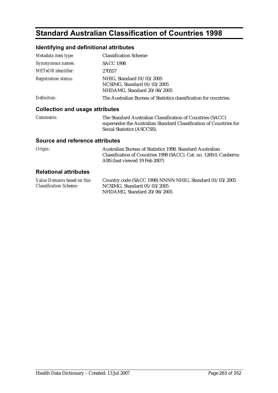# **Standard Australian Classification of Countries 1998**

## **Identifying and definitional attributes**

| Metadata item type:                    | <b>Classification Scheme</b>                                                                                                                                    |
|----------------------------------------|-----------------------------------------------------------------------------------------------------------------------------------------------------------------|
| Synonymous names:                      | <b>SACC 1998</b>                                                                                                                                                |
| METeOR identifier:                     | 270557                                                                                                                                                          |
| <b>Registration status:</b>            | NHIG. Standard 01/03/2005<br>NCSIMG, Standard 01/03/2005<br>NHDAMG, Standard 20/06/2005                                                                         |
| Definition:                            | The Australian Bureau of Statistics classification for countries.                                                                                               |
| <b>Collection and usage attributes</b> |                                                                                                                                                                 |
| <i>Comments:</i>                       | The Standard Australian Classification of Countries (SACC)<br>supersedes the Australian Standard Classification of Countries for<br>Social Statistics (ASCCSS). |
| <b>Source and reference attributes</b> |                                                                                                                                                                 |

| Origin: | Australian Bureau of Statistics 1998. Standard Australian           |
|---------|---------------------------------------------------------------------|
|         | Classification of Countries 1998 (SACC). Cat. no. 1269.0. Canberra: |
|         | ABS (last viewed 19 Feb 2007)                                       |

| Value Domains based on this   | Country code (SACC 1998) NNNN NHIG, Standard 01/03/2005 |
|-------------------------------|---------------------------------------------------------|
| <b>Classification Scheme:</b> | NCSIMG. Standard $01/03/2005$                           |
|                               | NHDAMG. Standard 20/06/2005                             |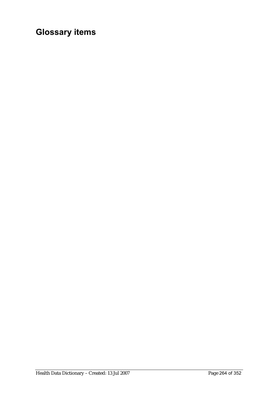# **Glossary items**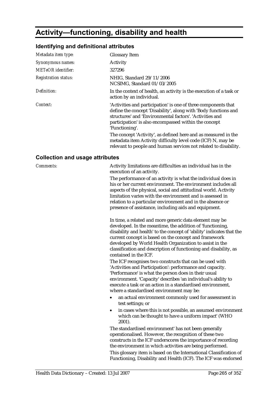# **Activity—functioning, disability and health**

## **Identifying and definitional attributes**

| Metadata item type:         | <b>Glossary Item</b>                                                                                                                                                                                                                                                                                                                                                                                       |
|-----------------------------|------------------------------------------------------------------------------------------------------------------------------------------------------------------------------------------------------------------------------------------------------------------------------------------------------------------------------------------------------------------------------------------------------------|
| Synonymous names:           | Activity                                                                                                                                                                                                                                                                                                                                                                                                   |
| METeOR identifier:          | 327296                                                                                                                                                                                                                                                                                                                                                                                                     |
| <b>Registration status:</b> | NHIG, Standard 29/11/2006<br>NCSIMG, Standard 01/03/2005                                                                                                                                                                                                                                                                                                                                                   |
| Definition:                 | In the context of health, an activity is the execution of a task or<br>action by an individual.                                                                                                                                                                                                                                                                                                            |
| Context:                    | 'Activities and participation' is one of three components that<br>define the concept 'Disability', along with 'Body functions and<br>structures' and 'Environmental factors'. 'Activities and<br>participation' is also encompassed within the concept<br>'Functioning'.<br>The concept 'Activity', as defined here and as measured in the<br>metadata item Activity difficulty level code (ICF) N, may be |
|                             | relevant to people and human services not related to disability.                                                                                                                                                                                                                                                                                                                                           |

### **Collection and usage attributes**

| <b>Comments:</b> | Activity limitations are difficulties an individual has in the<br>execution of an activity.<br>The performance of an activity is what the individual does in<br>his or her current environment. The environment includes all<br>aspects of the physical, social and attitudinal world. Activity<br>limitation varies with the environment and is assessed in<br>relation to a particular environment and in the absence or<br>presence of assistance, including aids and equipment. |
|------------------|-------------------------------------------------------------------------------------------------------------------------------------------------------------------------------------------------------------------------------------------------------------------------------------------------------------------------------------------------------------------------------------------------------------------------------------------------------------------------------------|
|                  | In time, a related and more generic data element may be<br>developed. In the meantime, the addition of 'functioning,<br>disability and health' to the concept of 'ability' indicates that the<br>current concept is based on the concept and framework<br>developed by World Health Organization to assist in the<br>classification and description of functioning and disability, as<br>contained in the ICF.                                                                      |
|                  | The ICF recognises two constructs that can be used with<br>'Activities and Participation': performance and capacity.<br>'Performance' is what the person does in their usual<br>environment. 'Capacity' describes 'an individual's ability to<br>execute a task or an action in a standardised environment,<br>where a standardised environment may be:<br>an actual environment commonly used for assessment in                                                                    |
|                  | test settings; or<br>in cases where this is not possible, an assumed environment<br>$\bullet$<br>which can be thought to have a uniform impact' (WHO<br>2001).                                                                                                                                                                                                                                                                                                                      |
|                  | The standardised environment' has not been generally<br>operationalised. However, the recognition of these two<br>constructs in the ICF underscores the importance of recording<br>the environment in which activities are being performed.                                                                                                                                                                                                                                         |
|                  | This glossary item is based on the International Classification of<br>Functioning, Disability and Health (ICF). The ICF was endorsed                                                                                                                                                                                                                                                                                                                                                |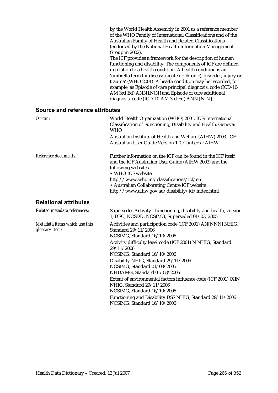|                                        | by the World Health Assembly in 2001 as a reference member<br>of the WHO Family of International Classifications and of the<br>Australian Family of Health and Related Classifications<br>(endorsed by the National Health Information Management<br>Group in 2002).<br>The ICF provides a framework for the description of human<br>functioning and disability. The components of ICF are defined<br>in relation to a health condition. A health condition is an<br>'umbrella term for disease (acute or chronic), disorder, injury or<br>trauma' (WHO 2001). A health condition may be recorded, for<br>example, as Episode of care principal diagnosis, code (ICD-10-<br>AM 3rd Ed) ANN{.N[N} and Episode of care additional<br>diagnosis, code (ICD-10-AM 3rd Ed) ANN{.N[N]. |
|----------------------------------------|----------------------------------------------------------------------------------------------------------------------------------------------------------------------------------------------------------------------------------------------------------------------------------------------------------------------------------------------------------------------------------------------------------------------------------------------------------------------------------------------------------------------------------------------------------------------------------------------------------------------------------------------------------------------------------------------------------------------------------------------------------------------------------|
| <b>Source and reference attributes</b> |                                                                                                                                                                                                                                                                                                                                                                                                                                                                                                                                                                                                                                                                                                                                                                                  |
| Origin:                                | World Health Organization (WHO) 2001. ICF: International<br>Classification of Functioning, Disability and Health. Geneva:                                                                                                                                                                                                                                                                                                                                                                                                                                                                                                                                                                                                                                                        |

and the ICF Australian User Guide (AIHW 2003) and the

http://www.who.int/classifications/icf/en • Australian Collaborating Centre ICF website http://www.aihw.gov.au/disability/icf/index.html

WHO Australian Institute of Health and Welfare (AIHW) 2003. ICF Australian User Guide Version 1.0. Canberra: AIHW

> following websites • WHO ICF website

*Reference documents:* Further information on the ICF can be found in the ICF itself

### **Relational attributes**

*Related metadata references:* Supersedes Activity - functioning, disability and health, version 1, DEC, NCSDD, NCSIMG, Superseded 01/03/2005 *Metadata items which use this glossary item:* Activities and participation code (ICF 2001) AN[NNN] NHIG, Standard 29/11/2006 NCSIMG, Standard 16/10/2006 Activity difficulty level code (ICF 2001) N NHIG, Standard 29/11/2006 NCSIMG, Standard 16/10/2006 Disability NHIG, Standard 29/11/2006 NCSIMG, Standard 01/03/2005 NHDAMG, Standard 01/03/2005 Extent of environmental factors influence code (ICF 2001) [X]N NHIG, Standard 29/11/2006 NCSIMG, Standard 16/10/2006 Functioning and Disability DSS NHIG, Standard 29/11/2006 NCSIMG, Standard 16/10/2006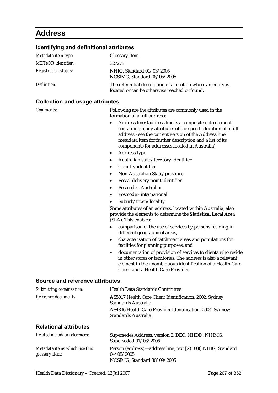# **Address**

# **Identifying and definitional attributes**

| Metadata item type:         | <b>Glossary Item</b>                                                                                          |
|-----------------------------|---------------------------------------------------------------------------------------------------------------|
| <b>METeOR</b> identifier:   | 327278                                                                                                        |
| <b>Registration status:</b> | NHIG, Standard 01/03/2005<br>NCSIMG, Standard 08/05/2006                                                      |
| Definition:                 | The referential description of a location where an entity is<br>located or can be otherwise reached or found. |

## **Collection and usage attributes**

| <b>Comments:</b>                | Following are the attributes are commonly used in the<br>formation of a full address:                                                                                                                                                                                                          |
|---------------------------------|------------------------------------------------------------------------------------------------------------------------------------------------------------------------------------------------------------------------------------------------------------------------------------------------|
|                                 | Address line; (address line is a composite data element<br>containing many attributes of the specific location of a full<br>address - see the current version of the Address line<br>metadata item for further description and a list of its<br>components for addresses located in Australia) |
|                                 | Address type<br>$\bullet$                                                                                                                                                                                                                                                                      |
|                                 | Australian state/territory identifier<br>$\bullet$                                                                                                                                                                                                                                             |
|                                 | Country identifier<br>$\bullet$                                                                                                                                                                                                                                                                |
|                                 | Non-Australian State/province<br>$\bullet$                                                                                                                                                                                                                                                     |
|                                 | Postal delivery point identifier<br>٠                                                                                                                                                                                                                                                          |
|                                 | Postcode - Australian<br>$\bullet$                                                                                                                                                                                                                                                             |
|                                 | Postcode - international<br>$\bullet$                                                                                                                                                                                                                                                          |
|                                 | Suburb/town/locality<br>$\bullet$                                                                                                                                                                                                                                                              |
|                                 | Some attributes of an address, located within Australia, also<br>provide the elements to determine the Statistical Local Area<br>(SLA). This enables:                                                                                                                                          |
|                                 | comparison of the use of services by persons residing in<br>$\bullet$<br>different geographical areas,                                                                                                                                                                                         |
|                                 | characterisation of catchment areas and populations for<br>$\bullet$<br>facilities for planning purposes, and                                                                                                                                                                                  |
|                                 | documentation of provision of services to clients who reside<br>$\bullet$<br>in other states or territories. The address is also a relevant<br>element in the unambiguous identification of a Health Care<br>Client and a Health Care Provider.                                                |
| Source and reference attributes |                                                                                                                                                                                                                                                                                                |
| Submitting organisation:        | <b>Health Data Standards Committee</b>                                                                                                                                                                                                                                                         |
| Reference documents:            | AS5017 Health Care Client Identification, 2002, Sydney:<br><b>Standards Australia</b>                                                                                                                                                                                                          |
|                                 | AS4846 Health Care Provider Identification, 2004, Sydney:<br><b>Standards Australia</b>                                                                                                                                                                                                        |
| <b>Relational attributes</b>    |                                                                                                                                                                                                                                                                                                |

| Related metadata references:                    | Supersedes Address, version 2, DEC, NHDD, NHIMG,<br>Superseded 01/03/2005                                |
|-------------------------------------------------|----------------------------------------------------------------------------------------------------------|
| Metadata items which use this<br>glossary item: | Person (address)—address line, text [X(180)] NHIG, Standard<br>04/05/2005<br>NCSIMG, Standard 30/09/2005 |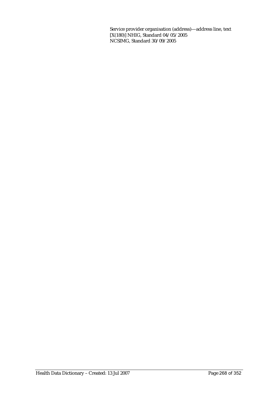Service provider organisation (address)—address line, text [X(180)] NHIG, Standard 04/05/2005 NCSIMG, Standard 30/09/2005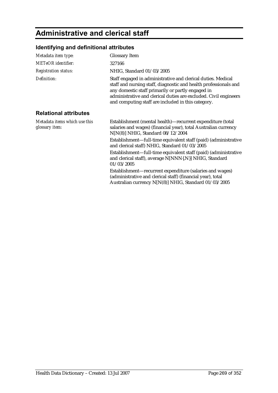# **Administrative and clerical staff**

## **Identifying and definitional attributes**

| Metadata item type:                             | <b>Glossary Item</b>                                                                                                                                                                                                                                                                                            |
|-------------------------------------------------|-----------------------------------------------------------------------------------------------------------------------------------------------------------------------------------------------------------------------------------------------------------------------------------------------------------------|
| <b>METeOR</b> identifier:                       | 327166                                                                                                                                                                                                                                                                                                          |
| <b>Registration status:</b>                     | NHIG, Standard 01/03/2005                                                                                                                                                                                                                                                                                       |
| Definition:                                     | Staff engaged in administrative and clerical duties. Medical<br>staff and nursing staff, diagnostic and health professionals and<br>any domestic staff primarily or partly engaged in<br>administrative and clerical duties are excluded. Civil engineers<br>and computing staff are included in this category. |
| <b>Relational attributes</b>                    |                                                                                                                                                                                                                                                                                                                 |
| Metadata items which use this<br>glossary item: | Establishment (mental health)—recurrent expenditure (total<br>salaries and wages) (financial year), total Australian currency<br>$N[N(8)]$ NHIG, Standard $08/12/2004$                                                                                                                                          |
|                                                 | Establishment—full-time equivalent staff (paid) (administrative<br>and clerical staff) NHIG, Standard 01/03/2005                                                                                                                                                                                                |
|                                                 | Establishment—full-time equivalent staff (paid) (administrative<br>and clerical staff), average N[NNN{.N}] NHIG, Standard<br>01/03/2005                                                                                                                                                                         |
|                                                 | Establishment—recurrent expenditure (salaries and wages)<br>(administrative and clerical staff) (financial year), total<br>Australian currency N[N(8)] NHIG, Standard 01/03/2005                                                                                                                                |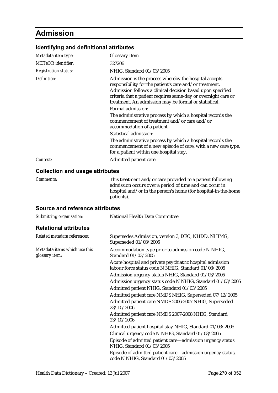# **Admission**

## **Identifying and definitional attributes**

| Metadata item type:                    | <b>Glossary Item</b>                                                                                                                                                                                                                                                                                      |
|----------------------------------------|-----------------------------------------------------------------------------------------------------------------------------------------------------------------------------------------------------------------------------------------------------------------------------------------------------------|
| <b>METeOR</b> identifier:              | 327206                                                                                                                                                                                                                                                                                                    |
| <b>Registration status:</b>            | NHIG, Standard 01/03/2005                                                                                                                                                                                                                                                                                 |
| Definition:                            | Admission is the process whereby the hospital accepts<br>responsibility for the patient's care and/or treatment.<br>Admission follows a clinical decision based upon specified<br>criteria that a patient requires same-day or overnight care or<br>treatment. An admission may be formal or statistical. |
|                                        | Formal admission:                                                                                                                                                                                                                                                                                         |
|                                        | The administrative process by which a hospital records the<br>commencement of treatment and/or care and/or<br>accommodation of a patient.                                                                                                                                                                 |
|                                        | Statistical admission:                                                                                                                                                                                                                                                                                    |
|                                        | The administrative process by which a hospital records the<br>commencement of a new episode of care, with a new care type,<br>for a patient within one hospital stay.                                                                                                                                     |
| Context:                               | Admitted patient care                                                                                                                                                                                                                                                                                     |
| <b>Collection and usage attributes</b> |                                                                                                                                                                                                                                                                                                           |
| <b>Comments:</b>                       | This treatment and/or care provided to a patient following                                                                                                                                                                                                                                                |

### admission occurs over a period of time and can occur in hospital and/or in the person's home (for hospital-in-the-home patients).

### **Source and reference attributes**

| Submitting organisation:                        | National Health Data Committee                                                                                    |
|-------------------------------------------------|-------------------------------------------------------------------------------------------------------------------|
| <b>Relational attributes</b>                    |                                                                                                                   |
| Related metadata references:                    | Supersedes Admission, version 3, DEC, NHDD, NHIMG,<br>Superseded 01/03/2005                                       |
| Metadata items which use this<br>glossary item: | Accommodation type prior to admission code N NHIG,<br>Standard 01/03/2005                                         |
|                                                 | Acute hospital and private psychiatric hospital admission<br>labour force status code N NHIG, Standard 01/03/2005 |
|                                                 | Admission urgency status NHIG, Standard 01/03/2005                                                                |
|                                                 | Admission urgency status code N NHIG, Standard 01/03/2005                                                         |
|                                                 | Admitted patient NHIG, Standard 01/03/2005                                                                        |
|                                                 | Admitted patient care NMDS NHIG, Superseded 07/12/2005                                                            |
|                                                 | Admitted patient care NMDS 2006-2007 NHIG, Superseded<br>23/10/2006                                               |
|                                                 | Admitted patient care NMDS 2007-2008 NHIG, Standard<br>23/10/2006                                                 |
|                                                 | Admitted patient hospital stay NHIG, Standard 01/03/2005                                                          |
|                                                 | Clinical urgency code N NHIG, Standard 01/03/2005                                                                 |
|                                                 | Episode of admitted patient care—admission urgency status<br>NHIG, Standard 01/03/2005                            |
|                                                 | Episode of admitted patient care-admission urgency status,<br>code N NHIG, Standard 01/03/2005                    |
|                                                 |                                                                                                                   |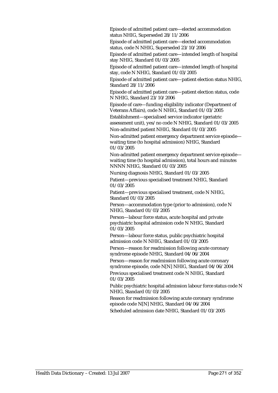Episode of admitted patient care—elected accommodation status NHIG, Superseded 28/11/2006

Episode of admitted patient care—elected accommodation status, code N NHIG, Superseded 23/10/2006

Episode of admitted patient care—intended length of hospital stay NHIG, Standard 01/03/2005

Episode of admitted patient care—intended length of hospital stay, code N NHIG, Standard 01/03/2005

Episode of admitted patient care—patient election status NHIG, Standard 28/11/2006

Episode of admitted patient care—patient election status, code N NHIG, Standard 23/10/2006

Episode of care—funding eligibility indicator (Department of Veterans Affairs), code N NHIG, Standard 01/03/2005

Establishment—specialised service indicator (geriatric assessment unit), yes/no code N NHIG, Standard 01/03/2005 Non-admitted patient NHIG, Standard 01/03/2005

Non-admitted patient emergency department service episode waiting time (to hospital admission) NHIG, Standard 01/03/2005

Non-admitted patient emergency department service episode waiting time (to hospital admission), total hours and minutes NNNN NHIG, Standard 01/03/2005

Nursing diagnosis NHIG, Standard 01/03/2005

Patient—previous specialised treatment NHIG, Standard 01/03/2005

Patient—previous specialised treatment, code N NHIG, Standard 01/03/2005

Person—accommodation type (prior to admission), code N NHIG, Standard 01/03/2005

Person—labour force status, acute hospital and private psychiatric hospital admission code N NHIG, Standard 01/03/2005

Person—labour force status, public psychiatric hospital admission code N NHIG, Standard 01/03/2005

Person—reason for readmission following acute coronary syndrome episode NHIG, Standard 04/06/2004

Person—reason for readmission following acute coronary syndrome episode, code N[N] NHIG, Standard 04/06/2004 Previous specialised treatment code N NHIG, Standard

01/03/2005

Public psychiatric hospital admission labour force status code N NHIG, Standard 01/03/2005

Reason for readmission following acute coronary syndrome episode code N[N] NHIG, Standard 04/06/2004

Scheduled admission date NHIG, Standard 01/03/2005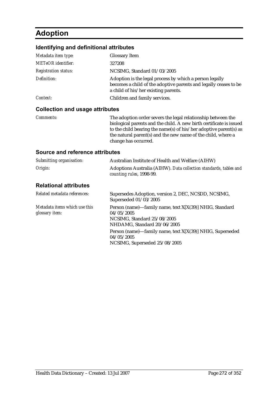# **Adoption**

### **Identifying and definitional attributes**

| Metadata item type:         | <b>Glossary Item</b>                                                                                                                                                |
|-----------------------------|---------------------------------------------------------------------------------------------------------------------------------------------------------------------|
| <b>METeOR</b> identifier:   | 327208                                                                                                                                                              |
| <b>Registration status:</b> | NCSIMG, Standard 01/03/2005                                                                                                                                         |
| Definition:                 | Adoption is the legal process by which a person legally<br>becomes a child of the adoptive parents and legally ceases to be<br>a child of his/her existing parents. |
| Context:                    | Children and family services.                                                                                                                                       |
|                             |                                                                                                                                                                     |

### **Collection and usage attributes**

*Comments:* The adoption order severs the legal relationship between the biological parents and the child. A new birth certificate is issued to the child bearing the name(s) of his/her adoptive parent(s) as the natural parent(s) and the new name of the child, where a change has occurred.

#### **Source and reference attributes**

| Submitting organisation:                                | Australian Institute of Health and Welfare (AIHW)                                                                                   |
|---------------------------------------------------------|-------------------------------------------------------------------------------------------------------------------------------------|
| Origin:                                                 | Adoptions Australia (AIHW). Data collection standards, tables and<br>counting rules, 1998-99.                                       |
| <b>Relational attributes</b>                            |                                                                                                                                     |
| Related metadata references:                            | Supersedes Adoption, version 2, DEC, NCSDD, NCSIMG,<br>Superseded 01/03/2005                                                        |
| Metadata items which use this<br>glossary <i>item</i> : | Person (name)—family name, text X[X(39)] NHIG, Standard<br>04/05/2005<br>NCSIMG. Standard 25/08/2005<br>NHDAMG, Standard 20/06/2005 |
|                                                         | Person (name)—family name, text X[X(39)] NHIG, Superseded<br>04/05/2005<br>NCSIMG, Superseded 25/08/2005                            |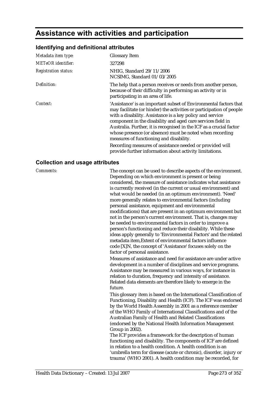## **Assistance with activities and participation**

#### **Identifying and definitional attributes**

| Metadata item type:         | <b>Glossary Item</b>                                                                                                                                                                                                                                                                                                                                                                                                                                |
|-----------------------------|-----------------------------------------------------------------------------------------------------------------------------------------------------------------------------------------------------------------------------------------------------------------------------------------------------------------------------------------------------------------------------------------------------------------------------------------------------|
| <b>METeOR</b> identifier:   | 327298                                                                                                                                                                                                                                                                                                                                                                                                                                              |
| <b>Registration status:</b> | NHIG, Standard 29/11/2006<br>NCSIMG, Standard 01/03/2005                                                                                                                                                                                                                                                                                                                                                                                            |
| Definition:                 | The help that a person receives or needs from another person,<br>because of their difficulty in performing an activity or in<br>participating in an area of life.                                                                                                                                                                                                                                                                                   |
| Context:                    | 'Assistance' is an important subset of Environmental factors that<br>may facilitate (or hinder) the activities or participation of people<br>with a disability. Assistance is a key policy and service<br>component in the disability and aged care services field in<br>Australia. Further, it is recognised in the ICF as a crucial factor<br>whose presence (or absence) must be noted when recording<br>measures of functioning and disability. |
|                             | Recording measures of assistance needed or provided will<br>provide further information about activity limitations.                                                                                                                                                                                                                                                                                                                                 |

#### **Collection and usage attributes**

*Comments:* The concept can be used to describe aspects of the environment. Depending on which environment is present or being considered, the measure of assistance indicates what assistance is currently received (in the current or usual environment) and what would be needed (in an optimum environment). 'Need' more generally relates to environmental factors (including personal assistance, equipment and environmental modifications) that are present in an optimum environment but not in the person's current environment. That is, changes may be needed to environmental factors in order to improve a person's functioning and reduce their disability. While these ideas apply generally to 'Environmental Factors' and the related metadata item,Extent of environmental factors influence code [X]N, the concept of 'Assistance' focuses solely on the factor of personal assistance.

> Measures of assistance and need for assistance are under active development in a number of disciplines and service programs. Assistance may be measured in various ways, for instance in relation to duration, frequency and intensity of assistance. Related data elements are therefore likely to emerge in the future.

This glossary item is based on the International Classification of Functioning, Disability and Health (ICF). The ICF was endorsed by the World Health Assembly in 2001 as a reference member of the WHO Family of International Classifications and of the Australian Family of Health and Related Classifications (endorsed by the National Health Information Management Group in 2002).

The ICF provides a framework for the description of human functioning and disability. The components of ICF are defined in relation to a health condition. A health condition is an 'umbrella term for disease (acute or chronic), disorder, injury or trauma' (WHO 2001). A health condition may be recorded, for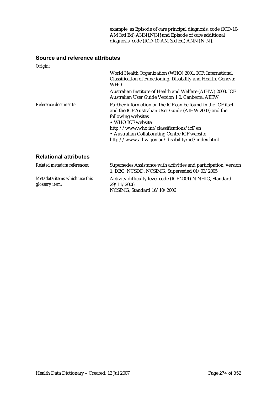example, as Episode of care principal diagnosis, code (ICD-10- AM 3rd Ed) ANN{.N[N} and Episode of care additional diagnosis, code (ICD-10-AM 3rd Ed) ANN{.N[N}.

### **Source and reference attributes**

| Origin:                      |                                                                                                                                                                                                                                                                                                                     |
|------------------------------|---------------------------------------------------------------------------------------------------------------------------------------------------------------------------------------------------------------------------------------------------------------------------------------------------------------------|
|                              | World Health Organization (WHO) 2001. ICF: International<br>Classification of Functioning, Disability and Health. Geneva:<br>WHO<br>Australian Institute of Health and Welfare (AIHW) 2003. ICF<br>Australian User Guide Version 1.0. Canberra: AIHW                                                                |
| Reference documents:         | Further information on the ICF can be found in the ICF itself<br>and the ICF Australian User Guide (AIHW 2003) and the<br>following websites<br>• WHO ICF website<br>http://www.who.int/classifications/icf/en<br>• Australian Collaborating Centre ICF website<br>http://www.aihw.gov.au/disability/icf/index.html |
| <b>Relational attributes</b> |                                                                                                                                                                                                                                                                                                                     |
| Delated metadate references  |                                                                                                                                                                                                                                                                                                                     |

| Related metadata references:                    | Supersedes Assistance with activities and participation, version<br>1, DEC, NCSDD, NCSIMG, Superseded 01/03/2005 |
|-------------------------------------------------|------------------------------------------------------------------------------------------------------------------|
| Metadata items which use this<br>glossary item: | Activity difficulty level code (ICF 2001) N NHIG, Standard<br>29/11/2006<br>NCSIMG, Standard 16/10/2006          |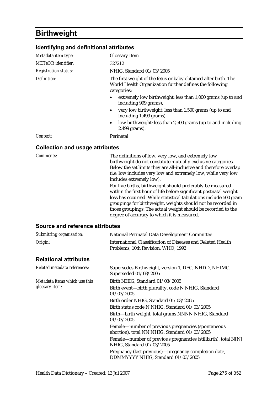# **Birthweight**

| Identifying and definitional attributes |                                                                                                                                                                                                                                                                                       |
|-----------------------------------------|---------------------------------------------------------------------------------------------------------------------------------------------------------------------------------------------------------------------------------------------------------------------------------------|
| Metadata item type:                     | <b>Glossary Item</b>                                                                                                                                                                                                                                                                  |
| <b>METeOR</b> identifier:               | 327212                                                                                                                                                                                                                                                                                |
| <b>Registration status:</b>             | NHIG, Standard 01/03/2005                                                                                                                                                                                                                                                             |
| Definition:                             | The first weight of the fetus or baby obtained after birth. The<br>World Health Organization further defines the following<br>categories:                                                                                                                                             |
|                                         | extremely low birthweight: less than 1,000 grams (up to and<br>including 999 grams),                                                                                                                                                                                                  |
|                                         | very low birthweight: less than 1,500 grams (up to and<br>including 1,499 grams),                                                                                                                                                                                                     |
|                                         | low birthweight: less than 2,500 grams (up to and including<br>2,499 grams).                                                                                                                                                                                                          |
| Context:                                | Perinatal                                                                                                                                                                                                                                                                             |
| <b>Collection and usage attributes</b>  |                                                                                                                                                                                                                                                                                       |
| Comments:                               | The definitions of low, very low, and extremely low<br>birthweight do not constitute mutually exclusive categories.<br>Below the set limits they are all-inclusive and therefore overlap<br>(i.e. low includes very low and extremely low, while very low<br>includes extremely low). |
|                                         | For live births, birthweight should preferably be measured<br>within the first hour of life before significant postnatal weight<br>loss has occurred. While statistical tabulations include 500 gram<br>groupings for birthweight, weights should not be recorded in                  |

those groupings. The actual weight should be recorded to the

degree of accuracy to which it is measured.

### **Source and reference attributes**

| Submitting organisation:      | <b>National Perinatal Data Development Committee</b>                                                |
|-------------------------------|-----------------------------------------------------------------------------------------------------|
| Origin:                       | International Classification of Diseases and Related Health<br>Problems, 10th Revision, WHO, 1992   |
| <b>Relational attributes</b>  |                                                                                                     |
| Related metadata references:  | Supersedes Birthweight, version 1, DEC, NHDD, NHIMG,<br>Superseded 01/03/2005                       |
| Metadata items which use this | Birth NHIG, Standard 01/03/2005                                                                     |
| glossary item:                | Birth event—birth plurality, code N NHIG, Standard<br>01/03/2005                                    |
|                               | Birth order NHIG, Standard 01/03/2005                                                               |
|                               | Birth status code N NHIG, Standard 01/03/2005                                                       |
|                               | Birth-birth weight, total grams NNNN NHIG, Standard<br>01/03/2005                                   |
|                               | Female—number of previous pregnancies (spontaneous<br>abortion), total NN NHIG, Standard 01/03/2005 |
|                               | Female—number of previous pregnancies (stillbirth), total N[N]<br>NHIG, Standard 01/03/2005         |
|                               | Pregnancy (last previous)—pregnancy completion date,<br>DDMMYYYY NHIG, Standard 01/03/2005          |
|                               |                                                                                                     |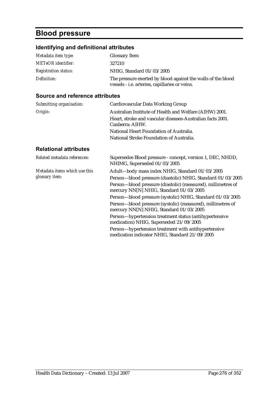# **Blood pressure**

## **Identifying and definitional attributes**

| Metadata item type:         | <b>Glossary Item</b>                                                                                                  |
|-----------------------------|-----------------------------------------------------------------------------------------------------------------------|
| <b>METeOR</b> identifier:   | 327210                                                                                                                |
| <b>Registration status:</b> | NHIG, Standard 01/03/2005                                                                                             |
| Definition:                 | The pressure exerted by blood against the walls of the blood<br>vessels - <i>i.e.</i> arteries, capillaries or veins. |

### **Source and reference attributes**

| Submitting organisation:                        | Cardiovascular Data Working Group                                                                       |
|-------------------------------------------------|---------------------------------------------------------------------------------------------------------|
| Origin:                                         | Australian Institute of Health and Welfare (AIHW) 2001.                                                 |
|                                                 | Heart, stroke and vascular diseases-Australian facts 2001.<br>Canberra: AIHW.                           |
|                                                 | National Heart Foundation of Australia.                                                                 |
|                                                 | National Stroke Foundation of Australia.                                                                |
| <b>Relational attributes</b>                    |                                                                                                         |
| Related metadata references:                    | Supersedes Blood pressure - concept, version 1, DEC, NHDD,<br>NHIMG, Superseded 01/03/2005              |
| Metadata items which use this<br>glossary item: | Adult-body mass index NHIG, Standard 01/03/2005                                                         |
|                                                 | Person-blood pressure (diastolic) NHIG, Standard 01/03/2005                                             |
|                                                 | Person-blood pressure (diastolic) (measured), millimetres of<br>mercury NN[N] NHIG, Standard 01/03/2005 |
|                                                 | Person-blood pressure (systolic) NHIG, Standard 01/03/2005                                              |
|                                                 | Person-blood pressure (systolic) (measured), millimetres of<br>mercury NN[N] NHIG, Standard 01/03/2005  |
|                                                 | Person-hypertension treatment status (antihypertensive<br>medication) NHIG, Superseded 21/09/2005       |
|                                                 | Person-hypertension treatment with antihypertensive                                                     |

medication indicator NHIG, Standard 21/09/2005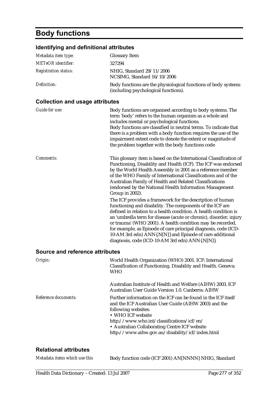# **Body functions**

### **Identifying and definitional attributes**

| identifying and definitional attributes |                                                                                                                                                                                                                                                                                                                                                                                                                                                                                                                                                                                                                                                                                                                                                                                                                                                                                                                                  |
|-----------------------------------------|----------------------------------------------------------------------------------------------------------------------------------------------------------------------------------------------------------------------------------------------------------------------------------------------------------------------------------------------------------------------------------------------------------------------------------------------------------------------------------------------------------------------------------------------------------------------------------------------------------------------------------------------------------------------------------------------------------------------------------------------------------------------------------------------------------------------------------------------------------------------------------------------------------------------------------|
| Metadata item type:                     | <b>Glossary Item</b>                                                                                                                                                                                                                                                                                                                                                                                                                                                                                                                                                                                                                                                                                                                                                                                                                                                                                                             |
| <b>METeOR</b> identifier:               | 327294                                                                                                                                                                                                                                                                                                                                                                                                                                                                                                                                                                                                                                                                                                                                                                                                                                                                                                                           |
| <b>Registration status:</b>             | NHIG, Standard 29/11/2006<br>NCSIMG, Standard 16/10/2006                                                                                                                                                                                                                                                                                                                                                                                                                                                                                                                                                                                                                                                                                                                                                                                                                                                                         |
| Definition:                             | Body functions are the physiological functions of body systems<br>(including psychological functions).                                                                                                                                                                                                                                                                                                                                                                                                                                                                                                                                                                                                                                                                                                                                                                                                                           |
| <b>Collection and usage attributes</b>  |                                                                                                                                                                                                                                                                                                                                                                                                                                                                                                                                                                                                                                                                                                                                                                                                                                                                                                                                  |
| <b>Guide for use:</b>                   | Body functions are organised according to body systems. The<br>term 'body' refers to the human organism as a whole and<br>includes mental or psychological functions.<br>Body functions are classified in neutral terms. To indicate that<br>there is a problem with a body function requires the use of the<br>impairment extent code to denote the extent or magnitude of<br>the problem together with the body functions code                                                                                                                                                                                                                                                                                                                                                                                                                                                                                                 |
| Comments:                               | This glossary item is based on the International Classification of<br>Functioning, Disability and Health (ICF). The ICF was endorsed<br>by the World Health Assembly in 2001 as a reference member<br>of the WHO Family of International Classifications and of the<br>Australian Family of Health and Related Classifications<br>(endorsed by the National Health Information Management<br>Group in 2002).<br>The ICF provides a framework for the description of human<br>functioning and disability. The components of the ICF are<br>defined in relation to a health condition. A health condition is<br>an 'umbrella term for disease (acute or chronic), disorder, injury<br>or trauma' (WHO 2001). A health condition may be recorded,<br>for example, as Episode of care principal diagnosis, code (ICD-<br>10-AM 3rd edn) ANN{.N[N]} and Episode of care additional<br>diagnosis, code (ICD-10-AM 3rd edn) ANN{.N[N]}. |
| <b>Source and reference attributes</b>  |                                                                                                                                                                                                                                                                                                                                                                                                                                                                                                                                                                                                                                                                                                                                                                                                                                                                                                                                  |
| Origin:                                 | World Health Organization (WHO) 2001. ICF: International<br>Classification of Functioning, Disability and Health. Geneva:<br><b>WHO</b>                                                                                                                                                                                                                                                                                                                                                                                                                                                                                                                                                                                                                                                                                                                                                                                          |
|                                         | Australian Institute of Health and Welfare (AIHW) 2003. ICF<br>Australian User Guide Version 1.0. Canberra: AIHW                                                                                                                                                                                                                                                                                                                                                                                                                                                                                                                                                                                                                                                                                                                                                                                                                 |
| Reference documents:                    | Further information on the ICF can be found in the ICF itself<br>and the ICF Australian User Guide (AIHW 2003) and the<br>following websites:                                                                                                                                                                                                                                                                                                                                                                                                                                                                                                                                                                                                                                                                                                                                                                                    |

• WHO ICF website http://www.who.int/classifications/icf/en/ • Australian Collaborating Centre ICF website

## http://www.aihw.gov.au/disability/icf/index.html

| Metadata items which use this | Body function code (ICF 2001) AN[NNNN] NHIG, Standard |
|-------------------------------|-------------------------------------------------------|
|-------------------------------|-------------------------------------------------------|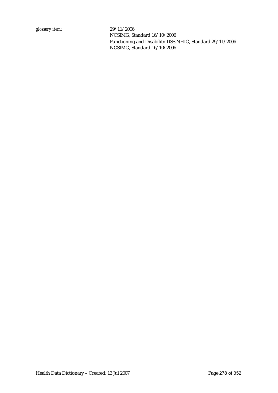NCSIMG, Standard 16/10/2006 Functioning and Disability DSS NHIG, Standard 29/11/2006 NCSIMG, Standard 16/10/2006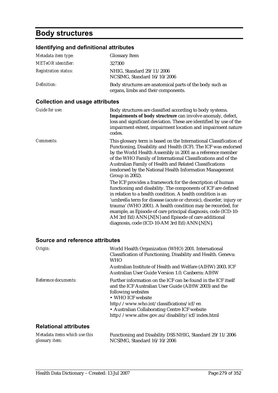# **Body structures**

## **Identifying and definitional attributes**

| Metadata item type:         | Glossary Item                                                                                   |
|-----------------------------|-------------------------------------------------------------------------------------------------|
| <b>METeOR</b> identifier:   | 327300                                                                                          |
| <b>Registration status:</b> | NHIG, Standard 29/11/2006<br>NCSIMG, Standard 16/10/2006                                        |
| Definition:                 | Body structures are anatomical parts of the body such as<br>organs, limbs and their components. |

## **Collection and usage attributes**

| Guide for use:   | Body structures are classified according to body systems.<br>Impairments of body structrure can involve anomaly, defect,<br>loss and significant deviation. These are identified by use of the<br>impairment extent, impairment location and impairment nature<br>codes.                                                                                                                                                                                                                                                                                                                                                                                                                                                                                                                                                                                                                                                 |
|------------------|--------------------------------------------------------------------------------------------------------------------------------------------------------------------------------------------------------------------------------------------------------------------------------------------------------------------------------------------------------------------------------------------------------------------------------------------------------------------------------------------------------------------------------------------------------------------------------------------------------------------------------------------------------------------------------------------------------------------------------------------------------------------------------------------------------------------------------------------------------------------------------------------------------------------------|
| <i>Comments:</i> | This glossary term is based on the International Classification of<br>Functioning, Disability and Health (ICF). The ICF was endorsed<br>by the World Health Assembly in 2001 as a reference member<br>of the WHO Family of International Classifications and of the<br>Australian Family of Health and Related Classifications<br>(endorsed by the National Health Information Management<br>Group in 2002).<br>The ICF provides a framework for the description of human<br>functioning and disability. The components of ICF are defined<br>in relation to a health condition. A health condition is an<br>'umbrella term for disease (acute or chronic), disorder, injury or<br>trauma' (WHO 2001). A health condition may be recorded, for<br>example, as Episode of care principal diagnosis, code (ICD-10-<br>AM 3rd Ed) ANN{.N[N} and Episode of care additional<br>diagnosis, code (ICD-10-AM 3rd Ed) ANN{.N[N}. |

#### **Source and reference attributes**

| Origin:                      | World Health Organization (WHO) 2001. International<br>Classification of Functioning, Disability and Health. Geneva:<br><b>WHO</b>                                                                                                                                                                                  |
|------------------------------|---------------------------------------------------------------------------------------------------------------------------------------------------------------------------------------------------------------------------------------------------------------------------------------------------------------------|
|                              | Australian Institute of Health and Welfare (AIHW) 2003. ICF<br>Australian User Guide Version 1.0. Canberra: AIHW                                                                                                                                                                                                    |
| Reference documents:         | Further information on the ICF can be found in the ICF itself<br>and the ICF Australian User Guide (AIHW 2003) and the<br>following websites<br>• WHO ICF website<br>http://www.who.int/classifications/icf/en<br>• Australian Collaborating Centre ICF website<br>http://www.aihw.gov.au/disability/icf/index.html |
| <b>Relational attributes</b> |                                                                                                                                                                                                                                                                                                                     |

| Metadata items which use this | Functioning and Disability DSS NHIG, Standard 29/11/2006 |
|-------------------------------|----------------------------------------------------------|
| glossary item:                | NCSIMG. Standard $16/10/2006$                            |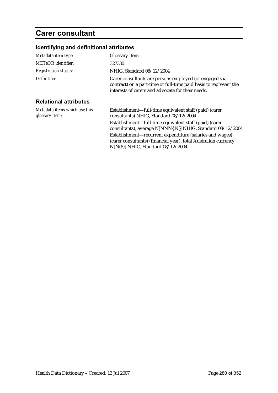# **Carer consultant**

## **Identifying and definitional attributes**

| Metadata item type:                             | <b>Glossary Item</b>                                                                                                                                                             |
|-------------------------------------------------|----------------------------------------------------------------------------------------------------------------------------------------------------------------------------------|
| <b>METeOR</b> identifier:                       | 327330                                                                                                                                                                           |
| <b>Registration status:</b>                     | NHIG, Standard 08/12/2004                                                                                                                                                        |
| Definition:                                     | Carer consultants are persons employed (or engaged via<br>contract) on a part-time or full-time paid basis to represent the<br>interests of carers and advocate for their needs. |
| <b>Relational attributes</b>                    |                                                                                                                                                                                  |
| Metadata items which use this<br>glossary item: | Establishment—full-time equivalent staff (paid) (carer<br>consultants) NHIG, Standard 08/12/2004                                                                                 |
|                                                 | Establishment—full-time equivalent staff (paid) (carer<br>consultants), average N[NNN{.N}] NHIG, Standard 08/12/2004                                                             |
|                                                 | Establishment-recurrent expenditure (salaries and wages)<br>(carer consultants) (financial year), total Australian currency<br>$N[N(8)]$ NHIG, Standard $08/12/2004$             |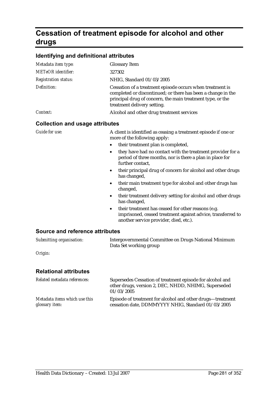# **Cessation of treatment episode for alcohol and other drugs**

### **Identifying and definitional attributes**

| Metadata item type:                    | <b>Glossary Item</b>                                                                                                                                                                                                   |
|----------------------------------------|------------------------------------------------------------------------------------------------------------------------------------------------------------------------------------------------------------------------|
| <b>METeOR</b> identifier:              | 327302                                                                                                                                                                                                                 |
| <b>Registration status:</b>            | NHIG, Standard 01/03/2005                                                                                                                                                                                              |
| Definition:                            | Cessation of a treatment episode occurs when treatment is<br>completed or discontinued; or there has been a change in the<br>principal drug of concern, the main treatment type, or the<br>treatment delivery setting. |
| Context:                               | Alcohol and other drug treatment services                                                                                                                                                                              |
| <b>Collection and usage attributes</b> |                                                                                                                                                                                                                        |
| <b>Guide for use:</b>                  | A client is identified as ceasing a treatment episode if one or<br>more of the following apply:                                                                                                                        |
|                                        | their treatment plan is completed,                                                                                                                                                                                     |
|                                        | they have had no contact with the treatment provider for a<br>$\bullet$<br>period of three months, nor is there a plan in place for<br>further contact,                                                                |
|                                        | their principal drug of concern for alcohol and other drugs<br>٠<br>has changed,                                                                                                                                       |
|                                        | their main treatment type for alcohol and other drugs has<br>٠<br>changed,                                                                                                                                             |
|                                        | their treatment delivery setting for alcohol and other drugs<br>$\bullet$<br>has changed,                                                                                                                              |

• their treatment has ceased for other reasons (e.g. imprisoned, ceased treatment against advice, transferred to another service provider, died, etc.).

#### **Source and reference attributes**

| Submitting organisation: | Intergovernmental Committee on Drugs National Minimum |
|--------------------------|-------------------------------------------------------|
|                          | Data Set working group                                |

*Origin:*

| Related metadata references:  | Supersedes Cessation of treatment episode for alcohol and<br>other drugs, version 2, DEC, NHDD, NHIMG, Superseded<br>01/03/2005 |
|-------------------------------|---------------------------------------------------------------------------------------------------------------------------------|
| Metadata items which use this | Episode of treatment for alcohol and other drugs—treatment                                                                      |
| glossary item:                | cessation date, DDMMYYYY NHIG, Standard 01/03/2005                                                                              |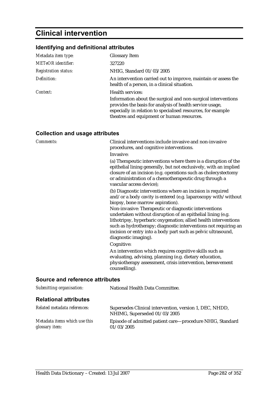# **Clinical intervention**

## **Identifying and definitional attributes**

| Metadata item type:         | <b>Glossary Item</b>                                                                                                                                                                                                                    |
|-----------------------------|-----------------------------------------------------------------------------------------------------------------------------------------------------------------------------------------------------------------------------------------|
| <b>METeOR</b> identifier:   | 327220                                                                                                                                                                                                                                  |
| <b>Registration status:</b> | NHIG, Standard 01/03/2005                                                                                                                                                                                                               |
| Definition:                 | An intervention carried out to improve, maintain or assess the<br>health of a person, in a clinical situation.                                                                                                                          |
| Context:                    | <b>Health services:</b>                                                                                                                                                                                                                 |
|                             | Information about the surgical and non-surgical interventions<br>provides the basis for analysis of health service usage,<br>especially in relation to specialised resources, for example<br>theatres and equipment or human resources. |

## **Collection and usage attributes**

| Comments:                       | Clinical interventions include invasive and non-invasive<br>procedures, and cognitive interventions.<br>Invasive:                                                                                                                                                                                                                                                  |
|---------------------------------|--------------------------------------------------------------------------------------------------------------------------------------------------------------------------------------------------------------------------------------------------------------------------------------------------------------------------------------------------------------------|
|                                 | (a) Therapeutic interventions where there is a disruption of the<br>epithelial lining generally, but not exclusively, with an implied<br>closure of an incision (e.g. operations such as cholecystectomy<br>or administration of a chemotherapeutic drug through a<br>vascular access device);                                                                     |
|                                 | (b) Diagnostic interventions where an incision is required<br>and/or a body cavity is entered (e.g. laparoscopy with/without<br>biopsy, bone marrow aspiration).                                                                                                                                                                                                   |
|                                 | Non-invasive: Therapeutic or diagnostic interventions<br>undertaken without disruption of an epithelial lining (e.g.<br>lithotripsy, hyperbaric oxygenation; allied health interventions<br>such as hydrotherapy; diagnostic interventions not requiring an<br>incision or entry into a body part such as pelvic ultrasound,<br>diagnostic imaging).<br>Cognitive: |
|                                 | An intervention which requires cognitive skills such as<br>evaluating, advising, planning (e.g. dietary education,<br>physiotherapy assessment, crisis intervention, bereavement<br>counselling).                                                                                                                                                                  |
| Source and reference attributes |                                                                                                                                                                                                                                                                                                                                                                    |
| Submitting organisation:        | National Health Data Committee.                                                                                                                                                                                                                                                                                                                                    |

| Related metadata references:  | Supersedes Clinical intervention, version 1, DEC, NHDD,<br>NHIMG, Superseded 01/03/2005 |
|-------------------------------|-----------------------------------------------------------------------------------------|
| Metadata items which use this | Episode of admitted patient care—procedure NHIG, Standard                               |
| glossary item:                | 01/03/2005                                                                              |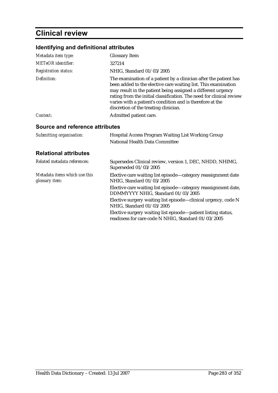# **Clinical review**

## **Identifying and definitional attributes**

| Metadata item type:                             | <b>Glossary Item</b>                                                                                                                                                                                                                                                                                                                                                              |
|-------------------------------------------------|-----------------------------------------------------------------------------------------------------------------------------------------------------------------------------------------------------------------------------------------------------------------------------------------------------------------------------------------------------------------------------------|
| <b>METeOR</b> identifier:                       | 327214                                                                                                                                                                                                                                                                                                                                                                            |
| <b>Registration status:</b>                     | NHIG, Standard 01/03/2005                                                                                                                                                                                                                                                                                                                                                         |
| Definition:                                     | The examination of a patient by a clinician after the patient has<br>been added to the elective care waiting list. This examination<br>may result in the patient being assigned a different urgency<br>rating from the initial classification. The need for clinical review<br>varies with a patient's condition and is therefore at the<br>discretion of the treating clinician. |
| Context:                                        | Admitted patient care.                                                                                                                                                                                                                                                                                                                                                            |
| Source and reference attributes                 |                                                                                                                                                                                                                                                                                                                                                                                   |
| Submitting organisation:                        | Hospital Access Program Waiting List Working Group<br>National Health Data Committee                                                                                                                                                                                                                                                                                              |
| <b>Relational attributes</b>                    |                                                                                                                                                                                                                                                                                                                                                                                   |
| Related metadata references:                    | Supersedes Clinical review, version 1, DEC, NHDD, NHIMG,<br>Superseded 01/03/2005                                                                                                                                                                                                                                                                                                 |
| Metadata items which use this<br>glossary item: | Elective care waiting list episode—category reassignment date<br>NHIG, Standard 01/03/2005                                                                                                                                                                                                                                                                                        |
|                                                 | Elective care waiting list episode—category reassignment date,<br>DDMMYYYY NHIG, Standard 01/03/2005                                                                                                                                                                                                                                                                              |
|                                                 | Elective surgery waiting list episode-clinical urgency, code N<br>NHIG, Standard 01/03/2005                                                                                                                                                                                                                                                                                       |
|                                                 | Elective surgery waiting list episode-patient listing status,<br>readiness for care code N NHIG, Standard 01/03/2005                                                                                                                                                                                                                                                              |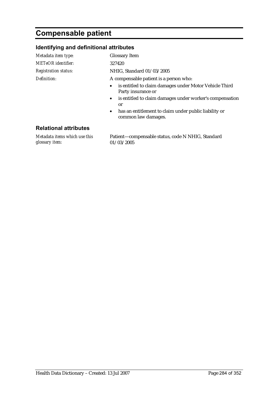# **Compensable patient**

### **Identifying and definitional attributes**

| Metadata item type:         | <b>Glossary Item</b>                                                                      |
|-----------------------------|-------------------------------------------------------------------------------------------|
| <b>METeOR</b> identifier:   | 327420                                                                                    |
| <b>Registration status:</b> | NHIG, Standard 01/03/2005                                                                 |
| Definition:                 | A compensable patient is a person who:                                                    |
|                             | is entitled to claim damages under Motor Vehicle Third<br>$\bullet$<br>Party insurance or |
|                             | • is entitled to claim damages under worker's compensation                                |

or • has an entitlement to claim under public liability or common law damages.

### **Relational attributes**

*Metadata items which use this glossary item:*

Patient—compensable status, code N NHIG, Standard 01/03/2005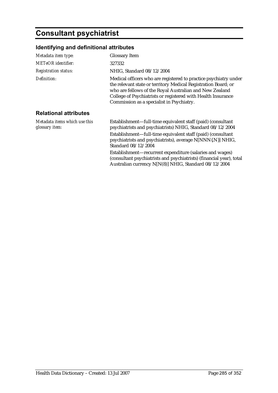# **Consultant psychiatrist**

## **Identifying and definitional attributes**

| Metadata item type:                             | <b>Glossary Item</b>                                                                                                                                                                                                                                                                                       |
|-------------------------------------------------|------------------------------------------------------------------------------------------------------------------------------------------------------------------------------------------------------------------------------------------------------------------------------------------------------------|
| <b>METeOR</b> identifier:                       | 327332                                                                                                                                                                                                                                                                                                     |
| <b>Registration status:</b>                     | NHIG, Standard 08/12/2004                                                                                                                                                                                                                                                                                  |
| Definition:                                     | Medical officers who are registered to practice psychiatry under<br>the relevant state or territory Medical Registration Board; or<br>who are fellows of the Royal Australian and New Zealand<br>College of Psychiatrists or registered with Health Insurance<br>Commission as a specialist in Psychiatry. |
| <b>Relational attributes</b>                    |                                                                                                                                                                                                                                                                                                            |
| Metadata items which use this<br>glossary item: | Establishment—full-time equivalent staff (paid) (consultant<br>psychiatrists and psychiatrists) NHIG, Standard 08/12/2004                                                                                                                                                                                  |
|                                                 | Establishment—full-time equivalent staff (paid) (consultant<br>psychiatrists and psychiatrists), average N[NNN{.N}] NHIG,<br>Standard 08/12/2004                                                                                                                                                           |
|                                                 | Establishment-recurrent expenditure (salaries and wages)<br>(consultant psychiatrists and psychiatrists) (financial year), total<br>Australian currency N[N(8)] NHIG, Standard 08/12/2004                                                                                                                  |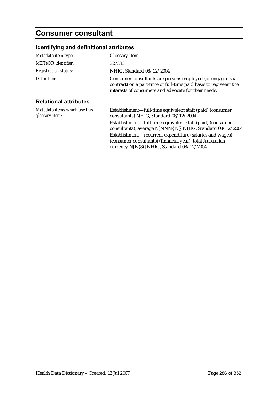# **Consumer consultant**

## **Identifying and definitional attributes**

| Metadata item type:                             | <b>Glossary Item</b>                                                                                                                                                                   |
|-------------------------------------------------|----------------------------------------------------------------------------------------------------------------------------------------------------------------------------------------|
| <b>METeOR</b> identifier:                       | 327336                                                                                                                                                                                 |
| <b>Registration status:</b>                     | NHIG, Standard 08/12/2004                                                                                                                                                              |
| Definition:                                     | Consumer consultants are persons employed (or engaged via<br>contract) on a part-time or full-time paid basis to represent the<br>interests of consumers and advocate for their needs. |
| <b>Relational attributes</b>                    |                                                                                                                                                                                        |
| Metadata items which use this<br>glossary item: | Establishment—full-time equivalent staff (paid) (consumer<br>consultants) NHIG, Standard 08/12/2004                                                                                    |
|                                                 | Establishment—full-time equivalent staff (paid) (consumer<br>consultants), average N[NNN{.N}] NHIG, Standard 08/12/2004                                                                |
|                                                 | Establishment-recurrent expenditure (salaries and wages)<br>(consumer consultants) (financial year), total Australian                                                                  |

currency N[N(8)] NHIG, Standard 08/12/2004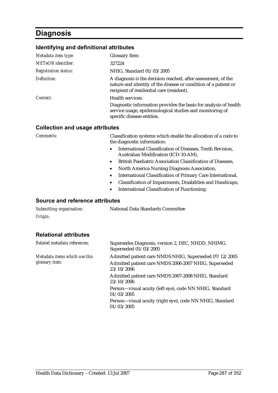# **Diagnosis**

### **Identifying and definitional attributes**

| Metadata item type:         | <b>Glossary Item</b>                                                                                                                                                           |
|-----------------------------|--------------------------------------------------------------------------------------------------------------------------------------------------------------------------------|
| <b>METeOR</b> identifier:   | 327224                                                                                                                                                                         |
| <b>Registration status:</b> | NHIG, Standard 01/03/2005                                                                                                                                                      |
| Definition:                 | A diagnosis is the decision reached, after assessment, of the<br>nature and identity of the disease or condition of a patient or<br>recipient of residential care (resident).  |
| Context:                    | Health services:<br>Diagnostic information provides the basis for analysis of health<br>service usage, epidemiological studies and monitoring of<br>specific disease entities. |

#### **Collection and usage attributes**

*Comments:* Classification systems which enable the allocation of a code to the diagnostic information:

- International Classification of Diseases, Tenth Revision, Australian Modification (ICD-10-AM),
- British Paediatric Association Classification of Diseases,
- North America Nursing Diagnosis Association,
- International Classification of Primary Care International,
- Classification of Impairments, Disabilities and Handicaps,
- International Classification of Functioning.

#### **Source and reference attributes**

| Submitting organisation: | National Data Standards Committee |
|--------------------------|-----------------------------------|
| Origin:                  |                                   |

| Related metadata references:                            | Supersedes Diagnosis, version 2, DEC, NHDD, NHIMG,<br>Superseded 01/03/2005                                                   |
|---------------------------------------------------------|-------------------------------------------------------------------------------------------------------------------------------|
| Metadata items which use this<br>glossary <i>item</i> : | Admitted patient care NMDS NHIG, Superseded 07/12/2005<br>Admitted patient care NMDS 2006-2007 NHIG, Superseded<br>23/10/2006 |
|                                                         | Admitted patient care NMDS 2007-2008 NHIG, Standard<br>23/10/2006                                                             |
|                                                         | Person-visual acuity (left eye), code NN NHIG, Standard<br>01/03/2005                                                         |
|                                                         | Person-visual acuity (right eye), code NN NHIG, Standard<br>01/03/2005                                                        |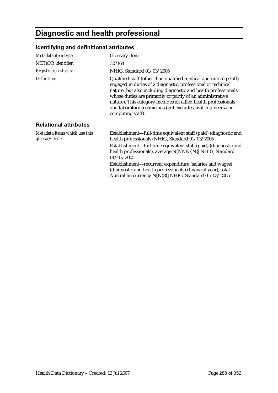# **Diagnostic and health professional**

## **Identifying and definitional attributes**

| Metadata item type:                             | <b>Glossary Item</b>                                                                                                                                                                                                                                                                                                                                                                                                    |
|-------------------------------------------------|-------------------------------------------------------------------------------------------------------------------------------------------------------------------------------------------------------------------------------------------------------------------------------------------------------------------------------------------------------------------------------------------------------------------------|
| <b>METeOR</b> identifier:                       | 327164                                                                                                                                                                                                                                                                                                                                                                                                                  |
| <b>Registration status:</b>                     | NHIG, Standard 01/03/2005                                                                                                                                                                                                                                                                                                                                                                                               |
| Definition:                                     | Qualified staff (other than qualified medical and nursing staff)<br>engaged in duties of a diagnostic, professional or technical<br>nature (but also including diagnostic and health professionals<br>whose duties are primarily or partly of an administrative<br>nature). This category includes all allied health professionals<br>and laboratory technicians (but excludes civil engineers and<br>computing staff). |
| <b>Relational attributes</b>                    |                                                                                                                                                                                                                                                                                                                                                                                                                         |
| Metadata items which use this<br>glossary item: | Establishment—full-time equivalent staff (paid) (diagnostic and<br>health professionals) NHIG, Standard 01/03/2005                                                                                                                                                                                                                                                                                                      |
|                                                 | Establishment-full-time equivalent staff (paid) (diagnostic and<br>health professionals), average N[NNN{.N}] NHIG, Standard<br>01/03/2005                                                                                                                                                                                                                                                                               |
|                                                 | Establishment-recurrent expenditure (salaries and wages)<br>(diagnostic and health professionals) (financial year), total<br>Australian currency N[N(8)] NHIG, Standard 01/03/2005                                                                                                                                                                                                                                      |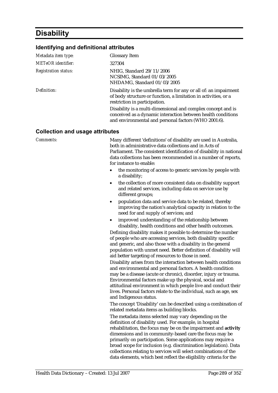# **Disability**

### **Identifying and definitional attributes**

| Metadata item type:         | <b>Glossary Item</b>                                                                                                                                                                 |
|-----------------------------|--------------------------------------------------------------------------------------------------------------------------------------------------------------------------------------|
| <b>METeOR</b> identifier:   | 327304                                                                                                                                                                               |
| <b>Registration status:</b> | NHIG, Standard 29/11/2006<br>NCSIMG, Standard 01/03/2005<br>NHDAMG, Standard 01/03/2005                                                                                              |
| Definition:                 | Disability is the umbrella term for any or all of: an impairment<br>of body structure or function, a limitation in activities, or a<br>restriction in participation.                 |
|                             | Disability is a multi-dimensional and complex concept and is<br>conceived as a dynamic interaction between health conditions<br>and environmental and personal factors (WHO 2001:6). |

#### **Collection and usage attributes**

**Comments:** Many different 'definitions' of disability are used in Australia, both in administrative data collections and in Acts of Parliament. The consistent identification of disability in national data collections has been recommended in a number of reports, for instance to enable:

- the monitoring of access to generic services by people with a disability;
- the collection of more consistent data on disability support and related services, including data on service use by different groups;
- population data and service data to be related, thereby improving the nation's analytical capacity in relation to the need for and supply of services; and
- improved understanding of the relationship between disability, health conditions and other health outcomes.

Defining disability makes it possible to determine the number of people who are accessing services, both disability specific and generic, and also those with a disability in the general population with unmet need. Better definition of disability will aid better targeting of resources to those in need.

Disability arises from the interaction between health conditions and environmental and personal factors. A health condition may be a disease (acute or chronic), disorder, injury or trauma. Environmental factors make up the physical, social and attitudinal environment in which people live and conduct their lives. Personal factors relate to the individual, such as age, sex and Indigenous status.

The concept 'Disability' can be described using a combination of related metadata items as building blocks.

The metadata items selected may vary depending on the definition of disability used. For example, in hospital rehabilitation, the focus may be on the impairment and **activity** dimensions and in community-based care the focus may be primarily on participation. Some applications may require a broad scope for inclusion (e.g. discrimination legislation). Data collections relating to services will select combinations of the data elements, which best reflect the eligibility criteria for the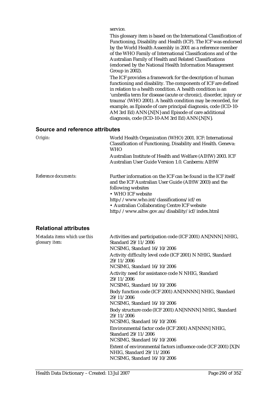service.

This glossary item is based on the International Classification of Functioning, Disability and Health (ICF). The ICF was endorsed by the World Health Assembly in 2001 as a reference member of the WHO Family of International Classifications and of the Australian Family of Health and Related Classifications (endorsed by the National Health Information Management Group in 2002).

The ICF provides a framework for the description of human functioning and disability. The components of ICF are defined in relation to a health condition. A health condition is an 'umbrella term for disease (acute or chronic), disorder, injury or trauma' (WHO 2001). A health condition may be recorded, for example, as Episode of care principal diagnosis, code (ICD-10- AM 3rd Ed) ANN{.N[N} and Episode of care additional diagnosis, code (ICD-10-AM 3rd Ed) ANN{.N[N}.

#### **Source and reference attributes**

| Origin:              | World Health Organization (WHO) 2001. ICF: International<br>Classification of Functioning, Disability and Health. Geneva:<br><b>WHO</b><br>Australian Institute of Health and Welfare (AIHW) 2003. ICF<br>Australian User Guide Version 1.0. Canberra: AIHW                                                         |
|----------------------|---------------------------------------------------------------------------------------------------------------------------------------------------------------------------------------------------------------------------------------------------------------------------------------------------------------------|
| Reference documents: | Further information on the ICF can be found in the ICF itself<br>and the ICF Australian User Guide (AIHW 2003) and the<br>following websites<br>• WHO ICF website<br>http://www.who.int/classifications/icf/en<br>• Australian Collaborating Centre ICF website<br>http://www.aihw.gov.au/disability/icf/index.html |

### **Relational attributes**

| Metadata items which use this<br>glossary item: | Activities and participation code (ICF 2001) AN[NNN] NHIG,<br>Standard 29/11/2006<br>NCSIMG, Standard 16/10/2006           |
|-------------------------------------------------|----------------------------------------------------------------------------------------------------------------------------|
|                                                 | Activity difficulty level code (ICF 2001) N NHIG, Standard<br>29/11/2006<br>NCSIMG, Standard 16/10/2006                    |
|                                                 | Activity need for assistance code N NHIG, Standard<br>29/11/2006<br>NCSIMG, Standard 16/10/2006                            |
|                                                 | Body function code (ICF 2001) AN[NNNN] NHIG, Standard<br>29/11/2006<br>NCSIMG, Standard 16/10/2006                         |
|                                                 | Body structure code (ICF 2001) AN[NNNN] NHIG, Standard<br>29/11/2006<br>NCSIMG, Standard 16/10/2006                        |
|                                                 | Environmental factor code (ICF 2001) AN[NNN] NHIG,<br>Standard 29/11/2006<br>NCSIMG, Standard 16/10/2006                   |
|                                                 | Extent of environmental factors influence code (ICF 2001) [X]N<br>NHIG, Standard 29/11/2006<br>NCSIMG, Standard 16/10/2006 |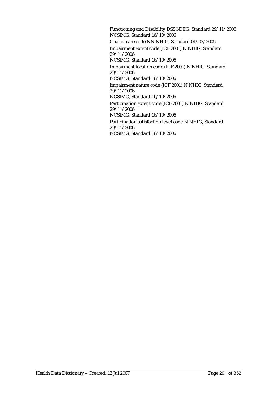Functioning and Disability DSS NHIG, Standard 29/11/2006 NCSIMG, Standard 16/10/2006 Goal of care code NN NHIG, Standard 01/03/2005 Impairment extent code (ICF 2001) N NHIG, Standard 29/11/2006 NCSIMG, Standard 16/10/2006 Impairment location code (ICF 2001) N NHIG, Standard  $29/11/2006$ NCSIMG, Standard 16/10/2006 Impairment nature code (ICF 2001) N NHIG, Standard 29/11/2006 NCSIMG, Standard 16/10/2006 Participation extent code (ICF 2001) N NHIG, Standard 29/11/2006 NCSIMG, Standard 16/10/2006 Participation satisfaction level code N NHIG, Standard 29/11/2006

NCSIMG, Standard 16/10/2006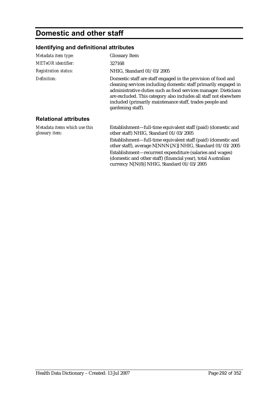# **Domestic and other staff**

## **Identifying and definitional attributes**

| Metadata item type:                             | <b>Glossary Item</b>                                                                                                                                                                                                                                                                                                                                      |
|-------------------------------------------------|-----------------------------------------------------------------------------------------------------------------------------------------------------------------------------------------------------------------------------------------------------------------------------------------------------------------------------------------------------------|
| <b>METeOR</b> identifier:                       | 327168                                                                                                                                                                                                                                                                                                                                                    |
| <b>Registration status:</b>                     | NHIG, Standard 01/03/2005                                                                                                                                                                                                                                                                                                                                 |
| Definition:                                     | Domestic staff are staff engaged in the provision of food and<br>cleaning services including domestic staff primarily engaged in<br>administrative duties such as food services manager. Dieticians<br>are excluded. This category also includes all staff not elsewhere<br>included (primarily maintenance staff, trades people and<br>gardening staff). |
| <b>Relational attributes</b>                    |                                                                                                                                                                                                                                                                                                                                                           |
| Metadata items which use this<br>glossary item: | Establishment—full-time equivalent staff (paid) (domestic and<br>other staff) NHIG, Standard 01/03/2005                                                                                                                                                                                                                                                   |
|                                                 | Establishment—full-time equivalent staff (paid) (domestic and<br>other staff), average N[NNN{.N}] NHIG, Standard 01/03/2005                                                                                                                                                                                                                               |
|                                                 | Establishment-recurrent expenditure (salaries and wages)<br>(domestic and other staff) (financial year), total Australian<br>currency N[N(8)] NHIG, Standard 01/03/2005                                                                                                                                                                                   |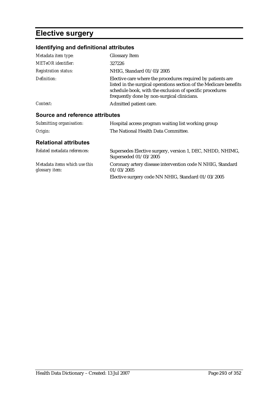# **Elective surgery**

## **Identifying and definitional attributes**

| Metadata item type:                             | <b>Glossary Item</b>                                                                                                                                                                                                                         |
|-------------------------------------------------|----------------------------------------------------------------------------------------------------------------------------------------------------------------------------------------------------------------------------------------------|
| <b>METeOR</b> identifier:                       | 327226                                                                                                                                                                                                                                       |
| <b>Registration status:</b>                     | NHIG, Standard 01/03/2005                                                                                                                                                                                                                    |
| Definition:                                     | Elective care where the procedures required by patients are<br>listed in the surgical operations section of the Medicare benefits<br>schedule book, with the exclusion of specific procedures<br>frequently done by non-surgical clinicians. |
| Context:                                        | Admitted patient care.                                                                                                                                                                                                                       |
| Source and reference attributes                 |                                                                                                                                                                                                                                              |
| Submitting organisation:                        | Hospital access program waiting list working group                                                                                                                                                                                           |
| Origin:                                         | The National Health Data Committee.                                                                                                                                                                                                          |
| <b>Relational attributes</b>                    |                                                                                                                                                                                                                                              |
| Related metadata references:                    | Supersedes Elective surgery, version 1, DEC, NHDD, NHIMG,<br>Superseded 01/03/2005                                                                                                                                                           |
| Metadata items which use this<br>glossary item: | Coronary artery disease intervention code N NHIG, Standard<br>01/03/2005                                                                                                                                                                     |

Elective surgery code NN NHIG, Standard 01/03/2005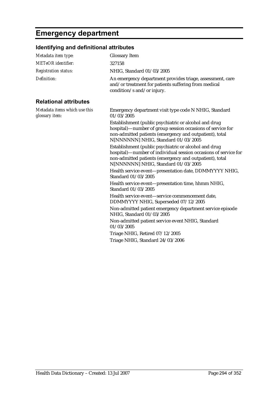# **Emergency department**

## **Identifying and definitional attributes**

| Metadata item type:                             | <b>Glossary Item</b>                                                                                                                                                                                                       |
|-------------------------------------------------|----------------------------------------------------------------------------------------------------------------------------------------------------------------------------------------------------------------------------|
| <b>METeOR</b> identifier:                       | 327158                                                                                                                                                                                                                     |
| <b>Registration status:</b>                     | NHIG, Standard 01/03/2005                                                                                                                                                                                                  |
| Definition:                                     | An emergency department provides triage, assessment, care<br>and/or treatment for patients suffering from medical<br>condition/s and/or injury.                                                                            |
| <b>Relational attributes</b>                    |                                                                                                                                                                                                                            |
| Metadata items which use this<br>glossary item: | Emergency department visit type code N NHIG, Standard<br>01/03/2005                                                                                                                                                        |
|                                                 | Establishment (public psychiatric or alcohol and drug<br>hospital)—number of group session occasions of service for<br>non-admitted patients (emergency and outpatient), total<br>N[NNNNNN] NHIG, Standard 01/03/2005      |
|                                                 | Establishment (public psychiatric or alcohol and drug<br>hospital)—number of individual session occasions of service for<br>non-admitted patients (emergency and outpatient), total<br>N[NNNNNN] NHIG, Standard 01/03/2005 |
|                                                 | Health service event-presentation date, DDMMYYYY NHIG,<br>Standard 01/03/2005                                                                                                                                              |
|                                                 | Health service event—presentation time, hhmm NHIG,<br>Standard 01/03/2005                                                                                                                                                  |
|                                                 | Health service event-service commencement date,<br>DDMMYYYY NHIG, Superseded 07/12/2005                                                                                                                                    |
|                                                 | Non-admitted patient emergency department service episode<br>NHIG, Standard 01/03/2005                                                                                                                                     |
|                                                 | Non-admitted patient service event NHIG, Standard<br>01/03/2005                                                                                                                                                            |
|                                                 | Triage NHIG, Retired 07/12/2005                                                                                                                                                                                            |
|                                                 | Triage NHIG, Standard 24/03/2006                                                                                                                                                                                           |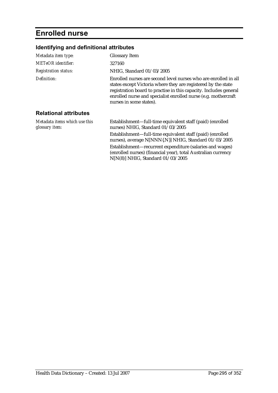# **Enrolled nurse**

## **Identifying and definitional attributes**

| Metadata item type:                             | <b>Glossary Item</b>                                                                                                                                                                                                                                                                               |
|-------------------------------------------------|----------------------------------------------------------------------------------------------------------------------------------------------------------------------------------------------------------------------------------------------------------------------------------------------------|
| METeOR identifier:                              | 327160                                                                                                                                                                                                                                                                                             |
| <b>Registration status:</b>                     | NHIG, Standard 01/03/2005                                                                                                                                                                                                                                                                          |
| Definition:                                     | Enrolled nurses are second level nurses who are enrolled in all<br>states except Victoria where they are registered by the state<br>registration board to practise in this capacity. Includes general<br>enrolled nurse and specialist enrolled nurse (e.g. mothercraft<br>nurses in some states). |
| <b>Relational attributes</b>                    |                                                                                                                                                                                                                                                                                                    |
| Metadata items which use this<br>glossary item: | Establishment—full-time equivalent staff (paid) (enrolled<br>nurses) NHIG, Standard 01/03/2005                                                                                                                                                                                                     |
|                                                 | Establishment-full-time equivalent staff (paid) (enrolled<br>nurses), average N[NNN{.N}] NHIG, Standard 01/03/2005                                                                                                                                                                                 |
|                                                 | Establishment-recurrent expenditure (salaries and wages)<br>(enrolled nurses) (financial year), total Australian currency                                                                                                                                                                          |

N[N(8)] NHIG, Standard 01/03/2005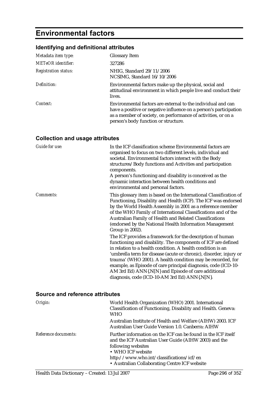# **Environmental factors**

## **Identifying and definitional attributes**

| Metadata item type:         | <b>Glossary Item</b>                                                                                                                                                                                                                       |
|-----------------------------|--------------------------------------------------------------------------------------------------------------------------------------------------------------------------------------------------------------------------------------------|
| <b>METeOR</b> identifier:   | 327286                                                                                                                                                                                                                                     |
| <b>Registration status:</b> | NHIG, Standard 29/11/2006<br>NCSIMG, Standard 16/10/2006                                                                                                                                                                                   |
| Definition:                 | Environmental factors make up the physical, social and<br>attitudinal environment in which people live and conduct their<br>lives.                                                                                                         |
| Context:                    | Environmental factors are external to the individual and can<br>have a positive or negative influence on a person's participation<br>as a member of society, on performance of activities, or on a<br>person's body function or structure. |

## **Collection and usage attributes**

| Guide for use: | In the ICF classification scheme Environmental factors are<br>organised to focus on two different levels, individual and<br>societal. Environmental factors interact with the Body<br>structures/Body functions and Activities and participation<br>components.<br>A person's functioning and disability is conceived as the<br>dynamic interaction between health conditions and<br>environmental and personal factors.                                                                                 |
|----------------|----------------------------------------------------------------------------------------------------------------------------------------------------------------------------------------------------------------------------------------------------------------------------------------------------------------------------------------------------------------------------------------------------------------------------------------------------------------------------------------------------------|
| Comments:      | This glossary item is based on the International Classification of<br>Functioning, Disability and Health (ICF). The ICF was endorsed<br>by the World Health Assembly in 2001 as a reference member<br>of the WHO Family of International Classifications and of the<br>Australian Family of Health and Related Classifications<br>(endorsed by the National Health Information Management<br>Group in 2002).                                                                                             |
|                | The ICF provides a framework for the description of human<br>functioning and disability. The components of ICF are defined<br>in relation to a health condition. A health condition is an<br>'umbrella term for disease (acute or chronic), disorder, injury or<br>trauma' (WHO 2001). A health condition may be recorded, for<br>example, as Episode of care principal diagnosis, code (ICD-10-<br>AM 3rd Ed) ANN{.N[N} and Episode of care additional<br>diagnosis, code (ICD-10-AM 3rd Ed) ANN{.N[N}. |

| Origin:              | World Health Organization (WHO) 2001. International<br>Classification of Functioning, Disability and Health. Geneva:<br>WHO                                                                                                                                     |
|----------------------|-----------------------------------------------------------------------------------------------------------------------------------------------------------------------------------------------------------------------------------------------------------------|
|                      | Australian Institute of Health and Welfare (AIHW) 2003. ICF<br>Australian User Guide Version 1.0. Canberra: AIHW                                                                                                                                                |
| Reference documents: | Further information on the ICF can be found in the ICF itself<br>and the ICF Australian User Guide (AIHW 2003) and the<br>following websites<br>• WHO ICF website<br>http://www.who.int/classifications/icf/en<br>• Australian Collaborating Centre ICF website |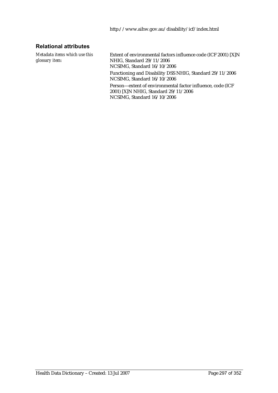### **Relational attributes**

*Metadata items which use this glossary item:*

Extent of environmental factors influence code (ICF 2001) [X]N NHIG, Standard 29/11/2006 NCSIMG, Standard 16/10/2006 Functioning and Disability DSS NHIG, Standard 29/11/2006 NCSIMG, Standard 16/10/2006 Person—extent of environmental factor influence, code (ICF 2001) [X]N NHIG, Standard 29/11/2006 NCSIMG, Standard 16/10/2006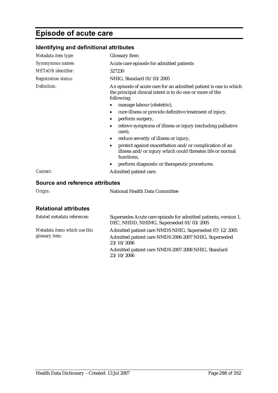# **Episode of acute care**

## **Identifying and definitional attributes**

| Metadata item type:         | <b>Glossary Item</b>                                                                                                                        |
|-----------------------------|---------------------------------------------------------------------------------------------------------------------------------------------|
| Synonymous names:           | Acute care episode for admitted patients                                                                                                    |
| <b>METeOR</b> identifier:   | 327230                                                                                                                                      |
| <b>Registration status:</b> | NHIG, Standard 01/03/2005                                                                                                                   |
| Definition:                 | An episode of acute care for an admitted patient is one in which<br>the principal clinical intent is to do one or more of the<br>following: |
|                             | manage labour (obstetric),<br>٠                                                                                                             |
|                             | cure illness or provide definitive treatment of injury,                                                                                     |
|                             | perform surgery,<br>٠                                                                                                                       |
|                             | relieve symptoms of illness or injury (excluding palliative<br>care),                                                                       |
|                             | reduce severity of illness or injury,<br>$\bullet$                                                                                          |
|                             | protect against exacerbation and/or complication of an<br>٠<br>illness and/or injury which could threaten life or normal<br>functions,      |
|                             | perform diagnostic or therapeutic procedures.<br>٠                                                                                          |
| Context:                    | Admitted patient care.                                                                                                                      |

### **Source and reference attributes**

*Origin:* National Health Data Committee

### **Relational attributes**

| Related metadata references:                    | Supersedes Acute care episode for admitted patients, version 1,<br>DEC, NHDD, NHIMG, Superseded 01/03/2005                    |
|-------------------------------------------------|-------------------------------------------------------------------------------------------------------------------------------|
| Metadata items which use this<br>glossary item: | Admitted patient care NMDS NHIG, Superseded 07/12/2005<br>Admitted patient care NMDS 2006-2007 NHIG, Superseded<br>23/10/2006 |
|                                                 | Admitted patient care NMDS 2007-2008 NHIG, Standard<br>23/10/2006                                                             |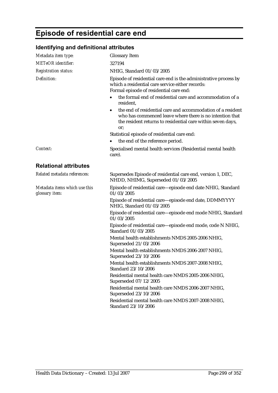# **Episode of residential care end**

### **Identifying and definitional attributes**

| Metadata item type:                             | <b>Glossary Item</b>                                                                                                                                                                          |
|-------------------------------------------------|-----------------------------------------------------------------------------------------------------------------------------------------------------------------------------------------------|
| <b>METeOR</b> identifier:                       | 327194                                                                                                                                                                                        |
| <b>Registration status:</b>                     | NHIG, Standard 01/03/2005                                                                                                                                                                     |
| Definition:                                     | Episode of residential care end is the administrative process by<br>which a residential care service either records:<br>Formal episode of residential care end:                               |
|                                                 | the formal end of residential care and accommodation of a<br>resident,                                                                                                                        |
|                                                 | the end of residential care and accommodation of a resident<br>who has commenced leave where there is no intention that<br>the resident returns to residential care within seven days,<br>or; |
|                                                 | Statistical episode of residential care end:                                                                                                                                                  |
|                                                 | the end of the reference period.                                                                                                                                                              |
| Context:                                        | Specialised mental health services (Residential mental health<br>care).                                                                                                                       |
| <b>Relational attributes</b>                    |                                                                                                                                                                                               |
| Related metadata references:                    | Supersedes Episode of residential care end, version 1, DEC,<br>NHDD, NHIMG, Superseded 01/03/2005                                                                                             |
| Metadata items which use this<br>glossary item: | Episode of residential care—episode end date NHIG, Standard<br>01/03/2005                                                                                                                     |
|                                                 | Episode of residential care-episode end date, DDMMYYYY<br>NHIG, Standard 01/03/2005                                                                                                           |
|                                                 | Episode of residential care-episode end mode NHIG, Standard<br>01/03/2005                                                                                                                     |
|                                                 | Episode of residential care—episode end mode, code N NHIG,<br>Standard 01/03/2005                                                                                                             |
|                                                 | Mental health establishments NMDS 2005-2006 NHIG,<br>Superseded 21/03/2006                                                                                                                    |
|                                                 | Mental health establishments NMDS 2006-2007 NHIG,<br>Superseded 23/10/2006                                                                                                                    |
|                                                 | Mental health establishments NMDS 2007-2008 NHIG,<br>Standard 23/10/2006                                                                                                                      |
|                                                 | Residential mental health care NMDS 2005-2006 NHIG,<br>Superseded 07/12/2005                                                                                                                  |
|                                                 | Residential mental health care NMDS 2006-2007 NHIG,<br>Superseded 23/10/2006                                                                                                                  |
|                                                 | Residential mental health care NMDS 2007-2008 NHIG,<br>Standard 23/10/2006                                                                                                                    |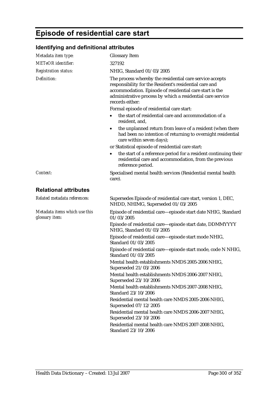# **Episode of residential care start**

## **Identifying and definitional attributes**

| Metadata item type:                             | <b>Glossary Item</b>                                                                                                                                                                                                                                           |
|-------------------------------------------------|----------------------------------------------------------------------------------------------------------------------------------------------------------------------------------------------------------------------------------------------------------------|
| <b>METeOR</b> identifier:                       | 327192                                                                                                                                                                                                                                                         |
| <b>Registration status:</b>                     | NHIG, Standard 01/03/2005                                                                                                                                                                                                                                      |
| Definition:                                     | The process whereby the residential care service accepts<br>responsibility for the Resident's residential care and<br>accommodation. Episode of residential care start is the<br>administrative process by which a residential care service<br>records either: |
|                                                 | Formal episode of residential care start:                                                                                                                                                                                                                      |
|                                                 | the start of residential care and accommodation of a<br>resident, and,                                                                                                                                                                                         |
|                                                 | the unplanned return from leave of a resident (when there<br>$\bullet$<br>had been no intention of returning to overnight residential<br>care within seven days);                                                                                              |
|                                                 | or Statistical episode of residential care start:                                                                                                                                                                                                              |
|                                                 | the start of a reference period for a resident continuing their<br>residential care and accommodation, from the previous<br>reference period.                                                                                                                  |
| Context:                                        | Specialised mental health services (Residential mental health<br>care).                                                                                                                                                                                        |
| <b>Relational attributes</b>                    |                                                                                                                                                                                                                                                                |
| Related metadata references:                    | Supersedes Episode of residential care start, version 1, DEC,<br>NHDD, NHIMG, Superseded 01/03/2005                                                                                                                                                            |
| Metadata items which use this<br>glossary item: | Episode of residential care-episode start date NHIG, Standard<br>01/03/2005                                                                                                                                                                                    |
|                                                 | Episode of residential care-episode start date, DDMMYYYY<br>NHIG, Standard 01/03/2005                                                                                                                                                                          |
|                                                 | Episode of residential care-episode start mode NHIG,<br>Standard 01/03/2005                                                                                                                                                                                    |
|                                                 | Episode of residential care—episode start mode, code N NHIG,<br>Standard 01/03/2005                                                                                                                                                                            |
|                                                 | Mental health establishments NMDS 2005-2006 NHIG,<br>Superseded 21/03/2006                                                                                                                                                                                     |
|                                                 | Mental health establishments NMDS 2006-2007 NHIG,<br>Superseded 23/10/2006                                                                                                                                                                                     |
|                                                 | Mental health establishments NMDS 2007-2008 NHIG,<br>Standard 23/10/2006                                                                                                                                                                                       |
|                                                 | Residential mental health care NMDS 2005-2006 NHIG,<br>Superseded 07/12/2005                                                                                                                                                                                   |
|                                                 | Residential mental health care NMDS 2006-2007 NHIG,<br>Superseded 23/10/2006                                                                                                                                                                                   |
|                                                 | Residential mental health care NMDS 2007-2008 NHIG,<br>Standard 23/10/2006                                                                                                                                                                                     |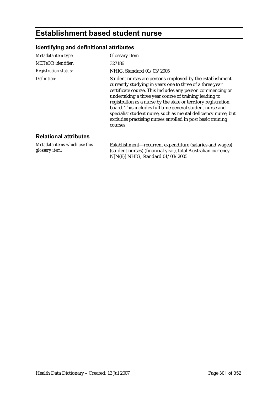# **Establishment based student nurse**

## **Identifying and definitional attributes**

*glossary item:*

| Metadata item type:           | <b>Glossary Item</b>                                                                                                                                                                                                                                                                                                                                                                                                                                                                                                   |
|-------------------------------|------------------------------------------------------------------------------------------------------------------------------------------------------------------------------------------------------------------------------------------------------------------------------------------------------------------------------------------------------------------------------------------------------------------------------------------------------------------------------------------------------------------------|
| <b>METeOR</b> identifier:     | 327186                                                                                                                                                                                                                                                                                                                                                                                                                                                                                                                 |
| <b>Registration status:</b>   | NHIG, Standard 01/03/2005                                                                                                                                                                                                                                                                                                                                                                                                                                                                                              |
| Definition:                   | Student nurses are persons employed by the establishment<br>currently studying in years one to three of a three year<br>certificate course. This includes any person commencing or<br>undertaking a three year course of training leading to<br>registration as a nurse by the state or territory registration<br>board. This includes full time general student nurse and<br>specialist student nurse, such as mental deficiency nurse, but<br>excludes practising nurses enrolled in post basic training<br>courses. |
| <b>Relational attributes</b>  |                                                                                                                                                                                                                                                                                                                                                                                                                                                                                                                        |
| Metadata items which use this | Establishment—recurrent expenditure (salaries and wages)                                                                                                                                                                                                                                                                                                                                                                                                                                                               |

(student nurses) (financial year), total Australian currency

N[N(8)] NHIG, Standard 01/03/2005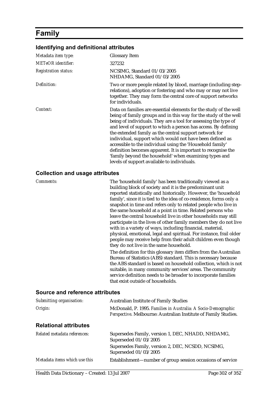# **Family**

#### **Identifying and definitional attributes**

| Metadata item type:         | <b>Glossary Item</b>                                                                                                                                                                                                                                                                                                                                                                                                                                                                                                                                                                                                                    |
|-----------------------------|-----------------------------------------------------------------------------------------------------------------------------------------------------------------------------------------------------------------------------------------------------------------------------------------------------------------------------------------------------------------------------------------------------------------------------------------------------------------------------------------------------------------------------------------------------------------------------------------------------------------------------------------|
| METeOR identifier:          | 327232                                                                                                                                                                                                                                                                                                                                                                                                                                                                                                                                                                                                                                  |
| <b>Registration status:</b> | NCSIMG, Standard 01/03/2005<br>NHDAMG, Standard 01/03/2005                                                                                                                                                                                                                                                                                                                                                                                                                                                                                                                                                                              |
| Definition:                 | Two or more people related by blood, marriage (including step-<br>relations), adoption or fostering and who may or may not live<br>together. They may form the central core of support networks<br>for individuals.                                                                                                                                                                                                                                                                                                                                                                                                                     |
| Context:                    | Data on families are essential elements for the study of the well<br>being of family groups and in this way for the study of the well<br>being of individuals. They are a tool for assessing the type of<br>and level of support to which a person has access. By defining<br>the extended family as the central support network for<br>individual, support which would not have been defined as<br>accessible to the individual using the 'Household family'<br>definition becomes apparent. It is important to recognise the<br>'family beyond the household' when examining types and<br>levels of support available to individuals. |

#### **Collection and usage attributes**

*Comments:* The 'household family' has been traditionally viewed as a building block of society and it is the predominant unit reported statistically and historically. However, the 'household family', since it is tied to the idea of co-residence, forms only a snapshot in time and refers only to related people who live in the same household at a point in time. Related persons who leave the central household live in other households may still participate in the lives of other family members they do not live with in a variety of ways, including financial, material, physical, emotional, legal and spiritual. For instance, frail older people may receive help from their adult children even though they do not live in the same household. The definition for this glossary item differs from the Australian Bureau of Statistics (ABS) standard. This is necessary because the ABS standard is based on household collection, which is not suitable, in many community services' areas. The community service definition needs to be broader to incorporate families that exist outside of households.

| Submitting organisation:      | <b>Australian Institute of Family Studies</b>                                                                                    |
|-------------------------------|----------------------------------------------------------------------------------------------------------------------------------|
| Origin:                       | McDonald, P. 1995. Families in Australia: A Socio-Demographic<br>Perspective. Melbourne: Australian Institute of Family Studies. |
| <b>Relational attributes</b>  |                                                                                                                                  |
| Related metadata references:  | Supersedes Family, version 1, DEC, NHADD, NHDAMG,<br>Superseded 01/03/2005                                                       |
|                               | Supersedes Family, version 2, DEC, NCSDD, NCSIMG,<br>Superseded 01/03/2005                                                       |
| Metadata items which use this | Establishment—number of group session occasions of service                                                                       |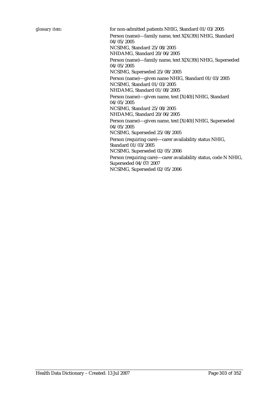*glossary item:* for non-admitted patients NHIG, Standard 01/03/2005

Person (name)—family name, text X[X(39)] NHIG, Standard 04/05/2005 NCSIMG, Standard 25/08/2005 NHDAMG, Standard 20/06/2005

Person (name)—family name, text X[X(39)] NHIG, Superseded 04/05/2005

NCSIMG, Superseded 25/08/2005

Person (name)—given name NHIG, Standard 01/03/2005 NCSIMG, Standard 01/03/2005 NHDAMG, Standard 01/08/2005

Person (name)—given name, text [X(40)] NHIG, Standard 04/05/2005

NCSIMG, Standard 25/08/2005 NHDAMG, Standard 20/06/2005

Person (name)—given name, text [X(40)] NHIG, Superseded 04/05/2005

NCSIMG, Superseded 25/08/2005

Person (requiring care)—carer availability status NHIG, Standard 01/03/2005

NCSIMG, Superseded 02/05/2006

Person (requiring care)—carer availability status, code N NHIG, Superseded 04/07/2007 NCSIMG, Superseded 02/05/2006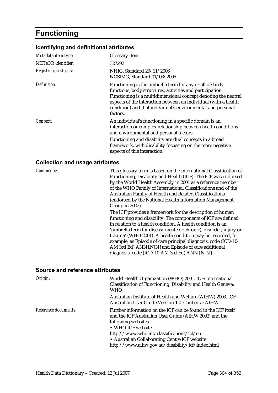# **Functioning**

#### **Identifying and definitional attributes**

| Metadata item type:         | <b>Glossary Item</b>                                                                                                                                                                                                                                                                                                                  |
|-----------------------------|---------------------------------------------------------------------------------------------------------------------------------------------------------------------------------------------------------------------------------------------------------------------------------------------------------------------------------------|
| <b>METeOR</b> identifier:   | 327292                                                                                                                                                                                                                                                                                                                                |
| <b>Registration status:</b> | NHIG, Standard 29/11/2006<br>NCSIMG, Standard 01/03/2005                                                                                                                                                                                                                                                                              |
| Definition:                 | Functioning is the umbrella term for any or all of: body<br>functions, body structures, activities and participation.<br>Functioning is a multidimensional concept denoting the neutral<br>aspects of the interaction between an individual (with a health<br>condition) and that individual's environmental and personal<br>factors. |
| Context:                    | An individual's functioning in a specific domain is an<br>interaction or complex relationship between health conditions<br>and environmental and personal factors.                                                                                                                                                                    |
|                             | Functioning and disability are dual concepts in a broad<br>framework, with disability focussing on the more negative<br>aspects of this interaction.                                                                                                                                                                                  |

#### **Collection and usage attributes**

*Comments:* This glossary term is based on the International Classification of Functioning, Disability and Health (ICF). The ICF was endorsed by the World Health Assembly in 2001 as a reference member of the WHO Family of International Classifications and of the Australian Family of Health and Related Classifications (endorsed by the National Health Information Management Group in 2002).

> The ICF provides a framework for the description of human functioning and disability. The components of ICF are defined in relation to a health condition. A health condition is an 'umbrella term for disease (acute or chronic), disorder, injury or trauma' (WHO 2001). A health condition may be recorded, for example, as Episode of care principal diagnosis, code (ICD-10- AM 3rd Ed) ANN{.N[N} and Episode of care additional diagnosis, code (ICD-10-AM 3rd Ed) ANN{.N[N}.

| Origin:              | World Health Organization (WHO) 2001. ICF: International<br>Classification of Functioning, Disability and Health Geneva:<br><b>WHO</b>                                                                                                                                                                              |
|----------------------|---------------------------------------------------------------------------------------------------------------------------------------------------------------------------------------------------------------------------------------------------------------------------------------------------------------------|
|                      | Australian Institute of Health and Welfare (AIHW) 2003. ICF<br>Australian User Guide Version 1.0. Canberra: AIHW                                                                                                                                                                                                    |
| Reference documents: | Further information on the ICF can be found in the ICF itself<br>and the ICF Australian User Guide (AIHW 2003) and the<br>following websites<br>• WHO ICF website<br>http://www.who.int/classifications/icf/en<br>• Australian Collaborating Centre ICF website<br>http://www.aihw.gov.au/disability/icf/index.html |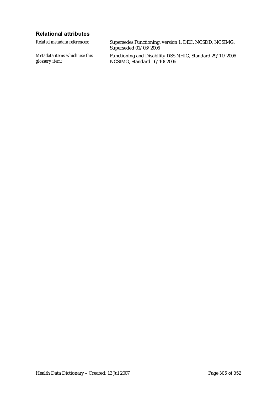### **Relational attributes**

*Related metadata references:* Supersedes Functioning, version 1, DEC, NCSDD, NCSIMG, Superseded 01/03/2005 *Metadata items which use this glossary item:* Functioning and Disability DSS NHIG, Standard 29/11/2006 NCSIMG, Standard 16/10/2006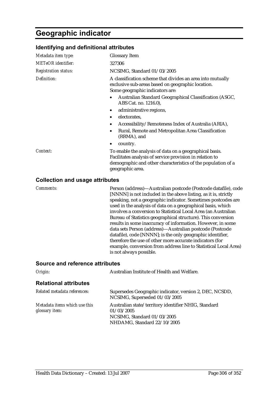## **Geographic indicator**

#### **Identifying and definitional attributes**

| Metadata item type:         | <b>Glossary Item</b>                                                                                                                                                                                    |
|-----------------------------|---------------------------------------------------------------------------------------------------------------------------------------------------------------------------------------------------------|
| METeOR identifier:          | 327306                                                                                                                                                                                                  |
| <b>Registration status:</b> | NCSIMG, Standard 01/03/2005                                                                                                                                                                             |
| Definition:                 | A classification scheme that divides an area into mutually<br>exclusive sub-areas based on geographic location.<br>Some geographic indicators are:                                                      |
|                             | Australian Standard Geographical Classification (ASGC,<br>ABS Cat. no. 1216.0),                                                                                                                         |
|                             | administrative regions,                                                                                                                                                                                 |
|                             | electorates,                                                                                                                                                                                            |
|                             | Accessibility/Remoteness Index of Australia (ARIA),                                                                                                                                                     |
|                             | Rural, Remote and Metropolitan Area Classification<br>(RRMA), and                                                                                                                                       |
|                             | country.<br>٠                                                                                                                                                                                           |
| Context:                    | To enable the analysis of data on a geographical basis.<br>Facilitates analysis of service provision in relation to<br>demographic and other characteristics of the population of a<br>geographic area. |
|                             |                                                                                                                                                                                                         |

#### **Collection and usage attributes**

*Comments:* Person (address)—Australian postcode (Postcode datafile), code [NNNN] is not included in the above listing, as it is, strictly speaking, not a geographic indicator. Sometimes postcodes are used in the analysis of data on a geographical basis, which involves a conversion to Statistical Local Area (an Australian Bureau of Statistics geographical structure). This conversion results in some inaccuracy of information. However, in some data sets Person (address)—Australian postcode (Postcode datafile), code [NNNN]; is the only geographic identifier, therefore the use of other more accurate indicators (for example, conversion from address line to Statistical Local Area) is not always possible.

| Origin:                                         | Australian Institute of Health and Welfare.                                                                                      |
|-------------------------------------------------|----------------------------------------------------------------------------------------------------------------------------------|
| <b>Relational attributes</b>                    |                                                                                                                                  |
| Related metadata references:                    | Supersedes Geographic indicator, version 2, DEC, NCSDD,<br>NCSIMG, Superseded 01/03/2005                                         |
| Metadata items which use this<br>glossary item: | Australian state/territory identifier NHIG, Standard<br>01/03/2005<br>NCSIMG, Standard 01/03/2005<br>NHDAMG, Standard 22/10/2005 |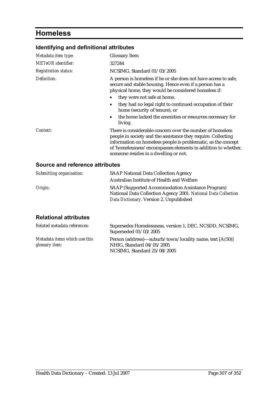# **Homeless**

## **Identifying and definitional attributes**

| Metadata item type:         | <b>Glossary Item</b>                                                                                                                                                                                                                                                                                           |
|-----------------------------|----------------------------------------------------------------------------------------------------------------------------------------------------------------------------------------------------------------------------------------------------------------------------------------------------------------|
| <b>METeOR</b> identifier:   | 327244                                                                                                                                                                                                                                                                                                         |
| <b>Registration status:</b> | NCSIMG, Standard 01/03/2005                                                                                                                                                                                                                                                                                    |
| Definition:                 | A person is homeless if he or she does not have access to safe,<br>secure and stable housing. Hence even if a person has a<br>physical home, they would be considered homeless if:<br>they were not safe at home,<br>they had no legal right to continued occupation of their<br>home (security of tenure), or |
|                             | the home lacked the amenities or resources necessary for<br>$\bullet$<br>living.                                                                                                                                                                                                                               |
| Context:                    | There is considerable concern over the number of homeless<br>people in society and the assistance they require. Collecting<br>information on homeless people is problematic, as the concept<br>of 'homelessness' encompasses elements in addition to whether,<br>someone resides in a dwelling or not.         |

### **Source and reference attributes**

| Submitting organisation: | <b>SAAP National Data Collection Agency</b>                                                                                                                    |
|--------------------------|----------------------------------------------------------------------------------------------------------------------------------------------------------------|
|                          | Australian Institute of Health and Welfare                                                                                                                     |
| Origin:                  | SAAP (Supported Accommodation Assistance Program)<br>National Data Collection Agency 2001. National Data Collection<br>Data Dictionary. Version 2. Unpublished |

### **Relational attributes**

| Related metadata references:                    | Supersedes Homelessness, version 1, DEC, NCSDD, NCSIMG,<br>Superseded 01/03/2005                                     |
|-------------------------------------------------|----------------------------------------------------------------------------------------------------------------------|
| Metadata items which use this<br>glossary item: | Person (address)—suburb/town/locality name, text [A(50)]<br>NHIG, Standard 04/05/2005<br>NCSIMG. Standard 25/08/2005 |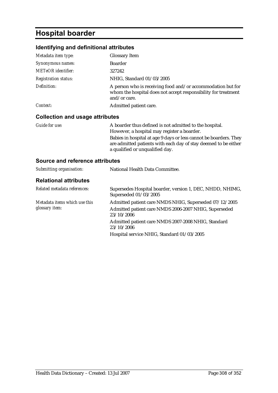# **Hospital boarder**

## **Identifying and definitional attributes**

| Metadata item type:                    | <b>Glossary Item</b>                                                                                                                          |
|----------------------------------------|-----------------------------------------------------------------------------------------------------------------------------------------------|
| Synonymous names:                      | <b>Boarder</b>                                                                                                                                |
| <b>METeOR</b> identifier:              | 327242                                                                                                                                        |
| <b>Registration status:</b>            | NHIG, Standard 01/03/2005                                                                                                                     |
| Definition:                            | A person who is receiving food and/or accommodation but for<br>whom the hospital does not accept responsibility for treatment<br>and/or care. |
| Context:                               | Admitted patient care.                                                                                                                        |
| <b>Collection and usage attributes</b> |                                                                                                                                               |

| Guide for use: | A boarder thus defined is not admitted to the hospital.           |
|----------------|-------------------------------------------------------------------|
|                | However, a hospital may register a boarder.                       |
|                | Babies in hospital at age 9 days or less cannot be boarders. They |
|                | are admitted patients with each day of stay deemed to be either   |
|                | a qualified or unqualified day.                                   |

| Submitting organisation:                                | National Health Data Committee.                                                                                               |
|---------------------------------------------------------|-------------------------------------------------------------------------------------------------------------------------------|
| <b>Relational attributes</b>                            |                                                                                                                               |
| Related metadata references:                            | Supersedes Hospital boarder, version 1, DEC, NHDD, NHIMG,<br>Superseded 01/03/2005                                            |
| Metadata items which use this<br>glossary <i>item</i> : | Admitted patient care NMDS NHIG, Superseded 07/12/2005<br>Admitted patient care NMDS 2006-2007 NHIG, Superseded<br>23/10/2006 |
|                                                         | Admitted patient care NMDS 2007-2008 NHIG, Standard<br>23/10/2006                                                             |
|                                                         | Hospital service NHIG, Standard 01/03/2005                                                                                    |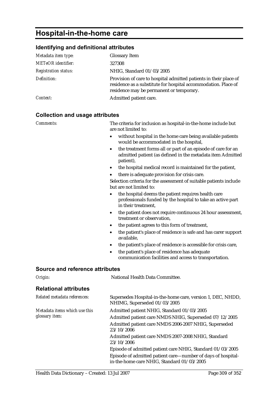# **Hospital-in-the-home care**

#### **Identifying and definitional attributes**

| Metadata item type:         | <b>Glossary Item</b>                                                                                                                                                            |
|-----------------------------|---------------------------------------------------------------------------------------------------------------------------------------------------------------------------------|
| <b>METeOR</b> identifier:   | 327308                                                                                                                                                                          |
| <b>Registration status:</b> | NHIG, Standard 01/03/2005                                                                                                                                                       |
| Definition:                 | Provision of care to hospital admitted patients in their place of<br>residence as a substitute for hospital accommodation. Place of<br>residence may be permanent or temporary. |
| Context:                    | Admitted patient care.                                                                                                                                                          |

#### **Collection and usage attributes**

*Comments:* The criteria for inclusion as hospital-in-the-home include but are not limited to:

- without hospital in the home care being available patients would be accommodated in the hospital,
- the treatment forms all or part of an episode of care for an admitted patient (as defined in the metadata item Admitted patient),
- the hospital medical record is maintained for the patient.
- there is adequate provision for crisis care.

Selection criteria for the assessment of suitable patients include but are not limited to:

- the hospital deems the patient requires health care professionals funded by the hospital to take an active part in their treatment,
- the patient does not require continuous 24 hour assessment, treatment or observation,
- the patient agrees to this form of treatment,
- the patient's place of residence is safe and has carer support available,
- the patient's place of residence is accessible for crisis care,
- the patient's place of residence has adequate communication facilities and access to transportation.

| Origin:                                         | National Health Data Committee.                                                                            |
|-------------------------------------------------|------------------------------------------------------------------------------------------------------------|
| <b>Relational attributes</b>                    |                                                                                                            |
| Related metadata references:                    | Supersedes Hospital-in-the-home care, version 1, DEC, NHDD,<br>NHIMG, Superseded 01/03/2005                |
| Metadata items which use this<br>glossary item: | Admitted patient NHIG, Standard 01/03/2005                                                                 |
|                                                 | Admitted patient care NMDS NHIG, Superseded 07/12/2005                                                     |
|                                                 | Admitted patient care NMDS 2006-2007 NHIG, Superseded<br>23/10/2006                                        |
|                                                 | Admitted patient care NMDS 2007-2008 NHIG, Standard<br>23/10/2006                                          |
|                                                 | Episode of admitted patient care NHIG, Standard 01/03/2005                                                 |
|                                                 | Episode of admitted patient care—number of days of hospital-<br>in-the-home care NHIG, Standard 01/03/2005 |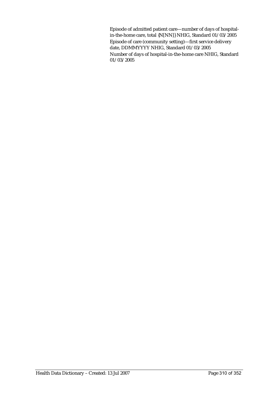Episode of admitted patient care—number of days of hospitalin-the-home care, total {N[NN]} NHIG, Standard 01/03/2005 Episode of care (community setting)—first service delivery date, DDMMYYYY NHIG, Standard 01/03/2005 Number of days of hospital-in-the-home care NHIG, Standard 01/03/2005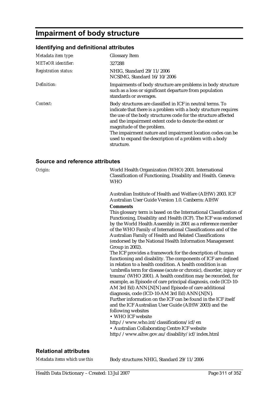# **Impairment of body structure**

## **Identifying and definitional attributes**

| Metadata item type:         | <b>Glossary Item</b>                                                                                                                                                                                                                                                                                                                                                                                                          |
|-----------------------------|-------------------------------------------------------------------------------------------------------------------------------------------------------------------------------------------------------------------------------------------------------------------------------------------------------------------------------------------------------------------------------------------------------------------------------|
| <b>METeOR</b> identifier:   | 327288                                                                                                                                                                                                                                                                                                                                                                                                                        |
| <b>Registration status:</b> | NHIG, Standard 29/11/2006<br>NCSIMG, Standard 16/10/2006                                                                                                                                                                                                                                                                                                                                                                      |
| Definition:                 | Impairments of body structure are problems in body structure<br>such as a loss or significant departure from population<br>standards or averages.                                                                                                                                                                                                                                                                             |
| Context:                    | Body structures are classified in ICF in neutral terms. To<br>indicate that there is a problem with a body structure requires<br>the use of the body structures code for the structure affected<br>and the impairment extent code to denote the extent or<br>magnitude of the problem.<br>The impairment nature and impairment location codes can be<br>used to expand the description of a problem with a body<br>structure. |

#### **Source and reference attributes**

| Origin: | World Health Organization (WHO) 2001. International<br>Classification of Functioning, Disability and Health. Geneva:<br><b>WHO</b>                                                                                                                                                                                                                                                                                                                                                                                                                                                                                                                                                                                                                                                                                                                                                                                                          |
|---------|---------------------------------------------------------------------------------------------------------------------------------------------------------------------------------------------------------------------------------------------------------------------------------------------------------------------------------------------------------------------------------------------------------------------------------------------------------------------------------------------------------------------------------------------------------------------------------------------------------------------------------------------------------------------------------------------------------------------------------------------------------------------------------------------------------------------------------------------------------------------------------------------------------------------------------------------|
|         | Australian Institute of Health and Welfare (AIHW) 2003. ICF<br>Australian User Guide Version 1.0. Canberra: AIHW                                                                                                                                                                                                                                                                                                                                                                                                                                                                                                                                                                                                                                                                                                                                                                                                                            |
|         | <b>Comments</b><br>This glossary term is based on the International Classification of<br>Functioning, Disability and Health (ICF). The ICF was endorsed<br>by the World Health Assembly in 2001 as a reference member<br>of the WHO Family of International Classifications and of the<br>Australian Family of Health and Related Classifications<br>(endorsed by the National Health Information Management<br>Group in 2002).<br>The ICF provides a framework for the description of human<br>functioning and disability. The components of ICF are defined<br>in relation to a health condition. A health condition is an<br>'umbrella term for disease (acute or chronic), disorder, injury or<br>trauma' (WHO 2001). A health condition may be recorded, for<br>example, as Episode of care principal diagnosis, code (ICD-10-<br>AM 3rd Ed) ANN{.N[N} and Episode of care additional<br>diagnosis, code (ICD-10-AM 3rd Ed) ANN{.N[N}. |
|         | Further information on the ICF can be found in the ICF itself<br>and the ICF Australian User Guide (AIHW 2003) and the<br>following websites<br>• WHO ICF website                                                                                                                                                                                                                                                                                                                                                                                                                                                                                                                                                                                                                                                                                                                                                                           |
|         | http://www.who.int/classifications/icf/en<br>• Australian Collaborating Centre ICF website<br>http://www.aihw.gov.au/disability/icf/index.html                                                                                                                                                                                                                                                                                                                                                                                                                                                                                                                                                                                                                                                                                                                                                                                              |
|         |                                                                                                                                                                                                                                                                                                                                                                                                                                                                                                                                                                                                                                                                                                                                                                                                                                                                                                                                             |

### **Relational attributes**

*Metadata items which use this* Body structures NHIG, Standard 29/11/2006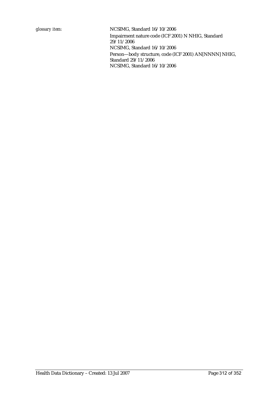*glossary item:* NCSIMG, Standard 16/10/2006 Impairment nature code (ICF 2001) N NHIG, Standard 29/11/2006 NCSIMG, Standard 16/10/2006 Person—body structure, code (ICF 2001) AN[NNNN] NHIG, Standard 29/11/2006 NCSIMG, Standard 16/10/2006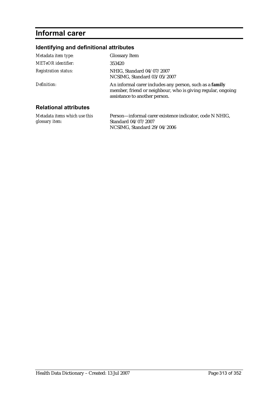# **Informal carer**

## **Identifying and definitional attributes**

| Metadata item type:          | <b>Glossary Item</b>                                                                                                                                    |
|------------------------------|---------------------------------------------------------------------------------------------------------------------------------------------------------|
| METeOR identifier:           | 353420                                                                                                                                                  |
| <b>Registration status:</b>  | NHIG, Standard 04/07/2007<br>NCSIMG, Standard 03/05/2007                                                                                                |
| Definition:                  | An informal carer includes any person, such as a family<br>member, friend or neighbour, who is giving regular, ongoing<br>assistance to another person. |
| <b>Relational attributes</b> |                                                                                                                                                         |

*Metadata items which use this glossary item:* Person—informal carer existence indicator, code N NHIG, Standard 04/07/2007 NCSIMG, Standard 29/04/2006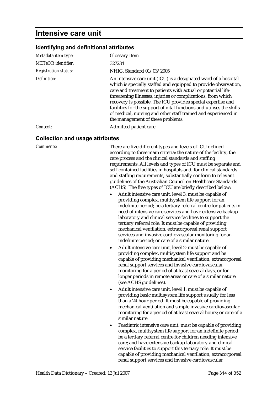## **Intensive care unit**

#### **Identifying and definitional attributes**

| Metadata item type:         | <b>Glossary Item</b>                                                                                                                                                                                                                                                                                                                                                                                                                                                                                                |
|-----------------------------|---------------------------------------------------------------------------------------------------------------------------------------------------------------------------------------------------------------------------------------------------------------------------------------------------------------------------------------------------------------------------------------------------------------------------------------------------------------------------------------------------------------------|
| <b>METeOR</b> identifier:   | 327234                                                                                                                                                                                                                                                                                                                                                                                                                                                                                                              |
| <b>Registration status:</b> | NHIG, Standard 01/03/2005                                                                                                                                                                                                                                                                                                                                                                                                                                                                                           |
| Definition:                 | An intensive care unit (ICU) is a designated ward of a hospital<br>which is specially staffed and equipped to provide observation,<br>care and treatment to patients with actual or potential life-<br>threatening illnesses, injuries or complications, from which<br>recovery is possible. The ICU provides special expertise and<br>facilities for the support of vital functions and utilises the skills<br>of medical, nursing and other staff trained and experienced in<br>the management of these problems. |
| Context:                    | Admitted patient care.                                                                                                                                                                                                                                                                                                                                                                                                                                                                                              |
|                             |                                                                                                                                                                                                                                                                                                                                                                                                                                                                                                                     |

#### **Collection and usage attributes**

*Comments:* There are five different types and levels of ICU defined according to three main criteria: the nature of the facility, the care process and the clinical standards and staffing requirements. All levels and types of ICU must be separate and self-contained facilities in hospitals and, for clinical standards and staffing requirements, substantially conform to relevant guidelines of the Australian Council on Healthcare Standards (ACHS). The five types of ICU are briefly described below:

- Adult intensive care unit, level 3: must be capable of providing complex, multisystem life support for an indefinite period; be a tertiary referral centre for patients in need of intensive care services and have extensive backup laboratory and clinical service facilities to support the tertiary referral role. It must be capable of providing mechanical ventilation, extracorporeal renal support services and invasive cardiovascular monitoring for an indefinite period; or care of a similar nature.
- Adult intensive care unit, level 2: must be capable of providing complex, multisystem life support and be capable of providing mechanical ventilation, extracorporeal renal support services and invasive cardiovascular monitoring for a period of at least several days, or for longer periods in remote areas or care of a similar nature (see ACHS guidelines).
- Adult intensive care unit, level 1: must be capable of providing basic multisystem life support usually for less than a 24-hour period. It must be capable of providing mechanical ventilation and simple invasive cardiovascular monitoring for a period of at least several hours; or care of a similar nature.
- Paediatric intensive care unit: must be capable of providing complex, multisystem life support for an indefinite period; be a tertiary referral centre for children needing intensive care; and have extensive backup laboratory and clinical service facilities to support this tertiary role. It must be capable of providing mechanical ventilation, extracorporeal renal support services and invasive cardiovascular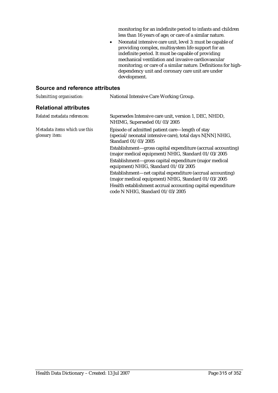monitoring for an indefinite period to infants and children less than 16 years of age; or care of a similar nature.

• Neonatal intensive care unit, level 3: must be capable of providing complex, multisystem life support for an indefinite period. It must be capable of providing mechanical ventilation and invasive cardiovascular monitoring; or care of a similar nature. Definitions for highdependency unit and coronary care unit are under development.

| Submitting organisation:                        | National Intensive Care Working Group.                                                                                              |
|-------------------------------------------------|-------------------------------------------------------------------------------------------------------------------------------------|
| <b>Relational attributes</b>                    |                                                                                                                                     |
| Related metadata references:                    | Supersedes Intensive care unit, version 1, DEC, NHDD,<br>NHIMG, Superseded 01/03/2005                                               |
| Metadata items which use this<br>glossary item: | Episode of admitted patient care—length of stay<br>(special/neonatal intensive care), total days N[NN] NHIG,<br>Standard 01/03/2005 |
|                                                 | Establishment-gross capital expenditure (accrual accounting)<br>(major medical equipment) NHIG, Standard 01/03/2005                 |
|                                                 | Establishment—gross capital expenditure (major medical<br>equipment) NHIG, Standard 01/03/2005                                      |
|                                                 | Establishment—net capital expenditure (accrual accounting)<br>(major medical equipment) NHIG, Standard 01/03/2005                   |
|                                                 | Health establishment accrual accounting capital expenditure<br>code N NHIG, Standard 01/03/2005                                     |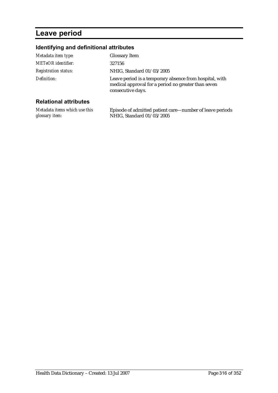# **Leave period**

## **Identifying and definitional attributes**

| Metadata item type:          | <b>Glossary Item</b>                                                                                                                |
|------------------------------|-------------------------------------------------------------------------------------------------------------------------------------|
| <b>METeOR</b> identifier:    | 327156                                                                                                                              |
| <b>Registration status:</b>  | NHIG, Standard 01/03/2005                                                                                                           |
| Definition:                  | Leave period is a temporary absence from hospital, with<br>medical approval for a period no greater than seven<br>consecutive days. |
| <b>Relational attributes</b> |                                                                                                                                     |

| Metadata items which use this | Episode of admitted patient care—number of leave periods |
|-------------------------------|----------------------------------------------------------|
| glossary item:                | NHIG, Standard 01/03/2005                                |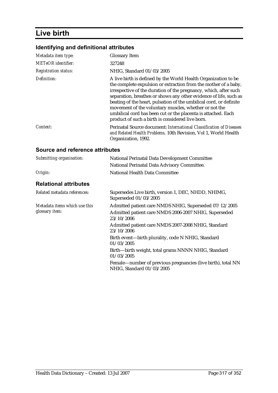# **Live birth**

## **Identifying and definitional attributes**

| Metadata item type:         | <b>Glossary Item</b>                                                                                                                                                                                                                                                                                                                                                                                                                                                                                                           |
|-----------------------------|--------------------------------------------------------------------------------------------------------------------------------------------------------------------------------------------------------------------------------------------------------------------------------------------------------------------------------------------------------------------------------------------------------------------------------------------------------------------------------------------------------------------------------|
| <b>METeOR</b> identifier:   | 327248                                                                                                                                                                                                                                                                                                                                                                                                                                                                                                                         |
| <b>Registration status:</b> | NHIG, Standard 01/03/2005                                                                                                                                                                                                                                                                                                                                                                                                                                                                                                      |
| Definition:                 | A live birth is defined by the World Health Organization to be<br>the complete expulsion or extraction from the mother of a baby,<br>irrespective of the duration of the pregnancy, which, after such<br>separation, breathes or shows any other evidence of life, such as<br>beating of the heart, pulsation of the umbilical cord, or definite<br>movement of the voluntary muscles, whether or not the<br>umbilical cord has been cut or the placenta is attached. Each<br>product of such a birth is considered live born. |
| Context:                    | Perinatal Source document: International Classification of Diseases<br>and Related Health Problems, 10th Revision, Vol 1, World Health<br>Organization, 1992.                                                                                                                                                                                                                                                                                                                                                                  |

| Submitting organisation:                        | National Perinatal Data Development Committee                                             |
|-------------------------------------------------|-------------------------------------------------------------------------------------------|
|                                                 | National Perinatal Data Advisory Committee.                                               |
| Origin:                                         | National Health Data Committee                                                            |
| <b>Relational attributes</b>                    |                                                                                           |
| Related metadata references:                    | Supersedes Live birth, version 1, DEC, NHDD, NHIMG,<br>Superseded 01/03/2005              |
| Metadata items which use this<br>glossary item: | Admitted patient care NMDS NHIG, Superseded 07/12/2005                                    |
|                                                 | Admitted patient care NMDS 2006-2007 NHIG, Superseded<br>23/10/2006                       |
|                                                 | Admitted patient care NMDS 2007-2008 NHIG, Standard<br>23/10/2006                         |
|                                                 | Birth event-birth plurality, code N NHIG, Standard<br>01/03/2005                          |
|                                                 | Birth-birth weight, total grams NNNN NHIG, Standard<br>01/03/2005                         |
|                                                 | Female—number of previous pregnancies (live birth), total NN<br>NHIG, Standard 01/03/2005 |
|                                                 |                                                                                           |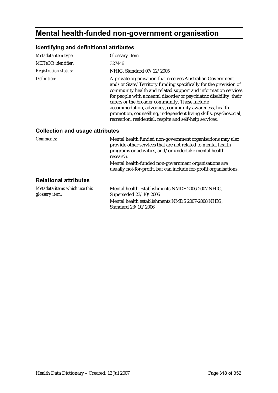# **Mental health-funded non-government organisation**

## **Identifying and definitional attributes**

| Metadata item type:                             | <b>Glossary Item</b>                                                                                                                                                                                                                                                                                                                                                                                                                                                                                            |
|-------------------------------------------------|-----------------------------------------------------------------------------------------------------------------------------------------------------------------------------------------------------------------------------------------------------------------------------------------------------------------------------------------------------------------------------------------------------------------------------------------------------------------------------------------------------------------|
| <b>METeOR</b> identifier:                       | 327446                                                                                                                                                                                                                                                                                                                                                                                                                                                                                                          |
| <b>Registration status:</b>                     | NHIG, Standard 07/12/2005                                                                                                                                                                                                                                                                                                                                                                                                                                                                                       |
| Definition:                                     | A private organisation that receives Australian Government<br>and/or State/Territory funding specifically for the provision of<br>community health and related support and information services<br>for people with a mental disorder or psychiatric disability, their<br>carers or the broader community. These include<br>accommodation, advocacy, community awareness, health<br>promotion, counselling, independent living skills, psychosocial,<br>recreation, residential, respite and self-help services. |
| <b>Collection and usage attributes</b>          |                                                                                                                                                                                                                                                                                                                                                                                                                                                                                                                 |
| Comments:                                       | Mental health funded non-government organisations may also<br>provide other services that are not related to mental health<br>programs or activities, and/or undertake mental health<br>research.                                                                                                                                                                                                                                                                                                               |
|                                                 | Mental health-funded non-government organisations are<br>usually not-for-profit, but can include for-profit organisations.                                                                                                                                                                                                                                                                                                                                                                                      |
| <b>Relational attributes</b>                    |                                                                                                                                                                                                                                                                                                                                                                                                                                                                                                                 |
| Metadata items which use this<br>glossary item: | Mental health establishments NMDS 2006-2007 NHIG,<br>Superseded 23/10/2006<br>Mental health establishments NMDS 2007-2008 NHIG,<br>Standard 23/10/2006                                                                                                                                                                                                                                                                                                                                                          |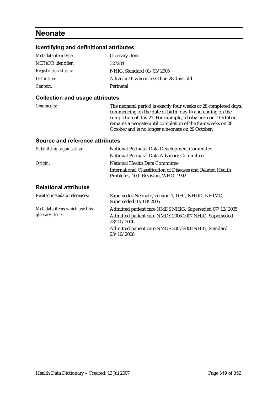## **Neonate**

## **Identifying and definitional attributes**

| Metadata item type:         | <b>Glossary Item</b>                       |
|-----------------------------|--------------------------------------------|
| <b>METeOR</b> identifier:   | 327284                                     |
| <b>Registration status:</b> | NHIG, Standard 01/03/2005                  |
| Definition:                 | A live birth who is less than 28 days old. |
| Context:                    | Perinatal.                                 |

## **Collection and usage attributes**

| <i>Comments:</i> | The neonatal period is exactly four weeks or 28 completed days, |
|------------------|-----------------------------------------------------------------|
|                  | commencing on the date of birth (day 0) and ending on the       |
|                  | completion of day 27. For example, a baby born on 1 October     |
|                  | remains a neonate until completion of the four weeks on 28      |
|                  | October and is no longer a neonate on 29 October.               |

| Submitting organisation:      | <b>National Perinatal Data Development Committee</b>                                              |
|-------------------------------|---------------------------------------------------------------------------------------------------|
|                               | National Perinatal Data Advisory Committee                                                        |
| Origin:                       | National Health Data Committee                                                                    |
|                               | International Classification of Diseases and Related Health<br>Problems, 10th Revision, WHO, 1992 |
| <b>Relational attributes</b>  |                                                                                                   |
| Related metadata references:  | Supersedes Neonate, version 1, DEC, NHDD, NHIMG,<br>Superseded 01/03/2005                         |
| Metadata items which use this | Admitted patient care NMDS NHIG, Superseded 07/12/2005                                            |
| glossary item:                | Admitted patient care NMDS 2006-2007 NHIG, Superseded<br>23/10/2006                               |
|                               | Admitted patient care NMDS 2007-2008 NHIG, Standard<br>23/10/2006                                 |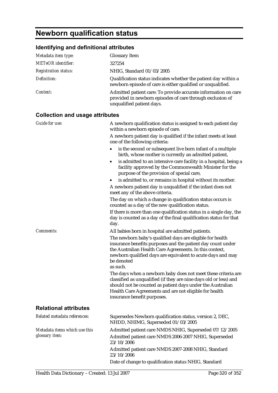# **Newborn qualification status**

## **Identifying and definitional attributes**

| Metadata item type:                             | <b>Glossary Item</b>                                                                                                                                                                                                                                                                                                                                                                                                                                                                                                                                                                                                            |
|-------------------------------------------------|---------------------------------------------------------------------------------------------------------------------------------------------------------------------------------------------------------------------------------------------------------------------------------------------------------------------------------------------------------------------------------------------------------------------------------------------------------------------------------------------------------------------------------------------------------------------------------------------------------------------------------|
| <b>METeOR</b> identifier:                       | 327254                                                                                                                                                                                                                                                                                                                                                                                                                                                                                                                                                                                                                          |
| <b>Registration status:</b>                     | NHIG, Standard 01/03/2005                                                                                                                                                                                                                                                                                                                                                                                                                                                                                                                                                                                                       |
| Definition:                                     | Qualification status indicates whether the patient day within a<br>newborn episode of care is either qualified or unqualified.                                                                                                                                                                                                                                                                                                                                                                                                                                                                                                  |
| Context:                                        | Admitted patient care: To provide accurate information on care<br>provided in newborn episodes of care through exclusion of<br>unqualified patient days.                                                                                                                                                                                                                                                                                                                                                                                                                                                                        |
| <b>Collection and usage attributes</b>          |                                                                                                                                                                                                                                                                                                                                                                                                                                                                                                                                                                                                                                 |
| <b>Guide for use:</b>                           | A newborn qualification status is assigned to each patient day<br>within a newborn episode of care.<br>A newborn patient day is qualified if the infant meets at least<br>one of the following criteria:<br>is the second or subsequent live born infant of a multiple                                                                                                                                                                                                                                                                                                                                                          |
|                                                 | birth, whose mother is currently an admitted patient,<br>is admitted to an intensive care facility in a hospital, being a<br>facility approved by the Commonwealth Minister for the<br>purpose of the provision of special care,                                                                                                                                                                                                                                                                                                                                                                                                |
|                                                 | is admitted to, or remains in hospital without its mother.<br>$\bullet$<br>A newborn patient day is unqualified if the infant does not<br>meet any of the above criteria.                                                                                                                                                                                                                                                                                                                                                                                                                                                       |
|                                                 | The day on which a change in qualification status occurs is<br>counted as a day of the new qualification status.<br>If there is more than one qualification status in a single day, the<br>day is counted as a day of the final qualification status for that<br>day.                                                                                                                                                                                                                                                                                                                                                           |
| <b>Comments:</b>                                | All babies born in hospital are admitted patients.<br>The newborn baby's qualified days are eligible for health<br>insurance benefits purposes and the patient day count under<br>the Australian Health Care Agreements. In this context,<br>newborn qualified days are equivalent to acute days and may<br>be denoted<br>as such.<br>The days when a newborn baby does not meet these criteria are<br>classified as unqualified (if they are nine days old or less) and<br>should not be counted as patient days under the Australian<br>Health Care Agreements and are not eligible for health<br>insurance benefit purposes. |
| <b>Relational attributes</b>                    |                                                                                                                                                                                                                                                                                                                                                                                                                                                                                                                                                                                                                                 |
| Related metadata references:                    | Supersedes Newborn qualification status, version 2, DEC,<br>NHDD, NHIMG, Superseded 01/03/2005                                                                                                                                                                                                                                                                                                                                                                                                                                                                                                                                  |
| Metadata items which use this<br>glossary item: | Admitted patient care NMDS NHIG, Superseded 07/12/2005<br>Admitted patient care NMDS 2006-2007 NHIG, Superseded<br>23/10/2006<br>Admitted patient care NMDS 2007-2008 NHIG, Standard<br>23/10/2006                                                                                                                                                                                                                                                                                                                                                                                                                              |

Date of change to qualification status NHIG, Standard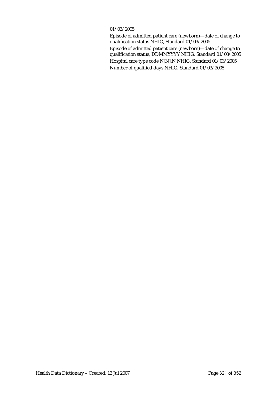#### 01/03/2005

Episode of admitted patient care (newborn)—date of change to qualification status NHIG, Standard 01/03/2005 Episode of admitted patient care (newborn)—date of change to qualification status, DDMMYYYY NHIG, Standard 01/03/2005 Hospital care type code N[N].N NHIG, Standard 01/03/2005 Number of qualified days NHIG, Standard 01/03/2005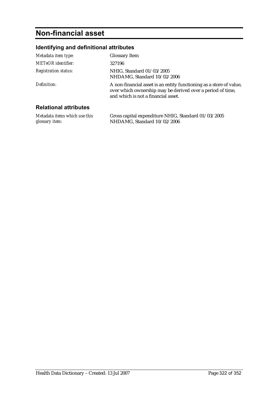# **Non-financial asset**

## **Identifying and definitional attributes**

| Metadata item type:          | <b>Glossary Item</b>                                                                                                                                                     |
|------------------------------|--------------------------------------------------------------------------------------------------------------------------------------------------------------------------|
| <b>METeOR</b> identifier:    | 327196                                                                                                                                                                   |
| <b>Registration status:</b>  | NHIG, Standard 01/03/2005<br>NHDAMG, Standard 10/02/2006                                                                                                                 |
| Definition:                  | A non-financial asset is an entity functioning as a store of value,<br>over which ownership may be derived over a period of time,<br>and which is not a financial asset. |
| <b>Relational attributes</b> |                                                                                                                                                                          |

| Metadata items which use this | Gross capital expenditure NHIG, Standard 01/03/2005 |
|-------------------------------|-----------------------------------------------------|
| glossary item:                | NHDAMG. Standard 10/02/2006                         |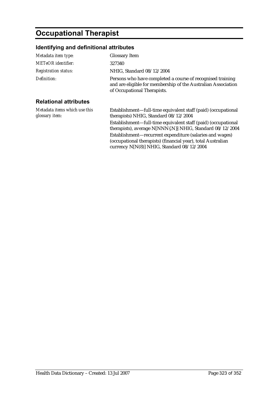# **Occupational Therapist**

## **Identifying and definitional attributes**

| Metadata item type:                             | <b>Glossary Item</b>                                                                                                                                       |
|-------------------------------------------------|------------------------------------------------------------------------------------------------------------------------------------------------------------|
| <b>METeOR</b> identifier:                       | 327340                                                                                                                                                     |
| <b>Registration status:</b>                     | NHIG, Standard 08/12/2004                                                                                                                                  |
| Definition:                                     | Persons who have completed a course of recognised training<br>and are eligible for membership of the Australian Association<br>of Occupational Therapists. |
| <b>Relational attributes</b>                    |                                                                                                                                                            |
| Metadata items which use this<br>glossary item: | Establishment—full-time equivalent staff (paid) (occupational<br>therapists) NHIG, Standard 08/12/2004                                                     |
|                                                 | Establishment—full-time equivalent staff (paid) (occupational<br>therapists), average N[NNN{.N}] NHIG, Standard 08/12/2004                                 |
|                                                 | Establishment—recurrent expenditure (salaries and wages)<br>(occupational therapists) (financial year), total Australian                                   |

currency N[N(8)] NHIG, Standard 08/12/2004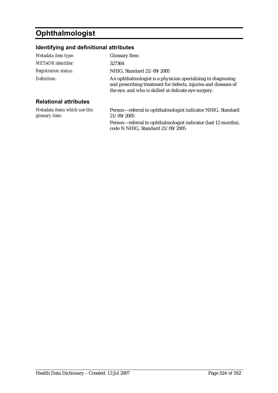# **Ophthalmologist**

## **Identifying and definitional attributes**

| Metadata item type:                             | <b>Glossary Item</b>                                                                                                                                                                    |
|-------------------------------------------------|-----------------------------------------------------------------------------------------------------------------------------------------------------------------------------------------|
| <b>METeOR</b> identifier:                       | 327364                                                                                                                                                                                  |
| <b>Registration status:</b>                     | NHIG, Standard 21/09/2005                                                                                                                                                               |
| Definition:                                     | An ophthalmologist is a physician specialising in diagnosing<br>and prescribing treatment for defects, injuries and diseases of<br>the eye, and who is skilled at delicate eye surgery. |
| <b>Relational attributes</b>                    |                                                                                                                                                                                         |
| Metadata items which use this<br>glossary item: | Person-referral to ophthalmologist indicator NHIG, Standard<br>21/09/2005                                                                                                               |
|                                                 |                                                                                                                                                                                         |

Person—referral to ophthalmologist indicator (last 12 months), code N NHIG, Standard 21/09/2005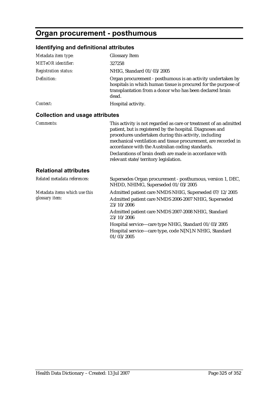### **Organ procurement - posthumous**

| Metadata item type:                    | <b>Glossary Item</b>                                                                                                                                                                                                                                                                                          |
|----------------------------------------|---------------------------------------------------------------------------------------------------------------------------------------------------------------------------------------------------------------------------------------------------------------------------------------------------------------|
| <b>METeOR</b> identifier:              | 327258                                                                                                                                                                                                                                                                                                        |
| <b>Registration status:</b>            | NHIG, Standard 01/03/2005                                                                                                                                                                                                                                                                                     |
| Definition:                            | Organ procurement - posthumous is an activity undertaken by<br>hospitals in which human tissue is procured for the purpose of<br>transplantation from a donor who has been declared brain<br>dead.                                                                                                            |
| Context:                               | Hospital activity.                                                                                                                                                                                                                                                                                            |
| <b>Collection and usage attributes</b> |                                                                                                                                                                                                                                                                                                               |
| Comments:                              | This activity is not regarded as care or treatment of an admitted<br>patient, but is registered by the hospital. Diagnoses and<br>procedures undertaken during this activity, including<br>mechanical ventilation and tissue procurement, are recorded in<br>accordance with the Australian coding standards. |
|                                        | Declarations of brain death are made in accordance with<br>relevant state/territory legislation.                                                                                                                                                                                                              |
| <b>Relational attributes</b>           |                                                                                                                                                                                                                                                                                                               |
| Related metadata references:           | Supersedes Organ procurement - posthumous, version 1, DEC,<br>NHDD, NHIMG, Superseded 01/03/2005                                                                                                                                                                                                              |
| Metadata items which use this          | Admitted patient care NMDS NHIG, Superseded 07/12/2005                                                                                                                                                                                                                                                        |
| glossary item:                         | Admitted patient care NMDS 2006-2007 NHIG, Superseded<br>23/10/2006                                                                                                                                                                                                                                           |
|                                        | Admitted patient care NMDS 2007-2008 NHIG, Standard<br>23/10/2006                                                                                                                                                                                                                                             |
|                                        | Hospital service-care type NHIG, Standard 01/03/2005<br>Hospital service-care type, code N[N].N NHIG, Standard<br>01/03/2005                                                                                                                                                                                  |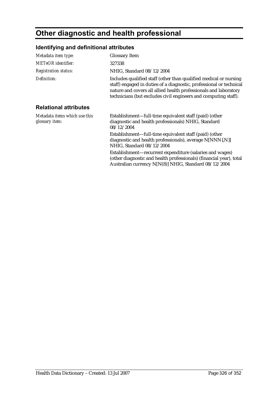# **Other diagnostic and health professional**

### **Identifying and definitional attributes**

| Metadata item type:                             | <b>Glossary Item</b>                                                                                                                                                                                                                                                            |
|-------------------------------------------------|---------------------------------------------------------------------------------------------------------------------------------------------------------------------------------------------------------------------------------------------------------------------------------|
| <b>METeOR</b> identifier:                       | 327338                                                                                                                                                                                                                                                                          |
| <b>Registration status:</b>                     | NHIG, Standard 08/12/2004                                                                                                                                                                                                                                                       |
| Definition:                                     | Includes qualified staff (other than qualified medical or nursing<br>staff) engaged in duties of a diagnostic, professional or technical<br>nature and covers all allied health professionals and laboratory<br>technicians (but excludes civil engineers and computing staff). |
| <b>Relational attributes</b>                    |                                                                                                                                                                                                                                                                                 |
| Metadata items which use this<br>glossary item: | Establishment-full-time equivalent staff (paid) (other<br>diagnostic and health professionals) NHIG, Standard<br>08/12/2004                                                                                                                                                     |
|                                                 | Establishment-full-time equivalent staff (paid) (other<br>diagnostic and health professionals), average N[NNN{.N}]<br>NHIG, Standard 08/12/2004                                                                                                                                 |
|                                                 | Establishment-recurrent expenditure (salaries and wages)<br>(other diagnostic and health professionals) (financial year), total                                                                                                                                                 |

Australian currency N[N(8)] NHIG, Standard 08/12/2004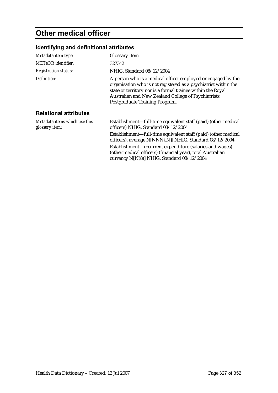## **Other medical officer**

### **Identifying and definitional attributes**

| Metadata item type:                             | <b>Glossary Item</b>                                                                                                                                                                                                                                                                    |
|-------------------------------------------------|-----------------------------------------------------------------------------------------------------------------------------------------------------------------------------------------------------------------------------------------------------------------------------------------|
| <b>METeOR</b> identifier:                       | 327342                                                                                                                                                                                                                                                                                  |
| <b>Registration status:</b>                     | NHIG, Standard 08/12/2004                                                                                                                                                                                                                                                               |
| Definition:                                     | A person who is a medical officer employed or engaged by the<br>organisation who is not registered as a psychiatrist within the<br>state or territory nor is a formal trainee within the Royal<br>Australian and New Zealand College of Psychiatrists<br>Postgraduate Training Program. |
| <b>Relational attributes</b>                    |                                                                                                                                                                                                                                                                                         |
| Metadata items which use this<br>glossary item: | Establishment—full-time equivalent staff (paid) (other medical<br>officers) NHIG, Standard 08/12/2004                                                                                                                                                                                   |
|                                                 | Establishment—full-time equivalent staff (paid) (other medical<br>officers), average N[NNN{.N}] NHIG, Standard 08/12/2004                                                                                                                                                               |
|                                                 | Establishment-recurrent expenditure (salaries and wages)<br>(other medical officers) (financial year), total Australian                                                                                                                                                                 |

currency N[N(8)] NHIG, Standard 08/12/2004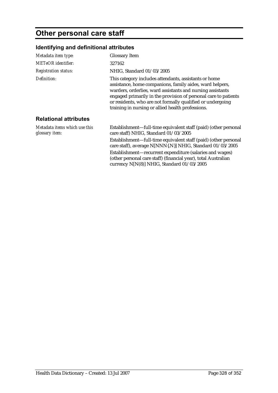# **Other personal care staff**

| Metadata item type:                             | <b>Glossary Item</b>                                                                                                                                                                                                                                                                                                                                                  |
|-------------------------------------------------|-----------------------------------------------------------------------------------------------------------------------------------------------------------------------------------------------------------------------------------------------------------------------------------------------------------------------------------------------------------------------|
| <b>METeOR</b> identifier:                       | 327162                                                                                                                                                                                                                                                                                                                                                                |
| <b>Registration status:</b>                     | NHIG, Standard 01/03/2005                                                                                                                                                                                                                                                                                                                                             |
| Definition:                                     | This category includes attendants, assistants or home<br>assistance, home companions, family aides, ward helpers,<br>warders, orderlies, ward assistants and nursing assistants<br>engaged primarily in the provision of personal care to patients<br>or residents, who are not formally qualified or undergoing<br>training in nursing or allied health professions. |
| <b>Relational attributes</b>                    |                                                                                                                                                                                                                                                                                                                                                                       |
| Metadata items which use this<br>glossary item: | Establishment—full-time equivalent staff (paid) (other personal<br>care staff) NHIG, Standard 01/03/2005                                                                                                                                                                                                                                                              |
|                                                 | Establishment—full-time equivalent staff (paid) (other personal<br>care staff), average N[NNN{.N}] NHIG, Standard 01/03/2005                                                                                                                                                                                                                                          |
|                                                 | Establishment-recurrent expenditure (salaries and wages)<br>(other personal care staff) (financial year), total Australian<br>currency N[N(8)] NHIG, Standard 01/03/2005                                                                                                                                                                                              |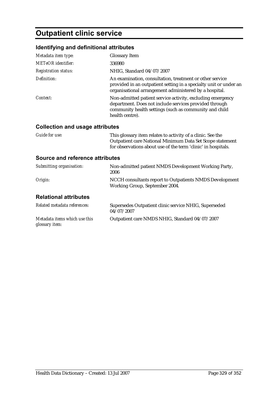# **Outpatient clinic service**

#### **Identifying and definitional attributes**

| Metadata item type:                    | <b>Glossary Item</b>                                                                                                                                                                              |
|----------------------------------------|---------------------------------------------------------------------------------------------------------------------------------------------------------------------------------------------------|
| METeOR identifier:                     | 336980                                                                                                                                                                                            |
| <b>Registration status:</b>            | NHIG, Standard 04/07/2007                                                                                                                                                                         |
| Definition:                            | An examination, consultation, treatment or other service<br>provided in an outpatient setting in a specialty unit or under an<br>organisational arrangement administered by a hospital.           |
| Context:                               | Non-admitted patient service activity, excluding emergency<br>department. Does not include services provided through<br>community health settings (such as community and child<br>health centre). |
| <b>Collection and usage attributes</b> |                                                                                                                                                                                                   |
| Guide for use:                         | This glossary item relates to activity of a clinic. See the<br>Outpatient care National Minimum Data Set Scope statement<br>for observations about use of the term 'clinic' in hospitals.         |
| <b>Source and reference attributes</b> |                                                                                                                                                                                                   |
| Submitting organisation:               | Non-admitted patient NMDS Development Working Party,<br>2006                                                                                                                                      |

### **Relational attributes**

| Related metadata references:                    | Supersedes Outpatient clinic service NHIG, Superseded<br>04/07/2007 |
|-------------------------------------------------|---------------------------------------------------------------------|
| Metadata items which use this<br>glossary item: | Outpatient care NMDS NHIG, Standard 04/07/2007                      |

*Origin:* NCCH consultants report to Outpatients NMDS Development

Working Group, September 2004.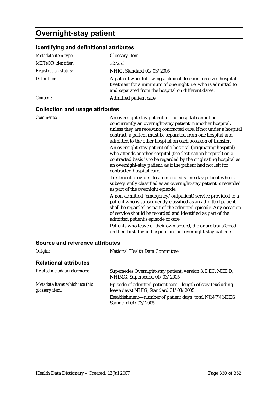### **Overnight-stay patient**

#### **Identifying and definitional attributes**

| Metadata item type:         | <b>Glossary Item</b>                                                                                                                                                                    |
|-----------------------------|-----------------------------------------------------------------------------------------------------------------------------------------------------------------------------------------|
| <b>METeOR</b> identifier:   | 327256                                                                                                                                                                                  |
| <b>Registration status:</b> | NHIG, Standard 01/03/2005                                                                                                                                                               |
| Definition:                 | A patient who, following a clinical decision, receives hospital<br>treatment for a minimum of one night, i.e. who is admitted to<br>and separated from the hospital on different dates. |
| Context:                    | Admitted patient care                                                                                                                                                                   |

#### **Collection and usage attributes**

#### **Source and reference attributes**

| Origin:                                         | National Health Data Committee.                                                                     |
|-------------------------------------------------|-----------------------------------------------------------------------------------------------------|
| <b>Relational attributes</b>                    |                                                                                                     |
| Related metadata references:                    | Supersedes Overnight-stay patient, version 3, DEC, NHDD,<br>NHIMG, Superseded 01/03/2005            |
| Metadata items which use this<br>glossary item: | Episode of admitted patient care—length of stay (excluding<br>leave days) NHIG, Standard 01/03/2005 |
|                                                 | Establishment—number of patient days, total $N[N(7)]$ NHIG,<br>Standard 01/03/2005                  |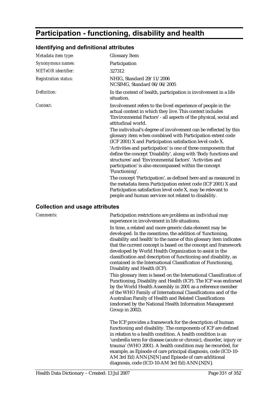# **Participation - functioning, disability and health**

### **Identifying and definitional attributes**

| Metadata item type:         | <b>Glossary Item</b>                                                                                                                                                                                                                                                     |
|-----------------------------|--------------------------------------------------------------------------------------------------------------------------------------------------------------------------------------------------------------------------------------------------------------------------|
| Synonymous names:           | Participation                                                                                                                                                                                                                                                            |
| <b>METeOR</b> identifier:   | 327312                                                                                                                                                                                                                                                                   |
| <b>Registration status:</b> | NHIG, Standard 29/11/2006<br>NCSIMG, Standard 06/06/2005                                                                                                                                                                                                                 |
| Definition:                 | In the context of health, participation is involvement in a life<br>situation.                                                                                                                                                                                           |
| Context:                    | Involvement refers to the lived experience of people in the<br>actual context in which they live. This context includes<br>'Environmental Factors' - all aspects of the physical, social and<br>attitudinal world.                                                       |
|                             | The individual's degree of involvement can be reflected by this<br>glossary item when combined with Participation extent code<br>(ICF 2001) X and Participation satisfaction level code X.                                                                               |
|                             | 'Activities and participation' is one of three components that<br>define the concept 'Disability', along with 'Body functions and<br>structures' and 'Environmental factors'. 'Activities and<br>participation' is also encompassed within the concept<br>'Functioning'. |
|                             | The concept 'Participation', as defined here and as measured in<br>the metadata items Participation extent code (ICF 2001) X and<br>Participation satisfaction level code X, may be relevant to<br>people and human services not related to disability.                  |

#### **Collection and usage attributes**

| Comments: | Participation restrictions are problems an individual may<br>experience in involvement in life situations.                                                                                                                                                                                                                                                                                                                                                                                               |
|-----------|----------------------------------------------------------------------------------------------------------------------------------------------------------------------------------------------------------------------------------------------------------------------------------------------------------------------------------------------------------------------------------------------------------------------------------------------------------------------------------------------------------|
|           | In time, a related and more generic data element may be<br>developed. In the meantime, the addition of 'functioning,<br>disability and health' to the name of this glossary item indicates<br>that the current concept is based on the concept and framework<br>developed by World Health Organization to assist in the<br>classification and description of functioning and disability, as<br>contained in the International Classification of Functioning,<br>Disability and Health (ICF).             |
|           | This glossary item is based on the International Classification of<br>Functioning, Disability and Health (ICF). The ICF was endorsed<br>by the World Health Assembly in 2001 as a reference member<br>of the WHO Family of International Classifications and of the<br>Australian Family of Health and Related Classifications<br>(endorsed by the National Health Information Management<br>Group in 2002).                                                                                             |
|           | The ICF provides a framework for the description of human<br>functioning and disability. The components of ICF are defined<br>in relation to a health condition. A health condition is an<br>'umbrella term for disease (acute or chronic), disorder, injury or<br>trauma' (WHO 2001). A health condition may be recorded, for<br>example, as Episode of care principal diagnosis, code (ICD-10-<br>AM 3rd Ed) ANN{.N[N} and Episode of care additional<br>diagnosis, code (ICD-10-AM 3rd Ed) ANN{.N[N}. |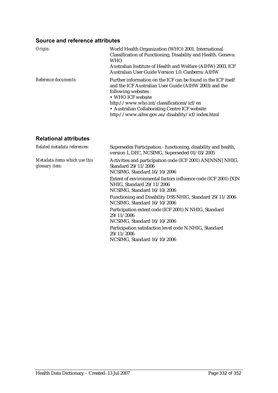#### **Source and reference attributes**

| Origin:              | World Health Organization (WHO) 2001. International<br>Classification of Functioning, Disability and Health. Geneva:<br><b>WHO</b><br>Australian Institute of Health and Welfare (AIHW) 2003. ICF<br>Australian User Guide Version 1.0. Canberra: AIHW                                                              |
|----------------------|---------------------------------------------------------------------------------------------------------------------------------------------------------------------------------------------------------------------------------------------------------------------------------------------------------------------|
| Reference documents: | Further information on the ICF can be found in the ICF itself<br>and the ICF Australian User Guide (AIHW 2003) and the<br>following websites<br>• WHO ICF website<br>http://www.who.int/classifications/icf/en<br>• Australian Collaborating Centre ICF website<br>http://www.aihw.gov.au/disability/icf/index.html |

#### **Relational attributes**

| Related metadata references:                    | Supersedes Participation - functioning, disability and health,<br>version 1, DEC, NCSIMG, Superseded 01/03/2005            |
|-------------------------------------------------|----------------------------------------------------------------------------------------------------------------------------|
| Metadata items which use this<br>glossary item: | Activities and participation code (ICF 2001) AN[NNN] NHIG,<br>Standard 29/11/2006<br>NCSIMG, Standard 16/10/2006           |
|                                                 | Extent of environmental factors influence code (ICF 2001) [X]N<br>NHIG. Standard 29/11/2006<br>NCSIMG, Standard 16/10/2006 |
|                                                 | Functioning and Disability DSS NHIG, Standard 29/11/2006<br>NCSIMG, Standard 16/10/2006                                    |
|                                                 | Participation extent code (ICF 2001) N NHIG, Standard<br>29/11/2006<br>NCSIMG, Standard 16/10/2006                         |
|                                                 | Participation satisfaction level code N NHIG, Standard<br>29/11/2006<br>NCSIMG, Standard 16/10/2006                        |
|                                                 |                                                                                                                            |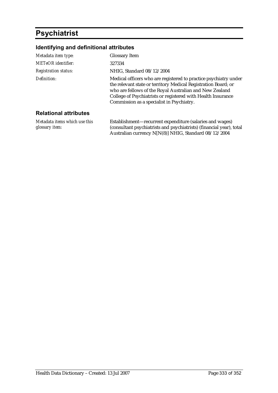### **Psychiatrist**

#### **Identifying and definitional attributes**

| Metadata item type:             | <b>Glossary Item</b>                                                                                                                                                                                                                                                                                       |
|---------------------------------|------------------------------------------------------------------------------------------------------------------------------------------------------------------------------------------------------------------------------------------------------------------------------------------------------------|
| MET <sub>e</sub> OR identifier: | 327334                                                                                                                                                                                                                                                                                                     |
| <b>Registration status:</b>     | NHIG, Standard 08/12/2004                                                                                                                                                                                                                                                                                  |
| Definition:                     | Medical officers who are registered to practice psychiatry under<br>the relevant state or territory Medical Registration Board; or<br>who are fellows of the Royal Australian and New Zealand<br>College of Psychiatrists or registered with Health Insurance<br>Commission as a specialist in Psychiatry. |
| Dalattanal attuikutaa           |                                                                                                                                                                                                                                                                                                            |

#### **Relational attributes**

*Metadata items which use this glossary item:*

Establishment—recurrent expenditure (salaries and wages) (consultant psychiatrists and psychiatrists) (financial year), total Australian currency N[N(8)] NHIG, Standard 08/12/2004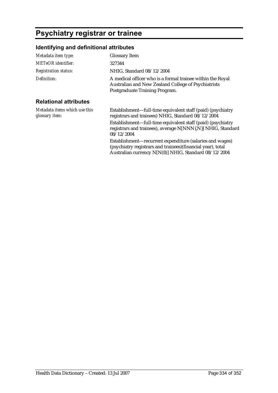## **Psychiatry registrar or trainee**

| Metadata item type:                             | <b>Glossary Item</b>                                                                                                                                                              |
|-------------------------------------------------|-----------------------------------------------------------------------------------------------------------------------------------------------------------------------------------|
| <b>METeOR</b> identifier:                       | 327344                                                                                                                                                                            |
| <b>Registration status:</b>                     | NHIG, Standard 08/12/2004                                                                                                                                                         |
| Definition:                                     | A medical officer who is a formal trainee within the Royal<br>Australian and New Zealand College of Psychiatrists<br>Postgraduate Training Program.                               |
| <b>Relational attributes</b>                    |                                                                                                                                                                                   |
| Metadata items which use this<br>glossary item: | Establishment—full-time equivalent staff (paid) (psychiatry<br>registrars and trainees) NHIG, Standard 08/12/2004                                                                 |
|                                                 | Establishment—full-time equivalent staff (paid) (psychiatry<br>registrars and trainees), average N[NNN{.N}] NHIG, Standard<br>08/12/2004                                          |
|                                                 | Establishment—recurrent expenditure (salaries and wages)<br>(psychiatry registrars and trainees) (financial year), total<br>Australian currency N[N(8)] NHIG, Standard 08/12/2004 |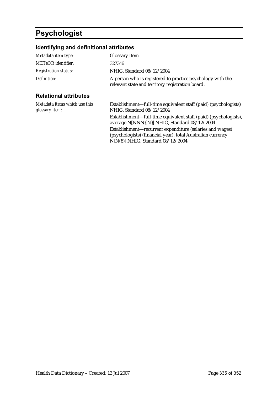## **Psychologist**

| Metadata item type:                             | <b>Glossary Item</b>                                                                                                                                             |
|-------------------------------------------------|------------------------------------------------------------------------------------------------------------------------------------------------------------------|
| <b>METeOR</b> identifier:                       | 327346                                                                                                                                                           |
| <b>Registration status:</b>                     | NHIG, Standard 08/12/2004                                                                                                                                        |
| Definition:                                     | A person who is registered to practice psychology with the<br>relevant state and territory registration board.                                                   |
| <b>Relational attributes</b>                    |                                                                                                                                                                  |
| Metadata items which use this<br>glossary item: | Establishment—full-time equivalent staff (paid) (psychologists)<br>NHIG, Standard 08/12/2004                                                                     |
|                                                 | Establishment—full-time equivalent staff (paid) (psychologists),<br>average N[NNN{.N}] NHIG, Standard 08/12/2004                                                 |
|                                                 | Establishment—recurrent expenditure (salaries and wages)<br>(psychologists) (financial year), total Australian currency<br>$N[N(8)]$ NHIG, Standard $08/12/2004$ |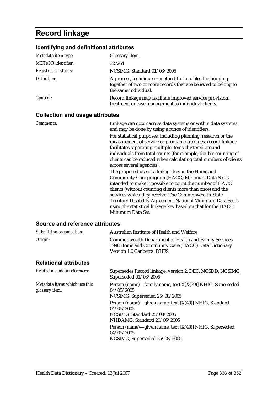# **Record linkage**

### **Identifying and definitional attributes**

| Metadata item type:         | <b>Glossary Item</b>                                                                                                                               |
|-----------------------------|----------------------------------------------------------------------------------------------------------------------------------------------------|
| <b>METeOR</b> identifier:   | 327264                                                                                                                                             |
| <b>Registration status:</b> | NCSIMG, Standard 01/03/2005                                                                                                                        |
| Definition:                 | A process, technique or method that enables the bringing<br>together of two or more records that are believed to belong to<br>the same individual. |
| Context:                    | Record linkage may facilitate improved service provision,<br>treatment or case management to individual clients.                                   |

#### **Collection and usage attributes**

| Comments:                       | Linkage can occur across data systems or within data systems<br>and may be done by using a range of identifiers.<br>For statistical purposes, including planning, research or the<br>measurement of service or program outcomes, record linkage<br>facilitates separating multiple items clustered around<br>individuals from total counts (for example, double counting of<br>clients can be reduced when calculating total numbers of clients<br>across several agencies).<br>The proposed use of a linkage key in the Home and<br>Community Care program (HACC) Minimum Data Set is<br>intended to make it possible to count the number of HACC<br>clients (without counting clients more than once) and the<br>services which they receive. The Commonwealth-State<br>Territory Disability Agreement National Minimum Data Set is<br>using the statistical linkage key based on that for the HACC |
|---------------------------------|-------------------------------------------------------------------------------------------------------------------------------------------------------------------------------------------------------------------------------------------------------------------------------------------------------------------------------------------------------------------------------------------------------------------------------------------------------------------------------------------------------------------------------------------------------------------------------------------------------------------------------------------------------------------------------------------------------------------------------------------------------------------------------------------------------------------------------------------------------------------------------------------------------|
| Source and reference attributes | Minimum Data Set.                                                                                                                                                                                                                                                                                                                                                                                                                                                                                                                                                                                                                                                                                                                                                                                                                                                                                     |

| Submitting organisation:                        | Australian Institute of Health and Welfare                                                                                                                                                                                                  |
|-------------------------------------------------|---------------------------------------------------------------------------------------------------------------------------------------------------------------------------------------------------------------------------------------------|
| Origin:                                         | <b>Commonwealth Department of Health and Family Services</b><br>1998 Home and Community Care (HACC) Data Dictionary<br><b>Version 1.0 Canberra: DHFS</b>                                                                                    |
| <b>Relational attributes</b>                    |                                                                                                                                                                                                                                             |
| Related metadata references:                    | Supersedes Record linkage, version 2, DEC, NCSDD, NCSIMG,<br>Superseded 01/03/2005                                                                                                                                                          |
| Metadata items which use this<br>glossary item: | Person (name)—family name, text X[X(39)] NHIG, Superseded<br>04/05/2005<br>NCSIMG, Superseded 25/08/2005                                                                                                                                    |
|                                                 | Person (name)—given name, text [X(40)] NHIG, Standard<br>04/05/2005<br>NCSIMG, Standard 25/08/2005<br>NHDAMG, Standard 20/06/2005<br>Person (name)—given name, text [X(40)] NHIG, Superseded<br>04/05/2005<br>NCSIMG, Superseded 25/08/2005 |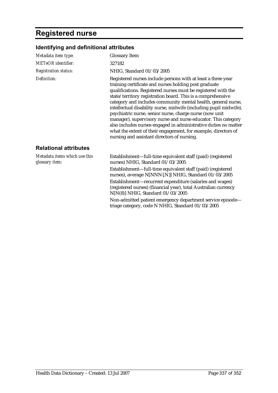## **Registered nurse**

| Metadata item type:                             | <b>Glossary Item</b>                                                                                                                                                                                                                                                                                                                                                                                                                                                                                                                                                                                                                                                                                        |
|-------------------------------------------------|-------------------------------------------------------------------------------------------------------------------------------------------------------------------------------------------------------------------------------------------------------------------------------------------------------------------------------------------------------------------------------------------------------------------------------------------------------------------------------------------------------------------------------------------------------------------------------------------------------------------------------------------------------------------------------------------------------------|
| <b>METeOR</b> identifier:                       | 327182                                                                                                                                                                                                                                                                                                                                                                                                                                                                                                                                                                                                                                                                                                      |
| <b>Registration status:</b>                     | NHIG, Standard 01/03/2005                                                                                                                                                                                                                                                                                                                                                                                                                                                                                                                                                                                                                                                                                   |
| Definition:                                     | Registered nurses include persons with at least a three year<br>training certificate and nurses holding post graduate<br>qualifications. Registered nurses must be registered with the<br>state/territory registration board. This is a comprehensive<br>category and includes community mental health, general nurse,<br>intellectual disability nurse, midwife (including pupil midwife),<br>psychiatric nurse, senior nurse, charge nurse (now unit<br>manager), supervisory nurse and nurse educator. This category<br>also includes nurses engaged in administrative duties no matter<br>what the extent of their engagement, for example, directors of<br>nursing and assistant directors of nursing. |
| <b>Relational attributes</b>                    |                                                                                                                                                                                                                                                                                                                                                                                                                                                                                                                                                                                                                                                                                                             |
| Metadata items which use this<br>glossary item: | Establishment—full-time equivalent staff (paid) (registered<br>nurses) NHIG, Standard 01/03/2005                                                                                                                                                                                                                                                                                                                                                                                                                                                                                                                                                                                                            |
|                                                 | Establishment-full-time equivalent staff (paid) (registered<br>nurses), average N[NNN{.N}] NHIG, Standard 01/03/2005                                                                                                                                                                                                                                                                                                                                                                                                                                                                                                                                                                                        |
|                                                 | Establishment-recurrent expenditure (salaries and wages)<br>(registered nurses) (financial year), total Australian currency<br>N[N(8)] NHIG, Standard 01/03/2005                                                                                                                                                                                                                                                                                                                                                                                                                                                                                                                                            |
|                                                 | Non-admitted patient emergency department service episode-<br>triage category, code N NHIG, Standard 01/03/2005                                                                                                                                                                                                                                                                                                                                                                                                                                                                                                                                                                                             |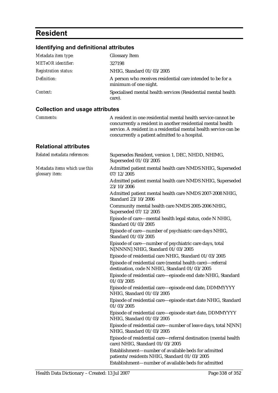## **Resident**

| Metadata item type:                             | <b>Glossary Item</b>                                                                                                                                                                                                                                 |
|-------------------------------------------------|------------------------------------------------------------------------------------------------------------------------------------------------------------------------------------------------------------------------------------------------------|
| <b>METeOR</b> identifier:                       | 327198                                                                                                                                                                                                                                               |
| <b>Registration status:</b>                     | NHIG, Standard 01/03/2005                                                                                                                                                                                                                            |
| Definition:                                     | A person who receives residential care intended to be for a<br>minimum of one night.                                                                                                                                                                 |
| Context:                                        | Specialised mental health services (Residential mental health<br>care).                                                                                                                                                                              |
| <b>Collection and usage attributes</b>          |                                                                                                                                                                                                                                                      |
| Comments:                                       | A resident in one residential mental health service cannot be<br>concurrently a resident in another residential mental health<br>service. A resident in a residential mental health service can be<br>concurrently a patient admitted to a hospital. |
| <b>Relational attributes</b>                    |                                                                                                                                                                                                                                                      |
| Related metadata references:                    | Supersedes Resident, version 1, DEC, NHDD, NHIMG,<br>Superseded 01/03/2005                                                                                                                                                                           |
| Metadata items which use this<br>glossary item: | Admitted patient mental health care NMDS NHIG, Superseded<br>07/12/2005                                                                                                                                                                              |
|                                                 | Admitted patient mental health care NMDS NHIG, Superseded<br>23/10/2006                                                                                                                                                                              |
|                                                 | Admitted patient mental health care NMDS 2007-2008 NHIG,<br>Standard 23/10/2006                                                                                                                                                                      |
|                                                 | Community mental health care NMDS 2005-2006 NHIG,<br>Superseded 07/12/2005                                                                                                                                                                           |
|                                                 | Episode of care-mental health legal status, code N NHIG,<br>Standard 01/03/2005                                                                                                                                                                      |
|                                                 | Episode of care—number of psychiatric care days NHIG,<br>Standard 01/03/2005                                                                                                                                                                         |
|                                                 | Episode of care-number of psychiatric care days, total<br>N[NNNN] NHIG, Standard 01/03/2005                                                                                                                                                          |
|                                                 | Episode of residential care NHIG, Standard 01/03/2005                                                                                                                                                                                                |
|                                                 | Episode of residential care (mental health care)—referral<br>destination, code N NHIG, Standard 01/03/2005                                                                                                                                           |
|                                                 | Episode of residential care-episode end date NHIG, Standard<br>01/03/2005                                                                                                                                                                            |
|                                                 | Episode of residential care-episode end date, DDMMYYYY<br>NHIG, Standard 01/03/2005                                                                                                                                                                  |
|                                                 | Episode of residential care-episode start date NHIG, Standard<br>01/03/2005                                                                                                                                                                          |
|                                                 | Episode of residential care-episode start date, DDMMYYYY<br>NHIG, Standard 01/03/2005                                                                                                                                                                |
|                                                 | Episode of residential care—number of leave days, total N[NN]<br>NHIG, Standard 01/03/2005                                                                                                                                                           |
|                                                 | Episode of residential care-referral destination (mental health<br>care) NHIG, Standard 01/03/2005                                                                                                                                                   |
|                                                 | Establishment-number of available beds for admitted<br>patients/residents NHIG, Standard 01/03/2005                                                                                                                                                  |
|                                                 | Establishment-number of available beds for admitted                                                                                                                                                                                                  |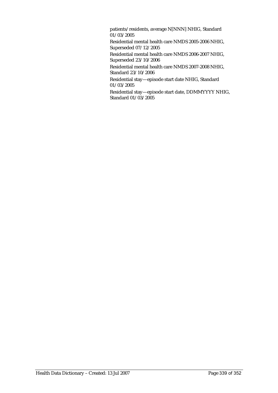patients/residents, average N[NNN] NHIG, Standard  $01/03/2005$ 

Residential mental health care NMDS 2005-2006 NHIG, Superseded 07/12/2005

Residential mental health care NMDS 2006-2007 NHIG, Superseded 23/10/2006

Residential mental health care NMDS 2007-2008 NHIG, Standard 23/10/2006

Residential stay—episode start date NHIG, Standard 01/03/2005

Residential stay—episode start date, DDMMYYYY NHIG, Standard 01/03/2005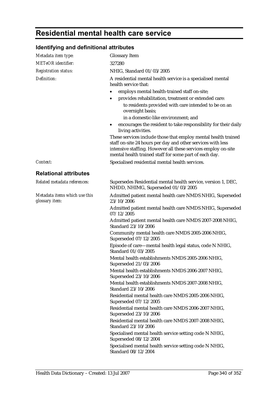## **Residential mental health care service**

| Metadata item type:                             | <b>Glossary Item</b>                                                                                                                                                                                                                                     |
|-------------------------------------------------|----------------------------------------------------------------------------------------------------------------------------------------------------------------------------------------------------------------------------------------------------------|
| <b>METeOR</b> identifier:                       | 327280                                                                                                                                                                                                                                                   |
| <b>Registration status:</b>                     | NHIG, Standard 01/03/2005                                                                                                                                                                                                                                |
| Definition:                                     | A residential mental health service is a specialised mental<br>health service that:                                                                                                                                                                      |
|                                                 | employs mental health-trained staff on-site;<br>٠                                                                                                                                                                                                        |
|                                                 | provides rehabilitation, treatment or extended care:<br>to residents provided with care intended to be on an<br>overnight basis;                                                                                                                         |
|                                                 | in a domestic-like environment; and                                                                                                                                                                                                                      |
|                                                 | encourages the resident to take responsibility for their daily<br>$\bullet$<br>living activities.                                                                                                                                                        |
|                                                 | These services include those that employ mental health trained<br>staff on-site 24 hours per day and other services with less<br>intensive staffing. However all these services employ on-site<br>mental health trained staff for some part of each day. |
| Context:                                        | Specialised residential mental health services.                                                                                                                                                                                                          |
| <b>Relational attributes</b>                    |                                                                                                                                                                                                                                                          |
| Related metadata references:                    | Supersedes Residential mental health service, version 1, DEC,<br>NHDD, NHIMG, Superseded 01/03/2005                                                                                                                                                      |
| Metadata items which use this<br>glossary item: | Admitted patient mental health care NMDS NHIG, Superseded<br>23/10/2006                                                                                                                                                                                  |
|                                                 | Admitted patient mental health care NMDS NHIG, Superseded<br>07/12/2005                                                                                                                                                                                  |
|                                                 | Admitted patient mental health care NMDS 2007-2008 NHIG,<br>Standard 23/10/2006                                                                                                                                                                          |
|                                                 | Community mental health care NMDS 2005-2006 NHIG,<br>Superseded 07/12/2005                                                                                                                                                                               |
|                                                 | Episode of care-mental health legal status, code N NHIG,<br>Standard 01/03/2005                                                                                                                                                                          |
|                                                 | Mental health establishments NMDS 2005-2006 NHIG,<br>Superseded 21/03/2006                                                                                                                                                                               |
|                                                 | Mental health establishments NMDS 2006-2007 NHIG,<br>Superseded 23/10/2006                                                                                                                                                                               |
|                                                 | Mental health establishments NMDS 2007-2008 NHIG.<br>Standard 23/10/2006                                                                                                                                                                                 |
|                                                 | Residential mental health care NMDS 2005-2006 NHIG,<br>Superseded 07/12/2005                                                                                                                                                                             |
|                                                 | Residential mental health care NMDS 2006-2007 NHIG,<br>Superseded 23/10/2006                                                                                                                                                                             |
|                                                 | Residential mental health care NMDS 2007-2008 NHIG,<br>Standard 23/10/2006                                                                                                                                                                               |
|                                                 | Specialised mental health service setting code N NHIG,<br>Superseded 08/12/2004                                                                                                                                                                          |
|                                                 | Specialised mental health service setting code N NHIG,<br>Standard 08/12/2004                                                                                                                                                                            |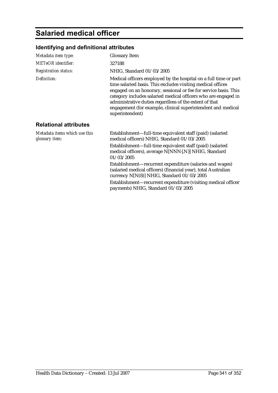## **Salaried medical officer**

| Metadata item type:                             | <b>Glossary Item</b>                                                                                                                                                                                                                                                                                                                                                                                               |
|-------------------------------------------------|--------------------------------------------------------------------------------------------------------------------------------------------------------------------------------------------------------------------------------------------------------------------------------------------------------------------------------------------------------------------------------------------------------------------|
| <b>METeOR</b> identifier:                       | 327188                                                                                                                                                                                                                                                                                                                                                                                                             |
| <b>Registration status:</b>                     | NHIG, Standard 01/03/2005                                                                                                                                                                                                                                                                                                                                                                                          |
| Definition:                                     | Medical officers employed by the hospital on a full time or part<br>time salaried basis. This excludes visiting medical offices<br>engaged on an honorary, sessional or fee for service basis. This<br>category includes salaried medical officers who are engaged in<br>administrative duties regardless of the extent of that<br>engagement (for example, clinical superintendent and medical<br>superintendent) |
| <b>Relational attributes</b>                    |                                                                                                                                                                                                                                                                                                                                                                                                                    |
| Metadata items which use this<br>glossary item: | Establishment—full-time equivalent staff (paid) (salaried<br>medical officers) NHIG, Standard 01/03/2005                                                                                                                                                                                                                                                                                                           |
|                                                 | Establishment—full-time equivalent staff (paid) (salaried<br>medical officers), average N[NNN{.N}] NHIG, Standard<br>01/03/2005                                                                                                                                                                                                                                                                                    |
|                                                 | Establishment-recurrent expenditure (salaries and wages)<br>(salaried medical officers) (financial year), total Australian<br>currency N[N(8)] NHIG, Standard 01/03/2005                                                                                                                                                                                                                                           |
|                                                 | Establishment—recurrent expenditure (visiting medical officer<br>payments) NHIG, Standard 01/03/2005                                                                                                                                                                                                                                                                                                               |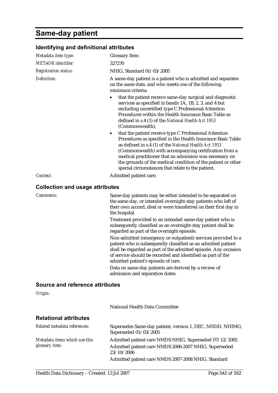### **Same-day patient**

| Identifying and definitional attributes |                                                                                                                                                                                                                                                                                                                                                                                                                         |  |
|-----------------------------------------|-------------------------------------------------------------------------------------------------------------------------------------------------------------------------------------------------------------------------------------------------------------------------------------------------------------------------------------------------------------------------------------------------------------------------|--|
| Metadata item type:                     | <b>Glossary Item</b>                                                                                                                                                                                                                                                                                                                                                                                                    |  |
| <b>METeOR</b> identifier:               | 327270                                                                                                                                                                                                                                                                                                                                                                                                                  |  |
| <b>Registration status:</b>             | NHIG, Standard 01/03/2005                                                                                                                                                                                                                                                                                                                                                                                               |  |
| Definition:                             | A same-day patient is a patient who is admitted and separates<br>on the same date, and who meets one of the following<br>minimum criteria:                                                                                                                                                                                                                                                                              |  |
|                                         | that the patient receive same-day surgical and diagnostic<br>services as specified in bands 1A, 1B, 2, 3, and 4 but<br>excluding uncertified type C Professional Attention<br>Procedures within the Health Insurance Basic Table as<br>defined in s.4 (1) of the National Health Act 1953<br>(Commonwealth),                                                                                                            |  |
|                                         | that the patient receive type C Professional Attention<br>Procedures as specified in the Health Insurance Basic Table<br>as defined in s.4 (1) of the National Health Act 1953<br>(Commonwealth) with accompanying certification from a<br>medical practitioner that an admission was necessary on<br>the grounds of the medical condition of the patient or other<br>special circumstances that relate to the patient. |  |
| Context:                                | Admitted patient care.                                                                                                                                                                                                                                                                                                                                                                                                  |  |
| <b>Collection and usage attributes</b>  |                                                                                                                                                                                                                                                                                                                                                                                                                         |  |
| <b>Comments:</b>                        | Same-day patients may be either intended to be separated on<br>the same day, or intended overnight-stay patients who left of<br>their own accord, died or were transferred on their first day in<br>the hospital.                                                                                                                                                                                                       |  |
|                                         | Treatment provided to an intended same-day patient who is<br>subsequently classified as an overnight-stay patient shall be<br>regarded as part of the overnight episode.                                                                                                                                                                                                                                                |  |
|                                         | Non-admitted (emergency or outpatient) services provided to a<br>patient who is subsequently classified as an admitted patient<br>shall be regarded as part of the admitted episode. Any occasion<br>of service should be recorded and identified as part of the<br>admitted patient's episode of care.                                                                                                                 |  |
|                                         | Data on same-day patients are derived by a review of<br>admission and separation dates.                                                                                                                                                                                                                                                                                                                                 |  |
| Source and reference attributes         |                                                                                                                                                                                                                                                                                                                                                                                                                         |  |
| Origin:                                 |                                                                                                                                                                                                                                                                                                                                                                                                                         |  |
|                                         | National Health Data Committee                                                                                                                                                                                                                                                                                                                                                                                          |  |
| <b>Relational attributes</b>            |                                                                                                                                                                                                                                                                                                                                                                                                                         |  |
| Related metadata references:            | Supersedes Same-day patient, version 1, DEC, NHDD, NHIMG,<br>Superseded 01/03/2005                                                                                                                                                                                                                                                                                                                                      |  |
| Metadata items which use this           | Admitted patient care NMDS NHIG, Superseded 07/12/2005                                                                                                                                                                                                                                                                                                                                                                  |  |

23/10/2006

*glossary item:*

Admitted patient care NMDS 2006-2007 NHIG, Superseded

Admitted patient care NMDS 2007-2008 NHIG, Standard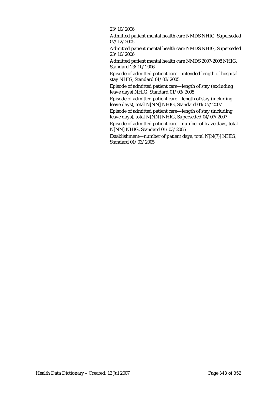23/10/2006

Admitted patient mental health care NMDS NHIG, Superseded 07/12/2005

Admitted patient mental health care NMDS NHIG, Superseded 23/10/2006

Admitted patient mental health care NMDS 2007-2008 NHIG, Standard 23/10/2006

Episode of admitted patient care—intended length of hospital stay NHIG, Standard 01/03/2005

Episode of admitted patient care—length of stay (excluding leave days) NHIG, Standard 01/03/2005

Episode of admitted patient care—length of stay (including leave days), total N[NN] NHIG, Standard 04/07/2007

Episode of admitted patient care—length of stay (including leave days), total N[NN] NHIG, Superseded 04/07/2007

Episode of admitted patient care—number of leave days, total N[NN] NHIG, Standard 01/03/2005

Establishment—number of patient days, total N[N(7)] NHIG, Standard 01/03/2005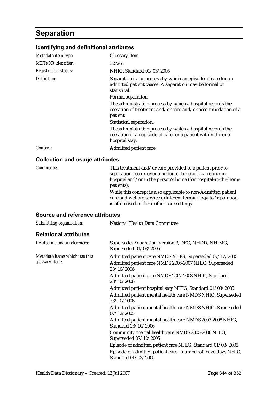## **Separation**

### **Identifying and definitional attributes**

| Metadata item type:         | <b>Glossary Item</b>                                                                                                                         |
|-----------------------------|----------------------------------------------------------------------------------------------------------------------------------------------|
| METeOR identifier:          | 327268                                                                                                                                       |
| <b>Registration status:</b> | NHIG, Standard 01/03/2005                                                                                                                    |
| Definition:                 | Separation is the process by which an episode of care for an<br>admitted patient ceases. A separation may be formal or<br>statistical.       |
|                             | Formal separation:                                                                                                                           |
|                             | The administrative process by which a hospital records the<br>cessation of treatment and/or care and/or accommodation of a<br>patient.       |
|                             | <b>Statistical separation:</b>                                                                                                               |
|                             | The administrative process by which a hospital records the<br>cessation of an episode of care for a patient within the one<br>hospital stay. |
| Context:                    | Admitted patient care.                                                                                                                       |
|                             |                                                                                                                                              |

#### **Collection and usage attributes**

| <i>Comments:</i> | This treatment and/or care provided to a patient prior to<br>separation occurs over a period of time and can occur in<br>hospital and/or in the person's home (for hospital-in-the-home<br>patients). |
|------------------|-------------------------------------------------------------------------------------------------------------------------------------------------------------------------------------------------------|
|                  | While this concept is also applicable to non-Admitted patient<br>care and welfare services, different terminology to 'separation'<br>is often used in these other care settings.                      |

#### **Source and reference attributes**

| Submitting organisation:                        | National Health Data Committee                                                                                                |
|-------------------------------------------------|-------------------------------------------------------------------------------------------------------------------------------|
| <b>Relational attributes</b>                    |                                                                                                                               |
| Related metadata references:                    | Supersedes Separation, version 3, DEC, NHDD, NHIMG,<br>Superseded 01/03/2005                                                  |
| Metadata items which use this<br>glossary item: | Admitted patient care NMDS NHIG, Superseded 07/12/2005<br>Admitted patient care NMDS 2006-2007 NHIG, Superseded<br>23/10/2006 |
|                                                 | Admitted patient care NMDS 2007-2008 NHIG, Standard<br>23/10/2006                                                             |
|                                                 | Admitted patient hospital stay NHIG, Standard 01/03/2005                                                                      |
|                                                 | Admitted patient mental health care NMDS NHIG, Superseded<br>23/10/2006                                                       |
|                                                 | Admitted patient mental health care NMDS NHIG, Superseded<br>07/12/2005                                                       |
|                                                 | Admitted patient mental health care NMDS 2007-2008 NHIG,<br>Standard 23/10/2006                                               |
|                                                 | Community mental health care NMDS 2005-2006 NHIG,<br>Superseded 07/12/2005                                                    |
|                                                 | Episode of admitted patient care NHIG, Standard 01/03/2005                                                                    |
|                                                 | Episode of admitted patient care-number of leave days NHIG,<br>Standard 01/03/2005                                            |
|                                                 |                                                                                                                               |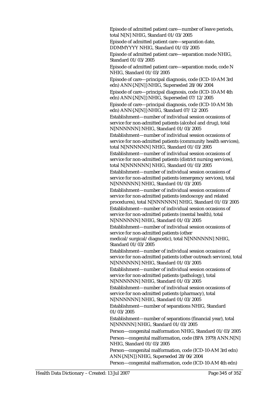Episode of admitted patient care—number of leave periods, total N[N] NHIG, Standard 01/03/2005

Episode of admitted patient care—separation date, DDMMYYYY NHIG, Standard 01/03/2005

Episode of admitted patient care—separation mode NHIG, Standard 01/03/2005

Episode of admitted patient care—separation mode, code N NHIG, Standard 01/03/2005

Episode of care—principal diagnosis, code (ICD-10-AM 3rd edn) ANN{.N[N]} NHIG, Superseded 28/06/2004

Episode of care—principal diagnosis, code (ICD-10-AM 4th edn) ANN{.N[N]} NHIG, Superseded 07/12/2005

Episode of care—principal diagnosis, code (ICD-10-AM 5th edn) ANN{.N[N]} NHIG, Standard 07/12/2005

Establishment—number of individual session occasions of service for non-admitted patients (alcohol and drug), total N[NNNNNN] NHIG, Standard 01/03/2005

Establishment—number of individual session occasions of service for non-admitted patients (community health services), total N[NNNNNN] NHIG, Standard 01/03/2005

Establishment—number of individual session occasions of service for non-admitted patients (district nursing services), total N[NNNNNN] NHIG, Standard 01/03/2005

Establishment—number of individual session occasions of service for non-admitted patients (emergency services), total N[NNNNNN] NHIG, Standard 01/03/2005

Establishment—number of individual session occasions of service for non-admitted patients (endoscopy and related procedures), total N[NNNNNN] NHIG, Standard 01/03/2005

Establishment—number of individual session occasions of service for non-admitted patients (mental health), total N[NNNNNN] NHIG, Standard 01/03/2005

Establishment—number of individual session occasions of service for non-admitted patients (other

medical/surgical/diagnostic), total N[NNNNNN] NHIG, Standard 01/03/2005

Establishment—number of individual session occasions of service for non-admitted patients (other outreach services), total N[NNNNNN] NHIG, Standard 01/03/2005

Establishment—number of individual session occasions of service for non-admitted patients (pathology), total N[NNNNNN] NHIG, Standard 01/03/2005

Establishment—number of individual session occasions of service for non-admitted patients (pharmacy), total N[NNNNNN] NHIG, Standard 01/03/2005

Establishment—number of separations NHIG, Standard 01/03/2005

Establishment—number of separations (financial year), total N[NNNNN] NHIG, Standard 01/03/2005

Person—congenital malformation NHIG, Standard 01/03/2005 Person—congenital malformation, code (BPA 1979) ANN.N[N] NHIG, Standard 01/03/2005

Person—congenital malformation, code (ICD-10-AM 3rd edn) ANN{.N[N]} NHIG, Superseded 28/06/2004

Person—congenital malformation, code (ICD-10-AM 4th edn)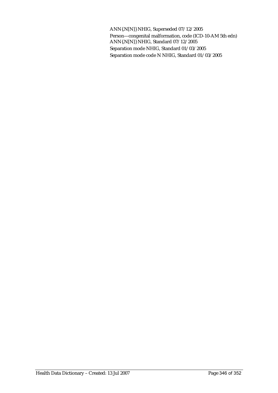ANN{.N[N]} NHIG, Superseded 07/12/2005 Person—congenital malformation, code (ICD-10-AM 5th edn) ANN{.N[N]} NHIG, Standard 07/12/2005 Separation mode NHIG, Standard 01/03/2005 Separation mode code N NHIG, Standard 01/03/2005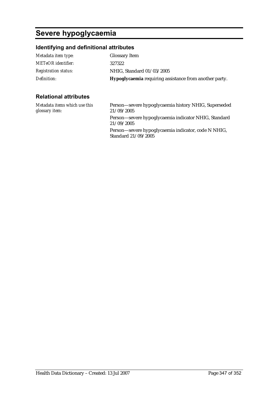# **Severe hypoglycaemia**

### **Identifying and definitional attributes**

| Metadata item type:         | <b>Glossary Item</b>                                          |
|-----------------------------|---------------------------------------------------------------|
| <b>METeOR</b> identifier:   | 327322                                                        |
| <b>Registration status:</b> | NHIG, Standard 01/03/2005                                     |
| Definition:                 | <b>Hypoglycaemia</b> requiring assistance from another party. |

#### **Relational attributes**

| Metadata items which use this<br>glossary item: | Person—severe hypoglycaemia history NHIG, Superseded<br>21/09/2005         |
|-------------------------------------------------|----------------------------------------------------------------------------|
|                                                 | Person-severe hypoglycaemia indicator NHIG, Standard<br>21/09/2005         |
|                                                 | Person—severe hypoglycaemia indicator, code N NHIG,<br>Standard 21/09/2005 |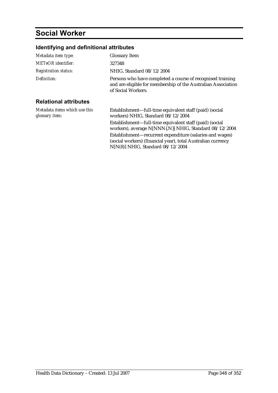## **Social Worker**

### **Identifying and definitional attributes**

| Metadata item type:                             | <b>Glossary Item</b>                                                                                                                              |
|-------------------------------------------------|---------------------------------------------------------------------------------------------------------------------------------------------------|
| <b>METeOR</b> identifier:                       | 327348                                                                                                                                            |
| <b>Registration status:</b>                     | NHIG, Standard 08/12/2004                                                                                                                         |
| Definition:                                     | Persons who have completed a course of recognised training<br>and are eligible for membership of the Australian Association<br>of Social Workers. |
| <b>Relational attributes</b>                    |                                                                                                                                                   |
| Metadata items which use this<br>glossary item: | Establishment—full-time equivalent staff (paid) (social<br>workers) NHIG, Standard 08/12/2004                                                     |
|                                                 | Establishment—full-time equivalent staff (paid) (social<br>workers), average N[NNN{.N}] NHIG, Standard 08/12/2004                                 |
|                                                 | Establishment-recurrent expenditure (salaries and wages)<br>(social workers) (financial year), total Australian currency                          |

N[N(8)] NHIG, Standard 08/12/2004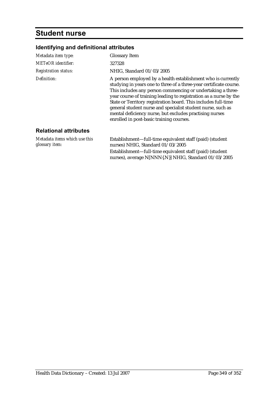### **Student nurse**

#### **Identifying and definitional attributes**

| Metadata item type:                             | <b>Glossary Item</b>                                                                                                                                                                                                                                                                                                                                                                                                                                                                                           |
|-------------------------------------------------|----------------------------------------------------------------------------------------------------------------------------------------------------------------------------------------------------------------------------------------------------------------------------------------------------------------------------------------------------------------------------------------------------------------------------------------------------------------------------------------------------------------|
| <b>METeOR</b> identifier:                       | 327328                                                                                                                                                                                                                                                                                                                                                                                                                                                                                                         |
| <b>Registration status:</b>                     | NHIG, Standard 01/03/2005                                                                                                                                                                                                                                                                                                                                                                                                                                                                                      |
| Definition:                                     | A person employed by a health establishment who is currently<br>studying in years one to three of a three-year certificate course.<br>This includes any person commencing or undertaking a three-<br>year course of training leading to registration as a nurse by the<br>State or Territory registration board. This includes full-time<br>general student nurse and specialist student nurse, such as<br>mental deficiency nurse, but excludes practising nurses<br>enrolled in post-basic training courses. |
| <b>Relational attributes</b>                    |                                                                                                                                                                                                                                                                                                                                                                                                                                                                                                                |
| Metadata items which use this<br>glossary item: | Establishment-full-time equivalent staff (paid) (student<br>nurses) NHIG, Standard 01/03/2005                                                                                                                                                                                                                                                                                                                                                                                                                  |

Establishment—full-time equivalent staff (paid) (student nurses), average N[NNN{.N}] NHIG, Standard 01/03/2005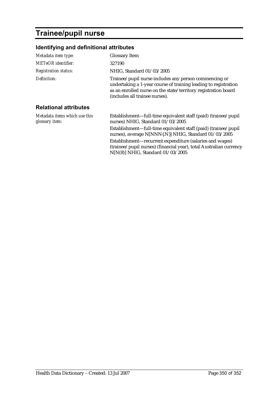## **Trainee/pupil nurse**

### **Identifying and definitional attributes**

| Metadata item type:                                     | <b>Glossary Item</b>                                                                                                                                                                                                         |
|---------------------------------------------------------|------------------------------------------------------------------------------------------------------------------------------------------------------------------------------------------------------------------------------|
| <b>METeOR</b> identifier:                               | 327190                                                                                                                                                                                                                       |
| <b>Registration status:</b>                             | NHIG, Standard 01/03/2005                                                                                                                                                                                                    |
| Definition:                                             | Trainee/pupil nurse includes any person commencing or<br>undertaking a 1-year course of training leading to registration<br>as an enrolled nurse on the state/territory registration board<br>(includes all trainee nurses). |
| <b>Relational attributes</b>                            |                                                                                                                                                                                                                              |
| Metadata items which use this<br>glossary <i>item</i> : | Establishment—full-time equivalent staff (paid) (trainee/pupil<br>nurses) NHIG, Standard 01/03/2005                                                                                                                          |
|                                                         | Establishment—full-time equivalent staff (paid) (trainee/pupil<br>nurses), average N[NNN{.N}] NHIG, Standard 01/03/2005                                                                                                      |
|                                                         | Establishment-recurrent expenditure (salaries and wages)<br>(trainee/pupil nurses) (financial year), total Australian currency                                                                                               |

N[N(8)] NHIG, Standard 01/03/2005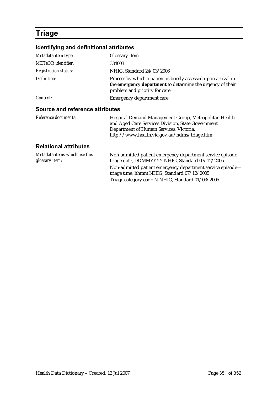### **Triage**

#### **Identifying and definitional attributes**

| Metadata item type:             | <b>Glossary Item</b>                                                                                                                                           |
|---------------------------------|----------------------------------------------------------------------------------------------------------------------------------------------------------------|
| <b>METeOR</b> identifier:       | 334003                                                                                                                                                         |
| <b>Registration status:</b>     | NHIG, Standard 24/03/2006                                                                                                                                      |
| Definition:                     | Process by which a patient is briefly assessed upon arrival in<br>the emergency department to determine the urgency of their<br>problem and priority for care. |
| Context:                        | Emergency department care                                                                                                                                      |
| Source and reference attributes |                                                                                                                                                                |
| Reference documents:            | Hospital Demand Management Group, Metropolitan Health<br>and Aged Care Services Division, State Government                                                     |

#### **Relational attributes**

| Metadata items which use this<br>glossary item: | Non-admitted patient emergency department service episode—<br>triage date, DDMMYYYY NHIG, Standard 07/12/2005 |
|-------------------------------------------------|---------------------------------------------------------------------------------------------------------------|
|                                                 | Non-admitted patient emergency department service episode—<br>triage time, hhmm NHIG, Standard 07/12/2005     |
|                                                 | Triage category code N NHIG, Standard 01/03/2005                                                              |

Department of Human Services, Victoria.

http://www.health.vic.gov.au/hdms/triage.htm